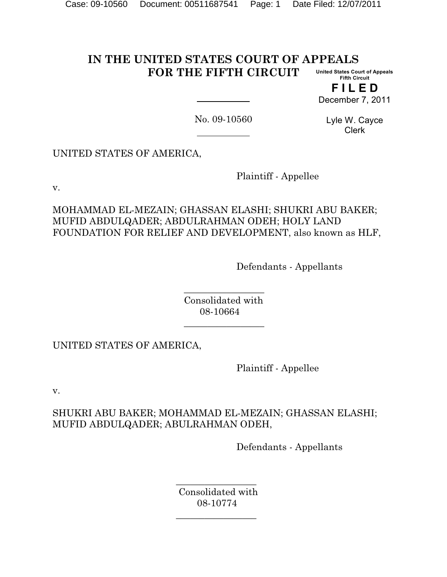#### **IN THE UNITED STATES COURT OF APPEALS FOR THE FIFTH CIRCUIT United States Court of Appeals Fifth Circuit**

**F I L E D** December 7, 2011

No. 09-10560

Lyle W. Cayce Clerk

UNITED STATES OF AMERICA,

Plaintiff - Appellee

v.

MOHAMMAD EL-MEZAIN; GHASSAN ELASHI; SHUKRI ABU BAKER; MUFID ABDULQADER; ABDULRAHMAN ODEH; HOLY LAND FOUNDATION FOR RELIEF AND DEVELOPMENT, also known as HLF,

Defendants - Appellants

 $\mathcal{L}_\text{max}$  and  $\mathcal{L}_\text{max}$  and  $\mathcal{L}_\text{max}$  and  $\mathcal{L}_\text{max}$  Consolidated with 08-10664

UNITED STATES OF AMERICA,

 $\mathcal{L}_\text{max}$  and  $\mathcal{L}_\text{max}$  and  $\mathcal{L}_\text{max}$  and  $\mathcal{L}_\text{max}$ 

 $\mathcal{L}_\text{max}$  and  $\mathcal{L}_\text{max}$  and  $\mathcal{L}_\text{max}$  and  $\mathcal{L}_\text{max}$ 

Plaintiff - Appellee

v.

SHUKRI ABU BAKER; MOHAMMAD EL-MEZAIN; GHASSAN ELASHI; MUFID ABDULQADER; ABULRAHMAN ODEH,

Defendants - Appellants

 $\mathcal{L}_\text{max}$  and  $\mathcal{L}_\text{max}$  and  $\mathcal{L}_\text{max}$  and  $\mathcal{L}_\text{max}$  and  $\mathcal{L}_\text{max}$  Consolidated with 08-10774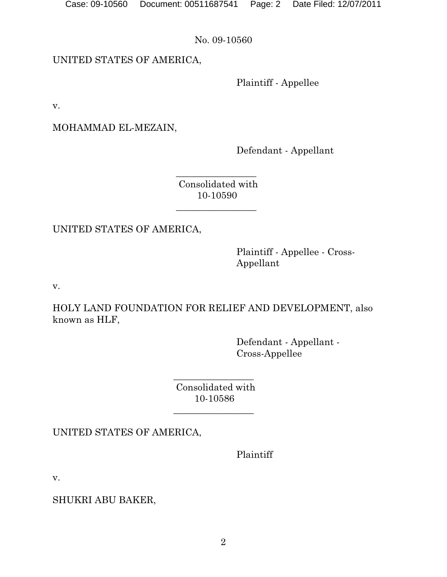Case: 09-10560 Document: 00511687541 Page: 2 Date Filed: 12/07/2011

No. 09-10560

UNITED STATES OF AMERICA,

Plaintiff - Appellee

v.

MOHAMMAD EL-MEZAIN,

Defendant - Appellant

 $\frac{1}{\sqrt{2}}$  ,  $\frac{1}{\sqrt{2}}$  ,  $\frac{1}{\sqrt{2}}$  ,  $\frac{1}{\sqrt{2}}$  ,  $\frac{1}{\sqrt{2}}$  ,  $\frac{1}{\sqrt{2}}$  ,  $\frac{1}{\sqrt{2}}$  ,  $\frac{1}{\sqrt{2}}$  ,  $\frac{1}{\sqrt{2}}$  ,  $\frac{1}{\sqrt{2}}$  ,  $\frac{1}{\sqrt{2}}$  ,  $\frac{1}{\sqrt{2}}$  ,  $\frac{1}{\sqrt{2}}$  ,  $\frac{1}{\sqrt{2}}$  ,  $\frac{1}{\sqrt{2}}$  Consolidated with 10-10590

UNITED STATES OF AMERICA,

 $\mathcal{L}_\text{max}$  and  $\mathcal{L}_\text{max}$  and  $\mathcal{L}_\text{max}$  and  $\mathcal{L}_\text{max}$  and  $\mathcal{L}_\text{max}$ 

Plaintiff - Appellee - Cross-Appellant

v.

HOLY LAND FOUNDATION FOR RELIEF AND DEVELOPMENT, also known as HLF,

> Defendant - Appellant - Cross-Appellee

 $\mathcal{L}_\text{max}$  and  $\mathcal{L}_\text{max}$  and  $\mathcal{L}_\text{max}$  and  $\mathcal{L}_\text{max}$  Consolidated with 10-10586

UNITED STATES OF AMERICA,

 $\mathcal{L}_\text{max}$  and  $\mathcal{L}_\text{max}$  and  $\mathcal{L}_\text{max}$  and  $\mathcal{L}_\text{max}$ 

Plaintiff

v.

SHUKRI ABU BAKER,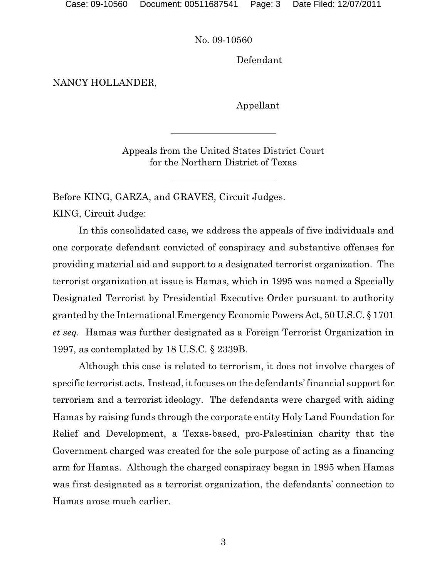Defendant

NANCY HOLLANDER,

Appellant

Appeals from the United States District Court for the Northern District of Texas

Before KING, GARZA, and GRAVES, Circuit Judges. KING, Circuit Judge:

In this consolidated case, we address the appeals of five individuals and one corporate defendant convicted of conspiracy and substantive offenses for providing material aid and support to a designated terrorist organization. The terrorist organization at issue is Hamas, which in 1995 was named a Specially Designated Terrorist by Presidential Executive Order pursuant to authority granted by the International Emergency Economic Powers Act, 50 U.S.C. § 1701 *et seq.* Hamas was further designated as a Foreign Terrorist Organization in 1997, as contemplated by 18 U.S.C. § 2339B.

Although this case is related to terrorism, it does not involve charges of specific terrorist acts. Instead, it focuses on the defendants' financial support for terrorism and a terrorist ideology. The defendants were charged with aiding Hamas by raising funds through the corporate entity Holy Land Foundation for Relief and Development, a Texas-based, pro-Palestinian charity that the Government charged was created for the sole purpose of acting as a financing arm for Hamas. Although the charged conspiracy began in 1995 when Hamas was first designated as a terrorist organization, the defendants' connection to Hamas arose much earlier.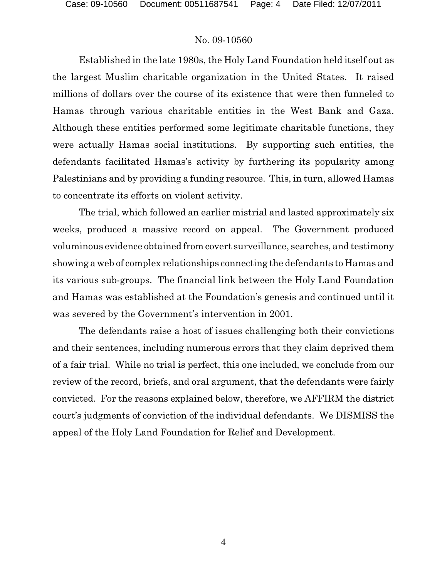Established in the late 1980s, the Holy Land Foundation held itself out as the largest Muslim charitable organization in the United States. It raised millions of dollars over the course of its existence that were then funneled to Hamas through various charitable entities in the West Bank and Gaza. Although these entities performed some legitimate charitable functions, they were actually Hamas social institutions. By supporting such entities, the defendants facilitated Hamas's activity by furthering its popularity among Palestinians and by providing a funding resource. This, in turn, allowed Hamas to concentrate its efforts on violent activity.

The trial, which followed an earlier mistrial and lasted approximately six weeks, produced a massive record on appeal. The Government produced voluminous evidence obtained from covert surveillance, searches, and testimony showing a web of complex relationships connecting the defendants to Hamas and its various sub-groups. The financial link between the Holy Land Foundation and Hamas was established at the Foundation's genesis and continued until it was severed by the Government's intervention in 2001.

The defendants raise a host of issues challenging both their convictions and their sentences, including numerous errors that they claim deprived them of a fair trial. While no trial is perfect, this one included, we conclude from our review of the record, briefs, and oral argument, that the defendants were fairly convicted. For the reasons explained below, therefore, we AFFIRM the district court's judgments of conviction of the individual defendants. We DISMISS the appeal of the Holy Land Foundation for Relief and Development.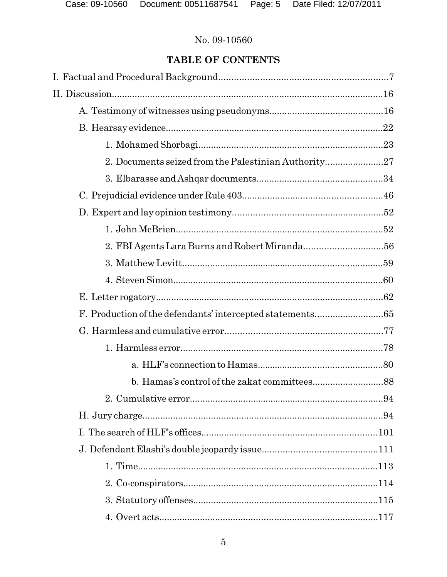## TABLE OF CONTENTS

| 2. Documents seized from the Palestinian Authority27 |  |
|------------------------------------------------------|--|
|                                                      |  |
|                                                      |  |
|                                                      |  |
|                                                      |  |
|                                                      |  |
|                                                      |  |
|                                                      |  |
|                                                      |  |
|                                                      |  |
|                                                      |  |
|                                                      |  |
|                                                      |  |
|                                                      |  |
|                                                      |  |
|                                                      |  |
|                                                      |  |
|                                                      |  |
|                                                      |  |
|                                                      |  |
|                                                      |  |
|                                                      |  |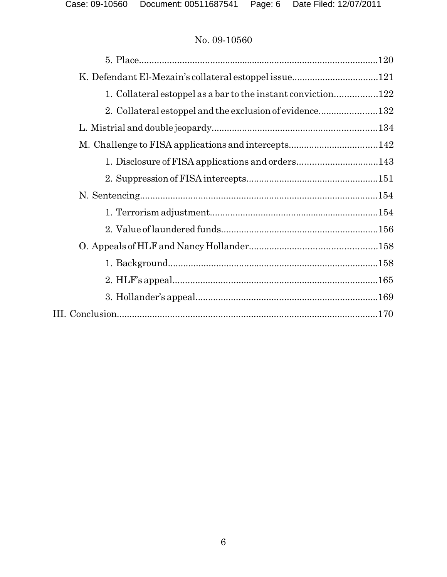| 1. Collateral estoppel as a bar to the instant conviction122 |  |
|--------------------------------------------------------------|--|
| 2. Collateral estoppel and the exclusion of evidence132      |  |
|                                                              |  |
|                                                              |  |
|                                                              |  |
|                                                              |  |
|                                                              |  |
|                                                              |  |
|                                                              |  |
|                                                              |  |
|                                                              |  |
|                                                              |  |
|                                                              |  |
|                                                              |  |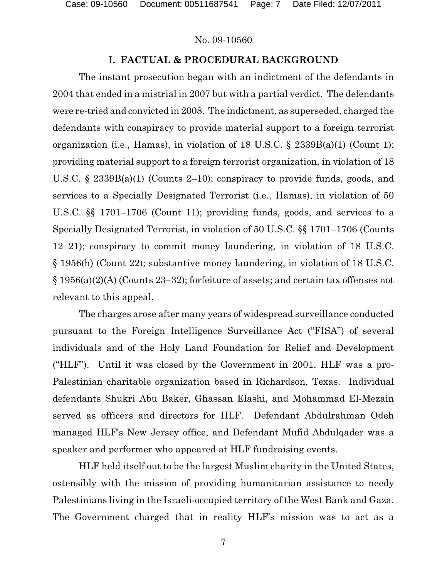#### **I. FACTUAL & PROCEDURAL BACKGROUND**

The instant prosecution began with an indictment of the defendants in 2004 that ended in a mistrial in 2007 but with a partial verdict. The defendants were re-tried and convicted in 2008. The indictment, as superseded, charged the defendants with conspiracy to provide material support to a foreign terrorist organization (i.e., Hamas), in violation of 18 U.S.C.  $\S$  2339B(a)(1) (Count 1); providing material support to a foreign terrorist organization, in violation of 18 U.S.C. § 2339B(a)(1) (Counts 2–10); conspiracy to provide funds, goods, and services to a Specially Designated Terrorist (i.e., Hamas), in violation of 50 U.S.C. §§ 1701–1706 (Count 11); providing funds, goods, and services to a Specially Designated Terrorist, in violation of 50 U.S.C. §§ 1701–1706 (Counts 12–21); conspiracy to commit money laundering, in violation of 18 U.S.C. § 1956(h) (Count 22); substantive money laundering, in violation of 18 U.S.C. § 1956(a)(2)(A) (Counts 23–32); forfeiture of assets; and certain tax offenses not relevant to this appeal.

The charges arose after many years of widespread surveillance conducted pursuant to the Foreign Intelligence Surveillance Act ("FISA") of several individuals and of the Holy Land Foundation for Relief and Development ("HLF"). Until it was closed by the Government in 2001, HLF was a pro-Palestinian charitable organization based in Richardson, Texas. Individual defendants Shukri Abu Baker, Ghassan Elashi, and Mohammad El-Mezain served as officers and directors for HLF. Defendant Abdulrahman Odeh managed HLF's New Jersey office, and Defendant Mufid Abdulqader was a speaker and performer who appeared at HLF fundraising events.

HLF held itself out to be the largest Muslim charity in the United States, ostensibly with the mission of providing humanitarian assistance to needy Palestinians living in the Israeli-occupied territory of the West Bank and Gaza. The Government charged that in reality HLF's mission was to act as a

7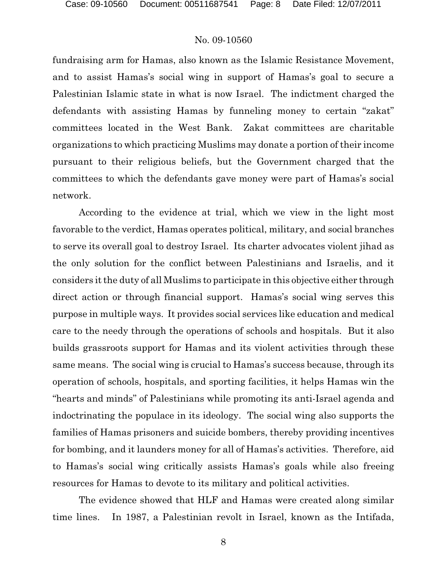fundraising arm for Hamas, also known as the Islamic Resistance Movement, and to assist Hamas's social wing in support of Hamas's goal to secure a Palestinian Islamic state in what is now Israel. The indictment charged the defendants with assisting Hamas by funneling money to certain "zakat" committees located in the West Bank. Zakat committees are charitable organizations to which practicing Muslims may donate a portion of their income pursuant to their religious beliefs, but the Government charged that the committees to which the defendants gave money were part of Hamas's social network.

According to the evidence at trial, which we view in the light most favorable to the verdict, Hamas operates political, military, and social branches to serve its overall goal to destroy Israel. Its charter advocates violent jihad as the only solution for the conflict between Palestinians and Israelis, and it considers it the duty of all Muslims to participate in this objective either through direct action or through financial support. Hamas's social wing serves this purpose in multiple ways. It provides social services like education and medical care to the needy through the operations of schools and hospitals. But it also builds grassroots support for Hamas and its violent activities through these same means. The social wing is crucial to Hamas's success because, through its operation of schools, hospitals, and sporting facilities, it helps Hamas win the "hearts and minds" of Palestinians while promoting its anti-Israel agenda and indoctrinating the populace in its ideology. The social wing also supports the families of Hamas prisoners and suicide bombers, thereby providing incentives for bombing, and it launders money for all of Hamas's activities. Therefore, aid to Hamas's social wing critically assists Hamas's goals while also freeing resources for Hamas to devote to its military and political activities.

The evidence showed that HLF and Hamas were created along similar time lines. In 1987, a Palestinian revolt in Israel, known as the Intifada,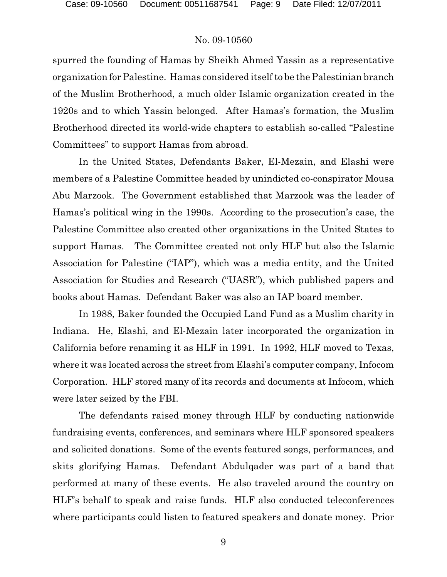spurred the founding of Hamas by Sheikh Ahmed Yassin as a representative organization for Palestine. Hamas considered itself to be the Palestinian branch of the Muslim Brotherhood, a much older Islamic organization created in the 1920s and to which Yassin belonged. After Hamas's formation, the Muslim Brotherhood directed its world-wide chapters to establish so-called "Palestine Committees" to support Hamas from abroad.

In the United States, Defendants Baker, El-Mezain, and Elashi were members of a Palestine Committee headed by unindicted co-conspirator Mousa Abu Marzook. The Government established that Marzook was the leader of Hamas's political wing in the 1990s. According to the prosecution's case, the Palestine Committee also created other organizations in the United States to support Hamas. The Committee created not only HLF but also the Islamic Association for Palestine ("IAP"), which was a media entity, and the United Association for Studies and Research ("UASR"), which published papers and books about Hamas. Defendant Baker was also an IAP board member.

In 1988, Baker founded the Occupied Land Fund as a Muslim charity in Indiana. He, Elashi, and El-Mezain later incorporated the organization in California before renaming it as HLF in 1991. In 1992, HLF moved to Texas, where it was located across the street from Elashi's computer company, Infocom Corporation. HLF stored many of its records and documents at Infocom, which were later seized by the FBI.

The defendants raised money through HLF by conducting nationwide fundraising events, conferences, and seminars where HLF sponsored speakers and solicited donations. Some of the events featured songs, performances, and skits glorifying Hamas. Defendant Abdulqader was part of a band that performed at many of these events. He also traveled around the country on HLF's behalf to speak and raise funds. HLF also conducted teleconferences where participants could listen to featured speakers and donate money. Prior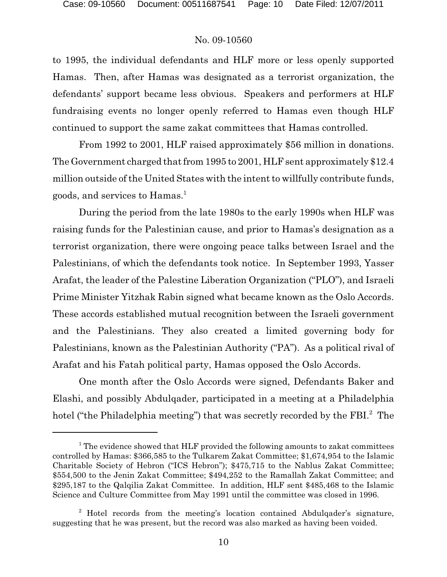to 1995, the individual defendants and HLF more or less openly supported Hamas. Then, after Hamas was designated as a terrorist organization, the defendants' support became less obvious. Speakers and performers at HLF fundraising events no longer openly referred to Hamas even though HLF continued to support the same zakat committees that Hamas controlled.

From 1992 to 2001, HLF raised approximately \$56 million in donations. The Government charged that from 1995 to 2001, HLF sent approximately \$12.4 million outside of the United States with the intent to willfully contribute funds, goods, and services to Hamas.<sup>1</sup>

During the period from the late 1980s to the early 1990s when HLF was raising funds for the Palestinian cause, and prior to Hamas's designation as a terrorist organization, there were ongoing peace talks between Israel and the Palestinians, of which the defendants took notice. In September 1993, Yasser Arafat, the leader of the Palestine Liberation Organization ("PLO"), and Israeli Prime Minister Yitzhak Rabin signed what became known as the Oslo Accords. These accords established mutual recognition between the Israeli government and the Palestinians. They also created a limited governing body for Palestinians, known as the Palestinian Authority ("PA"). As a political rival of Arafat and his Fatah political party, Hamas opposed the Oslo Accords.

One month after the Oslo Accords were signed, Defendants Baker and Elashi, and possibly Abdulqader, participated in a meeting at a Philadelphia hotel ("the Philadelphia meeting") that was secretly recorded by the FBI.<sup>2</sup> The

 $1$ <sup>1</sup> The evidence showed that HLF provided the following amounts to zakat committees controlled by Hamas: \$366,585 to the Tulkarem Zakat Committee; \$1,674,954 to the Islamic Charitable Society of Hebron ("ICS Hebron"); \$475,715 to the Nablus Zakat Committee; \$554,500 to the Jenin Zakat Committee; \$494,252 to the Ramallah Zakat Committee; and \$295,187 to the Qalqilia Zakat Committee. In addition, HLF sent \$485,468 to the Islamic Science and Culture Committee from May 1991 until the committee was closed in 1996.

<sup>&</sup>lt;sup>2</sup> Hotel records from the meeting's location contained Abdulqader's signature, suggesting that he was present, but the record was also marked as having been voided.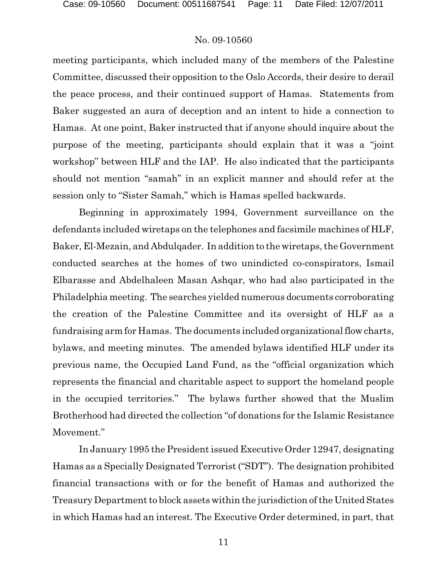meeting participants, which included many of the members of the Palestine Committee, discussed their opposition to the Oslo Accords, their desire to derail the peace process, and their continued support of Hamas. Statements from Baker suggested an aura of deception and an intent to hide a connection to Hamas. At one point, Baker instructed that if anyone should inquire about the purpose of the meeting, participants should explain that it was a "joint workshop" between HLF and the IAP. He also indicated that the participants should not mention "samah" in an explicit manner and should refer at the session only to "Sister Samah," which is Hamas spelled backwards.

Beginning in approximately 1994, Government surveillance on the defendants included wiretaps on the telephones and facsimile machines of HLF, Baker, El-Mezain, and Abdulqader. In addition to the wiretaps, the Government conducted searches at the homes of two unindicted co-conspirators, Ismail Elbarasse and Abdelhaleen Masan Ashqar, who had also participated in the Philadelphia meeting. The searches yielded numerous documents corroborating the creation of the Palestine Committee and its oversight of HLF as a fundraising arm for Hamas. The documents included organizationalflow charts, bylaws, and meeting minutes. The amended bylaws identified HLF under its previous name, the Occupied Land Fund, as the "official organization which represents the financial and charitable aspect to support the homeland people in the occupied territories." The bylaws further showed that the Muslim Brotherhood had directed the collection "of donations for the Islamic Resistance Movement."

In January 1995 the President issued Executive Order 12947, designating Hamas as a Specially Designated Terrorist ("SDT"). The designation prohibited financial transactions with or for the benefit of Hamas and authorized the Treasury Department to block assets within the jurisdiction of the United States in which Hamas had an interest. The Executive Order determined, in part, that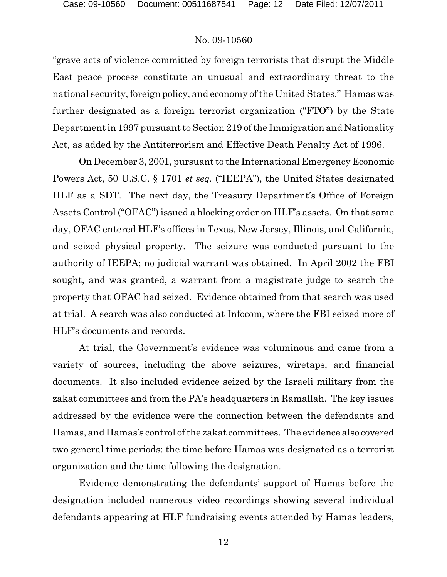"grave acts of violence committed by foreign terrorists that disrupt the Middle East peace process constitute an unusual and extraordinary threat to the national security, foreign policy, and economy of the United States." Hamas was further designated as a foreign terrorist organization ("FTO") by the State Department in 1997 pursuant to Section 219 of the Immigration and Nationality Act, as added by the Antiterrorism and Effective Death Penalty Act of 1996.

On December 3, 2001, pursuant to the International Emergency Economic Powers Act, 50 U.S.C. § 1701 *et seq.* ("IEEPA"), the United States designated HLF as a SDT. The next day, the Treasury Department's Office of Foreign Assets Control ("OFAC") issued a blocking order on HLF's assets. On that same day, OFAC entered HLF's offices in Texas, New Jersey, Illinois, and California, and seized physical property. The seizure was conducted pursuant to the authority of IEEPA; no judicial warrant was obtained. In April 2002 the FBI sought, and was granted, a warrant from a magistrate judge to search the property that OFAC had seized. Evidence obtained from that search was used at trial. A search was also conducted at Infocom, where the FBI seized more of HLF's documents and records.

At trial, the Government's evidence was voluminous and came from a variety of sources, including the above seizures, wiretaps, and financial documents. It also included evidence seized by the Israeli military from the zakat committees and from the PA's headquarters in Ramallah. The key issues addressed by the evidence were the connection between the defendants and Hamas, and Hamas's control of the zakat committees. The evidence also covered two general time periods: the time before Hamas was designated as a terrorist organization and the time following the designation.

Evidence demonstrating the defendants' support of Hamas before the designation included numerous video recordings showing several individual defendants appearing at HLF fundraising events attended by Hamas leaders,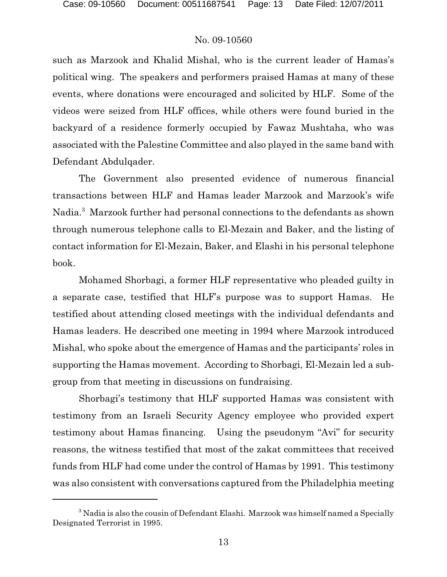such as Marzook and Khalid Mishal, who is the current leader of Hamas's political wing. The speakers and performers praised Hamas at many of these events, where donations were encouraged and solicited by HLF. Some of the videos were seized from HLF offices, while others were found buried in the backyard of a residence formerly occupied by Fawaz Mushtaha, who was associated with the Palestine Committee and also played in the same band with Defendant Abdulqader.

The Government also presented evidence of numerous financial transactions between HLF and Hamas leader Marzook and Marzook's wife Nadia.<sup>3</sup> Marzook further had personal connections to the defendants as shown through numerous telephone calls to El-Mezain and Baker, and the listing of contact information for El-Mezain, Baker, and Elashi in his personal telephone book.

Mohamed Shorbagi, a former HLF representative who pleaded guilty in a separate case, testified that HLF's purpose was to support Hamas. He testified about attending closed meetings with the individual defendants and Hamas leaders. He described one meeting in 1994 where Marzook introduced Mishal, who spoke about the emergence of Hamas and the participants' roles in supporting the Hamas movement. According to Shorbagi, El-Mezain led a subgroup from that meeting in discussions on fundraising.

Shorbagi's testimony that HLF supported Hamas was consistent with testimony from an Israeli Security Agency employee who provided expert testimony about Hamas financing. Using the pseudonym "Avi" for security reasons, the witness testified that most of the zakat committees that received funds from HLF had come under the control of Hamas by 1991. This testimony was also consistent with conversations captured from the Philadelphia meeting

<sup>&</sup>lt;sup>3</sup> Nadia is also the cousin of Defendant Elashi. Marzook was himself named a Specially Designated Terrorist in 1995.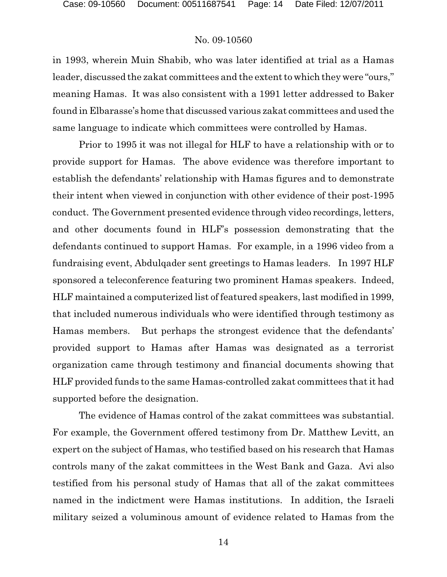in 1993, wherein Muin Shabib, who was later identified at trial as a Hamas leader, discussed the zakat committees and the extent to which they were "ours," meaning Hamas. It was also consistent with a 1991 letter addressed to Baker found in Elbarasse's home that discussed various zakat committees and used the same language to indicate which committees were controlled by Hamas.

Prior to 1995 it was not illegal for HLF to have a relationship with or to provide support for Hamas. The above evidence was therefore important to establish the defendants' relationship with Hamas figures and to demonstrate their intent when viewed in conjunction with other evidence of their post-1995 conduct. The Government presented evidence through video recordings, letters, and other documents found in HLF's possession demonstrating that the defendants continued to support Hamas. For example, in a 1996 video from a fundraising event, Abdulqader sent greetings to Hamas leaders. In 1997 HLF sponsored a teleconference featuring two prominent Hamas speakers. Indeed, HLF maintained a computerized list of featured speakers, last modified in 1999, that included numerous individuals who were identified through testimony as Hamas members. But perhaps the strongest evidence that the defendants' provided support to Hamas after Hamas was designated as a terrorist organization came through testimony and financial documents showing that HLF provided funds to the same Hamas-controlled zakat committees that it had supported before the designation.

The evidence of Hamas control of the zakat committees was substantial. For example, the Government offered testimony from Dr. Matthew Levitt, an expert on the subject of Hamas, who testified based on his research that Hamas controls many of the zakat committees in the West Bank and Gaza. Avi also testified from his personal study of Hamas that all of the zakat committees named in the indictment were Hamas institutions. In addition, the Israeli military seized a voluminous amount of evidence related to Hamas from the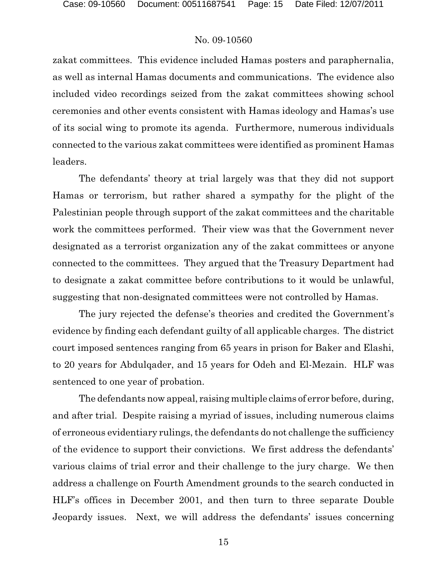zakat committees. This evidence included Hamas posters and paraphernalia, as well as internal Hamas documents and communications. The evidence also included video recordings seized from the zakat committees showing school ceremonies and other events consistent with Hamas ideology and Hamas's use of its social wing to promote its agenda. Furthermore, numerous individuals connected to the various zakat committees were identified as prominent Hamas leaders.

The defendants' theory at trial largely was that they did not support Hamas or terrorism, but rather shared a sympathy for the plight of the Palestinian people through support of the zakat committees and the charitable work the committees performed. Their view was that the Government never designated as a terrorist organization any of the zakat committees or anyone connected to the committees. They argued that the Treasury Department had to designate a zakat committee before contributions to it would be unlawful, suggesting that non-designated committees were not controlled by Hamas.

The jury rejected the defense's theories and credited the Government's evidence by finding each defendant guilty of all applicable charges. The district court imposed sentences ranging from 65 years in prison for Baker and Elashi, to 20 years for Abdulqader, and 15 years for Odeh and El-Mezain. HLF was sentenced to one year of probation.

The defendants now appeal, raising multiple claims of error before, during, and after trial. Despite raising a myriad of issues, including numerous claims of erroneous evidentiary rulings, the defendants do not challenge the sufficiency of the evidence to support their convictions. We first address the defendants' various claims of trial error and their challenge to the jury charge. We then address a challenge on Fourth Amendment grounds to the search conducted in HLF's offices in December 2001, and then turn to three separate Double Jeopardy issues. Next, we will address the defendants' issues concerning

15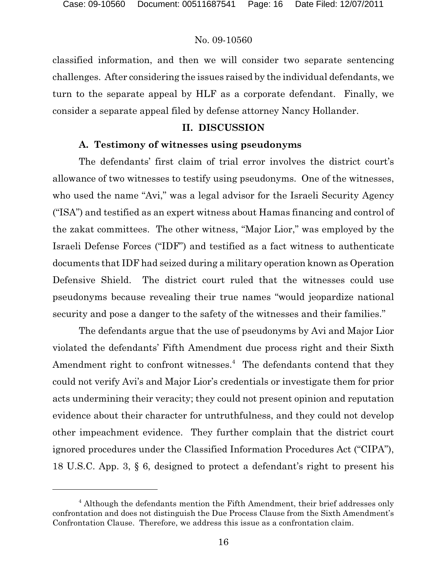classified information, and then we will consider two separate sentencing challenges. After considering the issues raised by the individual defendants, we turn to the separate appeal by HLF as a corporate defendant. Finally, we consider a separate appeal filed by defense attorney Nancy Hollander.

#### **II. DISCUSSION**

### **A. Testimony of witnesses using pseudonyms**

The defendants' first claim of trial error involves the district court's allowance of two witnesses to testify using pseudonyms. One of the witnesses, who used the name "Avi," was a legal advisor for the Israeli Security Agency ("ISA") and testified as an expert witness about Hamas financing and control of the zakat committees. The other witness, "Major Lior," was employed by the Israeli Defense Forces ("IDF") and testified as a fact witness to authenticate documents that IDF had seized during a military operation known as Operation Defensive Shield. The district court ruled that the witnesses could use pseudonyms because revealing their true names "would jeopardize national security and pose a danger to the safety of the witnesses and their families."

The defendants argue that the use of pseudonyms by Avi and Major Lior violated the defendants' Fifth Amendment due process right and their Sixth Amendment right to confront witnesses.<sup>4</sup> The defendants contend that they could not verify Avi's and Major Lior's credentials or investigate them for prior acts undermining their veracity; they could not present opinion and reputation evidence about their character for untruthfulness, and they could not develop other impeachment evidence. They further complain that the district court ignored procedures under the Classified Information Procedures Act ("CIPA"), 18 U.S.C. App. 3, § 6, designed to protect a defendant's right to present his

<sup>&</sup>lt;sup>4</sup> Although the defendants mention the Fifth Amendment, their brief addresses only confrontation and does not distinguish the Due Process Clause from the Sixth Amendment's Confrontation Clause. Therefore, we address this issue as a confrontation claim.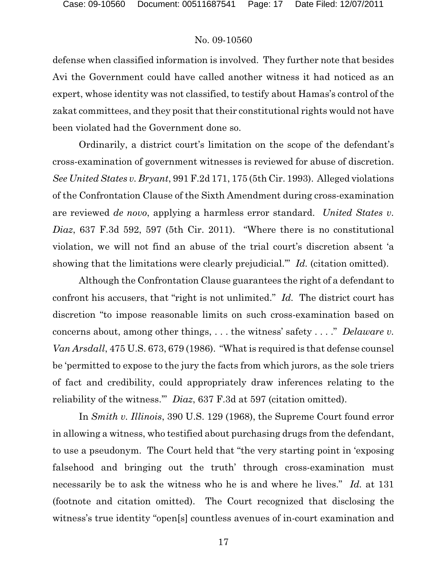defense when classified information is involved. They further note that besides Avi the Government could have called another witness it had noticed as an expert, whose identity was not classified, to testify about Hamas's control of the zakat committees, and they posit that their constitutional rights would not have been violated had the Government done so.

Ordinarily, a district court's limitation on the scope of the defendant's cross-examination of government witnesses is reviewed for abuse of discretion. *See United States v. Bryant*, 991 F.2d 171, 175 (5th Cir. 1993). Alleged violations of the Confrontation Clause of the Sixth Amendment during cross-examination are reviewed *de novo*, applying a harmless error standard. *United States v. Diaz*, 637 F.3d 592, 597 (5th Cir. 2011). "Where there is no constitutional violation, we will not find an abuse of the trial court's discretion absent 'a showing that the limitations were clearly prejudicial.'" *Id.* (citation omitted).

Although the Confrontation Clause guarantees the right of a defendant to confront his accusers, that "right is not unlimited." *Id.* The district court has discretion "to impose reasonable limits on such cross-examination based on concerns about, among other things, . . . the witness' safety . . . ." *Delaware v. Van Arsdall*, 475 U.S. 673, 679 (1986). "What is required is that defense counsel be 'permitted to expose to the jury the facts from which jurors, as the sole triers of fact and credibility, could appropriately draw inferences relating to the reliability of the witness.'" *Diaz*, 637 F.3d at 597 (citation omitted).

In *Smith v. Illinois*, 390 U.S. 129 (1968), the Supreme Court found error in allowing a witness, who testified about purchasing drugs from the defendant, to use a pseudonym. The Court held that "the very starting point in 'exposing falsehood and bringing out the truth' through cross-examination must necessarily be to ask the witness who he is and where he lives." *Id.* at 131 (footnote and citation omitted). The Court recognized that disclosing the witness's true identity "open[s] countless avenues of in-court examination and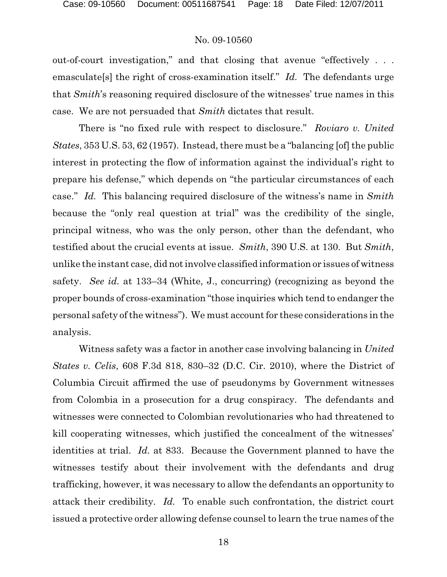out-of-court investigation," and that closing that avenue "effectively . . . emasculate[s] the right of cross-examination itself." *Id.* The defendants urge that *Smith*'s reasoning required disclosure of the witnesses' true names in this case. We are not persuaded that *Smith* dictates that result.

There is "no fixed rule with respect to disclosure." *Roviaro v. United States*, 353 U.S. 53, 62 (1957). Instead, there must be a "balancing [of] the public interest in protecting the flow of information against the individual's right to prepare his defense," which depends on "the particular circumstances of each case." *Id.* This balancing required disclosure of the witness's name in *Smith* because the "only real question at trial" was the credibility of the single, principal witness, who was the only person, other than the defendant, who testified about the crucial events at issue. *Smith*, 390 U.S. at 130. But *Smith*, unlike the instant case, did not involve classified information or issues of witness safety. *See id.* at 133–34 (White, J., concurring) (recognizing as beyond the proper bounds of cross-examination "those inquiries which tend to endanger the personal safety of the witness"). We must account for these considerations in the analysis.

Witness safety was a factor in another case involving balancing in *United States v. Celis*, 608 F.3d 818, 830–32 (D.C. Cir. 2010), where the District of Columbia Circuit affirmed the use of pseudonyms by Government witnesses from Colombia in a prosecution for a drug conspiracy. The defendants and witnesses were connected to Colombian revolutionaries who had threatened to kill cooperating witnesses, which justified the concealment of the witnesses' identities at trial. *Id.* at 833. Because the Government planned to have the witnesses testify about their involvement with the defendants and drug trafficking, however, it was necessary to allow the defendants an opportunity to attack their credibility. *Id.* To enable such confrontation, the district court issued a protective order allowing defense counsel to learn the true names of the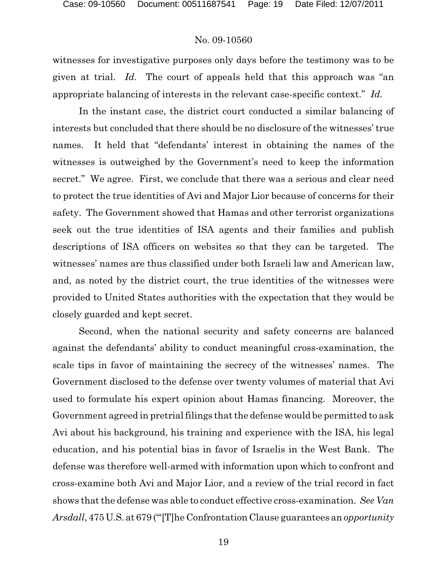witnesses for investigative purposes only days before the testimony was to be given at trial. *Id.* The court of appeals held that this approach was "an appropriate balancing of interests in the relevant case-specific context." *Id.*

In the instant case, the district court conducted a similar balancing of interests but concluded that there should be no disclosure of the witnesses' true names. It held that "defendants' interest in obtaining the names of the witnesses is outweighed by the Government's need to keep the information secret." We agree. First, we conclude that there was a serious and clear need to protect the true identities of Avi and Major Lior because of concerns for their safety. The Government showed that Hamas and other terrorist organizations seek out the true identities of ISA agents and their families and publish descriptions of ISA officers on websites so that they can be targeted. The witnesses' names are thus classified under both Israeli law and American law, and, as noted by the district court, the true identities of the witnesses were provided to United States authorities with the expectation that they would be closely guarded and kept secret.

Second, when the national security and safety concerns are balanced against the defendants' ability to conduct meaningful cross-examination, the scale tips in favor of maintaining the secrecy of the witnesses' names. The Government disclosed to the defense over twenty volumes of material that Avi used to formulate his expert opinion about Hamas financing. Moreover, the Government agreed in pretrial filings that the defense would be permitted to ask Avi about his background, his training and experience with the ISA, his legal education, and his potential bias in favor of Israelis in the West Bank. The defense was therefore well-armed with information upon which to confront and cross-examine both Avi and Major Lior, and a review of the trial record in fact shows that the defense was able to conduct effective cross-examination. *See Van Arsdall*, 475 U.S. at 679 ("'[T]he Confrontation Clause guarantees an *opportunity*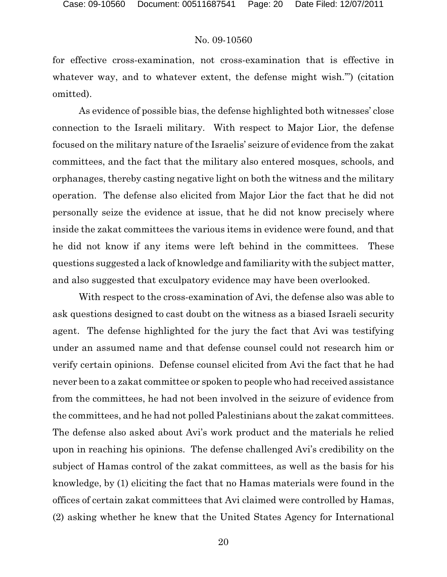for effective cross-examination, not cross-examination that is effective in whatever way, and to whatever extent, the defense might wish.") (citation omitted).

As evidence of possible bias, the defense highlighted both witnesses' close connection to the Israeli military. With respect to Major Lior, the defense focused on the military nature of the Israelis' seizure of evidence from the zakat committees, and the fact that the military also entered mosques, schools, and orphanages, thereby casting negative light on both the witness and the military operation. The defense also elicited from Major Lior the fact that he did not personally seize the evidence at issue, that he did not know precisely where inside the zakat committees the various items in evidence were found, and that he did not know if any items were left behind in the committees. These questions suggested a lack of knowledge and familiarity with the subject matter, and also suggested that exculpatory evidence may have been overlooked.

With respect to the cross-examination of Avi, the defense also was able to ask questions designed to cast doubt on the witness as a biased Israeli security agent. The defense highlighted for the jury the fact that Avi was testifying under an assumed name and that defense counsel could not research him or verify certain opinions. Defense counsel elicited from Avi the fact that he had never been to a zakat committee or spoken to people who had received assistance from the committees, he had not been involved in the seizure of evidence from the committees, and he had not polled Palestinians about the zakat committees. The defense also asked about Avi's work product and the materials he relied upon in reaching his opinions. The defense challenged Avi's credibility on the subject of Hamas control of the zakat committees, as well as the basis for his knowledge, by (1) eliciting the fact that no Hamas materials were found in the offices of certain zakat committees that Avi claimed were controlled by Hamas, (2) asking whether he knew that the United States Agency for International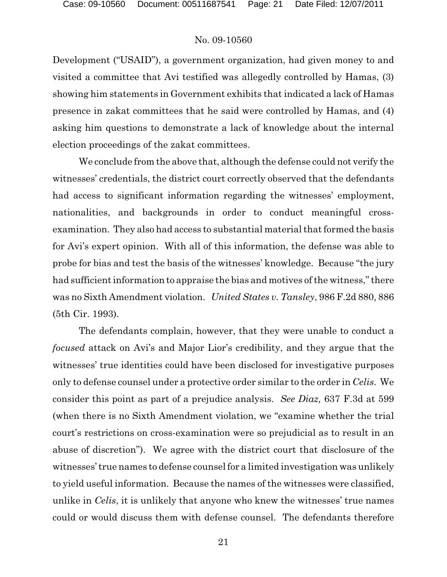Development ("USAID"), a government organization, had given money to and visited a committee that Avi testified was allegedly controlled by Hamas, (3) showing him statements in Government exhibits that indicated a lack of Hamas presence in zakat committees that he said were controlled by Hamas, and (4) asking him questions to demonstrate a lack of knowledge about the internal election proceedings of the zakat committees.

We conclude from the above that, although the defense could not verify the witnesses' credentials, the district court correctly observed that the defendants had access to significant information regarding the witnesses' employment, nationalities, and backgrounds in order to conduct meaningful crossexamination. They also had access to substantial material that formed the basis for Avi's expert opinion. With all of this information, the defense was able to probe for bias and test the basis of the witnesses' knowledge. Because "the jury had sufficient information to appraise the bias and motives of the witness," there was no Sixth Amendment violation. *United States v. Tansley*, 986 F.2d 880, 886 (5th Cir. 1993).

The defendants complain, however, that they were unable to conduct a *focused* attack on Avi's and Major Lior's credibility, and they argue that the witnesses' true identities could have been disclosed for investigative purposes only to defense counsel under a protective order similar to the order in *Celis*. We consider this point as part of a prejudice analysis. *See Diaz,* 637 F.3d at 599 (when there is no Sixth Amendment violation, we "examine whether the trial court's restrictions on cross-examination were so prejudicial as to result in an abuse of discretion"). We agree with the district court that disclosure of the witnesses' true names to defense counsel for a limited investigation was unlikely to yield useful information. Because the names of the witnesses were classified, unlike in *Celis*, it is unlikely that anyone who knew the witnesses' true names could or would discuss them with defense counsel. The defendants therefore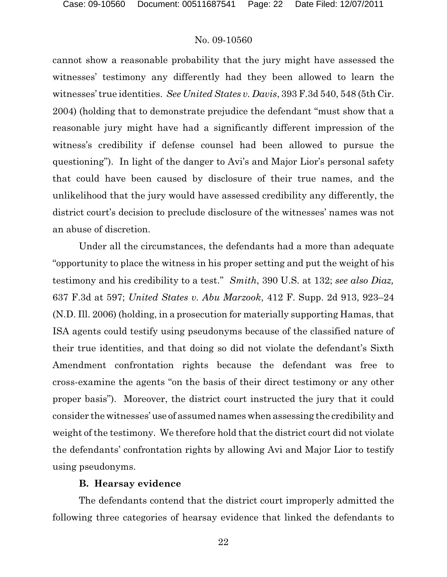cannot show a reasonable probability that the jury might have assessed the witnesses' testimony any differently had they been allowed to learn the witnesses' true identities. *See United States v. Davis*, 393 F.3d 540, 548 (5th Cir. 2004) (holding that to demonstrate prejudice the defendant "must show that a reasonable jury might have had a significantly different impression of the witness's credibility if defense counsel had been allowed to pursue the questioning"). In light of the danger to Avi's and Major Lior's personal safety that could have been caused by disclosure of their true names, and the unlikelihood that the jury would have assessed credibility any differently, the district court's decision to preclude disclosure of the witnesses' names was not an abuse of discretion.

Under all the circumstances, the defendants had a more than adequate "opportunity to place the witness in his proper setting and put the weight of his testimony and his credibility to a test." *Smith*, 390 U.S. at 132; *see also Diaz,* 637 F.3d at 597; *United States v. Abu Marzook*, 412 F. Supp. 2d 913, 923–24 (N.D. Ill. 2006) (holding, in a prosecution for materially supporting Hamas, that ISA agents could testify using pseudonyms because of the classified nature of their true identities, and that doing so did not violate the defendant's Sixth Amendment confrontation rights because the defendant was free to cross-examine the agents "on the basis of their direct testimony or any other proper basis"). Moreover, the district court instructed the jury that it could consider the witnesses' use of assumed names when assessing the credibility and weight of the testimony. We therefore hold that the district court did not violate the defendants' confrontation rights by allowing Avi and Major Lior to testify using pseudonyms.

#### **B. Hearsay evidence**

The defendants contend that the district court improperly admitted the following three categories of hearsay evidence that linked the defendants to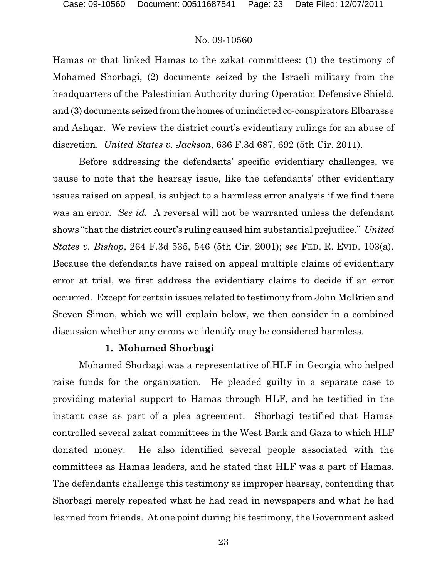Hamas or that linked Hamas to the zakat committees: (1) the testimony of Mohamed Shorbagi, (2) documents seized by the Israeli military from the headquarters of the Palestinian Authority during Operation Defensive Shield, and (3) documents seized from the homes of unindicted co-conspirators Elbarasse and Ashqar. We review the district court's evidentiary rulings for an abuse of discretion. *United States v. Jackson*, 636 F.3d 687, 692 (5th Cir. 2011).

Before addressing the defendants' specific evidentiary challenges, we pause to note that the hearsay issue, like the defendants' other evidentiary issues raised on appeal, is subject to a harmless error analysis if we find there was an error. *See id.* A reversal will not be warranted unless the defendant shows "that the district court's ruling caused him substantial prejudice." *United States v. Bishop*, 264 F.3d 535, 546 (5th Cir. 2001); *see* FED. R. EVID. 103(a). Because the defendants have raised on appeal multiple claims of evidentiary error at trial, we first address the evidentiary claims to decide if an error occurred. Except for certain issues related to testimony from John McBrien and Steven Simon, which we will explain below, we then consider in a combined discussion whether any errors we identify may be considered harmless.

#### **1. Mohamed Shorbagi**

Mohamed Shorbagi was a representative of HLF in Georgia who helped raise funds for the organization. He pleaded guilty in a separate case to providing material support to Hamas through HLF, and he testified in the instant case as part of a plea agreement. Shorbagi testified that Hamas controlled several zakat committees in the West Bank and Gaza to which HLF donated money. He also identified several people associated with the committees as Hamas leaders, and he stated that HLF was a part of Hamas. The defendants challenge this testimony as improper hearsay, contending that Shorbagi merely repeated what he had read in newspapers and what he had learned from friends. At one point during his testimony, the Government asked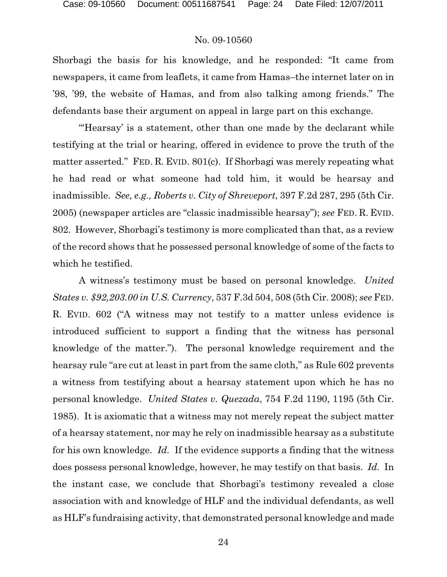Shorbagi the basis for his knowledge, and he responded: "It came from newspapers, it came from leaflets, it came from Hamas–the internet later on in '98, '99, the website of Hamas, and from also talking among friends." The defendants base their argument on appeal in large part on this exchange.

"Hearsay' is a statement, other than one made by the declarant while testifying at the trial or hearing, offered in evidence to prove the truth of the matter asserted." FED. R. EVID. 801(c). If Shorbagi was merely repeating what he had read or what someone had told him, it would be hearsay and inadmissible. *See, e.g., Roberts v. City of Shreveport*, 397 F.2d 287, 295 (5th Cir. 2005) (newspaper articles are "classic inadmissible hearsay"); *see* FED. R. EVID. 802. However, Shorbagi's testimony is more complicated than that, as a review of the record shows that he possessed personal knowledge of some of the facts to which he testified.

A witness's testimony must be based on personal knowledge. *United States v. \$92,203.00 in U.S. Currency*, 537 F.3d 504, 508 (5th Cir. 2008); *see* FED. R. EVID. 602 ("A witness may not testify to a matter unless evidence is introduced sufficient to support a finding that the witness has personal knowledge of the matter."). The personal knowledge requirement and the hearsay rule "are cut at least in part from the same cloth," as Rule 602 prevents a witness from testifying about a hearsay statement upon which he has no personal knowledge. *United States v. Quezada*, 754 F.2d 1190, 1195 (5th Cir. 1985). It is axiomatic that a witness may not merely repeat the subject matter of a hearsay statement, nor may he rely on inadmissible hearsay as a substitute for his own knowledge. *Id.* If the evidence supports a finding that the witness does possess personal knowledge, however, he may testify on that basis. *Id.* In the instant case, we conclude that Shorbagi's testimony revealed a close association with and knowledge of HLF and the individual defendants, as well as HLF's fundraising activity, that demonstrated personal knowledge and made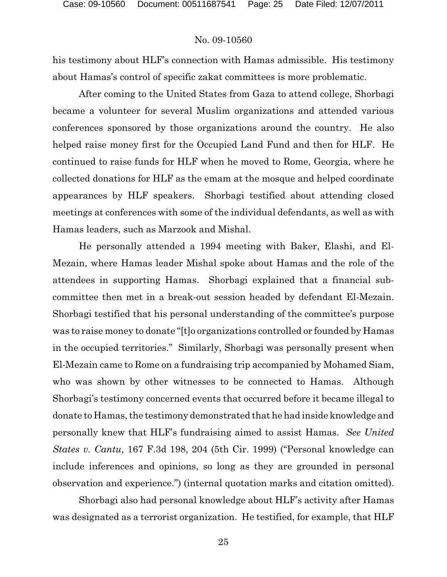his testimony about HLF's connection with Hamas admissible. His testimony about Hamas's control of specific zakat committees is more problematic.

After coming to the United States from Gaza to attend college, Shorbagi became a volunteer for several Muslim organizations and attended various conferences sponsored by those organizations around the country. He also helped raise money first for the Occupied Land Fund and then for HLF. He continued to raise funds for HLF when he moved to Rome, Georgia, where he collected donations for HLF as the emam at the mosque and helped coordinate appearances by HLF speakers. Shorbagi testified about attending closed meetings at conferences with some of the individual defendants, as well as with Hamas leaders, such as Marzook and Mishal.

He personally attended a 1994 meeting with Baker, Elashi, and El-Mezain, where Hamas leader Mishal spoke about Hamas and the role of the attendees in supporting Hamas. Shorbagi explained that a financial subcommittee then met in a break-out session headed by defendant El-Mezain. Shorbagi testified that his personal understanding of the committee's purpose was to raise money to donate "[t]o organizations controlled or founded by Hamas in the occupied territories." Similarly, Shorbagi was personally present when El-Mezain came to Rome on a fundraising trip accompanied by Mohamed Siam, who was shown by other witnesses to be connected to Hamas. Although Shorbagi's testimony concerned events that occurred before it became illegal to donate to Hamas, the testimony demonstrated that he had inside knowledge and personally knew that HLF's fundraising aimed to assist Hamas. *See United States v. Cantu*, 167 F.3d 198, 204 (5th Cir. 1999) ("Personal knowledge can include inferences and opinions, so long as they are grounded in personal observation and experience.") (internal quotation marks and citation omitted).

Shorbagi also had personal knowledge about HLF's activity after Hamas was designated as a terrorist organization. He testified, for example, that HLF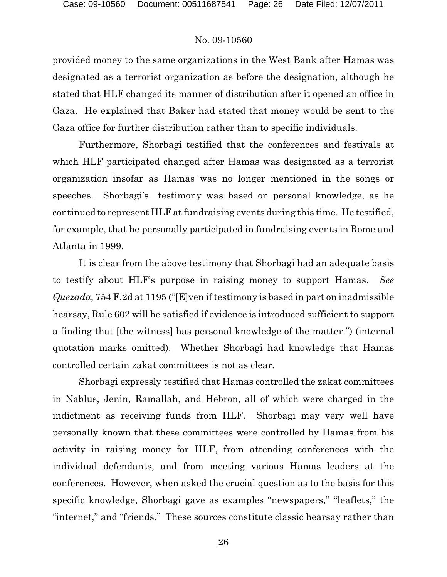provided money to the same organizations in the West Bank after Hamas was designated as a terrorist organization as before the designation, although he stated that HLF changed its manner of distribution after it opened an office in Gaza. He explained that Baker had stated that money would be sent to the Gaza office for further distribution rather than to specific individuals.

Furthermore, Shorbagi testified that the conferences and festivals at which HLF participated changed after Hamas was designated as a terrorist organization insofar as Hamas was no longer mentioned in the songs or speeches. Shorbagi's testimony was based on personal knowledge, as he continued to represent HLF at fundraising events during this time. He testified, for example, that he personally participated in fundraising events in Rome and Atlanta in 1999.

It is clear from the above testimony that Shorbagi had an adequate basis to testify about HLF's purpose in raising money to support Hamas. *See Quezada*, 754 F.2d at 1195 ("[E]ven if testimony is based in part on inadmissible hearsay, Rule 602 will be satisfied if evidence is introduced sufficient to support a finding that [the witness] has personal knowledge of the matter.") (internal quotation marks omitted). Whether Shorbagi had knowledge that Hamas controlled certain zakat committees is not as clear.

Shorbagi expressly testified that Hamas controlled the zakat committees in Nablus, Jenin, Ramallah, and Hebron, all of which were charged in the indictment as receiving funds from HLF. Shorbagi may very well have personally known that these committees were controlled by Hamas from his activity in raising money for HLF, from attending conferences with the individual defendants, and from meeting various Hamas leaders at the conferences. However, when asked the crucial question as to the basis for this specific knowledge, Shorbagi gave as examples "newspapers," "leaflets," the "internet," and "friends." These sources constitute classic hearsay rather than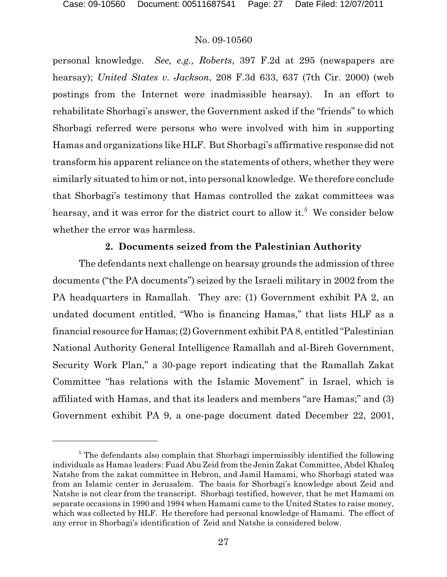personal knowledge. *See, e.g., Roberts*, 397 F.2d at 295 (newspapers are hearsay); *United States v. Jackson*, 208 F.3d 633, 637 (7th Cir. 2000) (web postings from the Internet were inadmissible hearsay). In an effort to rehabilitate Shorbagi's answer, the Government asked if the "friends" to which Shorbagi referred were persons who were involved with him in supporting Hamas and organizations like HLF. But Shorbagi's affirmative response did not transform his apparent reliance on the statements of others, whether they were similarly situated to him or not, into personal knowledge. We therefore conclude that Shorbagi's testimony that Hamas controlled the zakat committees was hearsay, and it was error for the district court to allow it.<sup>5</sup> We consider below whether the error was harmless.

## **2. Documents seized from the Palestinian Authority**

The defendants next challenge on hearsay grounds the admission of three documents ("the PA documents") seized by the Israeli military in 2002 from the PA headquarters in Ramallah. They are: (1) Government exhibit PA 2, an undated document entitled, "Who is financing Hamas," that lists HLF as a financial resource for Hamas;(2)Government exhibit PA 8, entitled "Palestinian National Authority General Intelligence Ramallah and al-Bireh Government, Security Work Plan," a 30-page report indicating that the Ramallah Zakat Committee "has relations with the Islamic Movement" in Israel, which is affiliated with Hamas, and that its leaders and members "are Hamas;" and (3) Government exhibit PA 9, a one-page document dated December 22, 2001,

 $5$  The defendants also complain that Shorbagi impermissibly identified the following individuals as Hamas leaders: Fuad Abu Zeid from the Jenin Zakat Committee, Abdel Khaleq Natshe from the zakat committee in Hebron, and Jamil Hamami, who Shorbagi stated was from an Islamic center in Jerusalem. The basis for Shorbagi's knowledge about Zeid and Natshe is not clear from the transcript. Shorbagi testified, however, that he met Hamami on separate occasions in 1990 and 1994 when Hamami came to the United States to raise money, which was collected by HLF. He therefore had personal knowledge of Hamami. The effect of any error in Shorbagi's identification of Zeid and Natshe is considered below.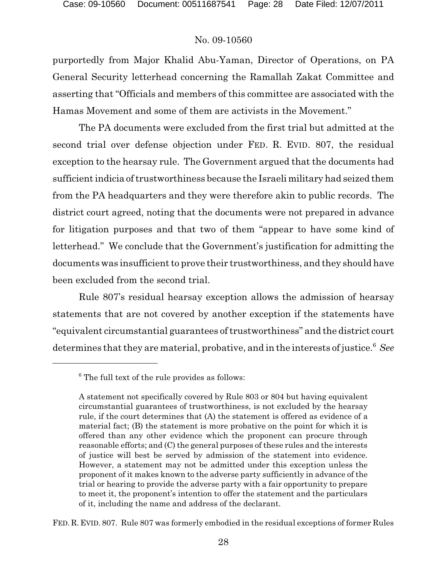purportedly from Major Khalid Abu-Yaman, Director of Operations, on PA General Security letterhead concerning the Ramallah Zakat Committee and asserting that "Officials and members of this committee are associated with the Hamas Movement and some of them are activists in the Movement."

The PA documents were excluded from the first trial but admitted at the second trial over defense objection under FED. R. EVID. 807, the residual exception to the hearsay rule. The Government argued that the documents had sufficient indicia of trustworthiness because the Israeli military had seized them from the PA headquarters and they were therefore akin to public records. The district court agreed, noting that the documents were not prepared in advance for litigation purposes and that two of them "appear to have some kind of letterhead." We conclude that the Government's justification for admitting the documents was insufficient to prove their trustworthiness, and they should have been excluded from the second trial.

Rule 807's residual hearsay exception allows the admission of hearsay statements that are not covered by another exception if the statements have "equivalent circumstantial guarantees of trustworthiness" and the district court determines that they are material, probative, and in the interests of justice.<sup>6</sup> See

FED. R. EVID. 807. Rule 807 was formerly embodied in the residual exceptions of former Rules

 $6$  The full text of the rule provides as follows:

A statement not specifically covered by Rule 803 or 804 but having equivalent circumstantial guarantees of trustworthiness, is not excluded by the hearsay rule, if the court determines that (A) the statement is offered as evidence of a material fact; (B) the statement is more probative on the point for which it is offered than any other evidence which the proponent can procure through reasonable efforts; and (C) the general purposes of these rules and the interests of justice will best be served by admission of the statement into evidence. However, a statement may not be admitted under this exception unless the proponent of it makes known to the adverse party sufficiently in advance of the trial or hearing to provide the adverse party with a fair opportunity to prepare to meet it, the proponent's intention to offer the statement and the particulars of it, including the name and address of the declarant.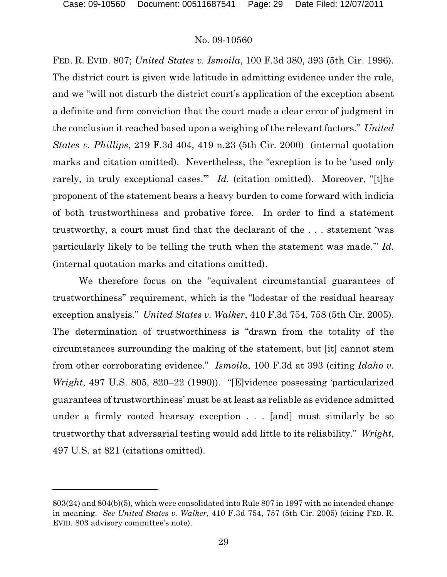FED. R. EVID. 807; *United States v. Ismoila*, 100 F.3d 380, 393 (5th Cir. 1996). The district court is given wide latitude in admitting evidence under the rule, and we "will not disturb the district court's application of the exception absent a definite and firm conviction that the court made a clear error of judgment in the conclusion it reached based upon a weighing of the relevant factors." *United States v. Phillips*, 219 F.3d 404, 419 n.23 (5th Cir. 2000) (internal quotation marks and citation omitted). Nevertheless, the "exception is to be 'used only rarely, in truly exceptional cases." *Id.* (citation omitted). Moreover, "[t]he proponent of the statement bears a heavy burden to come forward with indicia of both trustworthiness and probative force. In order to find a statement trustworthy, a court must find that the declarant of the . . . statement 'was particularly likely to be telling the truth when the statement was made.'" *Id.* (internal quotation marks and citations omitted).

We therefore focus on the "equivalent circumstantial guarantees of trustworthiness" requirement, which is the "lodestar of the residual hearsay exception analysis." *United States v. Walker*, 410 F.3d 754, 758 (5th Cir. 2005). The determination of trustworthiness is "drawn from the totality of the circumstances surrounding the making of the statement, but [it] cannot stem from other corroborating evidence." *Ismoila*, 100 F.3d at 393 (citing *Idaho v. Wright*, 497 U.S. 805, 820–22 (1990)). "[E]vidence possessing 'particularized guarantees of trustworthiness' must be at least as reliable as evidence admitted under a firmly rooted hearsay exception . . . [and] must similarly be so trustworthy that adversarial testing would add little to its reliability." *Wright*, 497 U.S. at 821 (citations omitted).

<sup>803(24)</sup> and 804(b)(5), which were consolidated into Rule 807 in 1997 with no intended change in meaning. *See United States v. Walker*, 410 F.3d 754, 757 (5th Cir. 2005) (citing FED. R. EVID. 803 advisory committee's note).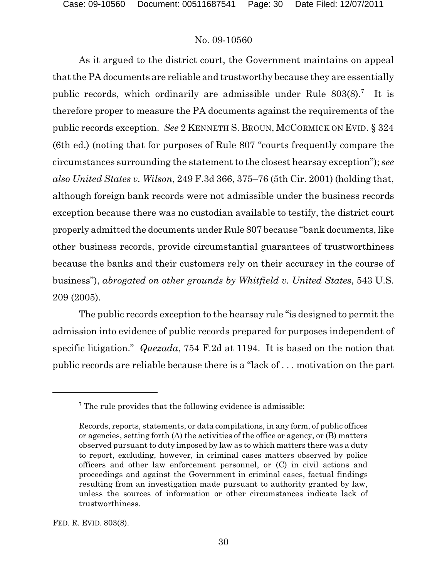As it argued to the district court, the Government maintains on appeal that the PA documents are reliable and trustworthy because they are essentially public records, which ordinarily are admissible under Rule  $803(8)$ .<sup>7</sup> It is therefore proper to measure the PA documents against the requirements of the public records exception. *See* 2 KENNETH S. BROUN, MCCORMICK ON EVID. § 324 (6th ed.) (noting that for purposes of Rule 807 "courts frequently compare the circumstances surrounding the statement to the closest hearsay exception"); *see also United States v. Wilson*, 249 F.3d 366, 375–76 (5th Cir. 2001) (holding that, although foreign bank records were not admissible under the business records exception because there was no custodian available to testify, the district court properly admitted the documents under Rule 807 because "bank documents, like other business records, provide circumstantial guarantees of trustworthiness because the banks and their customers rely on their accuracy in the course of business"), *abrogated on other grounds by Whitfield v. United States*, 543 U.S. 209 (2005).

The public records exception to the hearsay rule "is designed to permit the admission into evidence of public records prepared for purposes independent of specific litigation." *Quezada*, 754 F.2d at 1194. It is based on the notion that public records are reliable because there is a "lack of . . . motivation on the part

 $\sigma$ <sup>7</sup> The rule provides that the following evidence is admissible:

Records, reports, statements, or data compilations, in any form, of public offices or agencies, setting forth (A) the activities of the office or agency, or (B) matters observed pursuant to duty imposed by law as to which matters there was a duty to report, excluding, however, in criminal cases matters observed by police officers and other law enforcement personnel, or (C) in civil actions and proceedings and against the Government in criminal cases, factual findings resulting from an investigation made pursuant to authority granted by law, unless the sources of information or other circumstances indicate lack of trustworthiness.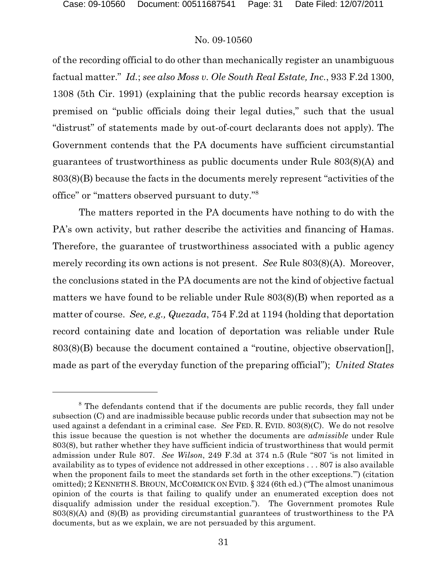of the recording official to do other than mechanically register an unambiguous factual matter." *Id.*; *see also Moss v. Ole South Real Estate, Inc.*, 933 F.2d 1300, 1308 (5th Cir. 1991) (explaining that the public records hearsay exception is premised on "public officials doing their legal duties," such that the usual "distrust" of statements made by out-of-court declarants does not apply). The Government contends that the PA documents have sufficient circumstantial guarantees of trustworthiness as public documents under Rule 803(8)(A) and 803(8)(B) because the facts in the documents merely represent "activities of the office" or "matters observed pursuant to duty."<sup>8</sup>

The matters reported in the PA documents have nothing to do with the PA's own activity, but rather describe the activities and financing of Hamas. Therefore, the guarantee of trustworthiness associated with a public agency merely recording its own actions is not present. *See* Rule 803(8)(A). Moreover, the conclusions stated in the PA documents are not the kind of objective factual matters we have found to be reliable under Rule 803(8)(B) when reported as a matter of course. *See, e.g., Quezada*, 754 F.2d at 1194 (holding that deportation record containing date and location of deportation was reliable under Rule 803(8)(B) because the document contained a "routine, objective observation[], made as part of the everyday function of the preparing official"); *United States*

 $8$  The defendants contend that if the documents are public records, they fall under subsection (C) and are inadmissible because public records under that subsection may not be used against a defendant in a criminal case. *See* FED. R. EVID. 803(8)(C). We do not resolve this issue because the question is not whether the documents are *admissible* under Rule 803(8), but rather whether they have sufficient indicia of trustworthiness that would permit admission under Rule 807. *See Wilson*, 249 F.3d at 374 n.5 (Rule "807 'is not limited in availability as to types of evidence not addressed in other exceptions . . . 807 is also available when the proponent fails to meet the standards set forth in the other exceptions.") (citation omitted); 2 KENNETH S. BROUN, MCCORMICK ON EVID. § 324 (6th ed.) ("The almost unanimous opinion of the courts is that failing to qualify under an enumerated exception does not disqualify admission under the residual exception."). The Government promotes Rule 803(8)(A) and (8)(B) as providing circumstantial guarantees of trustworthiness to the PA documents, but as we explain, we are not persuaded by this argument.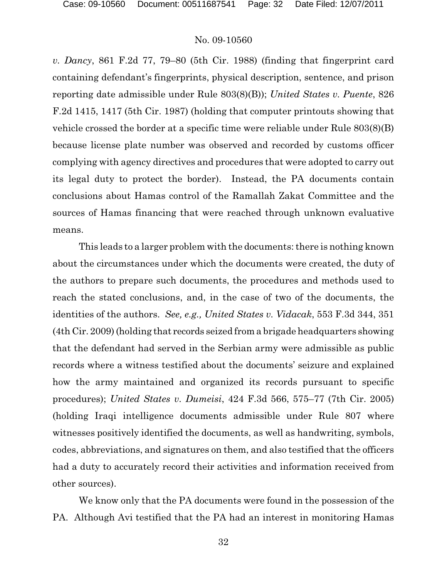*v. Dancy*, 861 F.2d 77, 79–80 (5th Cir. 1988) (finding that fingerprint card containing defendant's fingerprints, physical description, sentence, and prison reporting date admissible under Rule 803(8)(B)); *United States v. Puente*, 826 F.2d 1415, 1417 (5th Cir. 1987) (holding that computer printouts showing that vehicle crossed the border at a specific time were reliable under Rule 803(8)(B) because license plate number was observed and recorded by customs officer complying with agency directives and procedures that were adopted to carry out its legal duty to protect the border). Instead, the PA documents contain conclusions about Hamas control of the Ramallah Zakat Committee and the sources of Hamas financing that were reached through unknown evaluative means.

This leads to a larger problem with the documents: there is nothing known about the circumstances under which the documents were created, the duty of the authors to prepare such documents, the procedures and methods used to reach the stated conclusions, and, in the case of two of the documents, the identities of the authors. *See, e.g., United States v. Vidacak*, 553 F.3d 344, 351 (4th Cir. 2009) (holding that records seized from a brigade headquarters showing that the defendant had served in the Serbian army were admissible as public records where a witness testified about the documents' seizure and explained how the army maintained and organized its records pursuant to specific procedures); *United States v. Dumeisi*, 424 F.3d 566, 575–77 (7th Cir. 2005) (holding Iraqi intelligence documents admissible under Rule 807 where witnesses positively identified the documents, as well as handwriting, symbols, codes, abbreviations, and signatures on them, and also testified that the officers had a duty to accurately record their activities and information received from other sources).

We know only that the PA documents were found in the possession of the PA. Although Avi testified that the PA had an interest in monitoring Hamas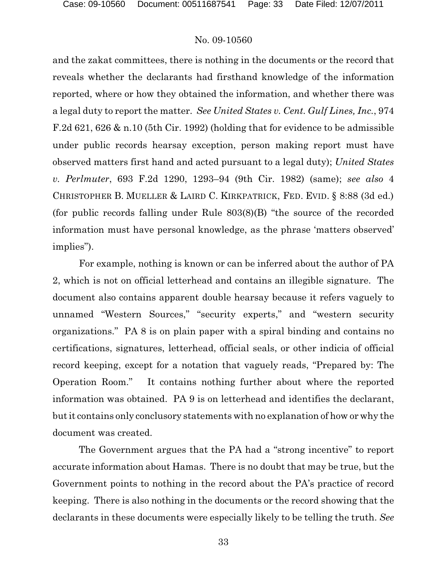and the zakat committees, there is nothing in the documents or the record that reveals whether the declarants had firsthand knowledge of the information reported, where or how they obtained the information, and whether there was a legal duty to report the matter. *See United States v. Cent. Gulf Lines, Inc.*, 974 F.2d 621, 626 & n.10 (5th Cir. 1992) (holding that for evidence to be admissible under public records hearsay exception, person making report must have observed matters first hand and acted pursuant to a legal duty); *United States v. Perlmuter*, 693 F.2d 1290, 1293–94 (9th Cir. 1982) (same); *see also* 4 CHRISTOPHER B. MUELLER & LAIRD C. KIRKPATRICK, FED. EVID. § 8:88 (3d ed.) (for public records falling under Rule 803(8)(B) "the source of the recorded information must have personal knowledge, as the phrase 'matters observed' implies").

For example, nothing is known or can be inferred about the author of PA 2, which is not on official letterhead and contains an illegible signature. The document also contains apparent double hearsay because it refers vaguely to unnamed "Western Sources," "security experts," and "western security organizations." PA 8 is on plain paper with a spiral binding and contains no certifications, signatures, letterhead, official seals, or other indicia of official record keeping, except for a notation that vaguely reads, "Prepared by: The Operation Room." It contains nothing further about where the reported information was obtained. PA 9 is on letterhead and identifies the declarant, but it contains only conclusory statements with no explanation of how or why the document was created.

The Government argues that the PA had a "strong incentive" to report accurate information about Hamas. There is no doubt that may be true, but the Government points to nothing in the record about the PA's practice of record keeping. There is also nothing in the documents or the record showing that the declarants in these documents were especially likely to be telling the truth. *See*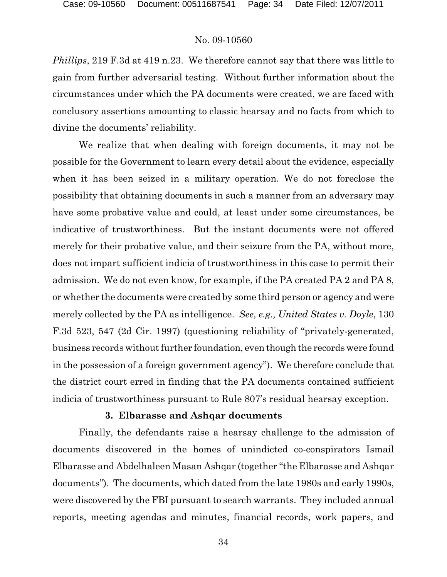*Phillips*, 219 F.3d at 419 n.23. We therefore cannot say that there was little to gain from further adversarial testing. Without further information about the circumstances under which the PA documents were created, we are faced with conclusory assertions amounting to classic hearsay and no facts from which to divine the documents' reliability.

We realize that when dealing with foreign documents, it may not be possible for the Government to learn every detail about the evidence, especially when it has been seized in a military operation. We do not foreclose the possibility that obtaining documents in such a manner from an adversary may have some probative value and could, at least under some circumstances, be indicative of trustworthiness. But the instant documents were not offered merely for their probative value, and their seizure from the PA, without more, does not impart sufficient indicia of trustworthiness in this case to permit their admission. We do not even know, for example, if the PA created PA 2 and PA 8, or whether the documents were created by some third person or agency and were merely collected by the PA as intelligence. *See, e.g., United States v. Doyle*, 130 F.3d 523, 547 (2d Cir. 1997) (questioning reliability of "privately-generated, business records without further foundation, even though the records were found in the possession of a foreign government agency"). We therefore conclude that the district court erred in finding that the PA documents contained sufficient indicia of trustworthiness pursuant to Rule 807's residual hearsay exception.

#### **3. Elbarasse and Ashqar documents**

Finally, the defendants raise a hearsay challenge to the admission of documents discovered in the homes of unindicted co-conspirators Ismail Elbarasse and Abdelhaleen Masan Ashqar (together "the Elbarasse and Ashqar documents"). The documents, which dated from the late 1980s and early 1990s, were discovered by the FBI pursuant to search warrants. They included annual reports, meeting agendas and minutes, financial records, work papers, and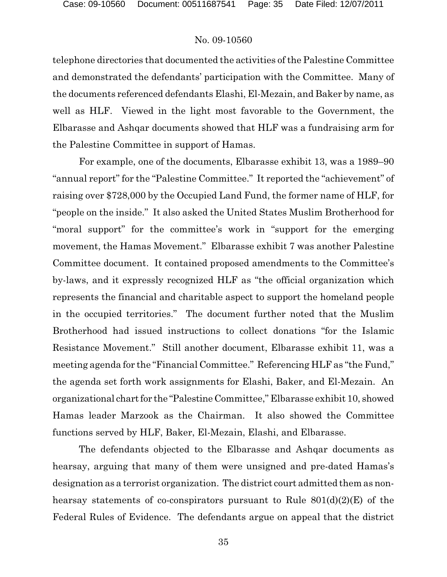telephone directories that documented the activities of the Palestine Committee and demonstrated the defendants' participation with the Committee. Many of the documents referenced defendants Elashi, El-Mezain, and Baker by name, as well as HLF. Viewed in the light most favorable to the Government, the Elbarasse and Ashqar documents showed that HLF was a fundraising arm for the Palestine Committee in support of Hamas.

For example, one of the documents, Elbarasse exhibit 13, was a 1989–90 "annual report" for the "Palestine Committee." It reported the "achievement" of raising over \$728,000 by the Occupied Land Fund, the former name of HLF, for "people on the inside." It also asked the United States Muslim Brotherhood for "moral support" for the committee's work in "support for the emerging movement, the Hamas Movement." Elbarasse exhibit 7 was another Palestine Committee document. It contained proposed amendments to the Committee's by-laws, and it expressly recognized HLF as "the official organization which represents the financial and charitable aspect to support the homeland people in the occupied territories." The document further noted that the Muslim Brotherhood had issued instructions to collect donations "for the Islamic Resistance Movement." Still another document, Elbarasse exhibit 11, was a meeting agenda for the "Financial Committee." Referencing HLF as "the Fund," the agenda set forth work assignments for Elashi, Baker, and El-Mezain. An organizational chartfor the "Palestine Committee," Elbarasse exhibit 10, showed Hamas leader Marzook as the Chairman. It also showed the Committee functions served by HLF, Baker, El-Mezain, Elashi, and Elbarasse.

The defendants objected to the Elbarasse and Ashqar documents as hearsay, arguing that many of them were unsigned and pre-dated Hamas's designation as a terrorist organization. The district court admitted them as nonhearsay statements of co-conspirators pursuant to Rule  $801(d)(2)(E)$  of the Federal Rules of Evidence. The defendants argue on appeal that the district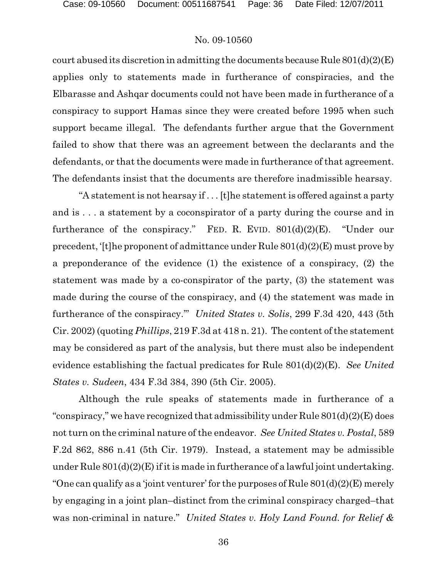court abused its discretion in admitting the documents because Rule  $801(d)(2)(E)$ applies only to statements made in furtherance of conspiracies, and the Elbarasse and Ashqar documents could not have been made in furtherance of a conspiracy to support Hamas since they were created before 1995 when such support became illegal. The defendants further argue that the Government failed to show that there was an agreement between the declarants and the defendants, or that the documents were made in furtherance of that agreement. The defendants insist that the documents are therefore inadmissible hearsay.

"A statement is not hearsay if . . . [t]he statement is offered against a party and is . . . a statement by a coconspirator of a party during the course and in furtherance of the conspiracy." FED. R. EVID.  $801(d)(2)(E)$ . "Under our precedent, '[t]he proponent of admittance under Rule 801(d)(2)(E) must prove by a preponderance of the evidence (1) the existence of a conspiracy, (2) the statement was made by a co-conspirator of the party, (3) the statement was made during the course of the conspiracy, and (4) the statement was made in furtherance of the conspiracy.'" *United States v. Solis*, 299 F.3d 420, 443 (5th Cir. 2002) (quoting *Phillips*, 219 F.3d at 418 n. 21). The content of the statement may be considered as part of the analysis, but there must also be independent evidence establishing the factual predicates for Rule 801(d)(2)(E). *See United States v. Sudeen*, 434 F.3d 384, 390 (5th Cir. 2005).

Although the rule speaks of statements made in furtherance of a "conspiracy," we have recognized that admissibility under Rule 801(d)(2)(E) does not turn on the criminal nature of the endeavor. *See United States v. Postal*, 589 F.2d 862, 886 n.41 (5th Cir. 1979). Instead, a statement may be admissible under Rule  $801(d)(2)(E)$  if it is made in furtherance of a lawful joint undertaking. "One can qualify as a 'joint venturer' for the purposes of Rule  $801(d)(2)$ (E) merely by engaging in a joint plan–distinct from the criminal conspiracy charged–that was non-criminal in nature." *United States v. Holy Land Found. for Relief &*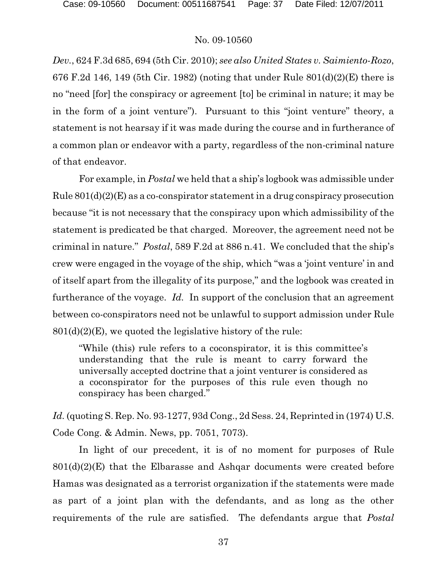*Dev.*, 624 F.3d 685, 694 (5th Cir. 2010); *see also United States v. Saimiento-Rozo*, 676 F.2d 146, 149 (5th Cir. 1982) (noting that under Rule 801(d)(2)(E) there is no "need [for] the conspiracy or agreement [to] be criminal in nature; it may be in the form of a joint venture"). Pursuant to this "joint venture" theory, a statement is not hearsay if it was made during the course and in furtherance of a common plan or endeavor with a party, regardless of the non-criminal nature of that endeavor.

For example, in *Postal* we held that a ship's logbook was admissible under Rule 801(d)(2)(E) as a co-conspirator statement in a drug conspiracy prosecution because "it is not necessary that the conspiracy upon which admissibility of the statement is predicated be that charged. Moreover, the agreement need not be criminal in nature." *Postal*, 589 F.2d at 886 n.41. We concluded that the ship's crew were engaged in the voyage of the ship, which "was a 'joint venture' in and of itself apart from the illegality of its purpose," and the logbook was created in furtherance of the voyage. *Id.* In support of the conclusion that an agreement between co-conspirators need not be unlawful to support admission under Rule  $801(d)(2)(E)$ , we quoted the legislative history of the rule:

"While (this) rule refers to a coconspirator, it is this committee's understanding that the rule is meant to carry forward the universally accepted doctrine that a joint venturer is considered as a coconspirator for the purposes of this rule even though no conspiracy has been charged."

*Id.* (quoting S. Rep. No. 93-1277, 93d Cong., 2d Sess. 24, Reprinted in (1974) U.S. Code Cong. & Admin. News, pp. 7051, 7073).

In light of our precedent, it is of no moment for purposes of Rule  $801(d)(2)(E)$  that the Elbarasse and Ashqar documents were created before Hamas was designated as a terrorist organization if the statements were made as part of a joint plan with the defendants, and as long as the other requirements of the rule are satisfied. The defendants argue that *Postal*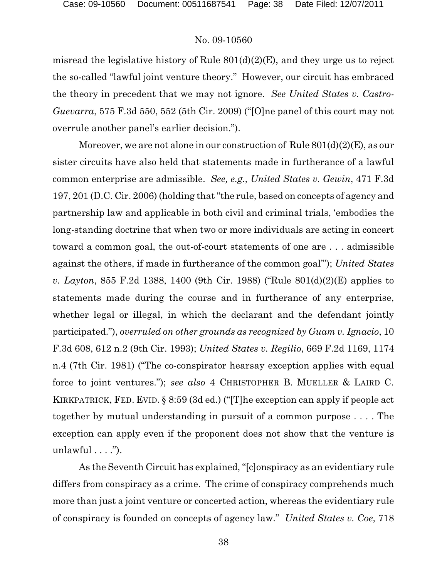misread the legislative history of Rule 801(d)(2)(E), and they urge us to reject the so-called "lawful joint venture theory." However, our circuit has embraced the theory in precedent that we may not ignore. *See United States v. Castro-Guevarra*, 575 F.3d 550, 552 (5th Cir. 2009) ("[O]ne panel of this court may not overrule another panel's earlier decision.").

Moreover, we are not alone in our construction of Rule  $801(d)(2)(E)$ , as our sister circuits have also held that statements made in furtherance of a lawful common enterprise are admissible. *See, e.g., United States v. Gewin*, 471 F.3d 197, 201 (D.C. Cir. 2006) (holding that "the rule, based on concepts of agency and partnership law and applicable in both civil and criminal trials, 'embodies the long-standing doctrine that when two or more individuals are acting in concert toward a common goal, the out-of-court statements of one are . . . admissible against the others, if made in furtherance of the common goal'"); *United States v. Layton*, 855 F.2d 1388, 1400 (9th Cir. 1988) ("Rule 801(d)(2)(E) applies to statements made during the course and in furtherance of any enterprise, whether legal or illegal, in which the declarant and the defendant jointly participated."), *overruled on other grounds as recognized by Guam v. Ignacio*, 10 F.3d 608, 612 n.2 (9th Cir. 1993); *United States v. Regilio*, 669 F.2d 1169, 1174 n.4 (7th Cir. 1981) ("The co-conspirator hearsay exception applies with equal force to joint ventures."); *see also* 4 CHRISTOPHER B. MUELLER & LAIRD C. KIRKPATRICK, FED. EVID. § 8:59 (3d ed.) ("[T]he exception can apply if people act together by mutual understanding in pursuit of a common purpose . . . . The exception can apply even if the proponent does not show that the venture is unlawful  $\dots$ ").

As the Seventh Circuit has explained, "[c]onspiracy as an evidentiary rule differs from conspiracy as a crime. The crime of conspiracy comprehends much more than just a joint venture or concerted action, whereas the evidentiary rule of conspiracy is founded on concepts of agency law." *United States v. Coe*, 718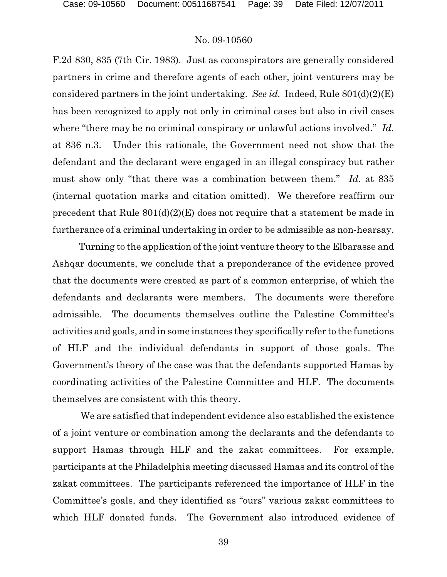F.2d 830, 835 (7th Cir. 1983). Just as coconspirators are generally considered partners in crime and therefore agents of each other, joint venturers may be considered partners in the joint undertaking. *See id.* Indeed, Rule 801(d)(2)(E) has been recognized to apply not only in criminal cases but also in civil cases where "there may be no criminal conspiracy or unlawful actions involved." *Id.* at 836 n.3. Under this rationale, the Government need not show that the defendant and the declarant were engaged in an illegal conspiracy but rather must show only "that there was a combination between them." *Id.* at 835 (internal quotation marks and citation omitted). We therefore reaffirm our precedent that Rule 801(d)(2)(E) does not require that a statement be made in furtherance of a criminal undertaking in order to be admissible as non-hearsay.

Turning to the application of the joint venture theory to the Elbarasse and Ashqar documents, we conclude that a preponderance of the evidence proved that the documents were created as part of a common enterprise, of which the defendants and declarants were members. The documents were therefore admissible. The documents themselves outline the Palestine Committee's activities and goals, and in some instances they specifically refer to the functions of HLF and the individual defendants in support of those goals. The Government's theory of the case was that the defendants supported Hamas by coordinating activities of the Palestine Committee and HLF. The documents themselves are consistent with this theory.

We are satisfied that independent evidence also established the existence of a joint venture or combination among the declarants and the defendants to support Hamas through HLF and the zakat committees. For example, participants at the Philadelphia meeting discussed Hamas and its control of the zakat committees. The participants referenced the importance of HLF in the Committee's goals, and they identified as "ours" various zakat committees to which HLF donated funds. The Government also introduced evidence of

39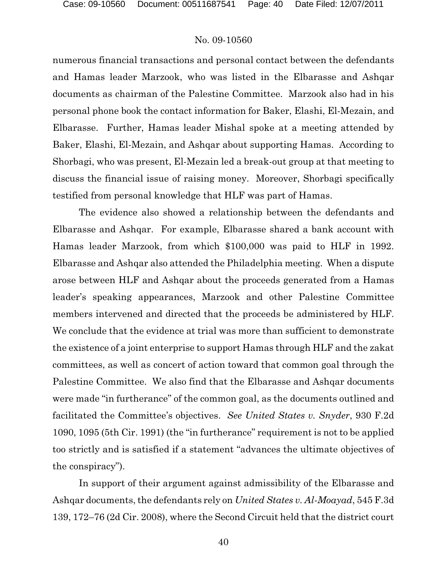numerous financial transactions and personal contact between the defendants and Hamas leader Marzook, who was listed in the Elbarasse and Ashqar documents as chairman of the Palestine Committee. Marzook also had in his personal phone book the contact information for Baker, Elashi, El-Mezain, and Elbarasse. Further, Hamas leader Mishal spoke at a meeting attended by Baker, Elashi, El-Mezain, and Ashqar about supporting Hamas. According to Shorbagi, who was present, El-Mezain led a break-out group at that meeting to discuss the financial issue of raising money. Moreover, Shorbagi specifically testified from personal knowledge that HLF was part of Hamas.

The evidence also showed a relationship between the defendants and Elbarasse and Ashqar. For example, Elbarasse shared a bank account with Hamas leader Marzook, from which \$100,000 was paid to HLF in 1992. Elbarasse and Ashqar also attended the Philadelphia meeting. When a dispute arose between HLF and Ashqar about the proceeds generated from a Hamas leader's speaking appearances, Marzook and other Palestine Committee members intervened and directed that the proceeds be administered by HLF. We conclude that the evidence at trial was more than sufficient to demonstrate the existence of a joint enterprise to support Hamas through HLF and the zakat committees, as well as concert of action toward that common goal through the Palestine Committee. We also find that the Elbarasse and Ashqar documents were made "in furtherance" of the common goal, as the documents outlined and facilitated the Committee's objectives. *See United States v. Snyder*, 930 F.2d 1090, 1095 (5th Cir. 1991) (the "in furtherance" requirement is not to be applied too strictly and is satisfied if a statement "advances the ultimate objectives of the conspiracy").

In support of their argument against admissibility of the Elbarasse and Ashqar documents, the defendants rely on *United States v. Al-Moayad*, 545 F.3d 139, 172–76 (2d Cir. 2008), where the Second Circuit held that the district court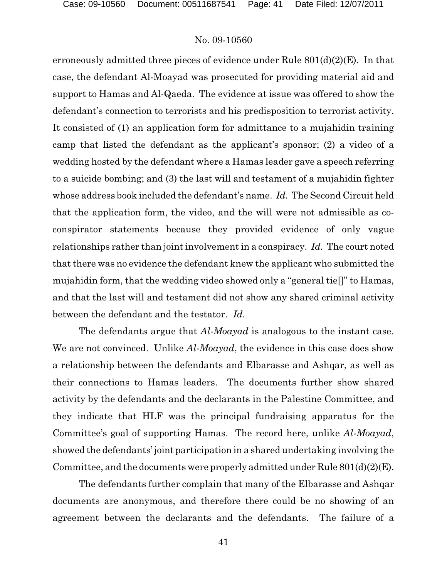erroneously admitted three pieces of evidence under Rule 801(d)(2)(E). In that case, the defendant Al-Moayad was prosecuted for providing material aid and support to Hamas and Al-Qaeda. The evidence at issue was offered to show the defendant's connection to terrorists and his predisposition to terrorist activity. It consisted of (1) an application form for admittance to a mujahidin training camp that listed the defendant as the applicant's sponsor; (2) a video of a wedding hosted by the defendant where a Hamas leader gave a speech referring to a suicide bombing; and (3) the last will and testament of a mujahidin fighter whose address book included the defendant's name. *Id.* The Second Circuit held that the application form, the video, and the will were not admissible as coconspirator statements because they provided evidence of only vague relationships rather than joint involvement in a conspiracy. *Id.* The court noted that there was no evidence the defendant knew the applicant who submitted the mujahidin form, that the wedding video showed only a "general tie[]" to Hamas, and that the last will and testament did not show any shared criminal activity between the defendant and the testator. *Id.*

The defendants argue that *Al-Moayad* is analogous to the instant case. We are not convinced. Unlike *Al-Moayad*, the evidence in this case does show a relationship between the defendants and Elbarasse and Ashqar, as well as their connections to Hamas leaders. The documents further show shared activity by the defendants and the declarants in the Palestine Committee, and they indicate that HLF was the principal fundraising apparatus for the Committee's goal of supporting Hamas. The record here, unlike *Al-Moayad*, showed the defendants' joint participation in a shared undertaking involving the Committee, and the documents were properly admitted under Rule 801(d)(2)(E).

The defendants further complain that many of the Elbarasse and Ashqar documents are anonymous, and therefore there could be no showing of an agreement between the declarants and the defendants. The failure of a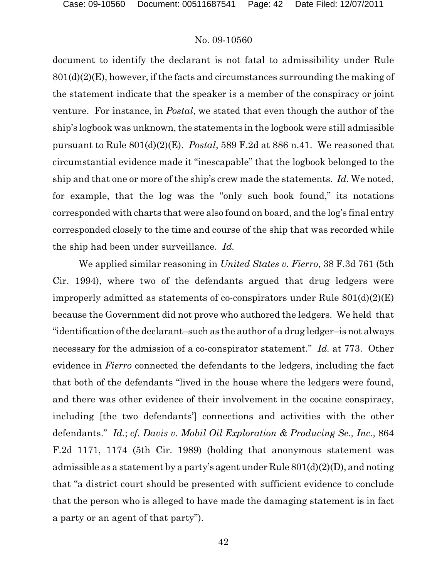document to identify the declarant is not fatal to admissibility under Rule  $801<sub>d</sub>(2)<sub>(E)</sub>$ , however, if the facts and circumstances surrounding the making of the statement indicate that the speaker is a member of the conspiracy or joint venture. For instance, in *Postal*, we stated that even though the author of the ship's logbook was unknown, the statements in the logbook were still admissible pursuant to Rule 801(d)(2)(E). *Postal*, 589 F.2d at 886 n.41. We reasoned that circumstantial evidence made it "inescapable" that the logbook belonged to the ship and that one or more of the ship's crew made the statements. *Id.* We noted, for example, that the log was the "only such book found," its notations corresponded with charts that were also found on board, and the log's final entry corresponded closely to the time and course of the ship that was recorded while the ship had been under surveillance. *Id.*

We applied similar reasoning in *United States v. Fierro*, 38 F.3d 761 (5th Cir. 1994), where two of the defendants argued that drug ledgers were improperly admitted as statements of co-conspirators under Rule 801(d)(2)(E) because the Government did not prove who authored the ledgers. We held that "identification of the declarant–such as the author of a drug ledger–is not always necessary for the admission of a co-conspirator statement." *Id.* at 773. Other evidence in *Fierro* connected the defendants to the ledgers, including the fact that both of the defendants "lived in the house where the ledgers were found, and there was other evidence of their involvement in the cocaine conspiracy, including [the two defendants'] connections and activities with the other defendants." *Id.*; *cf. Davis v. Mobil Oil Exploration & Producing Se., Inc.*, 864 F.2d 1171, 1174 (5th Cir. 1989) (holding that anonymous statement was admissible as a statement by a party's agent under Rule 801(d)(2)(D), and noting that "a district court should be presented with sufficient evidence to conclude that the person who is alleged to have made the damaging statement is in fact a party or an agent of that party").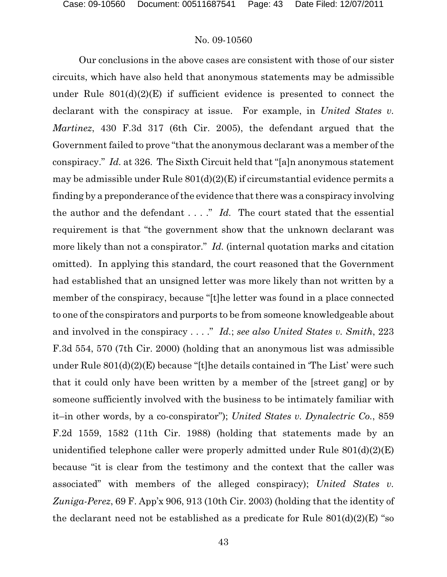Our conclusions in the above cases are consistent with those of our sister circuits, which have also held that anonymous statements may be admissible under Rule  $801(d)(2)(E)$  if sufficient evidence is presented to connect the declarant with the conspiracy at issue. For example, in *United States v. Martinez*, 430 F.3d 317 (6th Cir. 2005), the defendant argued that the Government failed to prove "that the anonymous declarant was a member of the conspiracy." *Id.* at 326. The Sixth Circuit held that "[a]n anonymous statement may be admissible under Rule  $801(d)(2)(E)$  if circumstantial evidence permits a finding by a preponderance of the evidence that there was a conspiracy involving the author and the defendant . . . ." *Id.* The court stated that the essential requirement is that "the government show that the unknown declarant was more likely than not a conspirator." *Id.* (internal quotation marks and citation omitted). In applying this standard, the court reasoned that the Government had established that an unsigned letter was more likely than not written by a member of the conspiracy, because "[t]he letter was found in a place connected to one of the conspirators and purports to be from someone knowledgeable about and involved in the conspiracy . . . ." *Id.*; *see also United States v. Smith*, 223 F.3d 554, 570 (7th Cir. 2000) (holding that an anonymous list was admissible under Rule 801(d)(2)(E) because "[t]he details contained in 'The List' were such that it could only have been written by a member of the [street gang] or by someone sufficiently involved with the business to be intimately familiar with it–in other words, by a co-conspirator"); *United States v. Dynalectric Co.*, 859 F.2d 1559, 1582 (11th Cir. 1988) (holding that statements made by an unidentified telephone caller were properly admitted under Rule  $801(d)(2)(E)$ because "it is clear from the testimony and the context that the caller was associated" with members of the alleged conspiracy); *United States v. Zuniga-Perez*, 69 F. App'x 906, 913 (10th Cir. 2003) (holding that the identity of the declarant need not be established as a predicate for Rule  $801(d)(2)(E)$  "so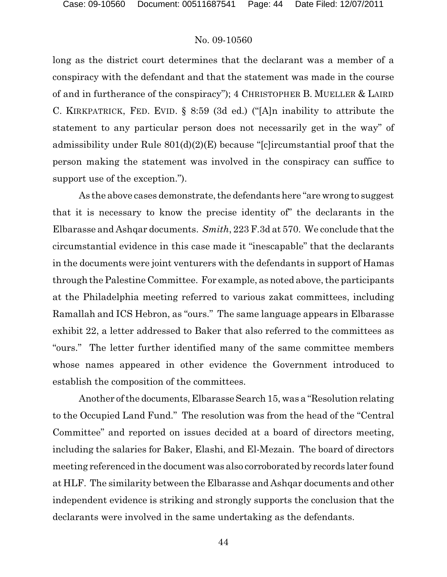long as the district court determines that the declarant was a member of a conspiracy with the defendant and that the statement was made in the course of and in furtherance of the conspiracy"); 4 CHRISTOPHER B. MUELLER & LAIRD C. KIRKPATRICK, FED. EVID. § 8:59 (3d ed.) ("[A]n inability to attribute the statement to any particular person does not necessarily get in the way" of admissibility under Rule 801(d)(2)(E) because "[c]ircumstantial proof that the person making the statement was involved in the conspiracy can suffice to support use of the exception.").

As the above cases demonstrate, the defendants here "are wrong to suggest that it is necessary to know the precise identity of" the declarants in the Elbarasse and Ashqar documents. *Smith*, 223 F.3d at 570. We conclude that the circumstantial evidence in this case made it "inescapable" that the declarants in the documents were joint venturers with the defendants in support of Hamas through the Palestine Committee. For example, as noted above, the participants at the Philadelphia meeting referred to various zakat committees, including Ramallah and ICS Hebron, as "ours." The same language appears in Elbarasse exhibit 22, a letter addressed to Baker that also referred to the committees as "ours." The letter further identified many of the same committee members whose names appeared in other evidence the Government introduced to establish the composition of the committees.

Another of the documents, Elbarasse Search 15, was a "Resolution relating" to the Occupied Land Fund." The resolution was from the head of the "Central Committee" and reported on issues decided at a board of directors meeting, including the salaries for Baker, Elashi, and El-Mezain. The board of directors meeting referenced in the document was also corroborated by records later found at HLF. The similarity between the Elbarasse and Ashqar documents and other independent evidence is striking and strongly supports the conclusion that the declarants were involved in the same undertaking as the defendants.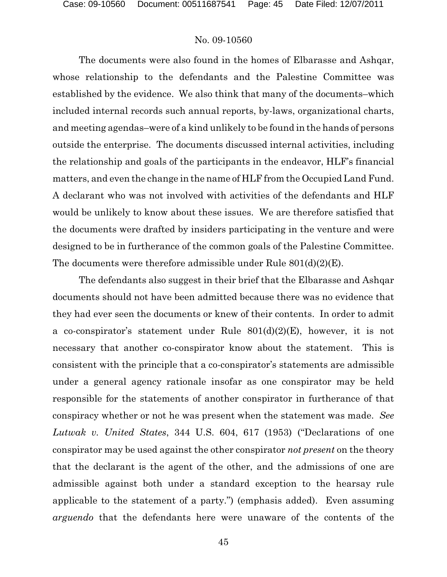The documents were also found in the homes of Elbarasse and Ashqar, whose relationship to the defendants and the Palestine Committee was established by the evidence. We also think that many of the documents–which included internal records such annual reports, by-laws, organizational charts, and meeting agendas–were of a kind unlikely to be found in the hands of persons outside the enterprise. The documents discussed internal activities, including the relationship and goals of the participants in the endeavor, HLF's financial matters, and even the change in the name of HLF from the Occupied Land Fund. A declarant who was not involved with activities of the defendants and HLF would be unlikely to know about these issues. We are therefore satisfied that the documents were drafted by insiders participating in the venture and were designed to be in furtherance of the common goals of the Palestine Committee. The documents were therefore admissible under Rule 801(d)(2)(E).

The defendants also suggest in their brief that the Elbarasse and Ashqar documents should not have been admitted because there was no evidence that they had ever seen the documents or knew of their contents. In order to admit a co-conspirator's statement under Rule  $801(d)(2)(E)$ , however, it is not necessary that another co-conspirator know about the statement. This is consistent with the principle that a co-conspirator's statements are admissible under a general agency rationale insofar as one conspirator may be held responsible for the statements of another conspirator in furtherance of that conspiracy whether or not he was present when the statement was made. *See Lutwak v. United States*, 344 U.S. 604, 617 (1953) ("Declarations of one conspirator may be used against the other conspirator *not present* on the theory that the declarant is the agent of the other, and the admissions of one are admissible against both under a standard exception to the hearsay rule applicable to the statement of a party.") (emphasis added). Even assuming *arguendo* that the defendants here were unaware of the contents of the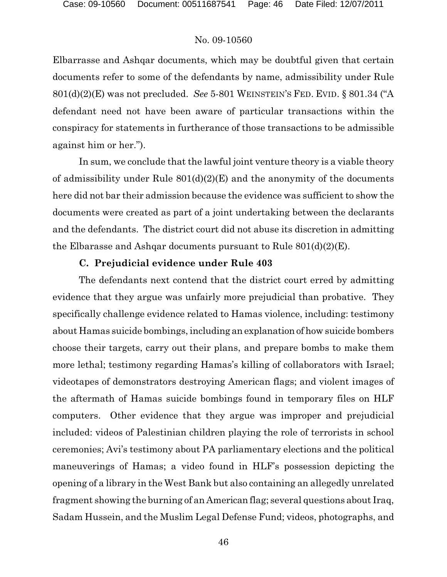Elbarrasse and Ashqar documents, which may be doubtful given that certain documents refer to some of the defendants by name, admissibility under Rule 801(d)(2)(E) was not precluded. *See* 5-801 WEINSTEIN'S FED. EVID. § 801.34 ("A defendant need not have been aware of particular transactions within the conspiracy for statements in furtherance of those transactions to be admissible against him or her.").

In sum, we conclude that the lawful joint venture theory is a viable theory of admissibility under Rule  $801(d)(2)(E)$  and the anonymity of the documents here did not bar their admission because the evidence was sufficient to show the documents were created as part of a joint undertaking between the declarants and the defendants. The district court did not abuse its discretion in admitting the Elbarasse and Ashqar documents pursuant to Rule  $801(d)(2)(E)$ .

### **C. Prejudicial evidence under Rule 403**

The defendants next contend that the district court erred by admitting evidence that they argue was unfairly more prejudicial than probative. They specifically challenge evidence related to Hamas violence, including: testimony about Hamas suicide bombings, including an explanationof how suicide bombers choose their targets, carry out their plans, and prepare bombs to make them more lethal; testimony regarding Hamas's killing of collaborators with Israel; videotapes of demonstrators destroying American flags; and violent images of the aftermath of Hamas suicide bombings found in temporary files on HLF computers. Other evidence that they argue was improper and prejudicial included: videos of Palestinian children playing the role of terrorists in school ceremonies; Avi's testimony about PA parliamentary elections and the political maneuverings of Hamas; a video found in HLF's possession depicting the opening of a library in the West Bank but also containing an allegedly unrelated fragment showing the burning of an American flag; several questions about Iraq, Sadam Hussein, and the Muslim Legal Defense Fund; videos, photographs, and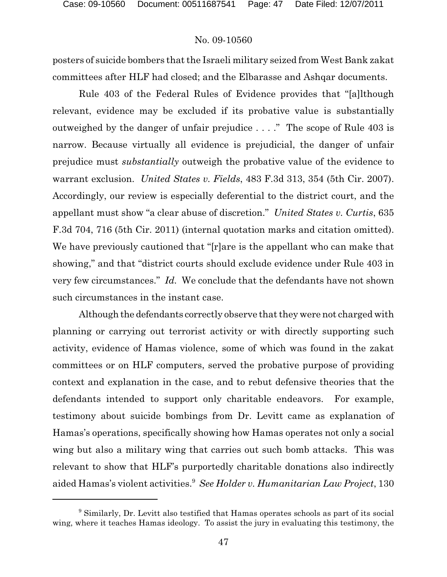posters of suicide bombers that the Israeli military seized from West Bank zakat committees after HLF had closed; and the Elbarasse and Ashqar documents.

Rule 403 of the Federal Rules of Evidence provides that "[a]lthough relevant, evidence may be excluded if its probative value is substantially outweighed by the danger of unfair prejudice . . . ." The scope of Rule 403 is narrow. Because virtually all evidence is prejudicial, the danger of unfair prejudice must *substantially* outweigh the probative value of the evidence to warrant exclusion. *United States v. Fields*, 483 F.3d 313, 354 (5th Cir. 2007). Accordingly, our review is especially deferential to the district court, and the appellant must show "a clear abuse of discretion." *United States v. Curtis*, 635 F.3d 704, 716 (5th Cir. 2011) (internal quotation marks and citation omitted). We have previously cautioned that "[r]are is the appellant who can make that showing," and that "district courts should exclude evidence under Rule 403 in very few circumstances." *Id.* We conclude that the defendants have not shown such circumstances in the instant case.

Although the defendants correctly observe that they were not charged with planning or carrying out terrorist activity or with directly supporting such activity, evidence of Hamas violence, some of which was found in the zakat committees or on HLF computers, served the probative purpose of providing context and explanation in the case, and to rebut defensive theories that the defendants intended to support only charitable endeavors. For example, testimony about suicide bombings from Dr. Levitt came as explanation of Hamas's operations, specifically showing how Hamas operates not only a social wing but also a military wing that carries out such bomb attacks. This was relevant to show that HLF's purportedly charitable donations also indirectly aided Hamas's violent activities.<sup>9</sup> See Holder v. Humanitarian Law Project, 130

<sup>&</sup>lt;sup>9</sup> Similarly, Dr. Levitt also testified that Hamas operates schools as part of its social wing, where it teaches Hamas ideology. To assist the jury in evaluating this testimony, the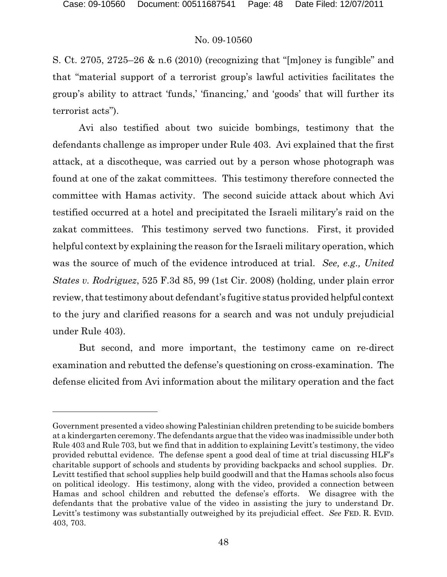S. Ct. 2705, 2725–26 & n.6 (2010) (recognizing that "[m]oney is fungible" and that "material support of a terrorist group's lawful activities facilitates the group's ability to attract 'funds,' 'financing,' and 'goods' that will further its terrorist acts").

Avi also testified about two suicide bombings, testimony that the defendants challenge as improper under Rule 403. Avi explained that the first attack, at a discotheque, was carried out by a person whose photograph was found at one of the zakat committees. This testimony therefore connected the committee with Hamas activity. The second suicide attack about which Avi testified occurred at a hotel and precipitated the Israeli military's raid on the zakat committees. This testimony served two functions. First, it provided helpful context by explaining the reason for the Israeli military operation, which was the source of much of the evidence introduced at trial. *See, e.g., United States v. Rodriguez*, 525 F.3d 85, 99 (1st Cir. 2008) (holding, under plain error review, that testimony about defendant's fugitive status provided helpful context to the jury and clarified reasons for a search and was not unduly prejudicial under Rule 403).

But second, and more important, the testimony came on re-direct examination and rebutted the defense's questioning on cross-examination. The defense elicited from Avi information about the military operation and the fact

Government presented a video showing Palestinian children pretending to be suicide bombers at a kindergarten ceremony. The defendants argue that the video was inadmissible under both Rule 403 and Rule 703, but we find that in addition to explaining Levitt's testimony, the video provided rebuttal evidence. The defense spent a good deal of time at trial discussing HLF's charitable support of schools and students by providing backpacks and school supplies. Dr. Levitt testified that school supplies help build goodwill and that the Hamas schools also focus on political ideology. His testimony, along with the video, provided a connection between Hamas and school children and rebutted the defense's efforts. We disagree with the defendants that the probative value of the video in assisting the jury to understand Dr. Levitt's testimony was substantially outweighed by its prejudicial effect. *See* FED. R. EVID. 403, 703.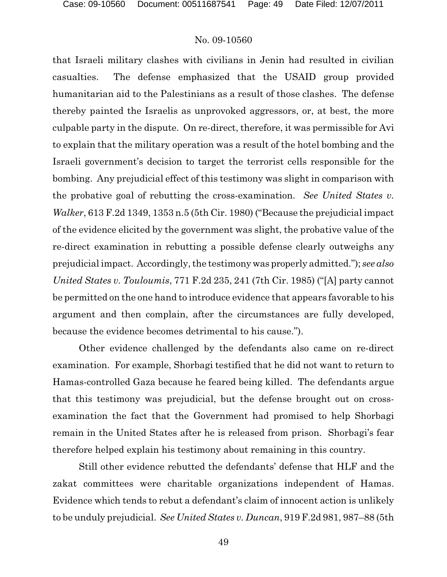that Israeli military clashes with civilians in Jenin had resulted in civilian casualties. The defense emphasized that the USAID group provided humanitarian aid to the Palestinians as a result of those clashes. The defense thereby painted the Israelis as unprovoked aggressors, or, at best, the more culpable party in the dispute. On re-direct, therefore, it was permissible for Avi to explain that the military operation was a result of the hotel bombing and the Israeli government's decision to target the terrorist cells responsible for the bombing. Any prejudicial effect of this testimony was slight in comparison with the probative goal of rebutting the cross-examination. *See United States v. Walker*, 613 F.2d 1349, 1353 n.5 (5th Cir. 1980) ("Because the prejudicial impact of the evidence elicited by the government was slight, the probative value of the re-direct examination in rebutting a possible defense clearly outweighs any prejudicial impact. Accordingly, the testimony was properly admitted."); *see also United States v. Touloumis*, 771 F.2d 235, 241 (7th Cir. 1985) ("[A] party cannot be permitted on the one hand to introduce evidence that appears favorable to his argument and then complain, after the circumstances are fully developed, because the evidence becomes detrimental to his cause.").

Other evidence challenged by the defendants also came on re-direct examination. For example, Shorbagi testified that he did not want to return to Hamas-controlled Gaza because he feared being killed. The defendants argue that this testimony was prejudicial, but the defense brought out on crossexamination the fact that the Government had promised to help Shorbagi remain in the United States after he is released from prison. Shorbagi's fear therefore helped explain his testimony about remaining in this country.

Still other evidence rebutted the defendants' defense that HLF and the zakat committees were charitable organizations independent of Hamas. Evidence which tends to rebut a defendant's claim of innocent action is unlikely to be unduly prejudicial. *See United States v. Duncan*, 919 F.2d 981, 987–88 (5th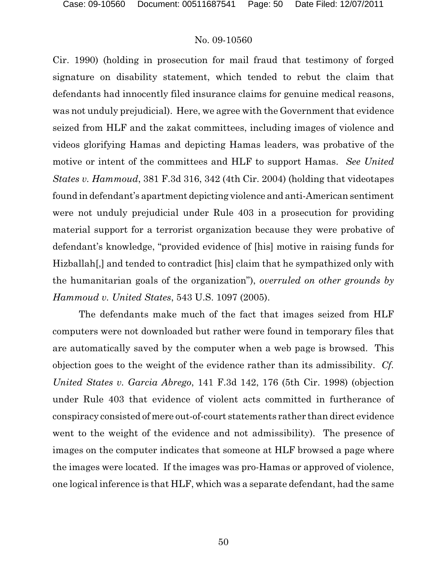Cir. 1990) (holding in prosecution for mail fraud that testimony of forged signature on disability statement, which tended to rebut the claim that defendants had innocently filed insurance claims for genuine medical reasons, was not unduly prejudicial). Here, we agree with the Government that evidence seized from HLF and the zakat committees, including images of violence and videos glorifying Hamas and depicting Hamas leaders, was probative of the motive or intent of the committees and HLF to support Hamas. *See United States v. Hammoud*, 381 F.3d 316, 342 (4th Cir. 2004) (holding that videotapes found in defendant's apartment depicting violence and anti-American sentiment were not unduly prejudicial under Rule 403 in a prosecution for providing material support for a terrorist organization because they were probative of defendant's knowledge, "provided evidence of [his] motive in raising funds for Hizballah[,] and tended to contradict [his] claim that he sympathized only with the humanitarian goals of the organization"), *overruled on other grounds by Hammoud v. United States*, 543 U.S. 1097 (2005).

The defendants make much of the fact that images seized from HLF computers were not downloaded but rather were found in temporary files that are automatically saved by the computer when a web page is browsed. This objection goes to the weight of the evidence rather than its admissibility. *Cf. United States v. Garcia Abrego*, 141 F.3d 142, 176 (5th Cir. 1998) (objection under Rule 403 that evidence of violent acts committed in furtherance of conspiracy consisted of mere out-of-court statements rather than direct evidence went to the weight of the evidence and not admissibility). The presence of images on the computer indicates that someone at HLF browsed a page where the images were located. If the images was pro-Hamas or approved of violence, one logical inference is that HLF, which was a separate defendant, had the same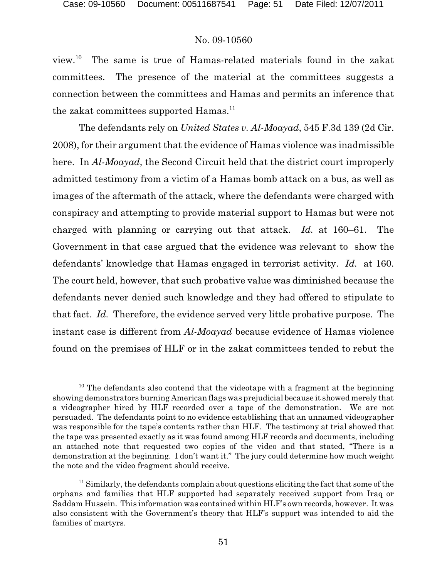view. $10$  The same is true of Hamas-related materials found in the zakat committees. The presence of the material at the committees suggests a connection between the committees and Hamas and permits an inference that the zakat committees supported Hamas.<sup>11</sup>

The defendants rely on *United States v. Al-Moayad*, 545 F.3d 139 (2d Cir. 2008), for their argument that the evidence of Hamas violence was inadmissible here. In *Al-Moayad*, the Second Circuit held that the district court improperly admitted testimony from a victim of a Hamas bomb attack on a bus, as well as images of the aftermath of the attack, where the defendants were charged with conspiracy and attempting to provide material support to Hamas but were not charged with planning or carrying out that attack. *Id.* at 160–61. The Government in that case argued that the evidence was relevant to show the defendants' knowledge that Hamas engaged in terrorist activity. *Id.* at 160. The court held, however, that such probative value was diminished because the defendants never denied such knowledge and they had offered to stipulate to that fact. *Id.* Therefore, the evidence served very little probative purpose. The instant case is different from *Al-Moayad* because evidence of Hamas violence found on the premises of HLF or in the zakat committees tended to rebut the

 $10$  The defendants also contend that the videotape with a fragment at the beginning showing demonstrators burning American flags was prejudicial because it showed merely that a videographer hired by HLF recorded over a tape of the demonstration. We are not persuaded. The defendants point to no evidence establishing that an unnamed videographer was responsible for the tape's contents rather than HLF. The testimony at trial showed that the tape was presented exactly as it was found among HLF records and documents, including an attached note that requested two copies of the video and that stated, "There is a demonstration at the beginning. I don't want it." The jury could determine how much weight the note and the video fragment should receive.

 $11$  Similarly, the defendants complain about questions eliciting the fact that some of the orphans and families that HLF supported had separately received support from Iraq or Saddam Hussein. This information was contained within HLF's own records, however. It was also consistent with the Government's theory that HLF's support was intended to aid the families of martyrs.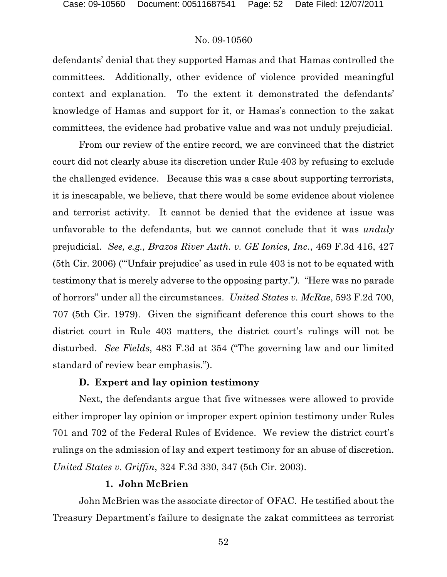defendants' denial that they supported Hamas and that Hamas controlled the committees. Additionally, other evidence of violence provided meaningful context and explanation. To the extent it demonstrated the defendants' knowledge of Hamas and support for it, or Hamas's connection to the zakat committees, the evidence had probative value and was not unduly prejudicial.

From our review of the entire record, we are convinced that the district court did not clearly abuse its discretion under Rule 403 by refusing to exclude the challenged evidence. Because this was a case about supporting terrorists, it is inescapable, we believe, that there would be some evidence about violence and terrorist activity. It cannot be denied that the evidence at issue was unfavorable to the defendants, but we cannot conclude that it was *unduly* prejudicial. *See, e.g., Brazos River Auth. v. GE Ionics, Inc.*, 469 F.3d 416, 427 (5th Cir. 2006) ("'Unfair prejudice' as used in rule 403 is not to be equated with testimony that is merely adverse to the opposing party."*).* "Here was no parade of horrors" under all the circumstances. *United States v. McRae*, 593 F.2d 700, 707 (5th Cir. 1979). Given the significant deference this court shows to the district court in Rule 403 matters, the district court's rulings will not be disturbed. *See Fields*, 483 F.3d at 354 ("The governing law and our limited standard of review bear emphasis.").

## **D. Expert and lay opinion testimony**

Next, the defendants argue that five witnesses were allowed to provide either improper lay opinion or improper expert opinion testimony under Rules 701 and 702 of the Federal Rules of Evidence. We review the district court's rulings on the admission of lay and expert testimony for an abuse of discretion. *United States v. Griffin*, 324 F.3d 330, 347 (5th Cir. 2003).

### **1. John McBrien**

John McBrien was the associate director of OFAC. He testified about the Treasury Department's failure to designate the zakat committees as terrorist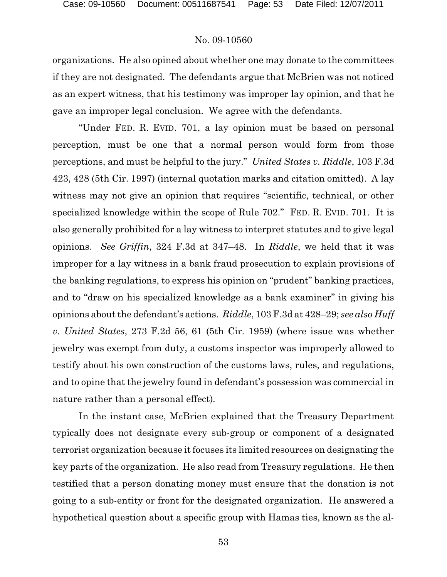organizations. He also opined about whether one may donate to the committees if they are not designated. The defendants argue that McBrien was not noticed as an expert witness, that his testimony was improper lay opinion, and that he gave an improper legal conclusion. We agree with the defendants.

"Under FED. R. EVID. 701, a lay opinion must be based on personal perception, must be one that a normal person would form from those perceptions, and must be helpful to the jury." *United States v. Riddle*, 103 F.3d 423, 428 (5th Cir. 1997) (internal quotation marks and citation omitted). A lay witness may not give an opinion that requires "scientific, technical, or other specialized knowledge within the scope of Rule 702." FED. R. EVID. 701. It is also generally prohibited for a lay witness to interpret statutes and to give legal opinions. *See Griffin*, 324 F.3d at 347–48. In *Riddle*, we held that it was improper for a lay witness in a bank fraud prosecution to explain provisions of the banking regulations, to express his opinion on "prudent" banking practices, and to "draw on his specialized knowledge as a bank examiner" in giving his opinions about the defendant's actions. *Riddle*, 103 F.3d at 428–29; *see also Huff v. United States*, 273 F.2d 56, 61 (5th Cir. 1959) (where issue was whether jewelry was exempt from duty, a customs inspector was improperly allowed to testify about his own construction of the customs laws, rules, and regulations, and to opine that the jewelry found in defendant's possession was commercial in nature rather than a personal effect)*.*

In the instant case, McBrien explained that the Treasury Department typically does not designate every sub-group or component of a designated terrorist organization because it focuses its limited resources on designating the key parts of the organization. He also read from Treasury regulations. He then testified that a person donating money must ensure that the donation is not going to a sub-entity or front for the designated organization. He answered a hypothetical question about a specific group with Hamas ties, known as the al-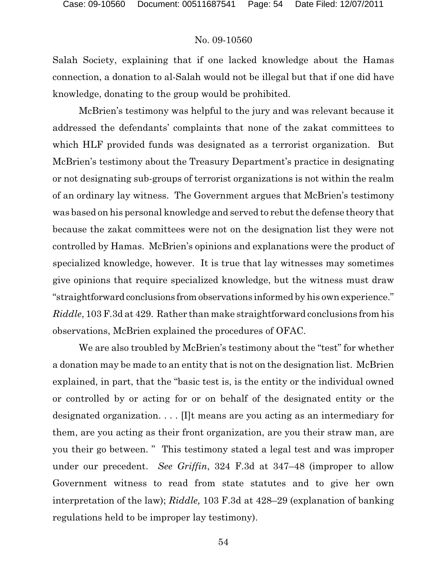Salah Society, explaining that if one lacked knowledge about the Hamas connection, a donation to al-Salah would not be illegal but that if one did have knowledge, donating to the group would be prohibited.

McBrien's testimony was helpful to the jury and was relevant because it addressed the defendants' complaints that none of the zakat committees to which HLF provided funds was designated as a terrorist organization. But McBrien's testimony about the Treasury Department's practice in designating or not designating sub-groups of terrorist organizations is not within the realm of an ordinary lay witness. The Government argues that McBrien's testimony was based on his personal knowledge and served to rebut the defense theory that because the zakat committees were not on the designation list they were not controlled by Hamas. McBrien's opinions and explanations were the product of specialized knowledge, however. It is true that lay witnesses may sometimes give opinions that require specialized knowledge, but the witness must draw "straightforward conclusions from observations informed by his own experience." *Riddle*, 103 F.3d at 429. Rather than make straightforward conclusions from his observations, McBrien explained the procedures of OFAC.

We are also troubled by McBrien's testimony about the "test" for whether a donation may be made to an entity that is not on the designation list. McBrien explained, in part, that the "basic test is, is the entity or the individual owned or controlled by or acting for or on behalf of the designated entity or the designated organization. . . . [I]t means are you acting as an intermediary for them, are you acting as their front organization, are you their straw man, are you their go between. " This testimony stated a legal test and was improper under our precedent. *See Griffin*, 324 F.3d at 347–48 (improper to allow Government witness to read from state statutes and to give her own interpretation of the law); *Riddle,* 103 F.3d at 428–29 (explanation of banking regulations held to be improper lay testimony).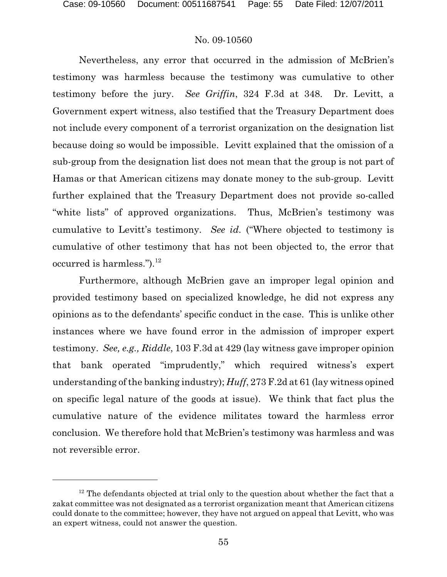Nevertheless, any error that occurred in the admission of McBrien's testimony was harmless because the testimony was cumulative to other testimony before the jury. *See Griffin*, 324 F.3d at 348. Dr. Levitt, a Government expert witness, also testified that the Treasury Department does not include every component of a terrorist organization on the designation list because doing so would be impossible. Levitt explained that the omission of a sub-group from the designation list does not mean that the group is not part of Hamas or that American citizens may donate money to the sub-group. Levitt further explained that the Treasury Department does not provide so-called "white lists" of approved organizations. Thus, McBrien's testimony was cumulative to Levitt's testimony. *See id.* ("Where objected to testimony is cumulative of other testimony that has not been objected to, the error that occurred is harmless." $)^{12}$ 

Furthermore, although McBrien gave an improper legal opinion and provided testimony based on specialized knowledge, he did not express any opinions as to the defendants' specific conduct in the case. This is unlike other instances where we have found error in the admission of improper expert testimony. *See, e.g., Riddle*, 103 F.3d at 429 (lay witness gave improper opinion that bank operated "imprudently," which required witness's expert understanding of the banking industry); *Huff*, 273 F.2d at 61 (lay witness opined on specific legal nature of the goods at issue). We think that fact plus the cumulative nature of the evidence militates toward the harmless error conclusion. We therefore hold that McBrien's testimony was harmless and was not reversible error.

 $12$  The defendants objected at trial only to the question about whether the fact that a zakat committee was not designated as a terrorist organization meant that American citizens could donate to the committee; however, they have not argued on appeal that Levitt, who was an expert witness, could not answer the question.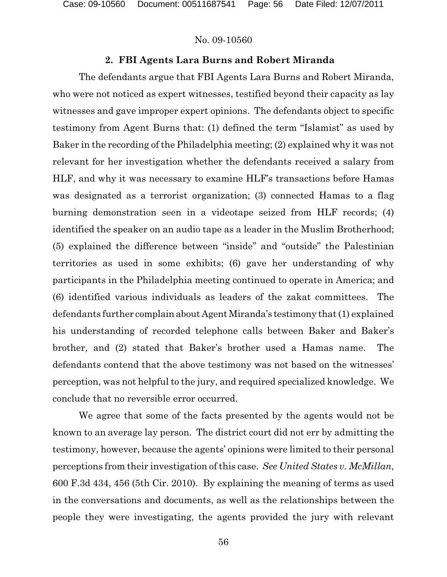# **2. FBI Agents Lara Burns and Robert Miranda**

The defendants argue that FBI Agents Lara Burns and Robert Miranda, who were not noticed as expert witnesses, testified beyond their capacity as lay witnesses and gave improper expert opinions. The defendants object to specific testimony from Agent Burns that: (1) defined the term "Islamist" as used by Baker in the recording of the Philadelphia meeting; (2) explained why it was not relevant for her investigation whether the defendants received a salary from HLF, and why it was necessary to examine HLF's transactions before Hamas was designated as a terrorist organization; (3) connected Hamas to a flag burning demonstration seen in a videotape seized from HLF records; (4) identified the speaker on an audio tape as a leader in the Muslim Brotherhood; (5) explained the difference between "inside" and "outside" the Palestinian territories as used in some exhibits; (6) gave her understanding of why participants in the Philadelphia meeting continued to operate in America; and (6) identified various individuals as leaders of the zakat committees. The defendants further complain about AgentMiranda's testimony that (1) explained his understanding of recorded telephone calls between Baker and Baker's brother, and (2) stated that Baker's brother used a Hamas name. The defendants contend that the above testimony was not based on the witnesses' perception, was not helpful to the jury, and required specialized knowledge. We conclude that no reversible error occurred.

We agree that some of the facts presented by the agents would not be known to an average lay person. The district court did not err by admitting the testimony, however, because the agents' opinions were limited to their personal perceptions from their investigation of this case. *See United States v. McMillan*, 600 F.3d 434, 456 (5th Cir. 2010). By explaining the meaning of terms as used in the conversations and documents, as well as the relationships between the people they were investigating, the agents provided the jury with relevant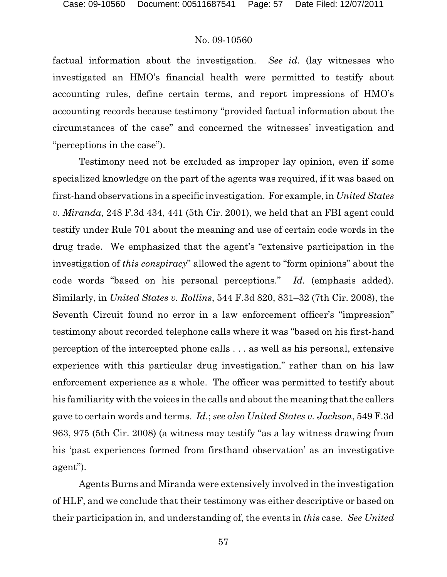factual information about the investigation. *See id.* (lay witnesses who investigated an HMO's financial health were permitted to testify about accounting rules, define certain terms, and report impressions of HMO's accounting records because testimony "provided factual information about the circumstances of the case" and concerned the witnesses' investigation and "perceptions in the case").

Testimony need not be excluded as improper lay opinion, even if some specialized knowledge on the part of the agents was required, if it was based on first-hand observations in a specific investigation. For example, in *United States v. Miranda*, 248 F.3d 434, 441 (5th Cir. 2001), we held that an FBI agent could testify under Rule 701 about the meaning and use of certain code words in the drug trade. We emphasized that the agent's "extensive participation in the investigation of *this conspiracy*" allowed the agent to "form opinions" about the code words "based on his personal perceptions." *Id.* (emphasis added). Similarly, in *United States v. Rollins*, 544 F.3d 820, 831–32 (7th Cir. 2008), the Seventh Circuit found no error in a law enforcement officer's "impression" testimony about recorded telephone calls where it was "based on his first-hand perception of the intercepted phone calls . . . as well as his personal, extensive experience with this particular drug investigation," rather than on his law enforcement experience as a whole. The officer was permitted to testify about his familiarity with the voices in the calls and about the meaning that the callers gave to certain words and terms. *Id.*; *see also United States v. Jackson*, 549 F.3d 963, 975 (5th Cir. 2008) (a witness may testify "as a lay witness drawing from his 'past experiences formed from firsthand observation' as an investigative agent").

Agents Burns and Miranda were extensively involved in the investigation of HLF, and we conclude that their testimony was either descriptive or based on their participation in, and understanding of, the events in *this* case. *See United*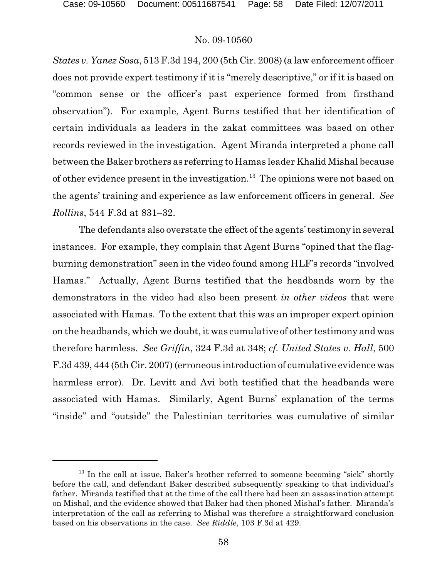*States v. Yanez Sosa*, 513 F.3d 194, 200 (5th Cir. 2008) (a law enforcement officer does not provide expert testimony if it is "merely descriptive," or if it is based on "common sense or the officer's past experience formed from firsthand observation"). For example, Agent Burns testified that her identification of certain individuals as leaders in the zakat committees was based on other records reviewed in the investigation. Agent Miranda interpreted a phone call between the Baker brothers as referring to Hamas leader Khalid Mishal because of other evidence present in the investigation.<sup>13</sup> The opinions were not based on the agents' training and experience as law enforcement officers in general. *See Rollins*, 544 F.3d at 831–32.

The defendants also overstate the effect of the agents' testimony in several instances. For example, they complain that Agent Burns "opined that the flagburning demonstration" seen in the video found among HLF's records "involved Hamas." Actually, Agent Burns testified that the headbands worn by the demonstrators in the video had also been present *in other videos* that were associated with Hamas. To the extent that this was an improper expert opinion on the headbands, which we doubt, it was cumulative of other testimony and was therefore harmless. *See Griffin*, 324 F.3d at 348; *cf. United States v. Hall*, 500 F.3d 439, 444 (5th Cir. 2007) (erroneous introduction of cumulative evidence was harmless error). Dr. Levitt and Avi both testified that the headbands were associated with Hamas. Similarly, Agent Burns' explanation of the terms "inside" and "outside" the Palestinian territories was cumulative of similar

<sup>&</sup>lt;sup>13</sup> In the call at issue, Baker's brother referred to someone becoming "sick" shortly before the call, and defendant Baker described subsequently speaking to that individual's father. Miranda testified that at the time of the call there had been an assassination attempt on Mishal, and the evidence showed that Baker had then phoned Mishal's father. Miranda's interpretation of the call as referring to Mishal was therefore a straightforward conclusion based on his observations in the case. *See Riddle*, 103 F.3d at 429.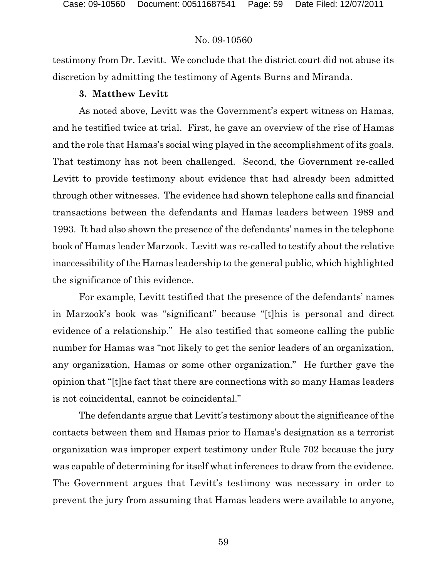testimony from Dr. Levitt. We conclude that the district court did not abuse its discretion by admitting the testimony of Agents Burns and Miranda.

#### **3. Matthew Levitt**

As noted above, Levitt was the Government's expert witness on Hamas, and he testified twice at trial. First, he gave an overview of the rise of Hamas and the role that Hamas's social wing played in the accomplishment of its goals. That testimony has not been challenged. Second, the Government re-called Levitt to provide testimony about evidence that had already been admitted through other witnesses. The evidence had shown telephone calls and financial transactions between the defendants and Hamas leaders between 1989 and 1993. It had also shown the presence of the defendants' names in the telephone book of Hamas leader Marzook. Levitt was re-called to testify about the relative inaccessibility of the Hamas leadership to the general public, which highlighted the significance of this evidence.

For example, Levitt testified that the presence of the defendants' names in Marzook's book was "significant" because "[t]his is personal and direct evidence of a relationship." He also testified that someone calling the public number for Hamas was "not likely to get the senior leaders of an organization, any organization, Hamas or some other organization." He further gave the opinion that "[t]he fact that there are connections with so many Hamas leaders is not coincidental, cannot be coincidental."

The defendants argue that Levitt's testimony about the significance of the contacts between them and Hamas prior to Hamas's designation as a terrorist organization was improper expert testimony under Rule 702 because the jury was capable of determining for itself what inferences to draw from the evidence. The Government argues that Levitt's testimony was necessary in order to prevent the jury from assuming that Hamas leaders were available to anyone,

59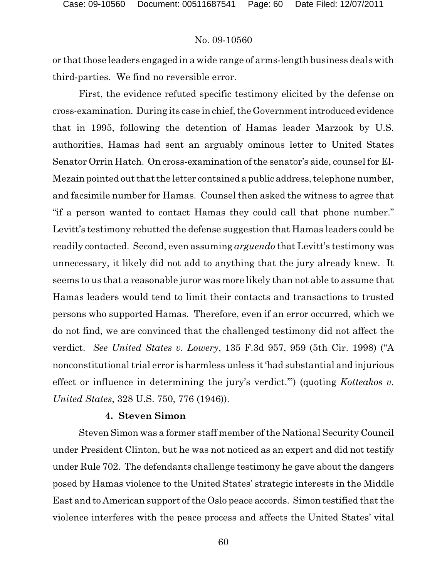or that those leaders engaged in a wide range of arms-length business deals with third-parties. We find no reversible error.

First, the evidence refuted specific testimony elicited by the defense on cross-examination. During its case in chief, the Government introduced evidence that in 1995, following the detention of Hamas leader Marzook by U.S. authorities, Hamas had sent an arguably ominous letter to United States Senator Orrin Hatch. On cross-examination of the senator's aide, counsel for El-Mezain pointed out that the letter contained a public address, telephone number, and facsimile number for Hamas. Counsel then asked the witness to agree that "if a person wanted to contact Hamas they could call that phone number." Levitt's testimony rebutted the defense suggestion that Hamas leaders could be readily contacted. Second, even assuming *arguendo* that Levitt's testimony was unnecessary, it likely did not add to anything that the jury already knew. It seems to us that a reasonable juror was more likely than not able to assume that Hamas leaders would tend to limit their contacts and transactions to trusted persons who supported Hamas. Therefore, even if an error occurred, which we do not find, we are convinced that the challenged testimony did not affect the verdict. *See United States v. Lowery*, 135 F.3d 957, 959 (5th Cir. 1998) ("A nonconstitutional trial error is harmless unless it 'had substantial and injurious effect or influence in determining the jury's verdict.'") (quoting *Kotteakos v. United States*, 328 U.S. 750, 776 (1946)).

## **4. Steven Simon**

Steven Simon was a former staff member of the National Security Council under President Clinton, but he was not noticed as an expert and did not testify under Rule 702. The defendants challenge testimony he gave about the dangers posed by Hamas violence to the United States' strategic interests in the Middle East and to American support of the Oslo peace accords. Simon testified that the violence interferes with the peace process and affects the United States' vital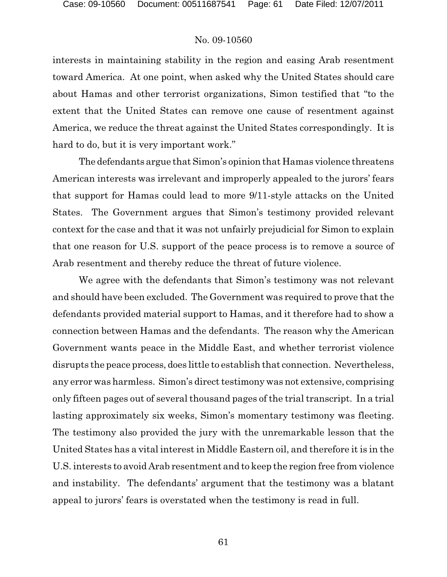interests in maintaining stability in the region and easing Arab resentment toward America. At one point, when asked why the United States should care about Hamas and other terrorist organizations, Simon testified that "to the extent that the United States can remove one cause of resentment against America, we reduce the threat against the United States correspondingly. It is hard to do, but it is very important work."

The defendants argue that Simon's opinion that Hamas violence threatens American interests was irrelevant and improperly appealed to the jurors' fears that support for Hamas could lead to more 9/11-style attacks on the United States. The Government argues that Simon's testimony provided relevant context for the case and that it was not unfairly prejudicial for Simon to explain that one reason for U.S. support of the peace process is to remove a source of Arab resentment and thereby reduce the threat of future violence.

We agree with the defendants that Simon's testimony was not relevant and should have been excluded. The Government was required to prove that the defendants provided material support to Hamas, and it therefore had to show a connection between Hamas and the defendants. The reason why the American Government wants peace in the Middle East, and whether terrorist violence disrupts the peace process, does little to establish that connection. Nevertheless, any error was harmless. Simon's direct testimony was not extensive, comprising only fifteen pages out of several thousand pages of the trial transcript. In a trial lasting approximately six weeks, Simon's momentary testimony was fleeting. The testimony also provided the jury with the unremarkable lesson that the United States has a vital interest in Middle Eastern oil, and therefore it is in the U.S. interests to avoid Arab resentment and to keep the region free from violence and instability. The defendants' argument that the testimony was a blatant appeal to jurors' fears is overstated when the testimony is read in full.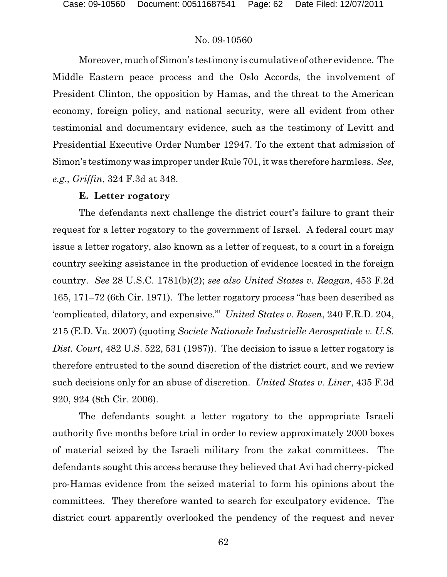Moreover, much of Simon's testimony is cumulative of other evidence. The Middle Eastern peace process and the Oslo Accords, the involvement of President Clinton, the opposition by Hamas, and the threat to the American economy, foreign policy, and national security, were all evident from other testimonial and documentary evidence, such as the testimony of Levitt and Presidential Executive Order Number 12947. To the extent that admission of Simon's testimony was improper under Rule 701, it was therefore harmless. *See, e.g., Griffin*, 324 F.3d at 348.

#### **E. Letter rogatory**

The defendants next challenge the district court's failure to grant their request for a letter rogatory to the government of Israel. A federal court may issue a letter rogatory, also known as a letter of request, to a court in a foreign country seeking assistance in the production of evidence located in the foreign country. *See* 28 U.S.C. 1781(b)(2); *see also United States v. Reagan*, 453 F.2d 165, 171–72 (6th Cir. 1971). The letter rogatory process "has been described as 'complicated, dilatory, and expensive.'" *United States v. Rosen*, 240 F.R.D. 204, 215 (E.D. Va. 2007) (quoting *Societe Nationale Industrielle Aerospatiale v. U.S. Dist. Court*, 482 U.S. 522, 531 (1987)). The decision to issue a letter rogatory is therefore entrusted to the sound discretion of the district court, and we review such decisions only for an abuse of discretion. *United States v. Liner*, 435 F.3d 920, 924 (8th Cir. 2006).

The defendants sought a letter rogatory to the appropriate Israeli authority five months before trial in order to review approximately 2000 boxes of material seized by the Israeli military from the zakat committees. The defendants sought this access because they believed that Avi had cherry-picked pro-Hamas evidence from the seized material to form his opinions about the committees. They therefore wanted to search for exculpatory evidence. The district court apparently overlooked the pendency of the request and never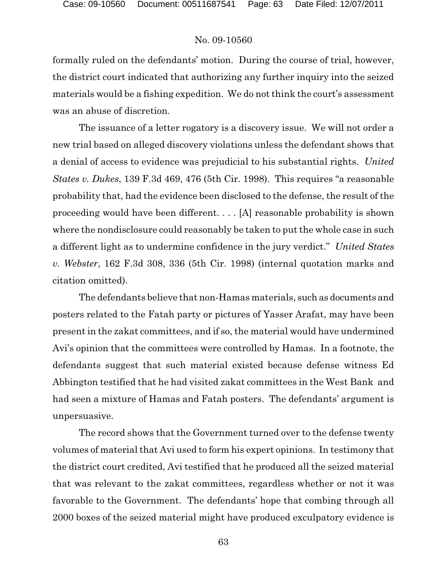formally ruled on the defendants' motion. During the course of trial, however, the district court indicated that authorizing any further inquiry into the seized materials would be a fishing expedition. We do not think the court's assessment was an abuse of discretion.

The issuance of a letter rogatory is a discovery issue. We will not order a new trial based on alleged discovery violations unless the defendant shows that a denial of access to evidence was prejudicial to his substantial rights. *United States v. Dukes*, 139 F.3d 469, 476 (5th Cir. 1998). This requires "a reasonable probability that, had the evidence been disclosed to the defense, the result of the proceeding would have been different. . . . [A] reasonable probability is shown where the nondisclosure could reasonably be taken to put the whole case in such a different light as to undermine confidence in the jury verdict." *United States v. Webster*, 162 F.3d 308, 336 (5th Cir. 1998) (internal quotation marks and citation omitted).

The defendants believe that non-Hamas materials, such as documents and posters related to the Fatah party or pictures of Yasser Arafat, may have been present in the zakat committees, and if so, the material would have undermined Avi's opinion that the committees were controlled by Hamas. In a footnote, the defendants suggest that such material existed because defense witness Ed Abbington testified that he had visited zakat committees in the West Bank and had seen a mixture of Hamas and Fatah posters. The defendants' argument is unpersuasive.

The record shows that the Government turned over to the defense twenty volumes of material that Avi used to form his expert opinions. In testimony that the district court credited, Avi testified that he produced all the seized material that was relevant to the zakat committees, regardless whether or not it was favorable to the Government. The defendants' hope that combing through all 2000 boxes of the seized material might have produced exculpatory evidence is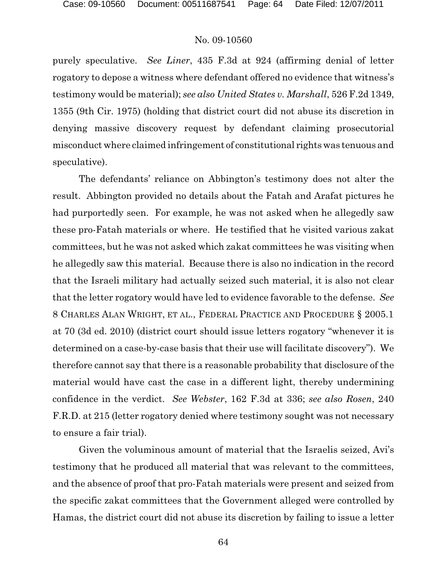purely speculative. *See Liner*, 435 F.3d at 924 (affirming denial of letter rogatory to depose a witness where defendant offered no evidence that witness's testimony would be material); *see also United States v. Marshall*, 526 F.2d 1349, 1355 (9th Cir. 1975) (holding that district court did not abuse its discretion in denying massive discovery request by defendant claiming prosecutorial misconduct where claimed infringement of constitutional rights was tenuous and speculative).

The defendants' reliance on Abbington's testimony does not alter the result. Abbington provided no details about the Fatah and Arafat pictures he had purportedly seen. For example, he was not asked when he allegedly saw these pro-Fatah materials or where. He testified that he visited various zakat committees, but he was not asked which zakat committees he was visiting when he allegedly saw this material. Because there is also no indication in the record that the Israeli military had actually seized such material, it is also not clear that the letter rogatory would have led to evidence favorable to the defense. *See* 8 CHARLES ALAN WRIGHT, ET AL., FEDERAL PRACTICE AND PROCEDURE § 2005.1 at 70 (3d ed. 2010) (district court should issue letters rogatory "whenever it is determined on a case-by-case basis that their use will facilitate discovery"). We therefore cannot say that there is a reasonable probability that disclosure of the material would have cast the case in a different light, thereby undermining confidence in the verdict. *See Webster*, 162 F.3d at 336; *see also Rosen*, 240 F.R.D. at 215 (letter rogatory denied where testimony sought was not necessary to ensure a fair trial).

Given the voluminous amount of material that the Israelis seized, Avi's testimony that he produced all material that was relevant to the committees, and the absence of proof that pro-Fatah materials were present and seized from the specific zakat committees that the Government alleged were controlled by Hamas, the district court did not abuse its discretion by failing to issue a letter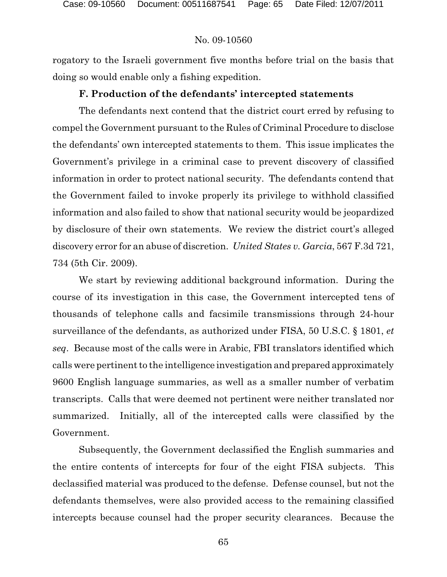rogatory to the Israeli government five months before trial on the basis that doing so would enable only a fishing expedition.

# **F. Production of the defendants' intercepted statements**

The defendants next contend that the district court erred by refusing to compel the Government pursuant to the Rules of Criminal Procedure to disclose the defendants' own intercepted statements to them. This issue implicates the Government's privilege in a criminal case to prevent discovery of classified information in order to protect national security. The defendants contend that the Government failed to invoke properly its privilege to withhold classified information and also failed to show that national security would be jeopardized by disclosure of their own statements. We review the district court's alleged discovery error for an abuse of discretion. *United States v. Garcia*, 567 F.3d 721, 734 (5th Cir. 2009).

We start by reviewing additional background information. During the course of its investigation in this case, the Government intercepted tens of thousands of telephone calls and facsimile transmissions through 24-hour surveillance of the defendants, as authorized under FISA, 50 U.S.C. § 1801, *et seq*. Because most of the calls were in Arabic, FBI translators identified which calls were pertinent to the intelligence investigation and prepared approximately 9600 English language summaries, as well as a smaller number of verbatim transcripts. Calls that were deemed not pertinent were neither translated nor summarized. Initially, all of the intercepted calls were classified by the Government.

Subsequently, the Government declassified the English summaries and the entire contents of intercepts for four of the eight FISA subjects. This declassified material was produced to the defense. Defense counsel, but not the defendants themselves, were also provided access to the remaining classified intercepts because counsel had the proper security clearances. Because the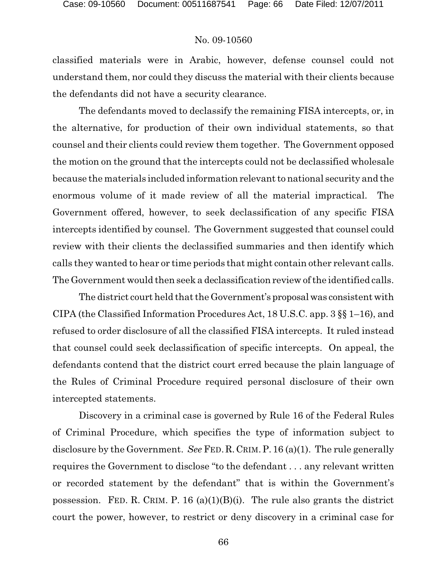classified materials were in Arabic, however, defense counsel could not understand them, nor could they discuss the material with their clients because the defendants did not have a security clearance.

The defendants moved to declassify the remaining FISA intercepts, or, in the alternative, for production of their own individual statements, so that counsel and their clients could review them together. The Government opposed the motion on the ground that the intercepts could not be declassified wholesale because the materials included information relevant to national security and the enormous volume of it made review of all the material impractical. The Government offered, however, to seek declassification of any specific FISA intercepts identified by counsel. The Government suggested that counsel could review with their clients the declassified summaries and then identify which calls they wanted to hear or time periods that might contain other relevant calls. The Government would then seek a declassification review of the identified calls.

The district court held that the Government's proposalwas consistent with CIPA (the Classified Information Procedures Act, 18 U.S.C. app. 3 §§ 1–16), and refused to order disclosure of all the classified FISA intercepts. It ruled instead that counsel could seek declassification of specific intercepts. On appeal, the defendants contend that the district court erred because the plain language of the Rules of Criminal Procedure required personal disclosure of their own intercepted statements.

Discovery in a criminal case is governed by Rule 16 of the Federal Rules of Criminal Procedure, which specifies the type of information subject to disclosure by the Government. *See* FED.R.CRIM.P. 16 (a)(1). The rule generally requires the Government to disclose "to the defendant . . . any relevant written or recorded statement by the defendant" that is within the Government's possession. FED. R. CRIM. P. 16 (a)(1)(B)(i). The rule also grants the district court the power, however, to restrict or deny discovery in a criminal case for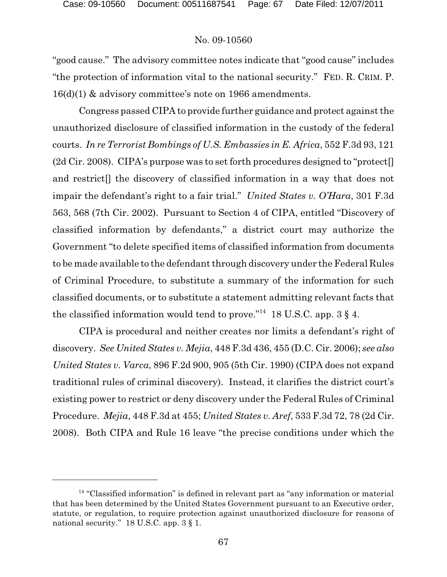"good cause." The advisory committee notes indicate that "good cause" includes "the protection of information vital to the national security." FED. R. CRIM. P. 16(d)(1) & advisory committee's note on 1966 amendments.

Congress passed CIPA to provide further guidance and protect against the unauthorized disclosure of classified information in the custody of the federal courts. *In re Terrorist Bombings of U.S. Embassies in E. Africa*, 552 F.3d 93, 121 (2d Cir. 2008). CIPA's purpose was to set forth procedures designed to "protect and restrict[] the discovery of classified information in a way that does not impair the defendant's right to a fair trial." *United States v. O'Hara*, 301 F.3d 563, 568 (7th Cir. 2002). Pursuant to Section 4 of CIPA, entitled "Discovery of classified information by defendants," a district court may authorize the Government "to delete specified items of classified information from documents to be made available to the defendant through discovery under the Federal Rules of Criminal Procedure, to substitute a summary of the information for such classified documents, or to substitute a statement admitting relevant facts that the classified information would tend to prove."<sup>14</sup> 18 U.S.C. app. 3  $\S$  4.

CIPA is procedural and neither creates nor limits a defendant's right of discovery. *See United States v. Mejia*, 448 F.3d 436, 455 (D.C. Cir. 2006); *see also United States v. Varca*, 896 F.2d 900, 905 (5th Cir. 1990) (CIPA does not expand traditional rules of criminal discovery). Instead, it clarifies the district court's existing power to restrict or deny discovery under the Federal Rules of Criminal Procedure. *Mejia*, 448 F.3d at 455; *United States v. Aref*, 533 F.3d 72, 78 (2d Cir. 2008). Both CIPA and Rule 16 leave "the precise conditions under which the

 $14$  "Classified information" is defined in relevant part as "any information or material that has been determined by the United States Government pursuant to an Executive order, statute, or regulation, to require protection against unauthorized disclosure for reasons of national security." 18 U.S.C. app. 3  $\S$  1.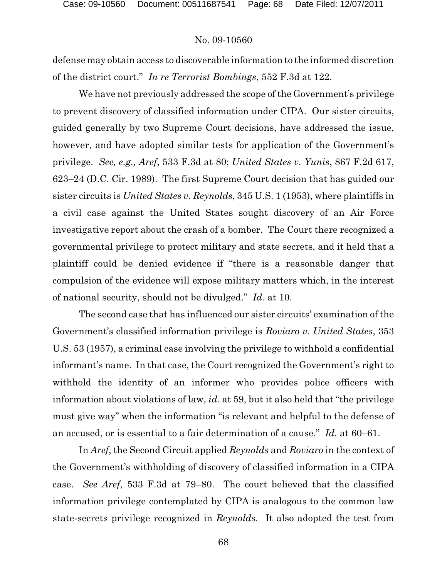defense may obtain access to discoverable information to the informed discretion of the district court." *In re Terrorist Bombings*, 552 F.3d at 122.

We have not previously addressed the scope of the Government's privilege to prevent discovery of classified information under CIPA. Our sister circuits, guided generally by two Supreme Court decisions, have addressed the issue, however, and have adopted similar tests for application of the Government's privilege. *See, e.g., Aref*, 533 F.3d at 80; *United States v. Yunis*, 867 F.2d 617, 623–24 (D.C. Cir. 1989). The first Supreme Court decision that has guided our sister circuits is *United States v. Reynolds*, 345 U.S. 1 (1953), where plaintiffs in a civil case against the United States sought discovery of an Air Force investigative report about the crash of a bomber. The Court there recognized a governmental privilege to protect military and state secrets, and it held that a plaintiff could be denied evidence if "there is a reasonable danger that compulsion of the evidence will expose military matters which, in the interest of national security, should not be divulged." *Id.* at 10.

The second case that has influenced our sister circuits' examination of the Government's classified information privilege is *Roviaro v. United States*, 353 U.S. 53 (1957), a criminal case involving the privilege to withhold a confidential informant's name. In that case, the Court recognized the Government's right to withhold the identity of an informer who provides police officers with information about violations of law, *id.* at 59, but it also held that "the privilege must give way" when the information "is relevant and helpful to the defense of an accused, or is essential to a fair determination of a cause." *Id.* at 60–61.

In *Aref*, the Second Circuit applied *Reynolds* and *Roviaro* in the context of the Government's withholding of discovery of classified information in a CIPA case. *See Aref*, 533 F.3d at 79–80. The court believed that the classified information privilege contemplated by CIPA is analogous to the common law state-secrets privilege recognized in *Reynolds.* It also adopted the test from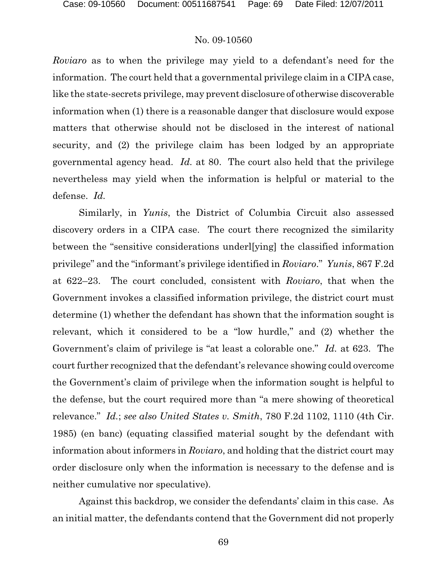*Roviaro* as to when the privilege may yield to a defendant's need for the information. The court held that a governmental privilege claim in a CIPA case, like the state-secrets privilege, may prevent disclosure of otherwise discoverable information when (1) there is a reasonable danger that disclosure would expose matters that otherwise should not be disclosed in the interest of national security, and (2) the privilege claim has been lodged by an appropriate governmental agency head. *Id.* at 80. The court also held that the privilege nevertheless may yield when the information is helpful or material to the defense. *Id.*

Similarly, in *Yunis*, the District of Columbia Circuit also assessed discovery orders in a CIPA case. The court there recognized the similarity between the "sensitive considerations underl[ying] the classified information privilege" and the "informant's privilege identified in *Roviaro*." *Yunis*, 867 F.2d at 622–23. The court concluded, consistent with *Roviaro*, that when the Government invokes a classified information privilege, the district court must determine (1) whether the defendant has shown that the information sought is relevant, which it considered to be a "low hurdle," and (2) whether the Government's claim of privilege is "at least a colorable one." *Id.* at 623. The court further recognized that the defendant's relevance showing could overcome the Government's claim of privilege when the information sought is helpful to the defense, but the court required more than "a mere showing of theoretical relevance." *Id.*; *see also United States v. Smith*, 780 F.2d 1102, 1110 (4th Cir. 1985) (en banc) (equating classified material sought by the defendant with information about informers in *Roviaro*, and holding that the district court may order disclosure only when the information is necessary to the defense and is neither cumulative nor speculative).

Against this backdrop, we consider the defendants' claim in this case. As an initial matter, the defendants contend that the Government did not properly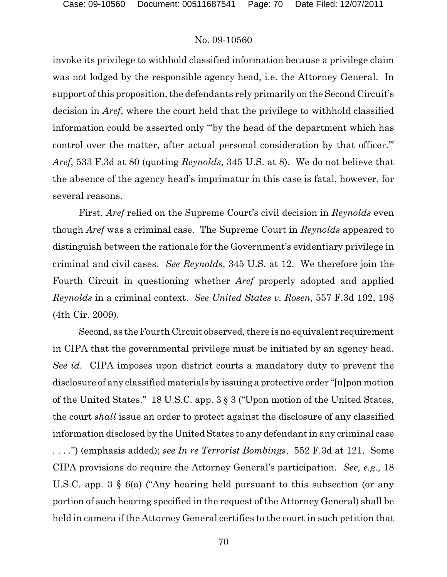invoke its privilege to withhold classified information because a privilege claim was not lodged by the responsible agency head, i.e. the Attorney General. In support of this proposition, the defendants rely primarily on the Second Circuit's decision in *Aref*, where the court held that the privilege to withhold classified information could be asserted only "'by the head of the department which has control over the matter, after actual personal consideration by that officer.'" *Aref*, 533 F.3d at 80 (quoting *Reynolds*, 345 U.S. at 8). We do not believe that the absence of the agency head's imprimatur in this case is fatal, however, for several reasons.

First, *Aref* relied on the Supreme Court's civil decision in *Reynolds* even though *Aref* was a criminal case. The Supreme Court in *Reynolds* appeared to distinguish between the rationale for the Government's evidentiary privilege in criminal and civil cases. *See Reynolds*, 345 U.S. at 12. We therefore join the Fourth Circuit in questioning whether *Aref* properly adopted and applied *Reynolds* in a criminal context. *See United States v. Rosen*, 557 F.3d 192, 198 (4th Cir. 2009).

Second, as theFourth Circuit observed, there is no equivalent requirement in CIPA that the governmental privilege must be initiated by an agency head. *See id.* CIPA imposes upon district courts a mandatory duty to prevent the disclosure of any classified materials by issuing a protective order "[u]pon motion of the United States." 18 U.S.C. app. 3 § 3 ("Upon motion of the United States, the court *shall* issue an order to protect against the disclosure of any classified information disclosed by the United States to any defendant in any criminal case . . . .") (emphasis added); *see In re Terrorist Bombings*, 552 F.3d at 121. Some CIPA provisions do require the Attorney General's participation. *See, e.g.,* 18 U.S.C. app. 3 § 6(a) ("Any hearing held pursuant to this subsection (or any portion of such hearing specified in the request of the Attorney General) shall be held in camera if the Attorney General certifies to the court in such petition that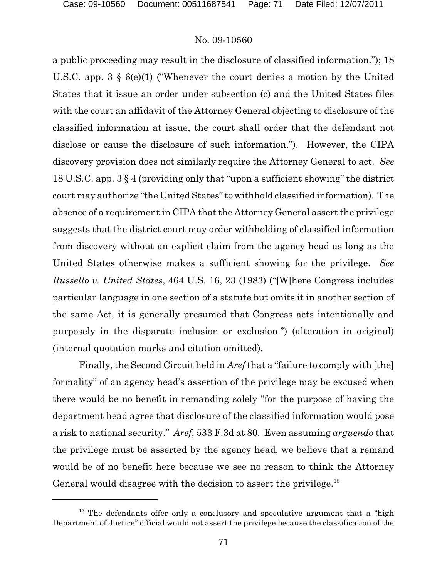a public proceeding may result in the disclosure of classified information."); 18 U.S.C. app. 3 § 6(e)(1) ("Whenever the court denies a motion by the United States that it issue an order under subsection (c) and the United States files with the court an affidavit of the Attorney General objecting to disclosure of the classified information at issue, the court shall order that the defendant not disclose or cause the disclosure of such information."). However, the CIPA discovery provision does not similarly require the Attorney General to act. *See* 18 U.S.C. app. 3 § 4 (providing only that "upon a sufficient showing" the district court may authorize "the United States" to withhold classified information). The absence of a requirement in CIPA that the Attorney General assert the privilege suggests that the district court may order withholding of classified information from discovery without an explicit claim from the agency head as long as the United States otherwise makes a sufficient showing for the privilege. *See Russello v. United States*, 464 U.S. 16, 23 (1983) ("[W]here Congress includes particular language in one section of a statute but omits it in another section of the same Act, it is generally presumed that Congress acts intentionally and purposely in the disparate inclusion or exclusion.") (alteration in original) (internal quotation marks and citation omitted).

Finally, the Second Circuit held in *Aref*that a "failure to comply with [the] formality" of an agency head's assertion of the privilege may be excused when there would be no benefit in remanding solely "for the purpose of having the department head agree that disclosure of the classified information would pose a risk to national security." *Aref*, 533 F.3d at 80. Even assuming *arguendo* that the privilege must be asserted by the agency head, we believe that a remand would be of no benefit here because we see no reason to think the Attorney General would disagree with the decision to assert the privilege.<sup>15</sup>

 $15$  The defendants offer only a conclusory and speculative argument that a "high Department of Justice" official would not assert the privilege because the classification of the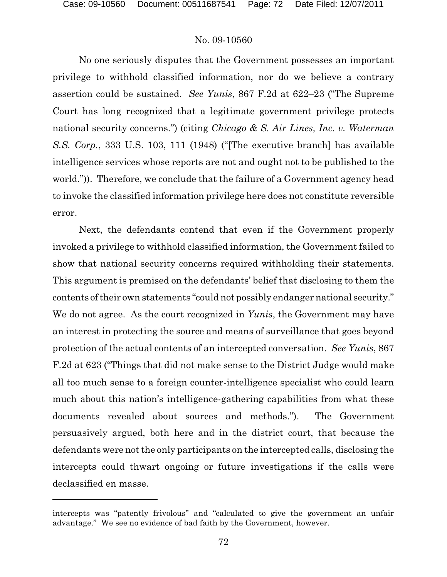No one seriously disputes that the Government possesses an important privilege to withhold classified information, nor do we believe a contrary assertion could be sustained. *See Yunis*, 867 F.2d at 622–23 ("The Supreme Court has long recognized that a legitimate government privilege protects national security concerns.") (citing *Chicago & S. Air Lines, Inc. v. Waterman S.S. Corp.*, 333 U.S. 103, 111 (1948) ("[The executive branch] has available intelligence services whose reports are not and ought not to be published to the world.")). Therefore, we conclude that the failure of a Government agency head to invoke the classified information privilege here does not constitute reversible error.

Next, the defendants contend that even if the Government properly invoked a privilege to withhold classified information, the Government failed to show that national security concerns required withholding their statements. This argument is premised on the defendants' belief that disclosing to them the contents of their own statements "could not possibly endanger national security." We do not agree. As the court recognized in *Yunis*, the Government may have an interest in protecting the source and means of surveillance that goes beyond protection of the actual contents of an intercepted conversation. *See Yunis*, 867 F.2d at 623 ("Things that did not make sense to the District Judge would make all too much sense to a foreign counter-intelligence specialist who could learn much about this nation's intelligence-gathering capabilities from what these documents revealed about sources and methods."). The Government persuasively argued, both here and in the district court, that because the defendants were not the only participants on the intercepted calls, disclosing the intercepts could thwart ongoing or future investigations if the calls were declassified en masse.

intercepts was "patently frivolous" and "calculated to give the government an unfair advantage." We see no evidence of bad faith by the Government, however.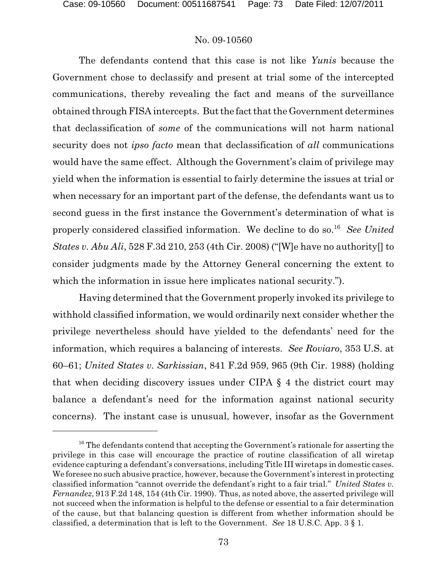The defendants contend that this case is not like *Yunis* because the Government chose to declassify and present at trial some of the intercepted communications, thereby revealing the fact and means of the surveillance obtained through FISA intercepts. But the fact that the Government determines that declassification of *some* of the communications will not harm national security does not *ipso facto* mean that declassification of *all* communications would have the same effect. Although the Government's claim of privilege may yield when the information is essential to fairly determine the issues at trial or when necessary for an important part of the defense, the defendants want us to second guess in the first instance the Government's determination of what is properly considered classified information. We decline to do so.<sup>16</sup> See United *States v. Abu Ali*, 528 F.3d 210, 253 (4th Cir. 2008) ("[W]e have no authority[] to consider judgments made by the Attorney General concerning the extent to which the information in issue here implicates national security.").

Having determined that the Government properly invoked its privilege to withhold classified information, we would ordinarily next consider whether the privilege nevertheless should have yielded to the defendants' need for the information, which requires a balancing of interests. *See Roviaro*, 353 U.S. at 60–61; *United States v. Sarkissian*, 841 F.2d 959, 965 (9th Cir. 1988) (holding that when deciding discovery issues under CIPA § 4 the district court may balance a defendant's need for the information against national security concerns). The instant case is unusual, however, insofar as the Government

 $16$  The defendants contend that accepting the Government's rationale for asserting the privilege in this case will encourage the practice of routine classification of all wiretap evidence capturing a defendant's conversations, including Title III wiretaps in domestic cases. We foresee no such abusive practice, however, because the Government's interest in protecting classified information "cannot override the defendant's right to a fair trial." *United States v. Fernandez*, 913 F.2d 148, 154 (4th Cir. 1990). Thus, as noted above, the asserted privilege will not succeed when the information is helpful to the defense or essential to a fair determination of the cause, but that balancing question is different from whether information should be classified, a determination that is left to the Government. *See* 18 U.S.C. App. 3 § 1.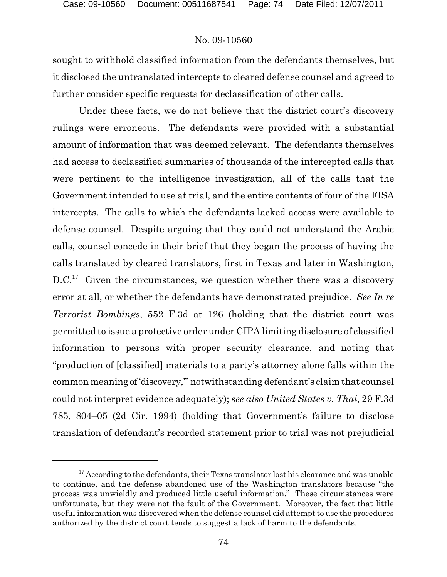sought to withhold classified information from the defendants themselves, but it disclosed the untranslated intercepts to cleared defense counsel and agreed to further consider specific requests for declassification of other calls.

Under these facts, we do not believe that the district court's discovery rulings were erroneous. The defendants were provided with a substantial amount of information that was deemed relevant. The defendants themselves had access to declassified summaries of thousands of the intercepted calls that were pertinent to the intelligence investigation, all of the calls that the Government intended to use at trial, and the entire contents of four of the FISA intercepts. The calls to which the defendants lacked access were available to defense counsel. Despite arguing that they could not understand the Arabic calls, counsel concede in their brief that they began the process of having the calls translated by cleared translators, first in Texas and later in Washington,  $D.C.<sup>17</sup>$  Given the circumstances, we question whether there was a discovery error at all, or whether the defendants have demonstrated prejudice. *See In re Terrorist Bombings*, 552 F.3d at 126 (holding that the district court was permitted to issue a protective order under CIPA limiting disclosure of classified information to persons with proper security clearance, and noting that "production of [classified] materials to a party's attorney alone falls within the common meaning of'discovery,'" notwithstanding defendant's claim that counsel could not interpret evidence adequately); *see also United States v. Thai*, 29 F.3d 785, 804–05 (2d Cir. 1994) (holding that Government's failure to disclose translation of defendant's recorded statement prior to trial was not prejudicial

 $17$  According to the defendants, their Texas translator lost his clearance and was unable to continue, and the defense abandoned use of the Washington translators because "the process was unwieldly and produced little useful information." These circumstances were unfortunate, but they were not the fault of the Government. Moreover, the fact that little useful information was discovered when the defense counsel did attempt to use the procedures authorized by the district court tends to suggest a lack of harm to the defendants.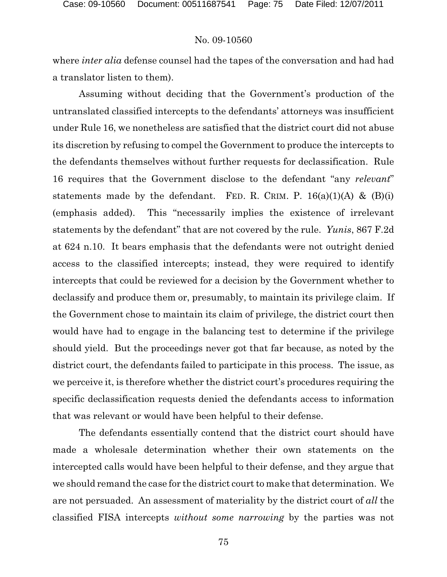where *inter alia* defense counsel had the tapes of the conversation and had had a translator listen to them).

Assuming without deciding that the Government's production of the untranslated classified intercepts to the defendants' attorneys was insufficient under Rule 16, we nonetheless are satisfied that the district court did not abuse its discretion by refusing to compel the Government to produce the intercepts to the defendants themselves without further requests for declassification. Rule 16 requires that the Government disclose to the defendant "any *relevant*" statements made by the defendant. FED. R. CRIM. P.  $16(a)(1)(A)$  &  $(B)(i)$ (emphasis added). This "necessarily implies the existence of irrelevant statements by the defendant" that are not covered by the rule. *Yunis*, 867 F.2d at 624 n.10. It bears emphasis that the defendants were not outright denied access to the classified intercepts; instead, they were required to identify intercepts that could be reviewed for a decision by the Government whether to declassify and produce them or, presumably, to maintain its privilege claim. If the Government chose to maintain its claim of privilege, the district court then would have had to engage in the balancing test to determine if the privilege should yield. But the proceedings never got that far because, as noted by the district court, the defendants failed to participate in this process. The issue, as we perceive it, is therefore whether the district court's procedures requiring the specific declassification requests denied the defendants access to information that was relevant or would have been helpful to their defense.

The defendants essentially contend that the district court should have made a wholesale determination whether their own statements on the intercepted calls would have been helpful to their defense, and they argue that we should remand the case for the district court to make that determination. We are not persuaded. An assessment of materiality by the district court of *all* the classified FISA intercepts *without some narrowing* by the parties was not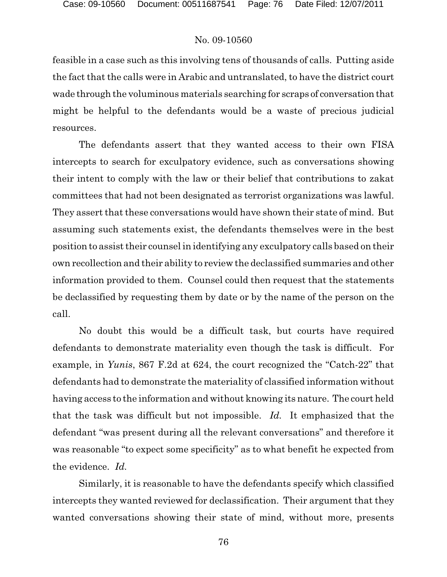feasible in a case such as this involving tens of thousands of calls. Putting aside the fact that the calls were in Arabic and untranslated, to have the district court wade through the voluminous materials searching for scraps of conversation that might be helpful to the defendants would be a waste of precious judicial resources.

The defendants assert that they wanted access to their own FISA intercepts to search for exculpatory evidence, such as conversations showing their intent to comply with the law or their belief that contributions to zakat committees that had not been designated as terrorist organizations was lawful. They assert that these conversations would have shown their state of mind. But assuming such statements exist, the defendants themselves were in the best position to assist their counsel in identifying any exculpatory calls based on their own recollection and their ability to review the declassified summaries and other information provided to them. Counsel could then request that the statements be declassified by requesting them by date or by the name of the person on the call.

No doubt this would be a difficult task, but courts have required defendants to demonstrate materiality even though the task is difficult. For example, in *Yunis*, 867 F.2d at 624, the court recognized the "Catch-22" that defendants had to demonstrate the materiality of classified information without having access to the information and without knowing its nature. The court held that the task was difficult but not impossible. *Id.* It emphasized that the defendant "was present during all the relevant conversations" and therefore it was reasonable "to expect some specificity" as to what benefit he expected from the evidence. *Id.*

Similarly, it is reasonable to have the defendants specify which classified intercepts they wanted reviewed for declassification. Their argument that they wanted conversations showing their state of mind, without more, presents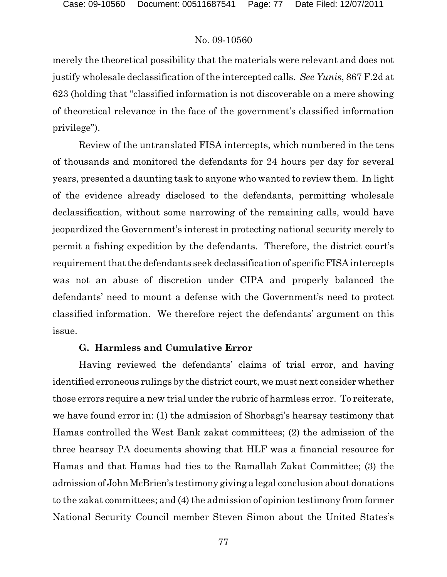merely the theoretical possibility that the materials were relevant and does not justify wholesale declassification of the intercepted calls. *See Yunis*, 867 F.2d at 623 (holding that "classified information is not discoverable on a mere showing of theoretical relevance in the face of the government's classified information privilege").

Review of the untranslated FISA intercepts, which numbered in the tens of thousands and monitored the defendants for 24 hours per day for several years, presented a daunting task to anyone who wanted to review them. In light of the evidence already disclosed to the defendants, permitting wholesale declassification, without some narrowing of the remaining calls, would have jeopardized the Government's interest in protecting national security merely to permit a fishing expedition by the defendants. Therefore, the district court's requirement that the defendants seek declassification of specific FISA intercepts was not an abuse of discretion under CIPA and properly balanced the defendants' need to mount a defense with the Government's need to protect classified information. We therefore reject the defendants' argument on this issue.

# **G. Harmless and Cumulative Error**

Having reviewed the defendants' claims of trial error, and having identified erroneous rulings by the district court, we must next consider whether those errors require a new trial under the rubric of harmless error. To reiterate, we have found error in: (1) the admission of Shorbagi's hearsay testimony that Hamas controlled the West Bank zakat committees; (2) the admission of the three hearsay PA documents showing that HLF was a financial resource for Hamas and that Hamas had ties to the Ramallah Zakat Committee; (3) the admission of JohnMcBrien's testimony giving a legal conclusion about donations to the zakat committees; and (4) the admission of opinion testimony from former National Security Council member Steven Simon about the United States's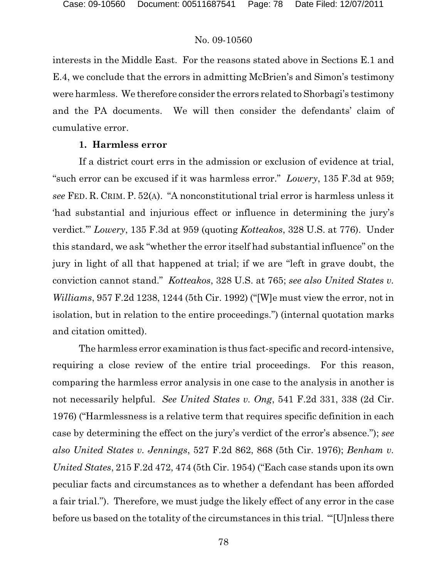interests in the Middle East. For the reasons stated above in Sections E.1 and E.4, we conclude that the errors in admitting McBrien's and Simon's testimony were harmless. We therefore consider the errors related to Shorbagi's testimony and the PA documents. We will then consider the defendants' claim of cumulative error.

#### **1. Harmless error**

If a district court errs in the admission or exclusion of evidence at trial, "such error can be excused if it was harmless error." *Lowery*, 135 F.3d at 959; *see* FED. R. CRIM. P. 52(A). "A nonconstitutional trial error is harmless unless it 'had substantial and injurious effect or influence in determining the jury's verdict.'" *Lowery*, 135 F.3d at 959 (quoting *Kotteakos*, 328 U.S. at 776). Under this standard, we ask "whether the error itself had substantial influence" on the jury in light of all that happened at trial; if we are "left in grave doubt, the conviction cannot stand." *Kotteakos*, 328 U.S. at 765; *see also United States v. Williams*, 957 F.2d 1238, 1244 (5th Cir. 1992) ("[W]e must view the error, not in isolation, but in relation to the entire proceedings.") (internal quotation marks and citation omitted).

The harmless error examination is thus fact-specific and record-intensive, requiring a close review of the entire trial proceedings. For this reason, comparing the harmless error analysis in one case to the analysis in another is not necessarily helpful. *See United States v. Ong*, 541 F.2d 331, 338 (2d Cir. 1976) ("Harmlessness is a relative term that requires specific definition in each case by determining the effect on the jury's verdict of the error's absence."); *see also United States v. Jennings*, 527 F.2d 862, 868 (5th Cir. 1976); *Benham v. United States*, 215 F.2d 472, 474 (5th Cir. 1954) ("Each case stands upon its own peculiar facts and circumstances as to whether a defendant has been afforded a fair trial."). Therefore, we must judge the likely effect of any error in the case before us based on the totality of the circumstances in this trial. "'[U]nless there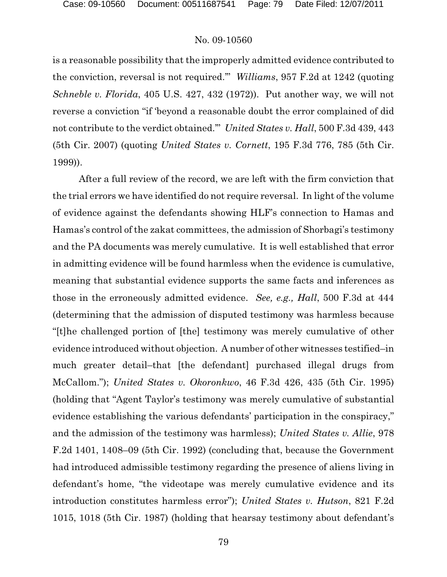is a reasonable possibility that the improperly admitted evidence contributed to the conviction, reversal is not required.'" *Williams*, 957 F.2d at 1242 (quoting *Schneble v. Florida*, 405 U.S. 427, 432 (1972)). Put another way, we will not reverse a conviction "if 'beyond a reasonable doubt the error complained of did not contribute to the verdict obtained.'" *United States v. Hall*, 500 F.3d 439, 443 (5th Cir. 2007) (quoting *United States v. Cornett*, 195 F.3d 776, 785 (5th Cir. 1999)).

After a full review of the record, we are left with the firm conviction that the trial errors we have identified do not require reversal. In light of the volume of evidence against the defendants showing HLF's connection to Hamas and Hamas's control of the zakat committees, the admission of Shorbagi's testimony and the PA documents was merely cumulative. It is well established that error in admitting evidence will be found harmless when the evidence is cumulative, meaning that substantial evidence supports the same facts and inferences as those in the erroneously admitted evidence. *See, e.g., Hall*, 500 F.3d at 444 (determining that the admission of disputed testimony was harmless because "[t]he challenged portion of [the] testimony was merely cumulative of other evidence introduced without objection. A number of other witnesses testified–in much greater detail–that [the defendant] purchased illegal drugs from McCallom."); *United States v. Okoronkwo*, 46 F.3d 426, 435 (5th Cir. 1995) (holding that "Agent Taylor's testimony was merely cumulative of substantial evidence establishing the various defendants' participation in the conspiracy," and the admission of the testimony was harmless); *United States v. Allie*, 978 F.2d 1401, 1408–09 (5th Cir. 1992) (concluding that, because the Government had introduced admissible testimony regarding the presence of aliens living in defendant's home, "the videotape was merely cumulative evidence and its introduction constitutes harmless error"); *United States v. Hutson*, 821 F.2d 1015, 1018 (5th Cir. 1987) (holding that hearsay testimony about defendant's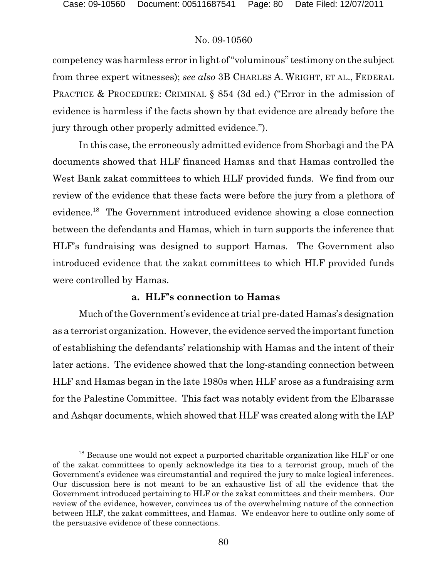competency was harmless error in light of "voluminous" testimony on the subject from three expert witnesses); *see also* 3B CHARLES A. WRIGHT, ET AL., FEDERAL PRACTICE & PROCEDURE: CRIMINAL § 854 (3d ed.) ("Error in the admission of evidence is harmless if the facts shown by that evidence are already before the jury through other properly admitted evidence.").

In this case, the erroneously admitted evidence from Shorbagi and the PA documents showed that HLF financed Hamas and that Hamas controlled the West Bank zakat committees to which HLF provided funds. We find from our review of the evidence that these facts were before the jury from a plethora of evidence.<sup>18</sup> The Government introduced evidence showing a close connection between the defendants and Hamas, which in turn supports the inference that HLF's fundraising was designed to support Hamas. The Government also introduced evidence that the zakat committees to which HLF provided funds were controlled by Hamas.

## **a. HLF's connection to Hamas**

Much ofthe Government's evidence at trial pre-dated Hamas's designation as a terrorist organization. However, the evidence served the important function of establishing the defendants' relationship with Hamas and the intent of their later actions. The evidence showed that the long-standing connection between HLF and Hamas began in the late 1980s when HLF arose as a fundraising arm for the Palestine Committee. This fact was notably evident from the Elbarasse and Ashqar documents, which showed that HLF was created along with the IAP

 $^{18}$  Because one would not expect a purported charitable organization like HLF or one of the zakat committees to openly acknowledge its ties to a terrorist group, much of the Government's evidence was circumstantial and required the jury to make logical inferences. Our discussion here is not meant to be an exhaustive list of all the evidence that the Government introduced pertaining to HLF or the zakat committees and their members. Our review of the evidence, however, convinces us of the overwhelming nature of the connection between HLF, the zakat committees, and Hamas. We endeavor here to outline only some of the persuasive evidence of these connections.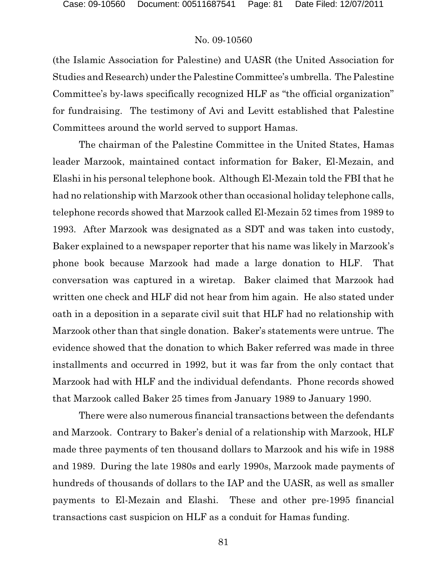(the Islamic Association for Palestine) and UASR (the United Association for Studies and Research) under the Palestine Committee's umbrella. The Palestine Committee's by-laws specifically recognized HLF as "the official organization" for fundraising. The testimony of Avi and Levitt established that Palestine Committees around the world served to support Hamas.

The chairman of the Palestine Committee in the United States, Hamas leader Marzook, maintained contact information for Baker, El-Mezain, and Elashi in his personal telephone book. Although El-Mezain told the FBI that he had no relationship with Marzook other than occasional holiday telephone calls, telephone records showed that Marzook called El-Mezain 52 times from 1989 to 1993. After Marzook was designated as a SDT and was taken into custody, Baker explained to a newspaper reporter that his name was likely in Marzook's phone book because Marzook had made a large donation to HLF. That conversation was captured in a wiretap. Baker claimed that Marzook had written one check and HLF did not hear from him again. He also stated under oath in a deposition in a separate civil suit that HLF had no relationship with Marzook other than that single donation. Baker's statements were untrue. The evidence showed that the donation to which Baker referred was made in three installments and occurred in 1992, but it was far from the only contact that Marzook had with HLF and the individual defendants. Phone records showed that Marzook called Baker 25 times from January 1989 to January 1990.

There were also numerous financial transactions between the defendants and Marzook. Contrary to Baker's denial of a relationship with Marzook, HLF made three payments of ten thousand dollars to Marzook and his wife in 1988 and 1989. During the late 1980s and early 1990s, Marzook made payments of hundreds of thousands of dollars to the IAP and the UASR, as well as smaller payments to El-Mezain and Elashi. These and other pre-1995 financial transactions cast suspicion on HLF as a conduit for Hamas funding.

81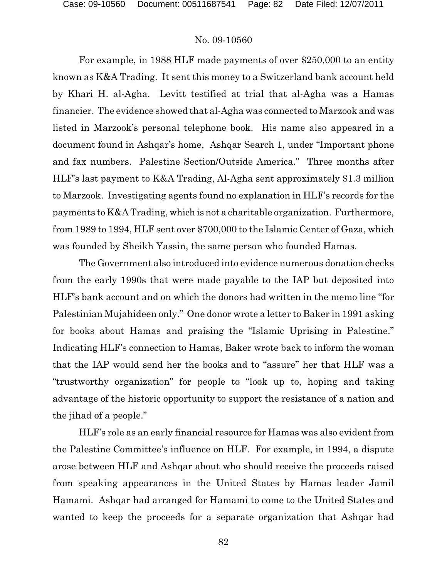For example, in 1988 HLF made payments of over \$250,000 to an entity known as K&A Trading. It sent this money to a Switzerland bank account held by Khari H. al-Agha. Levitt testified at trial that al-Agha was a Hamas financier. The evidence showed that al-Agha was connected to Marzook and was listed in Marzook's personal telephone book. His name also appeared in a document found in Ashqar's home, Ashqar Search 1, under "Important phone and fax numbers. Palestine Section/Outside America." Three months after HLF's last payment to K&A Trading, Al-Agha sent approximately \$1.3 million to Marzook. Investigating agents found no explanation in HLF's records for the payments to K&A Trading, which is not a charitable organization. Furthermore, from 1989 to 1994, HLF sent over \$700,000 to the Islamic Center of Gaza, which was founded by Sheikh Yassin, the same person who founded Hamas.

The Government also introduced into evidence numerous donation checks from the early 1990s that were made payable to the IAP but deposited into HLF's bank account and on which the donors had written in the memo line "for Palestinian Mujahideen only." One donor wrote a letter to Baker in 1991 asking for books about Hamas and praising the "Islamic Uprising in Palestine." Indicating HLF's connection to Hamas, Baker wrote back to inform the woman that the IAP would send her the books and to "assure" her that HLF was a "trustworthy organization" for people to "look up to, hoping and taking advantage of the historic opportunity to support the resistance of a nation and the jihad of a people."

HLF's role as an early financial resource for Hamas was also evident from the Palestine Committee's influence on HLF. For example, in 1994, a dispute arose between HLF and Ashqar about who should receive the proceeds raised from speaking appearances in the United States by Hamas leader Jamil Hamami. Ashqar had arranged for Hamami to come to the United States and wanted to keep the proceeds for a separate organization that Ashqar had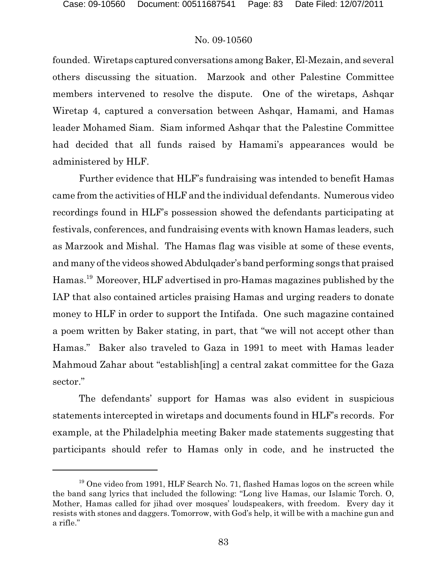founded. Wiretaps captured conversations among Baker, El-Mezain, and several others discussing the situation. Marzook and other Palestine Committee members intervened to resolve the dispute. One of the wiretaps, Ashqar Wiretap 4, captured a conversation between Ashqar, Hamami, and Hamas leader Mohamed Siam. Siam informed Ashqar that the Palestine Committee had decided that all funds raised by Hamami's appearances would be administered by HLF.

Further evidence that HLF's fundraising was intended to benefit Hamas came from the activities of HLF and the individual defendants. Numerous video recordings found in HLF's possession showed the defendants participating at festivals, conferences, and fundraising events with known Hamas leaders, such as Marzook and Mishal. The Hamas flag was visible at some of these events, and many of the videos showed Abdulqader's band performing songs that praised Hamas.<sup>19</sup> Moreover, HLF advertised in pro-Hamas magazines published by the IAP that also contained articles praising Hamas and urging readers to donate money to HLF in order to support the Intifada. One such magazine contained a poem written by Baker stating, in part, that "we will not accept other than Hamas." Baker also traveled to Gaza in 1991 to meet with Hamas leader Mahmoud Zahar about "establish[ing] a central zakat committee for the Gaza sector."

The defendants' support for Hamas was also evident in suspicious statements intercepted in wiretaps and documents found in HLF's records. For example, at the Philadelphia meeting Baker made statements suggesting that participants should refer to Hamas only in code, and he instructed the

 $19$  One video from 1991, HLF Search No. 71, flashed Hamas logos on the screen while the band sang lyrics that included the following: "Long live Hamas, our Islamic Torch. O, Mother, Hamas called for jihad over mosques' loudspeakers, with freedom. Every day it resists with stones and daggers. Tomorrow, with God's help, it will be with a machine gun and a rifle."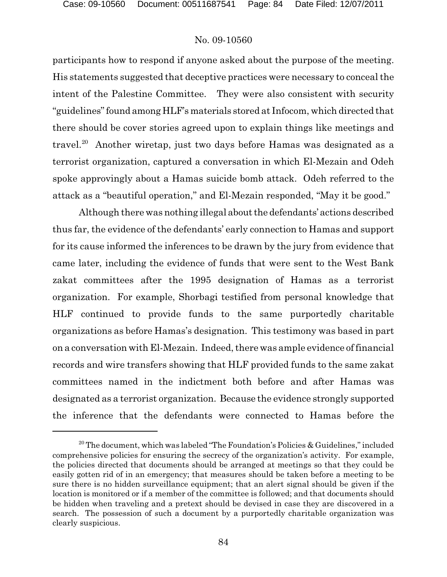participants how to respond if anyone asked about the purpose of the meeting. His statements suggested that deceptive practices were necessary to conceal the intent of the Palestine Committee. They were also consistent with security "guidelines"found among HLF's materials stored at Infocom, which directed that there should be cover stories agreed upon to explain things like meetings and travel.<sup>20</sup> Another wiretap, just two days before Hamas was designated as a terrorist organization, captured a conversation in which El-Mezain and Odeh spoke approvingly about a Hamas suicide bomb attack. Odeh referred to the attack as a "beautiful operation," and El-Mezain responded, "May it be good."

Although there was nothing illegal about the defendants' actions described thus far, the evidence of the defendants' early connection to Hamas and support for its cause informed the inferences to be drawn by the jury from evidence that came later, including the evidence of funds that were sent to the West Bank zakat committees after the 1995 designation of Hamas as a terrorist organization. For example, Shorbagi testified from personal knowledge that HLF continued to provide funds to the same purportedly charitable organizations as before Hamas's designation. This testimony was based in part on a conversation with El-Mezain. Indeed, there was ample evidence of financial records and wire transfers showing that HLF provided funds to the same zakat committees named in the indictment both before and after Hamas was designated as a terrorist organization. Because the evidence strongly supported the inference that the defendants were connected to Hamas before the

<sup>&</sup>lt;sup>20</sup> The document, which was labeled "The Foundation's Policies & Guidelines," included comprehensive policies for ensuring the secrecy of the organization's activity. For example, the policies directed that documents should be arranged at meetings so that they could be easily gotten rid of in an emergency; that measures should be taken before a meeting to be sure there is no hidden surveillance equipment; that an alert signal should be given if the location is monitored or if a member of the committee is followed; and that documents should be hidden when traveling and a pretext should be devised in case they are discovered in a search. The possession of such a document by a purportedly charitable organization was clearly suspicious.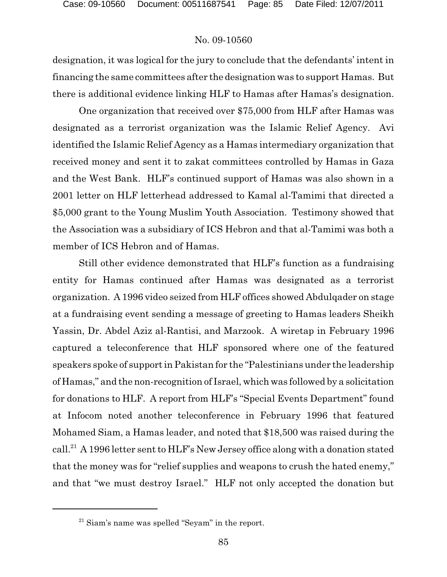designation, it was logical for the jury to conclude that the defendants' intent in financing the same committees after the designation was to support Hamas. But there is additional evidence linking HLF to Hamas after Hamas's designation.

One organization that received over \$75,000 from HLF after Hamas was designated as a terrorist organization was the Islamic Relief Agency. Avi identified the Islamic Relief Agency as a Hamas intermediary organization that received money and sent it to zakat committees controlled by Hamas in Gaza and the West Bank. HLF's continued support of Hamas was also shown in a 2001 letter on HLF letterhead addressed to Kamal al-Tamimi that directed a \$5,000 grant to the Young Muslim Youth Association. Testimony showed that the Association was a subsidiary of ICS Hebron and that al-Tamimi was both a member of ICS Hebron and of Hamas.

Still other evidence demonstrated that HLF's function as a fundraising entity for Hamas continued after Hamas was designated as a terrorist organization. A 1996 video seized from HLF offices showed Abdulqader on stage at a fundraising event sending a message of greeting to Hamas leaders Sheikh Yassin, Dr. Abdel Aziz al-Rantisi, and Marzook. A wiretap in February 1996 captured a teleconference that HLF sponsored where one of the featured speakers spoke of support in Pakistan for the "Palestinians under the leadership of Hamas," and the non-recognition of Israel, which was followed by a solicitation for donations to HLF. A report from HLF's "Special Events Department" found at Infocom noted another teleconference in February 1996 that featured Mohamed Siam, a Hamas leader, and noted that \$18,500 was raised during the call.<sup>21</sup> A 1996 letter sent to HLF's New Jersey office along with a donation stated that the money was for "relief supplies and weapons to crush the hated enemy," and that "we must destroy Israel." HLF not only accepted the donation but

 $21$  Siam's name was spelled "Seyam" in the report.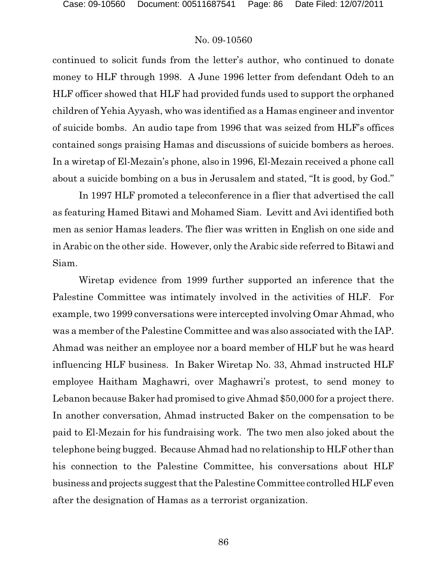continued to solicit funds from the letter's author, who continued to donate money to HLF through 1998. A June 1996 letter from defendant Odeh to an HLF officer showed that HLF had provided funds used to support the orphaned children of Yehia Ayyash, who was identified as a Hamas engineer and inventor of suicide bombs. An audio tape from 1996 that was seized from HLF's offices contained songs praising Hamas and discussions of suicide bombers as heroes. In a wiretap of El-Mezain's phone, also in 1996, El-Mezain received a phone call about a suicide bombing on a bus in Jerusalem and stated, "It is good, by God."

In 1997 HLF promoted a teleconference in a flier that advertised the call as featuring Hamed Bitawi and Mohamed Siam. Levitt and Avi identified both men as senior Hamas leaders. The flier was written in English on one side and in Arabic on the other side. However, only the Arabic side referred to Bitawi and Siam.

Wiretap evidence from 1999 further supported an inference that the Palestine Committee was intimately involved in the activities of HLF. For example, two 1999 conversations were intercepted involving Omar Ahmad, who was a member of the Palestine Committee and was also associated with the IAP. Ahmad was neither an employee nor a board member of HLF but he was heard influencing HLF business. In Baker Wiretap No. 33, Ahmad instructed HLF employee Haitham Maghawri, over Maghawri's protest, to send money to Lebanon because Baker had promised to give Ahmad \$50,000 for a project there. In another conversation, Ahmad instructed Baker on the compensation to be paid to El-Mezain for his fundraising work. The two men also joked about the telephone being bugged. Because Ahmad had no relationship to HLF other than his connection to the Palestine Committee, his conversations about HLF business and projects suggest that the Palestine Committee controlled HLF even after the designation of Hamas as a terrorist organization.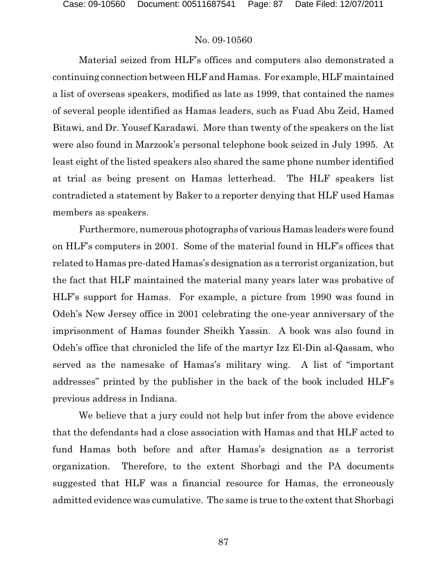Material seized from HLF's offices and computers also demonstrated a continuing connection between HLF and Hamas. For example, HLF maintained a list of overseas speakers, modified as late as 1999, that contained the names of several people identified as Hamas leaders, such as Fuad Abu Zeid, Hamed Bitawi, and Dr. Yousef Karadawi. More than twenty of the speakers on the list were also found in Marzook's personal telephone book seized in July 1995. At least eight of the listed speakers also shared the same phone number identified at trial as being present on Hamas letterhead. The HLF speakers list contradicted a statement by Baker to a reporter denying that HLF used Hamas members as speakers.

Furthermore, numerous photographs of various Hamas leaders were found on HLF's computers in 2001. Some of the material found in HLF's offices that related to Hamas pre-dated Hamas's designation as a terrorist organization, but the fact that HLF maintained the material many years later was probative of HLF's support for Hamas. For example, a picture from 1990 was found in Odeh's New Jersey office in 2001 celebrating the one-year anniversary of the imprisonment of Hamas founder Sheikh Yassin. A book was also found in Odeh's office that chronicled the life of the martyr Izz El-Din al-Qassam, who served as the namesake of Hamas's military wing. A list of "important addresses" printed by the publisher in the back of the book included HLF's previous address in Indiana.

We believe that a jury could not help but infer from the above evidence that the defendants had a close association with Hamas and that HLF acted to fund Hamas both before and after Hamas's designation as a terrorist organization. Therefore, to the extent Shorbagi and the PA documents suggested that HLF was a financial resource for Hamas, the erroneously admitted evidence was cumulative. The same is true to the extent that Shorbagi

87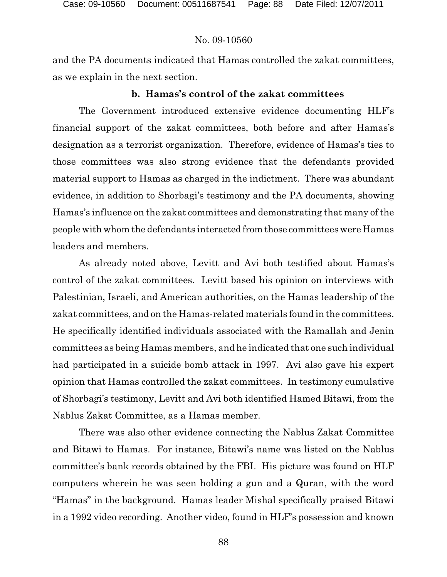and the PA documents indicated that Hamas controlled the zakat committees, as we explain in the next section.

## **b. Hamas's control of the zakat committees**

The Government introduced extensive evidence documenting HLF's financial support of the zakat committees, both before and after Hamas's designation as a terrorist organization. Therefore, evidence of Hamas's ties to those committees was also strong evidence that the defendants provided material support to Hamas as charged in the indictment. There was abundant evidence, in addition to Shorbagi's testimony and the PA documents, showing Hamas's influence on the zakat committees and demonstrating that many of the people with whom the defendants interacted from those committees were Hamas leaders and members.

As already noted above, Levitt and Avi both testified about Hamas's control of the zakat committees. Levitt based his opinion on interviews with Palestinian, Israeli, and American authorities, on the Hamas leadership of the zakat committees, and on the Hamas-related materials found in the committees. He specifically identified individuals associated with the Ramallah and Jenin committees as being Hamas members, and he indicated that one such individual had participated in a suicide bomb attack in 1997. Avi also gave his expert opinion that Hamas controlled the zakat committees. In testimony cumulative of Shorbagi's testimony, Levitt and Avi both identified Hamed Bitawi, from the Nablus Zakat Committee, as a Hamas member.

There was also other evidence connecting the Nablus Zakat Committee and Bitawi to Hamas. For instance, Bitawi's name was listed on the Nablus committee's bank records obtained by the FBI. His picture was found on HLF computers wherein he was seen holding a gun and a Quran, with the word "Hamas" in the background. Hamas leader Mishal specifically praised Bitawi in a 1992 video recording. Another video, found in HLF's possession and known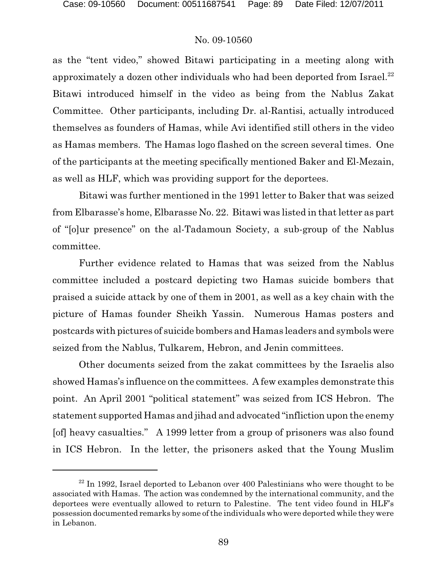as the "tent video," showed Bitawi participating in a meeting along with approximately a dozen other individuals who had been deported from Israel.<sup>22</sup> Bitawi introduced himself in the video as being from the Nablus Zakat Committee. Other participants, including Dr. al-Rantisi, actually introduced themselves as founders of Hamas, while Avi identified still others in the video as Hamas members. The Hamas logo flashed on the screen several times. One of the participants at the meeting specifically mentioned Baker and El-Mezain, as well as HLF, which was providing support for the deportees.

Bitawi was further mentioned in the 1991 letter to Baker that was seized from Elbarasse's home, Elbarasse No. 22. Bitawi was listed in that letter as part of "[o]ur presence" on the al-Tadamoun Society, a sub-group of the Nablus committee.

Further evidence related to Hamas that was seized from the Nablus committee included a postcard depicting two Hamas suicide bombers that praised a suicide attack by one of them in 2001, as well as a key chain with the picture of Hamas founder Sheikh Yassin. Numerous Hamas posters and postcards with pictures of suicide bombers and Hamas leaders and symbols were seized from the Nablus, Tulkarem, Hebron, and Jenin committees.

Other documents seized from the zakat committees by the Israelis also showed Hamas's influence on the committees. A few examples demonstrate this point. An April 2001 "political statement" was seized from ICS Hebron. The statement supported Hamas and jihad and advocated "infliction upon the enemy [of] heavy casualties." A 1999 letter from a group of prisoners was also found in ICS Hebron. In the letter, the prisoners asked that the Young Muslim

 $22$  In 1992, Israel deported to Lebanon over 400 Palestinians who were thought to be associated with Hamas. The action was condemned by the international community, and the deportees were eventually allowed to return to Palestine. The tent video found in HLF's possession documented remarks by some of the individuals who were deported while they were in Lebanon.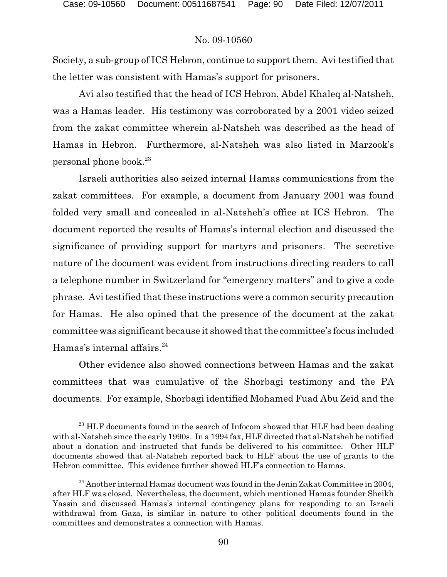Society, a sub-group of ICS Hebron, continue to support them. Avi testified that the letter was consistent with Hamas's support for prisoners.

Avi also testified that the head of ICS Hebron, Abdel Khaleq al-Natsheh, was a Hamas leader. His testimony was corroborated by a 2001 video seized from the zakat committee wherein al-Natsheh was described as the head of Hamas in Hebron. Furthermore, al-Natsheh was also listed in Marzook's personal phone book.<sup>23</sup>

Israeli authorities also seized internal Hamas communications from the zakat committees. For example, a document from January 2001 was found folded very small and concealed in al-Natsheh's office at ICS Hebron. The document reported the results of Hamas's internal election and discussed the significance of providing support for martyrs and prisoners. The secretive nature of the document was evident from instructions directing readers to call a telephone number in Switzerland for "emergency matters" and to give a code phrase. Avi testified that these instructions were a common security precaution for Hamas. He also opined that the presence of the document at the zakat committee was significant because it showed that the committee's focus included Hamas's internal affairs.<sup>24</sup>

Other evidence also showed connections between Hamas and the zakat committees that was cumulative of the Shorbagi testimony and the PA documents. For example, Shorbagi identified Mohamed Fuad Abu Zeid and the

 $^{23}$  HLF documents found in the search of Infocom showed that HLF had been dealing with al-Natsheh since the early 1990s. In a 1994 fax, HLF directed that al-Natsheh be notified about a donation and instructed that funds be delivered to his committee. Other HLF documents showed that al-Natsheh reported back to HLF about the use of grants to the Hebron committee. This evidence further showed HLF's connection to Hamas.

<sup>&</sup>lt;sup>24</sup> Another internal Hamas document was found in the Jenin Zakat Committee in 2004, after HLF was closed. Nevertheless, the document, which mentioned Hamas founder Sheikh Yassin and discussed Hamas's internal contingency plans for responding to an Israeli withdrawal from Gaza, is similar in nature to other political documents found in the committees and demonstrates a connection with Hamas.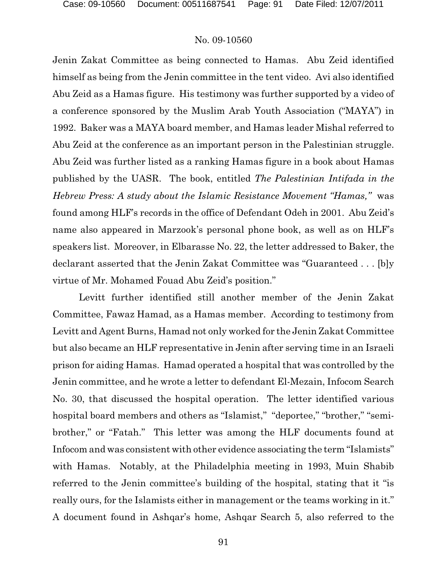Jenin Zakat Committee as being connected to Hamas. Abu Zeid identified himself as being from the Jenin committee in the tent video. Avi also identified Abu Zeid as a Hamas figure. His testimony was further supported by a video of a conference sponsored by the Muslim Arab Youth Association ("MAYA") in 1992. Baker was a MAYA board member, and Hamas leader Mishal referred to Abu Zeid at the conference as an important person in the Palestinian struggle. Abu Zeid was further listed as a ranking Hamas figure in a book about Hamas published by the UASR. The book, entitled *The Palestinian Intifada in the Hebrew Press: A study about the Islamic Resistance Movement "Hamas,"* was found among HLF's records in the office of Defendant Odeh in 2001. Abu Zeid's name also appeared in Marzook's personal phone book, as well as on HLF's speakers list. Moreover, in Elbarasse No. 22, the letter addressed to Baker, the declarant asserted that the Jenin Zakat Committee was "Guaranteed . . . [b]y virtue of Mr. Mohamed Fouad Abu Zeid's position."

Levitt further identified still another member of the Jenin Zakat Committee, Fawaz Hamad, as a Hamas member. According to testimony from Levitt and Agent Burns, Hamad not only worked for the Jenin Zakat Committee but also became an HLF representative in Jenin after serving time in an Israeli prison for aiding Hamas. Hamad operated a hospital that was controlled by the Jenin committee, and he wrote a letter to defendant El-Mezain, Infocom Search No. 30, that discussed the hospital operation. The letter identified various hospital board members and others as "Islamist," "deportee," "brother," "semibrother," or "Fatah." This letter was among the HLF documents found at Infocom and was consistent with other evidence associating the term "Islamists" with Hamas. Notably, at the Philadelphia meeting in 1993, Muin Shabib referred to the Jenin committee's building of the hospital, stating that it "is really ours, for the Islamists either in management or the teams working in it." A document found in Ashqar's home, Ashqar Search 5, also referred to the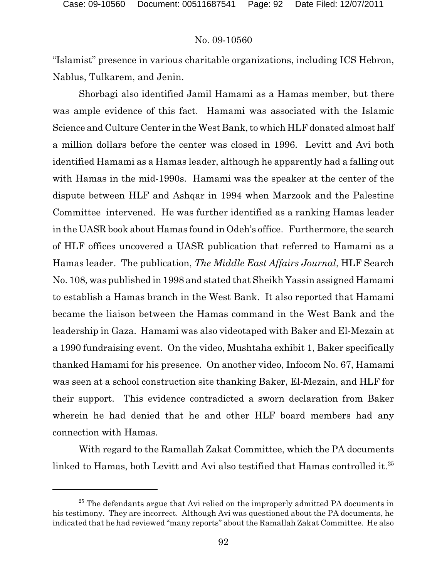"Islamist" presence in various charitable organizations, including ICS Hebron, Nablus, Tulkarem, and Jenin.

Shorbagi also identified Jamil Hamami as a Hamas member, but there was ample evidence of this fact. Hamami was associated with the Islamic Science and Culture Center in the West Bank, to which HLF donated almost half a million dollars before the center was closed in 1996. Levitt and Avi both identified Hamami as a Hamas leader, although he apparently had a falling out with Hamas in the mid-1990s. Hamami was the speaker at the center of the dispute between HLF and Ashqar in 1994 when Marzook and the Palestine Committee intervened. He was further identified as a ranking Hamas leader in the UASR book about Hamas found in Odeh's office. Furthermore, the search of HLF offices uncovered a UASR publication that referred to Hamami as a Hamas leader. The publication, *The Middle East Affairs Journal*, HLF Search No. 108, was published in 1998 and stated that Sheikh Yassin assigned Hamami to establish a Hamas branch in the West Bank. It also reported that Hamami became the liaison between the Hamas command in the West Bank and the leadership in Gaza. Hamami was also videotaped with Baker and El-Mezain at a 1990 fundraising event. On the video, Mushtaha exhibit 1, Baker specifically thanked Hamami for his presence. On another video, Infocom No. 67, Hamami was seen at a school construction site thanking Baker, El-Mezain, and HLF for their support. This evidence contradicted a sworn declaration from Baker wherein he had denied that he and other HLF board members had any connection with Hamas.

With regard to the Ramallah Zakat Committee, which the PA documents linked to Hamas, both Levitt and Avi also testified that Hamas controlled it.<sup>25</sup>

 $25$  The defendants argue that Avi relied on the improperly admitted PA documents in his testimony. They are incorrect. Although Avi was questioned about the PA documents, he indicated that he had reviewed "many reports" aboutthe Ramallah Zakat Committee. He also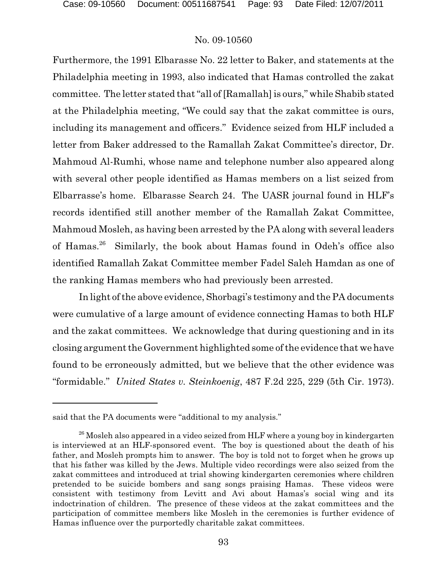Furthermore, the 1991 Elbarasse No. 22 letter to Baker, and statements at the Philadelphia meeting in 1993, also indicated that Hamas controlled the zakat committee. The letter stated that "all of [Ramallah] is ours," while Shabib stated at the Philadelphia meeting, "We could say that the zakat committee is ours, including its management and officers." Evidence seized from HLF included a letter from Baker addressed to the Ramallah Zakat Committee's director, Dr. Mahmoud Al-Rumhi, whose name and telephone number also appeared along with several other people identified as Hamas members on a list seized from Elbarrasse's home. Elbarasse Search 24. The UASR journal found in HLF's records identified still another member of the Ramallah Zakat Committee, Mahmoud Mosleh, as having been arrested by the PA along with several leaders of Hamas.<sup>26</sup> Similarly, the book about Hamas found in Odeh's office also identified Ramallah Zakat Committee member Fadel Saleh Hamdan as one of the ranking Hamas members who had previously been arrested.

In light of the above evidence, Shorbagi's testimony and the PA documents were cumulative of a large amount of evidence connecting Hamas to both HLF and the zakat committees. We acknowledge that during questioning and in its closing argument the Government highlighted some of the evidence that we have found to be erroneously admitted, but we believe that the other evidence was "formidable." *United States v. Steinkoenig*, 487 F.2d 225, 229 (5th Cir. 1973).

said that the PA documents were "additional to my analysis."

 $^{26}$  Mosleh also appeared in a video seized from HLF where a young boy in kindergarten is interviewed at an HLF-sponsored event. The boy is questioned about the death of his father, and Mosleh prompts him to answer. The boy is told not to forget when he grows up that his father was killed by the Jews. Multiple video recordings were also seized from the zakat committees and introduced at trial showing kindergarten ceremonies where children pretended to be suicide bombers and sang songs praising Hamas. These videos were consistent with testimony from Levitt and Avi about Hamas's social wing and its indoctrination of children. The presence of these videos at the zakat committees and the participation of committee members like Mosleh in the ceremonies is further evidence of Hamas influence over the purportedly charitable zakat committees.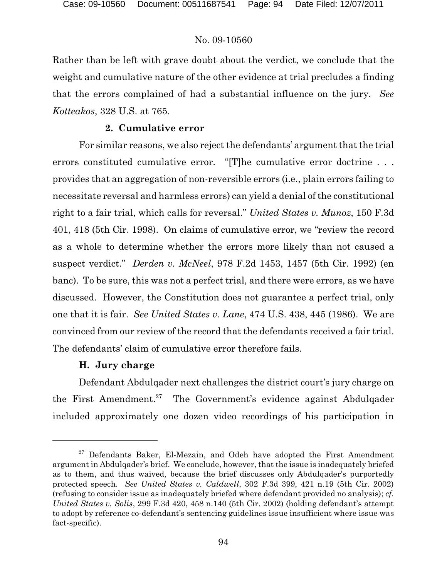Rather than be left with grave doubt about the verdict, we conclude that the weight and cumulative nature of the other evidence at trial precludes a finding that the errors complained of had a substantial influence on the jury. *See Kotteakos*, 328 U.S. at 765.

# **2. Cumulative error**

For similar reasons, we also reject the defendants' argument that the trial errors constituted cumulative error. "[T]he cumulative error doctrine . . . provides that an aggregation of non-reversible errors (i.e., plain errors failing to necessitate reversal and harmless errors) can yield a denial of the constitutional right to a fair trial, which calls for reversal." *United States v. Munoz*, 150 F.3d 401, 418 (5th Cir. 1998). On claims of cumulative error, we "review the record as a whole to determine whether the errors more likely than not caused a suspect verdict." *Derden v. McNeel*, 978 F.2d 1453, 1457 (5th Cir. 1992) (en banc). To be sure, this was not a perfect trial, and there were errors, as we have discussed. However, the Constitution does not guarantee a perfect trial, only one that it is fair. *See United States v. Lane*, 474 U.S. 438, 445 (1986). We are convinced from our review of the record that the defendants received a fair trial. The defendants' claim of cumulative error therefore fails.

# **H. Jury charge**

Defendant Abdulqader next challenges the district court's jury charge on the First Amendment.<sup>27</sup> The Government's evidence against Abdulgader included approximately one dozen video recordings of his participation in

 $27$  Defendants Baker, El-Mezain, and Odeh have adopted the First Amendment argument in Abdulqader's brief. We conclude, however, that the issue is inadequately briefed as to them, and thus waived, because the brief discusses only Abdulqader's purportedly protected speech. *See United States v. Caldwell*, 302 F.3d 399, 421 n.19 (5th Cir. 2002) (refusing to consider issue as inadequately briefed where defendant provided no analysis); *cf. United States v. Solis*, 299 F.3d 420, 458 n.140 (5th Cir. 2002) (holding defendant's attempt to adopt by reference co-defendant's sentencing guidelines issue insufficient where issue was fact-specific).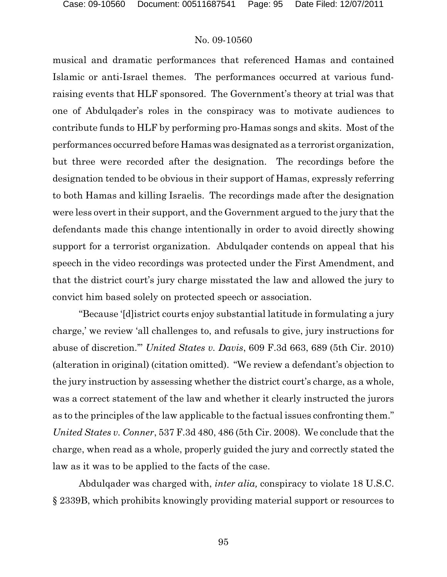musical and dramatic performances that referenced Hamas and contained Islamic or anti-Israel themes. The performances occurred at various fundraising events that HLF sponsored. The Government's theory at trial was that one of Abdulqader's roles in the conspiracy was to motivate audiences to contribute funds to HLF by performing pro-Hamas songs and skits. Most of the performances occurred before Hamaswas designated as a terrorist organization, but three were recorded after the designation. The recordings before the designation tended to be obvious in their support of Hamas, expressly referring to both Hamas and killing Israelis. The recordings made after the designation were less overt in their support, and the Government argued to the jury that the defendants made this change intentionally in order to avoid directly showing support for a terrorist organization. Abdulqader contends on appeal that his speech in the video recordings was protected under the First Amendment, and that the district court's jury charge misstated the law and allowed the jury to convict him based solely on protected speech or association.

"Because '[d]istrict courts enjoy substantial latitude in formulating a jury charge,' we review 'all challenges to, and refusals to give, jury instructions for abuse of discretion.'" *United States v. Davis*, 609 F.3d 663, 689 (5th Cir. 2010) (alteration in original) (citation omitted). "We review a defendant's objection to the jury instruction by assessing whether the district court's charge, as a whole, was a correct statement of the law and whether it clearly instructed the jurors as to the principles of the law applicable to the factual issues confronting them." *United States v. Conner*, 537 F.3d 480, 486 (5th Cir. 2008). We conclude that the charge, when read as a whole, properly guided the jury and correctly stated the law as it was to be applied to the facts of the case.

Abdulqader was charged with, *inter alia,* conspiracy to violate 18 U.S.C. § 2339B, which prohibits knowingly providing material support or resources to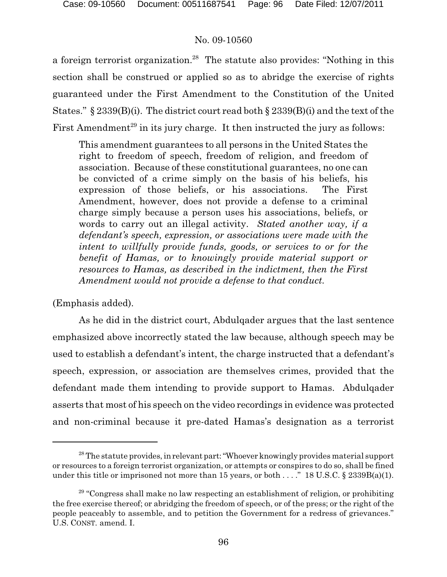a foreign terrorist organization.<sup>28</sup> The statute also provides: "Nothing in this section shall be construed or applied so as to abridge the exercise of rights guaranteed under the First Amendment to the Constitution of the United States." § 2339(B)(i). The district court read both § 2339(B)(i) and the text of the First Amendment<sup>29</sup> in its jury charge. It then instructed the jury as follows:

This amendment guarantees to all persons in the United States the right to freedom of speech, freedom of religion, and freedom of association. Because of these constitutional guarantees, no one can be convicted of a crime simply on the basis of his beliefs, his expression of those beliefs, or his associations. The First Amendment, however, does not provide a defense to a criminal charge simply because a person uses his associations, beliefs, or words to carry out an illegal activity. *Stated another way, if a defendant's speech, expression, or associations were made with the intent to willfully provide funds, goods, or services to or for the benefit of Hamas, or to knowingly provide material support or resources to Hamas, as described in the indictment, then the First Amendment would not provide a defense to that conduct.*

(Emphasis added).

As he did in the district court, Abdulqader argues that the last sentence emphasized above incorrectly stated the law because, although speech may be used to establish a defendant's intent, the charge instructed that a defendant's speech, expression, or association are themselves crimes, provided that the defendant made them intending to provide support to Hamas. Abdulqader asserts that most of his speech on the video recordings in evidence was protected and non-criminal because it pre-dated Hamas's designation as a terrorist

 $^{28}$  The statute provides, in relevant part: "Whoever knowingly provides material support or resources to a foreign terrorist organization, or attempts or conspires to do so, shall be fined under this title or imprisoned not more than 15 years, or both . . . ." 18 U.S.C.  $\S$  2339B(a)(1).

 $29$  "Congress shall make no law respecting an establishment of religion, or prohibiting the free exercise thereof; or abridging the freedom of speech, or of the press; or the right of the people peaceably to assemble, and to petition the Government for a redress of grievances." U.S. CONST. amend. I.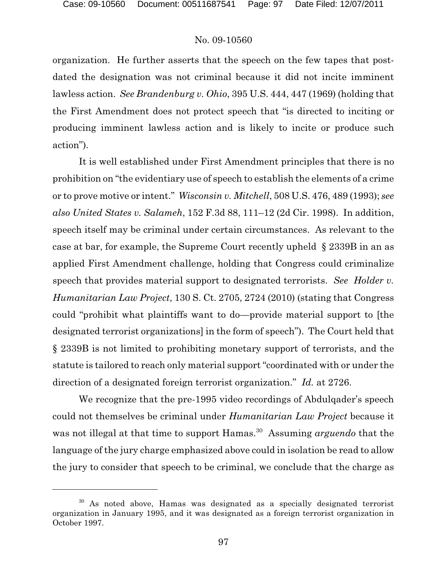organization. He further asserts that the speech on the few tapes that postdated the designation was not criminal because it did not incite imminent lawless action. *See Brandenburg v. Ohio*, 395 U.S. 444, 447 (1969) (holding that the First Amendment does not protect speech that "is directed to inciting or producing imminent lawless action and is likely to incite or produce such action").

It is well established under First Amendment principles that there is no prohibition on "the evidentiary use of speech to establish the elements of a crime or to prove motive or intent." *Wisconsin v. Mitchell*, 508 U.S. 476, 489 (1993); *see also United States v. Salameh*, 152 F.3d 88, 111–12 (2d Cir. 1998). In addition, speech itself may be criminal under certain circumstances. As relevant to the case at bar, for example, the Supreme Court recently upheld § 2339B in an as applied First Amendment challenge, holding that Congress could criminalize speech that provides material support to designated terrorists. *See Holder v. Humanitarian Law Project*, 130 S. Ct. 2705, 2724 (2010) (stating that Congress could "prohibit what plaintiffs want to do—provide material support to [the designated terrorist organizations] in the form of speech"). The Court held that § 2339B is not limited to prohibiting monetary support of terrorists, and the statute is tailored to reach only material support "coordinated with or under the direction of a designated foreign terrorist organization." *Id.* at 2726.

We recognize that the pre-1995 video recordings of Abdulqader's speech could not themselves be criminal under *Humanitarian Law Project* because it was not illegal at that time to support Hamas.<sup>30</sup> Assuming *arguendo* that the language of the jury charge emphasized above could in isolation be read to allow the jury to consider that speech to be criminal, we conclude that the charge as

As noted above, Hamas was designated as a specially designated terrorist organization in January 1995, and it was designated as a foreign terrorist organization in October 1997.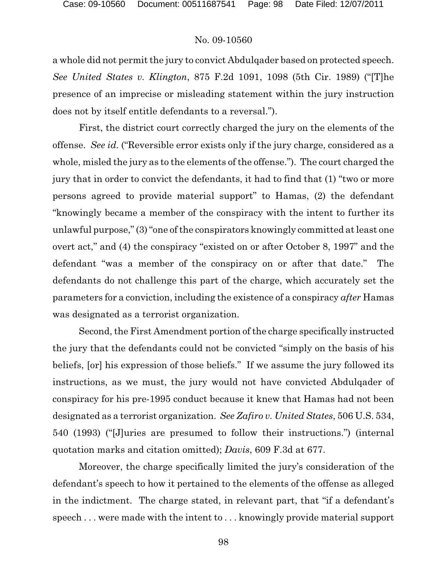a whole did not permit the jury to convict Abdulqader based on protected speech. *See United States v. Klington*, 875 F.2d 1091, 1098 (5th Cir. 1989) ("[T]he presence of an imprecise or misleading statement within the jury instruction does not by itself entitle defendants to a reversal.").

First, the district court correctly charged the jury on the elements of the offense. *See id.* ("Reversible error exists only if the jury charge, considered as a whole, misled the jury as to the elements of the offense."). The court charged the jury that in order to convict the defendants, it had to find that (1) "two or more persons agreed to provide material support" to Hamas, (2) the defendant "knowingly became a member of the conspiracy with the intent to further its unlawful purpose," (3) "one of the conspirators knowingly committed at least one overt act," and (4) the conspiracy "existed on or after October 8, 1997" and the defendant "was a member of the conspiracy on or after that date." The defendants do not challenge this part of the charge, which accurately set the parameters for a conviction, including the existence of a conspiracy *after* Hamas was designated as a terrorist organization.

Second, the First Amendment portion of the charge specifically instructed the jury that the defendants could not be convicted "simply on the basis of his beliefs, [or] his expression of those beliefs." If we assume the jury followed its instructions, as we must, the jury would not have convicted Abdulqader of conspiracy for his pre-1995 conduct because it knew that Hamas had not been designated as a terrorist organization. *See Zafiro v. United States*, 506 U.S. 534, 540 (1993) ("[J]uries are presumed to follow their instructions.") (internal quotation marks and citation omitted); *Davis*, 609 F.3d at 677.

Moreover, the charge specifically limited the jury's consideration of the defendant's speech to how it pertained to the elements of the offense as alleged in the indictment. The charge stated, in relevant part, that "if a defendant's speech . . . were made with the intent to . . . knowingly provide material support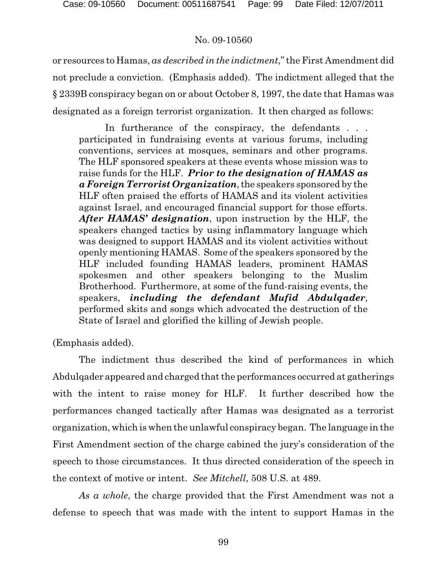or resources to Hamas, *as described in the indictment*," the First Amendment did not preclude a conviction. (Emphasis added). The indictment alleged that the § 2339B conspiracy began on or about October 8, 1997, the date that Hamas was designated as a foreign terrorist organization. It then charged as follows:

In furtherance of the conspiracy, the defendants . . . participated in fundraising events at various forums, including conventions, services at mosques, seminars and other programs. The HLF sponsored speakers at these events whose mission was to raise funds for the HLF. *Prior to the designation of HAMAS as a Foreign Terrorist Organization*,the speakers sponsored by the HLF often praised the efforts of HAMAS and its violent activities against Israel, and encouraged financial support for those efforts. *After HAMAS' designation*, upon instruction by the HLF, the speakers changed tactics by using inflammatory language which was designed to support HAMAS and its violent activities without openly mentioning HAMAS. Some of the speakers sponsored by the HLF included founding HAMAS leaders, prominent HAMAS spokesmen and other speakers belonging to the Muslim Brotherhood. Furthermore, at some of the fund-raising events, the speakers, *including the defendant Mufid Abdulqader*, performed skits and songs which advocated the destruction of the State of Israel and glorified the killing of Jewish people.

(Emphasis added).

The indictment thus described the kind of performances in which Abdulqader appeared and charged that the performances occurred at gatherings with the intent to raise money for HLF. It further described how the performances changed tactically after Hamas was designated as a terrorist organization, which is when the unlawful conspiracy began. The language in the First Amendment section of the charge cabined the jury's consideration of the speech to those circumstances. It thus directed consideration of the speech in the context of motive or intent. *See Mitchell*, 508 U.S. at 489.

*As a whole*, the charge provided that the First Amendment was not a defense to speech that was made with the intent to support Hamas in the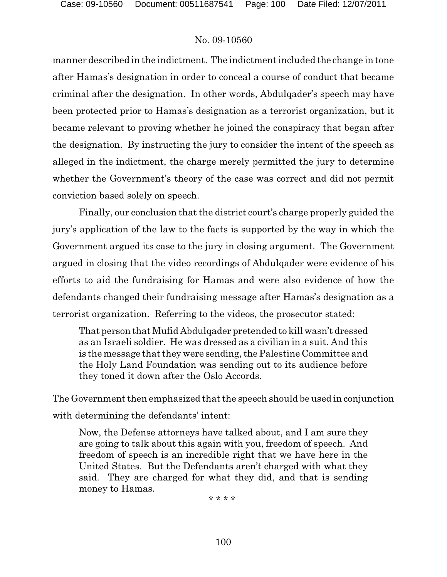manner described in the indictment. The indictment included the change in tone after Hamas's designation in order to conceal a course of conduct that became criminal after the designation. In other words, Abdulqader's speech may have been protected prior to Hamas's designation as a terrorist organization, but it became relevant to proving whether he joined the conspiracy that began after the designation. By instructing the jury to consider the intent of the speech as alleged in the indictment, the charge merely permitted the jury to determine whether the Government's theory of the case was correct and did not permit conviction based solely on speech.

Finally, our conclusion that the district court's charge properly guided the jury's application of the law to the facts is supported by the way in which the Government argued its case to the jury in closing argument. The Government argued in closing that the video recordings of Abdulqader were evidence of his efforts to aid the fundraising for Hamas and were also evidence of how the defendants changed their fundraising message after Hamas's designation as a terrorist organization. Referring to the videos, the prosecutor stated:

That person that Mufid Abdulqader pretended to kill wasn't dressed as an Israeli soldier. He was dressed as a civilian in a suit. And this is the message that they were sending, the Palestine Committee and the Holy Land Foundation was sending out to its audience before they toned it down after the Oslo Accords.

The Government then emphasized that the speech should be used in conjunction with determining the defendants' intent:

Now, the Defense attorneys have talked about, and I am sure they are going to talk about this again with you, freedom of speech. And freedom of speech is an incredible right that we have here in the United States. But the Defendants aren't charged with what they said. They are charged for what they did, and that is sending money to Hamas.

\* \* \* \*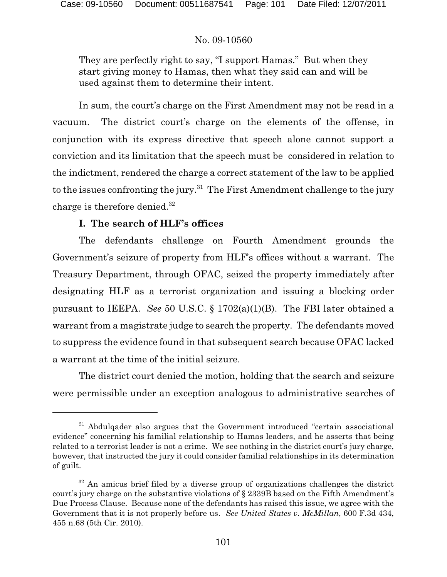They are perfectly right to say, "I support Hamas." But when they start giving money to Hamas, then what they said can and will be used against them to determine their intent.

In sum, the court's charge on the First Amendment may not be read in a vacuum. The district court's charge on the elements of the offense, in conjunction with its express directive that speech alone cannot support a conviction and its limitation that the speech must be considered in relation to the indictment, rendered the charge a correct statement of the law to be applied to the issues confronting the jury.<sup>31</sup> The First Amendment challenge to the jury charge is therefore denied.<sup>32</sup>

## **I. The search of HLF's offices**

The defendants challenge on Fourth Amendment grounds the Government's seizure of property from HLF's offices without a warrant. The Treasury Department, through OFAC, seized the property immediately after designating HLF as a terrorist organization and issuing a blocking order pursuant to IEEPA. *See* 50 U.S.C. § 1702(a)(1)(B). The FBI later obtained a warrant from a magistrate judge to search the property. The defendants moved to suppress the evidence found in that subsequent search because OFAC lacked a warrant at the time of the initial seizure.

The district court denied the motion, holding that the search and seizure were permissible under an exception analogous to administrative searches of

 $31$  Abdulgader also argues that the Government introduced "certain associational evidence" concerning his familial relationship to Hamas leaders, and he asserts that being related to a terrorist leader is not a crime. We see nothing in the district court's jury charge, however, that instructed the jury it could consider familial relationships in its determination of guilt.

 $32$  An amicus brief filed by a diverse group of organizations challenges the district court's jury charge on the substantive violations of § 2339B based on the Fifth Amendment's Due Process Clause. Because none of the defendants has raised this issue, we agree with the Government that it is not properly before us. *See United States v. McMillan*, 600 F.3d 434, 455 n.68 (5th Cir. 2010).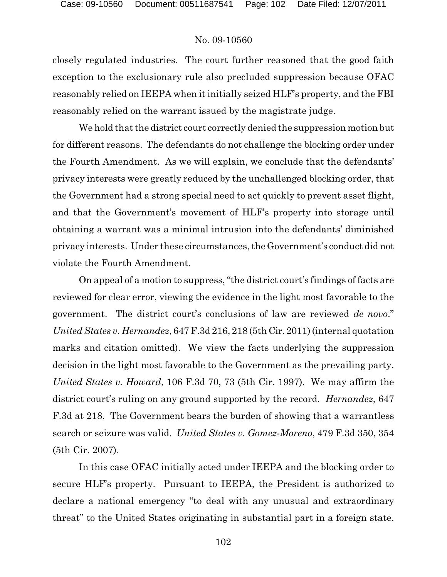closely regulated industries. The court further reasoned that the good faith exception to the exclusionary rule also precluded suppression because OFAC reasonably relied on IEEPA when it initially seized HLF's property, and the FBI reasonably relied on the warrant issued by the magistrate judge.

We hold that the district court correctly denied the suppression motion but for different reasons. The defendants do not challenge the blocking order under the Fourth Amendment. As we will explain, we conclude that the defendants' privacy interests were greatly reduced by the unchallenged blocking order, that the Government had a strong special need to act quickly to prevent asset flight, and that the Government's movement of HLF's property into storage until obtaining a warrant was a minimal intrusion into the defendants' diminished privacy interests. Under these circumstances, the Government's conduct did not violate the Fourth Amendment.

On appeal of a motion to suppress, "the district court's findings of facts are reviewed for clear error, viewing the evidence in the light most favorable to the government. The district court's conclusions of law are reviewed *de novo*." *United States v. Hernandez*, 647 F.3d 216, 218 (5th Cir. 2011) (internal quotation marks and citation omitted). We view the facts underlying the suppression decision in the light most favorable to the Government as the prevailing party. *United States v. Howard*, 106 F.3d 70, 73 (5th Cir. 1997). We may affirm the district court's ruling on any ground supported by the record. *Hernandez*, 647 F.3d at 218.The Government bears the burden of showing that a warrantless search or seizure was valid. *United States v. Gomez-Moreno*, 479 F.3d 350, 354 (5th Cir. 2007).

In this case OFAC initially acted under IEEPA and the blocking order to secure HLF's property. Pursuant to IEEPA, the President is authorized to declare a national emergency "to deal with any unusual and extraordinary threat" to the United States originating in substantial part in a foreign state.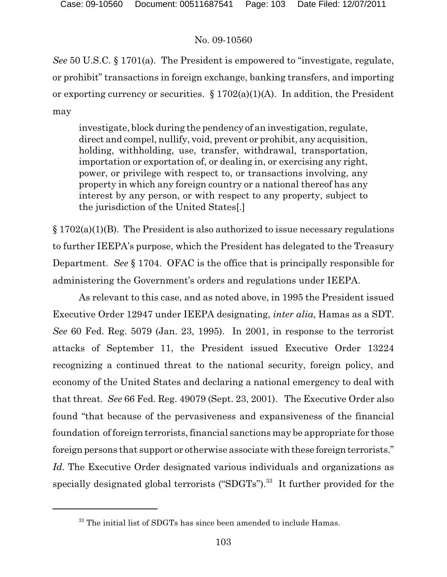*See* 50 U.S.C. § 1701(a). The President is empowered to "investigate, regulate, or prohibit" transactions in foreign exchange, banking transfers, and importing or exporting currency or securities.  $\S 1702(a)(1)(A)$ . In addition, the President may

investigate, block during the pendency of an investigation, regulate, direct and compel, nullify, void, prevent or prohibit, any acquisition, holding, withholding, use, transfer, withdrawal, transportation, importation or exportation of, or dealing in, or exercising any right, power, or privilege with respect to, or transactions involving, any property in which any foreign country or a national thereof has any interest by any person, or with respect to any property, subject to the jurisdiction of the United States[.]

§ 1702(a)(1)(B). The President is also authorized to issue necessary regulations to further IEEPA's purpose, which the President has delegated to the Treasury Department. *See* § 1704. OFAC is the office that is principally responsible for administering the Government's orders and regulations under IEEPA.

As relevant to this case, and as noted above, in 1995 the President issued Executive Order 12947 under IEEPA designating, *inter alia*, Hamas as a SDT. *See* 60 Fed. Reg. 5079 (Jan. 23, 1995). In 2001, in response to the terrorist attacks of September 11, the President issued Executive Order 13224 recognizing a continued threat to the national security, foreign policy, and economy of the United States and declaring a national emergency to deal with that threat. *See* 66 Fed. Reg. 49079 (Sept. 23, 2001). The Executive Order also found "that because of the pervasiveness and expansiveness of the financial foundation of foreign terrorists, financial sanctions may be appropriate for those foreign persons that support or otherwise associate with these foreign terrorists." *Id.* The Executive Order designated various individuals and organizations as specially designated global terrorists (" $SDGTs$ ").<sup>33</sup> It further provided for the

 $33$  The initial list of SDGTs has since been amended to include Hamas.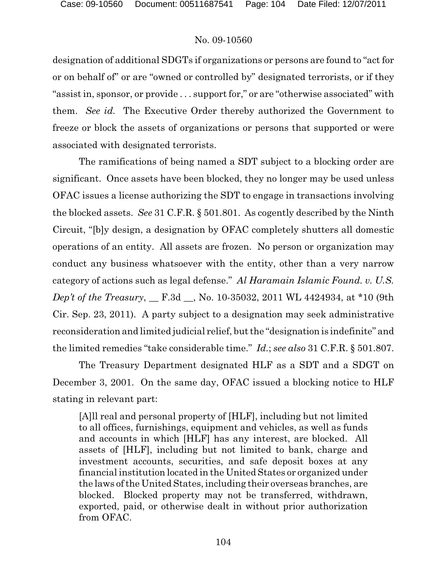designation of additional SDGTs if organizations or persons are found to "act for or on behalf of" or are "owned or controlled by" designated terrorists, or if they "assist in, sponsor, or provide . . . support for," or are "otherwise associated" with them. *See id.* The Executive Order thereby authorized the Government to freeze or block the assets of organizations or persons that supported or were associated with designated terrorists.

The ramifications of being named a SDT subject to a blocking order are significant. Once assets have been blocked, they no longer may be used unless OFAC issues a license authorizing the SDT to engage in transactions involving the blocked assets. *See* 31 C.F.R. § 501.801. As cogently described by the Ninth Circuit, "[b]y design, a designation by OFAC completely shutters all domestic operations of an entity. All assets are frozen. No person or organization may conduct any business whatsoever with the entity, other than a very narrow category of actions such as legal defense." *Al Haramain Islamic Found. v. U.S. Dep't of the Treasury*, \_\_ F.3d \_\_, No. 10-35032, 2011 WL 4424934, at \*10 (9th Cir. Sep. 23, 2011). A party subject to a designation may seek administrative reconsideration and limited judicial relief, but the "designation is indefinite" and the limited remedies "take considerable time." *Id.*; *see also* 31 C.F.R. § 501.807.

The Treasury Department designated HLF as a SDT and a SDGT on December 3, 2001. On the same day, OFAC issued a blocking notice to HLF stating in relevant part:

[A]ll real and personal property of [HLF], including but not limited to all offices, furnishings, equipment and vehicles, as well as funds and accounts in which [HLF] has any interest, are blocked. All assets of [HLF], including but not limited to bank, charge and investment accounts, securities, and safe deposit boxes at any financial institution located in the United States or organized under the laws of the United States, including their overseas branches, are blocked. Blocked property may not be transferred, withdrawn, exported, paid, or otherwise dealt in without prior authorization from OFAC.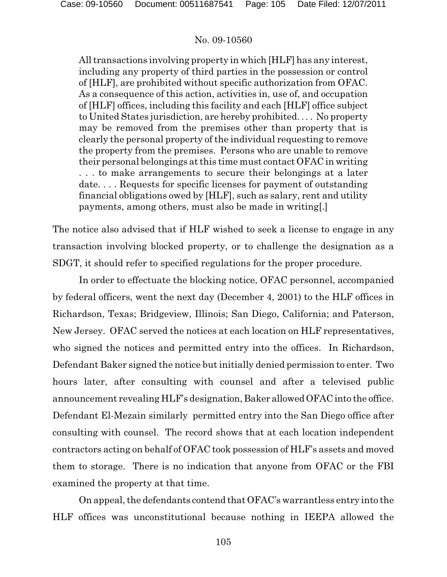All transactions involving property in which [HLF] has any interest, including any property of third parties in the possession or control of [HLF], are prohibited without specific authorization from OFAC. As a consequence of this action, activities in, use of, and occupation of [HLF] offices, including this facility and each [HLF] office subject to United States jurisdiction, are hereby prohibited. . . . No property may be removed from the premises other than property that is clearly the personal property of the individual requesting to remove the property from the premises. Persons who are unable to remove their personal belongings at this time must contact OFAC in writing . . . to make arrangements to secure their belongings at a later date. . . . Requests for specific licenses for payment of outstanding financial obligations owed by [HLF], such as salary, rent and utility payments, among others, must also be made in writing[.]

The notice also advised that if HLF wished to seek a license to engage in any transaction involving blocked property, or to challenge the designation as a SDGT, it should refer to specified regulations for the proper procedure.

In order to effectuate the blocking notice, OFAC personnel, accompanied by federal officers, went the next day (December 4, 2001) to the HLF offices in Richardson, Texas; Bridgeview, Illinois; San Diego, California; and Paterson, New Jersey. OFAC served the notices at each location on HLF representatives, who signed the notices and permitted entry into the offices. In Richardson, Defendant Baker signed the notice but initially denied permission to enter. Two hours later, after consulting with counsel and after a televised public announcement revealing HLF's designation, Baker allowedOFAC into the office. Defendant El-Mezain similarly permitted entry into the San Diego office after consulting with counsel. The record shows that at each location independent contractors acting on behalf of OFAC took possession of HLF's assets and moved them to storage. There is no indication that anyone from OFAC or the FBI examined the property at that time.

On appeal, the defendants contend that OFAC's warrantless entry into the HLF offices was unconstitutional because nothing in IEEPA allowed the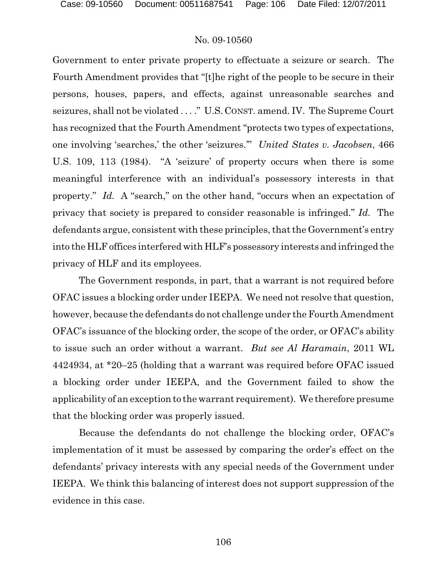Government to enter private property to effectuate a seizure or search. The Fourth Amendment provides that "[t]he right of the people to be secure in their persons, houses, papers, and effects, against unreasonable searches and seizures, shall not be violated . . . ." U.S. CONST. amend. IV. The Supreme Court has recognized that the Fourth Amendment "protects two types of expectations, one involving 'searches,' the other 'seizures.'" *United States v. Jacobsen*, 466 U.S. 109, 113 (1984). "A 'seizure' of property occurs when there is some meaningful interference with an individual's possessory interests in that property." *Id.* A "search," on the other hand, "occurs when an expectation of privacy that society is prepared to consider reasonable is infringed." *Id.* The defendants argue, consistent with these principles, that the Government's entry into the HLF offices interfered with HLF's possessory interests and infringed the privacy of HLF and its employees.

The Government responds, in part, that a warrant is not required before OFAC issues a blocking order under IEEPA. We need not resolve that question, however, because the defendants do not challenge under the Fourth Amendment OFAC's issuance of the blocking order, the scope of the order, or OFAC's ability to issue such an order without a warrant. *But see Al Haramain*, 2011 WL 4424934, at \*20–25 (holding that a warrant was required before OFAC issued a blocking order under IEEPA, and the Government failed to show the applicability of an exception to the warrant requirement). We therefore presume that the blocking order was properly issued.

Because the defendants do not challenge the blocking order, OFAC's implementation of it must be assessed by comparing the order's effect on the defendants' privacy interests with any special needs of the Government under IEEPA. We think this balancing of interest does not support suppression of the evidence in this case.

106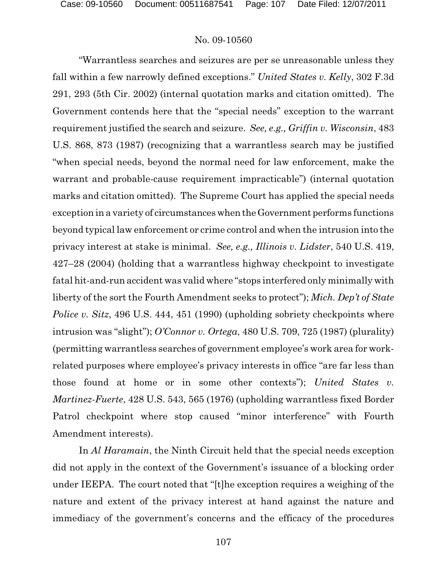"Warrantless searches and seizures are per se unreasonable unless they fall within a few narrowly defined exceptions." *United States v. Kelly*, 302 F.3d 291, 293 (5th Cir. 2002) (internal quotation marks and citation omitted). The Government contends here that the "special needs" exception to the warrant requirement justified the search and seizure. *See, e.g., Griffin v. Wisconsin*, 483 U.S. 868, 873 (1987) (recognizing that a warrantless search may be justified "when special needs, beyond the normal need for law enforcement, make the warrant and probable-cause requirement impracticable") (internal quotation marks and citation omitted). The Supreme Court has applied the special needs exception in a variety of circumstances when the Government performs functions beyond typical law enforcement or crime control and when the intrusion into the privacy interest at stake is minimal. *See, e.g., Illinois v. Lidster*, 540 U.S. 419, 427–28 (2004) (holding that a warrantless highway checkpoint to investigate fatal hit-and-run accident was valid where "stops interfered only minimally with liberty of the sort the Fourth Amendment seeks to protect"); *Mich. Dep't of State Police v. Sitz*, 496 U.S. 444, 451 (1990) (upholding sobriety checkpoints where intrusion was "slight"); *O'Connor v. Ortega*, 480 U.S. 709, 725 (1987) (plurality) (permitting warrantless searches of government employee's work area for workrelated purposes where employee's privacy interests in office "are far less than those found at home or in some other contexts"); *United States v. Martinez-Fuerte*, 428 U.S. 543, 565 (1976) (upholding warrantless fixed Border Patrol checkpoint where stop caused "minor interference" with Fourth Amendment interests).

In *Al Haramain*, the Ninth Circuit held that the special needs exception did not apply in the context of the Government's issuance of a blocking order under IEEPA. The court noted that "[t]he exception requires a weighing of the nature and extent of the privacy interest at hand against the nature and immediacy of the government's concerns and the efficacy of the procedures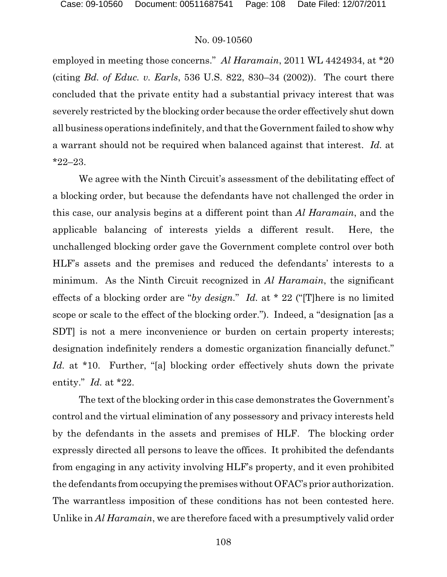employed in meeting those concerns." *Al Haramain*, 2011 WL 4424934, at \*20 (citing *Bd. of Educ. v. Earls*, 536 U.S. 822, 830–34 (2002)). The court there concluded that the private entity had a substantial privacy interest that was severely restricted by the blocking order because the order effectively shut down all business operations indefinitely, and that the Government failed to show why a warrant should not be required when balanced against that interest. *Id.* at \*22–23.

We agree with the Ninth Circuit's assessment of the debilitating effect of a blocking order, but because the defendants have not challenged the order in this case, our analysis begins at a different point than *Al Haramain*, and the applicable balancing of interests yields a different result. Here, the unchallenged blocking order gave the Government complete control over both HLF's assets and the premises and reduced the defendants' interests to a minimum. As the Ninth Circuit recognized in *Al Haramain*, the significant effects of a blocking order are "*by design.*" *Id.* at \* 22 ("[T]here is no limited scope or scale to the effect of the blocking order."). Indeed, a "designation [as a SDT] is not a mere inconvenience or burden on certain property interests; designation indefinitely renders a domestic organization financially defunct." *Id.* at \*10. Further, "[a] blocking order effectively shuts down the private entity." *Id.* at \*22.

The text of the blocking order in this case demonstrates the Government's control and the virtual elimination of any possessory and privacy interests held by the defendants in the assets and premises of HLF. The blocking order expressly directed all persons to leave the offices. It prohibited the defendants from engaging in any activity involving HLF's property, and it even prohibited the defendants from occupying the premiseswithout OFAC's prior authorization. The warrantless imposition of these conditions has not been contested here. Unlike in *Al Haramain*, we are therefore faced with a presumptively valid order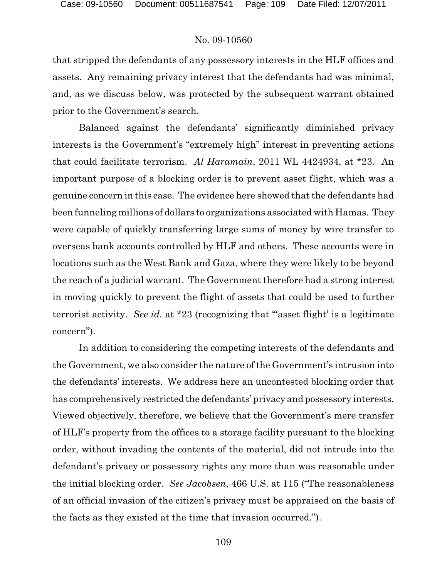that stripped the defendants of any possessory interests in the HLF offices and assets. Any remaining privacy interest that the defendants had was minimal, and, as we discuss below, was protected by the subsequent warrant obtained prior to the Government's search.

Balanced against the defendants' significantly diminished privacy interests is the Government's "extremely high" interest in preventing actions that could facilitate terrorism. *Al Haramain*, 2011 WL 4424934, at \*23. An important purpose of a blocking order is to prevent asset flight, which was a genuine concern in this case. The evidence here showed that the defendants had been funneling millions of dollars to organizations associated with Hamas. They were capable of quickly transferring large sums of money by wire transfer to overseas bank accounts controlled by HLF and others. These accounts were in locations such as the West Bank and Gaza, where they were likely to be beyond the reach of a judicial warrant. The Government therefore had a strong interest in moving quickly to prevent the flight of assets that could be used to further terrorist activity. *See id.* at \*23 (recognizing that "'asset flight' is a legitimate concern").

In addition to considering the competing interests of the defendants and the Government, we also consider the nature of the Government's intrusion into the defendants' interests. We address here an uncontested blocking order that has comprehensively restricted the defendants' privacy and possessory interests. Viewed objectively, therefore, we believe that the Government's mere transfer of HLF's property from the offices to a storage facility pursuant to the blocking order, without invading the contents of the material, did not intrude into the defendant's privacy or possessory rights any more than was reasonable under the initial blocking order. *See Jacobsen*, 466 U.S. at 115 ("The reasonableness of an official invasion of the citizen's privacy must be appraised on the basis of the facts as they existed at the time that invasion occurred.").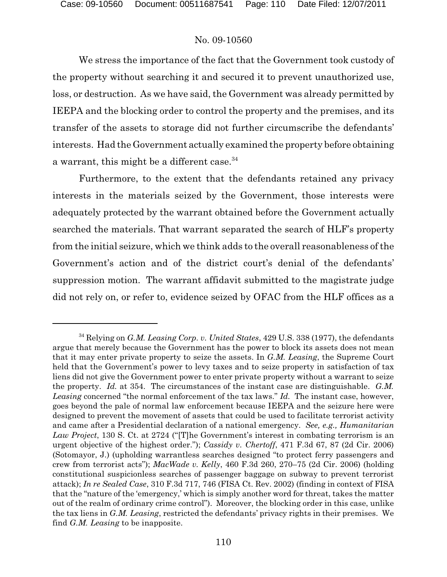We stress the importance of the fact that the Government took custody of the property without searching it and secured it to prevent unauthorized use, loss, or destruction. As we have said, the Government was already permitted by IEEPA and the blocking order to control the property and the premises, and its transfer of the assets to storage did not further circumscribe the defendants' interests. Had the Government actually examined the property before obtaining a warrant, this might be a different case.<sup>34</sup>

Furthermore, to the extent that the defendants retained any privacy interests in the materials seized by the Government, those interests were adequately protected by the warrant obtained before the Government actually searched the materials. That warrant separated the search of HLF's property from the initial seizure, which we think adds to the overall reasonableness of the Government's action and of the district court's denial of the defendants' suppression motion. The warrant affidavit submitted to the magistrate judge did not rely on, or refer to, evidence seized by OFAC from the HLF offices as a

<sup>&</sup>lt;sup>34</sup> Relying on *G.M. Leasing Corp. v. United States*, 429 U.S. 338 (1977), the defendants argue that merely because the Government has the power to block its assets does not mean that it may enter private property to seize the assets. In *G.M. Leasing*, the Supreme Court held that the Government's power to levy taxes and to seize property in satisfaction of tax liens did not give the Government power to enter private property without a warrant to seize the property. *Id.* at 354. The circumstances of the instant case are distinguishable. *G.M. Leasing* concerned "the normal enforcement of the tax laws." *Id.* The instant case, however, goes beyond the pale of normal law enforcement because IEEPA and the seizure here were designed to prevent the movement of assets that could be used to facilitate terrorist activity and came after a Presidential declaration of a national emergency. *See, e.g., Humanitarian Law Project*, 130 S. Ct. at 2724 ("[T]he Government's interest in combating terrorism is an urgent objective of the highest order."); *Cassidy v. Chertoff*, 471 F.3d 67, 87 (2d Cir. 2006) (Sotomayor, J.) (upholding warrantless searches designed "to protect ferry passengers and crew from terrorist acts"); *MacWade v. Kelly*, 460 F.3d 260, 270–75 (2d Cir. 2006) (holding constitutional suspicionless searches of passenger baggage on subway to prevent terrorist attack); *In re Sealed Case*, 310 F.3d 717, 746 (FISA Ct. Rev. 2002) (finding in context of FISA that the "nature of the 'emergency,' which is simply another word for threat, takes the matter out of the realm of ordinary crime control"). Moreover, the blocking order in this case, unlike the tax liens in *G.M. Leasing*, restricted the defendants' privacy rights in their premises. We find *G.M. Leasing* to be inapposite.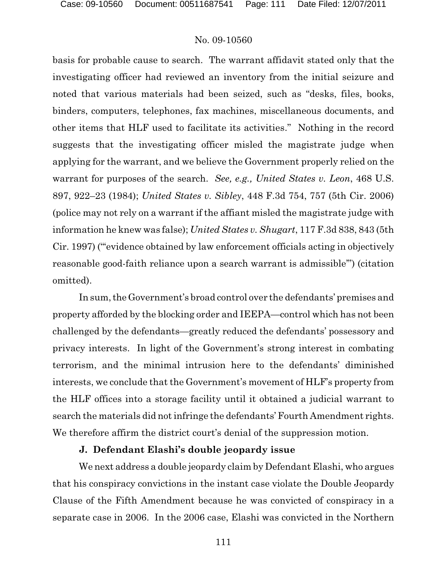basis for probable cause to search. The warrant affidavit stated only that the investigating officer had reviewed an inventory from the initial seizure and noted that various materials had been seized, such as "desks, files, books, binders, computers, telephones, fax machines, miscellaneous documents, and other items that HLF used to facilitate its activities." Nothing in the record suggests that the investigating officer misled the magistrate judge when applying for the warrant, and we believe the Government properly relied on the warrant for purposes of the search. *See, e.g., United States v. Leon*, 468 U.S. 897, 922–23 (1984); *United States v. Sibley*, 448 F.3d 754, 757 (5th Cir. 2006) (police may not rely on a warrant if the affiant misled the magistrate judge with information he knew was false); *United States v. Shugart*, 117 F.3d 838, 843 (5th Cir. 1997) ("'evidence obtained by law enforcement officials acting in objectively reasonable good-faith reliance upon a search warrant is admissible'") (citation omitted).

In sum, the Government's broad control over the defendants' premises and property afforded by the blocking order and IEEPA—control which has not been challenged by the defendants—greatly reduced the defendants' possessory and privacy interests. In light of the Government's strong interest in combating terrorism, and the minimal intrusion here to the defendants' diminished interests, we conclude that the Government's movement of HLF's property from the HLF offices into a storage facility until it obtained a judicial warrant to search the materials did not infringe the defendants' Fourth Amendment rights. We therefore affirm the district court's denial of the suppression motion.

### **J. Defendant Elashi's double jeopardy issue**

We next address a double jeopardy claim by Defendant Elashi, who argues that his conspiracy convictions in the instant case violate the Double Jeopardy Clause of the Fifth Amendment because he was convicted of conspiracy in a separate case in 2006. In the 2006 case, Elashi was convicted in the Northern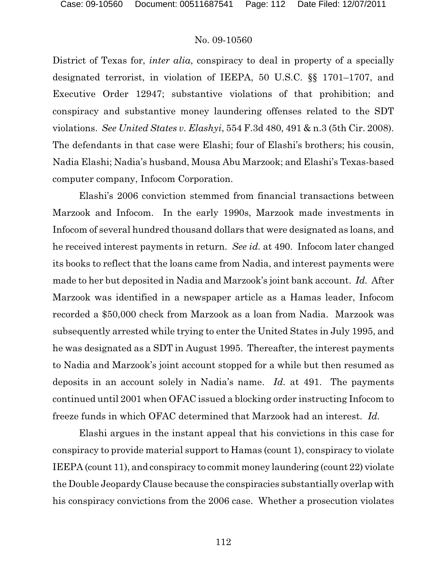District of Texas for, *inter alia*, conspiracy to deal in property of a specially designated terrorist, in violation of IEEPA, 50 U.S.C. §§ 1701–1707, and Executive Order 12947; substantive violations of that prohibition; and conspiracy and substantive money laundering offenses related to the SDT violations. *See United States v. Elashyi*, 554 F.3d 480, 491 & n.3 (5th Cir. 2008). The defendants in that case were Elashi; four of Elashi's brothers; his cousin, Nadia Elashi; Nadia's husband, Mousa Abu Marzook; and Elashi's Texas-based computer company, Infocom Corporation.

Elashi's 2006 conviction stemmed from financial transactions between Marzook and Infocom. In the early 1990s, Marzook made investments in Infocom of several hundred thousand dollars that were designated as loans, and he received interest payments in return. *See id.* at 490. Infocom later changed its books to reflect that the loans came from Nadia, and interest payments were made to her but deposited in Nadia and Marzook's joint bank account. *Id.* After Marzook was identified in a newspaper article as a Hamas leader, Infocom recorded a \$50,000 check from Marzook as a loan from Nadia. Marzook was subsequently arrested while trying to enter the United States in July 1995, and he was designated as a SDT in August 1995. Thereafter, the interest payments to Nadia and Marzook's joint account stopped for a while but then resumed as deposits in an account solely in Nadia's name. *Id.* at 491. The payments continued until 2001 when OFAC issued a blocking order instructing Infocom to freeze funds in which OFAC determined that Marzook had an interest. *Id.*

Elashi argues in the instant appeal that his convictions in this case for conspiracy to provide material support to Hamas (count 1), conspiracy to violate IEEPA (count 11), and conspiracy to commit money laundering (count 22) violate the Double Jeopardy Clause because the conspiracies substantially overlap with his conspiracy convictions from the 2006 case. Whether a prosecution violates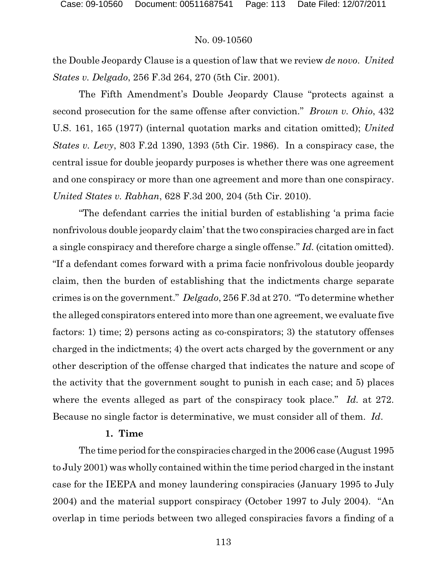the Double Jeopardy Clause is a question of law that we review *de novo*. *United States v. Delgado*, 256 F.3d 264, 270 (5th Cir. 2001).

The Fifth Amendment's Double Jeopardy Clause "protects against a second prosecution for the same offense after conviction." *Brown v. Ohio*, 432 U.S. 161, 165 (1977) (internal quotation marks and citation omitted); *United States v. Levy*, 803 F.2d 1390, 1393 (5th Cir. 1986). In a conspiracy case, the central issue for double jeopardy purposes is whether there was one agreement and one conspiracy or more than one agreement and more than one conspiracy. *United States v. Rabhan*, 628 F.3d 200, 204 (5th Cir. 2010).

"The defendant carries the initial burden of establishing 'a prima facie nonfrivolous double jeopardy claim' that the two conspiracies charged are in fact a single conspiracy and therefore charge a single offense." *Id.* (citation omitted). "If a defendant comes forward with a prima facie nonfrivolous double jeopardy claim, then the burden of establishing that the indictments charge separate crimes is on the government." *Delgado*, 256 F.3d at 270. "To determine whether the alleged conspirators entered into more than one agreement, we evaluate five factors: 1) time; 2) persons acting as co-conspirators; 3) the statutory offenses charged in the indictments; 4) the overt acts charged by the government or any other description of the offense charged that indicates the nature and scope of the activity that the government sought to punish in each case; and 5) places where the events alleged as part of the conspiracy took place." *Id.* at 272. Because no single factor is determinative, we must consider all of them. *Id*.

### **1. Time**

The time period for the conspiracies charged in the 2006 case (August 1995 to July 2001) was wholly contained within the time period charged in the instant case for the IEEPA and money laundering conspiracies (January 1995 to July 2004) and the material support conspiracy (October 1997 to July 2004). "An overlap in time periods between two alleged conspiracies favors a finding of a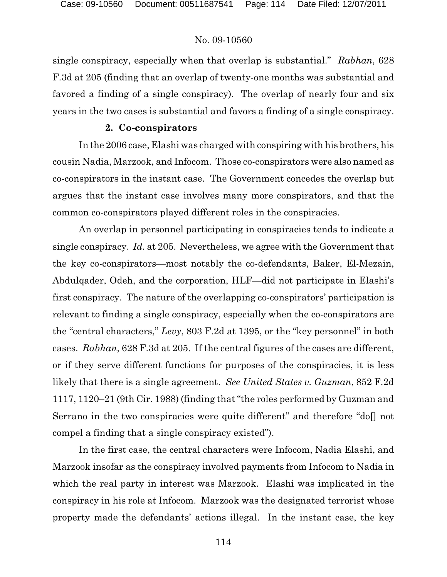single conspiracy, especially when that overlap is substantial." *Rabhan*, 628 F.3d at 205 (finding that an overlap of twenty-one months was substantial and favored a finding of a single conspiracy). The overlap of nearly four and six years in the two cases is substantial and favors a finding of a single conspiracy.

#### **2. Co-conspirators**

In the 2006 case, Elashi was charged with conspiring with his brothers, his cousin Nadia, Marzook, and Infocom. Those co-conspirators were also named as co-conspirators in the instant case. The Government concedes the overlap but argues that the instant case involves many more conspirators, and that the common co-conspirators played different roles in the conspiracies.

An overlap in personnel participating in conspiracies tends to indicate a single conspiracy. *Id.* at 205. Nevertheless, we agree with the Government that the key co-conspirators—most notably the co-defendants, Baker, El-Mezain, Abdulqader, Odeh, and the corporation, HLF—did not participate in Elashi's first conspiracy. The nature of the overlapping co-conspirators' participation is relevant to finding a single conspiracy, especially when the co-conspirators are the "central characters," *Levy*, 803 F.2d at 1395, or the "key personnel" in both cases. *Rabhan*, 628 F.3d at 205. If the central figures of the cases are different, or if they serve different functions for purposes of the conspiracies, it is less likely that there is a single agreement. *See United States v. Guzman*, 852 F.2d 1117, 1120–21 (9th Cir. 1988) (finding that "the roles performed by Guzman and Serrano in the two conspiracies were quite different" and therefore "doll not compel a finding that a single conspiracy existed").

In the first case, the central characters were Infocom, Nadia Elashi, and Marzook insofar as the conspiracy involved payments from Infocom to Nadia in which the real party in interest was Marzook. Elashi was implicated in the conspiracy in his role at Infocom. Marzook was the designated terrorist whose property made the defendants' actions illegal. In the instant case, the key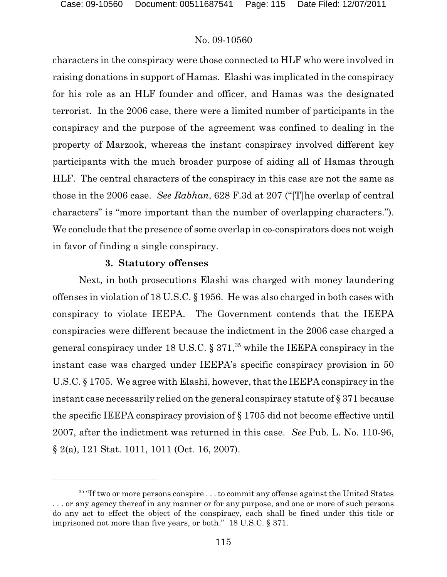characters in the conspiracy were those connected to HLF who were involved in raising donations in support of Hamas. Elashi was implicated in the conspiracy for his role as an HLF founder and officer, and Hamas was the designated terrorist. In the 2006 case, there were a limited number of participants in the conspiracy and the purpose of the agreement was confined to dealing in the property of Marzook, whereas the instant conspiracy involved different key participants with the much broader purpose of aiding all of Hamas through HLF. The central characters of the conspiracy in this case are not the same as those in the 2006 case. *See Rabhan*, 628 F.3d at 207 ("[T]he overlap of central characters" is "more important than the number of overlapping characters."). We conclude that the presence of some overlap in co-conspirators does not weigh in favor of finding a single conspiracy.

#### **3. Statutory offenses**

Next, in both prosecutions Elashi was charged with money laundering offenses in violation of 18 U.S.C. § 1956. He was also charged in both cases with conspiracy to violate IEEPA. The Government contends that the IEEPA conspiracies were different because the indictment in the 2006 case charged a general conspiracy under 18 U.S.C.  $\S 371$ , <sup>35</sup> while the IEEPA conspiracy in the instant case was charged under IEEPA's specific conspiracy provision in 50 U.S.C. § 1705. We agree with Elashi, however, that the IEEPA conspiracy in the instant case necessarily relied on the general conspiracy statute of § 371 because the specific IEEPA conspiracy provision of § 1705 did not become effective until 2007, after the indictment was returned in this case. *See* Pub. L. No. 110-96, § 2(a), 121 Stat. 1011, 1011 (Oct. 16, 2007).

 $35$  "If two or more persons conspire  $\dots$  to commit any offense against the United States . . . or any agency thereof in any manner or for any purpose, and one or more of such persons do any act to effect the object of the conspiracy, each shall be fined under this title or imprisoned not more than five years, or both." 18 U.S.C. § 371.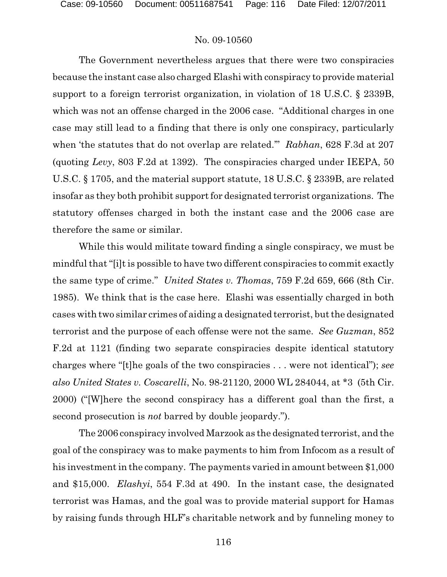The Government nevertheless argues that there were two conspiracies because the instant case also charged Elashi with conspiracy to provide material support to a foreign terrorist organization, in violation of 18 U.S.C. § 2339B, which was not an offense charged in the 2006 case. "Additional charges in one case may still lead to a finding that there is only one conspiracy, particularly when 'the statutes that do not overlap are related.'" *Rabhan*, 628 F.3d at 207 (quoting *Levy*, 803 F.2d at 1392). The conspiracies charged under IEEPA, 50 U.S.C. § 1705, and the material support statute, 18 U.S.C. § 2339B, are related insofar as they both prohibit support for designated terrorist organizations. The statutory offenses charged in both the instant case and the 2006 case are therefore the same or similar.

While this would militate toward finding a single conspiracy, we must be mindful that "[i]t is possible to have two different conspiracies to commit exactly the same type of crime." *United States v. Thomas*, 759 F.2d 659, 666 (8th Cir. 1985). We think that is the case here. Elashi was essentially charged in both cases with two similar crimes of aiding a designated terrorist, but the designated terrorist and the purpose of each offense were not the same. *See Guzman*, 852 F.2d at 1121 (finding two separate conspiracies despite identical statutory charges where "[t]he goals of the two conspiracies . . . were not identical"); *see also United States v. Coscarelli*, No. 98-21120, 2000 WL 284044, at \*3 (5th Cir. 2000) ("[W]here the second conspiracy has a different goal than the first, a second prosecution is *not* barred by double jeopardy.").

The 2006 conspiracy involved Marzook as the designated terrorist, and the goal of the conspiracy was to make payments to him from Infocom as a result of his investment in the company. The payments varied in amount between \$1,000 and \$15,000. *Elashyi*, 554 F.3d at 490. In the instant case, the designated terrorist was Hamas, and the goal was to provide material support for Hamas by raising funds through HLF's charitable network and by funneling money to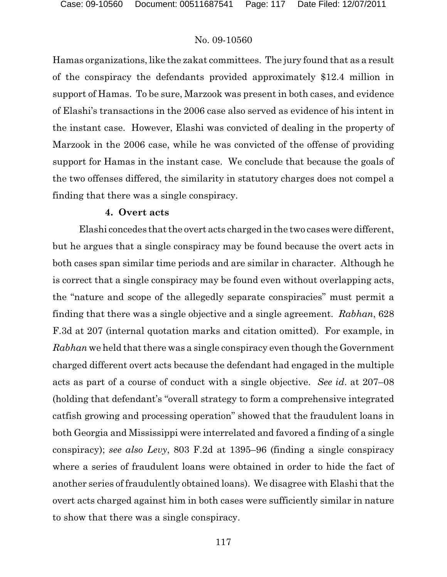Hamas organizations, like the zakat committees. The jury found that as a result of the conspiracy the defendants provided approximately \$12.4 million in support of Hamas. To be sure, Marzook was present in both cases, and evidence of Elashi's transactions in the 2006 case also served as evidence of his intent in the instant case. However, Elashi was convicted of dealing in the property of Marzook in the 2006 case, while he was convicted of the offense of providing support for Hamas in the instant case. We conclude that because the goals of the two offenses differed, the similarity in statutory charges does not compel a finding that there was a single conspiracy.

### **4. Overt acts**

Elashi concedes that the overt acts charged in the two cases were different, but he argues that a single conspiracy may be found because the overt acts in both cases span similar time periods and are similar in character. Although he is correct that a single conspiracy may be found even without overlapping acts, the "nature and scope of the allegedly separate conspiracies" must permit a finding that there was a single objective and a single agreement. *Rabhan*, 628 F.3d at 207 (internal quotation marks and citation omitted). For example, in *Rabhan* we held that there was a single conspiracy even though the Government charged different overt acts because the defendant had engaged in the multiple acts as part of a course of conduct with a single objective. *See id*. at 207–08 (holding that defendant's "overall strategy to form a comprehensive integrated catfish growing and processing operation" showed that the fraudulent loans in both Georgia and Mississippi were interrelated and favored a finding of a single conspiracy); *see also Levy*, 803 F.2d at 1395–96 (finding a single conspiracy where a series of fraudulent loans were obtained in order to hide the fact of another series of fraudulently obtained loans). We disagree with Elashi that the overt acts charged against him in both cases were sufficiently similar in nature to show that there was a single conspiracy.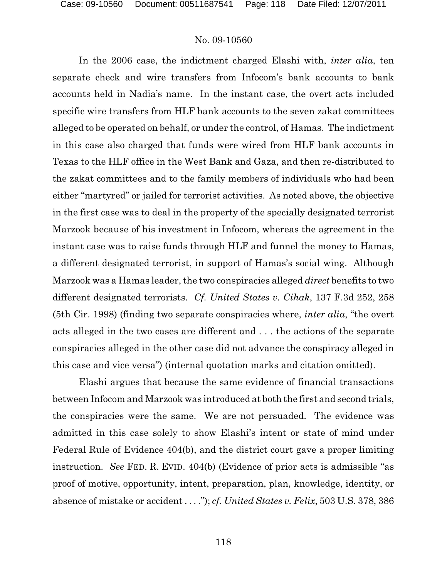In the 2006 case, the indictment charged Elashi with, *inter alia*, ten separate check and wire transfers from Infocom's bank accounts to bank accounts held in Nadia's name. In the instant case, the overt acts included specific wire transfers from HLF bank accounts to the seven zakat committees alleged to be operated on behalf, or under the control, of Hamas. The indictment in this case also charged that funds were wired from HLF bank accounts in Texas to the HLF office in the West Bank and Gaza, and then re-distributed to the zakat committees and to the family members of individuals who had been either "martyred" or jailed for terrorist activities. As noted above, the objective in the first case was to deal in the property of the specially designated terrorist Marzook because of his investment in Infocom, whereas the agreement in the instant case was to raise funds through HLF and funnel the money to Hamas, a different designated terrorist, in support of Hamas's social wing. Although Marzook was a Hamas leader, the two conspiracies alleged *direct* benefits to two different designated terrorists. *Cf. United States v. Cihak*, 137 F.3d 252, 258 (5th Cir. 1998) (finding two separate conspiracies where, *inter alia*, "the overt acts alleged in the two cases are different and . . . the actions of the separate conspiracies alleged in the other case did not advance the conspiracy alleged in this case and vice versa") (internal quotation marks and citation omitted).

Elashi argues that because the same evidence of financial transactions between Infocom and Marzook was introduced at both the first and second trials, the conspiracies were the same. We are not persuaded. The evidence was admitted in this case solely to show Elashi's intent or state of mind under Federal Rule of Evidence 404(b), and the district court gave a proper limiting instruction. *See* FED. R. EVID. 404(b) (Evidence of prior acts is admissible "as proof of motive, opportunity, intent, preparation, plan, knowledge, identity, or absence of mistake or accident . . . ."); *cf. United States v. Felix*, 503 U.S. 378, 386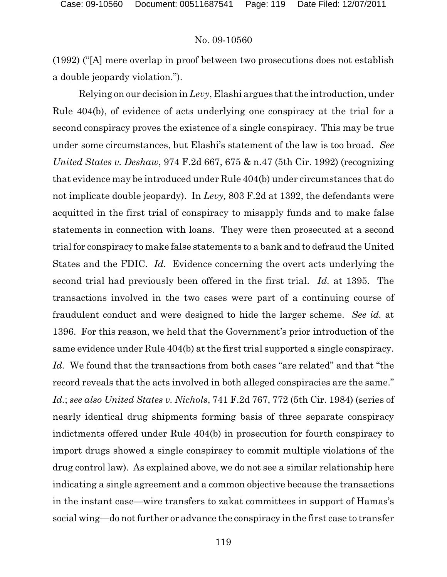(1992) ("[A] mere overlap in proof between two prosecutions does not establish a double jeopardy violation.").

Relying on our decision in *Levy*, Elashi argues that the introduction, under Rule 404(b), of evidence of acts underlying one conspiracy at the trial for a second conspiracy proves the existence of a single conspiracy. This may be true under some circumstances, but Elashi's statement of the law is too broad. *See United States v. Deshaw*, 974 F.2d 667, 675 & n.47 (5th Cir. 1992) (recognizing that evidence may be introduced under Rule 404(b) under circumstances that do not implicate double jeopardy). In *Levy,* 803 F.2d at 1392, the defendants were acquitted in the first trial of conspiracy to misapply funds and to make false statements in connection with loans. They were then prosecuted at a second trial for conspiracy to make false statements to a bank and to defraud the United States and the FDIC. *Id.* Evidence concerning the overt acts underlying the second trial had previously been offered in the first trial. *Id.* at 1395. The transactions involved in the two cases were part of a continuing course of fraudulent conduct and were designed to hide the larger scheme. *See id.* at 1396. For this reason, we held that the Government's prior introduction of the same evidence under Rule 404(b) at the first trial supported a single conspiracy. *Id.* We found that the transactions from both cases "are related" and that "the record reveals that the acts involved in both alleged conspiracies are the same." *Id.*; *see also United States v. Nichols*, 741 F.2d 767, 772 (5th Cir. 1984) (series of nearly identical drug shipments forming basis of three separate conspiracy indictments offered under Rule 404(b) in prosecution for fourth conspiracy to import drugs showed a single conspiracy to commit multiple violations of the drug control law). As explained above, we do not see a similar relationship here indicating a single agreement and a common objective because the transactions in the instant case—wire transfers to zakat committees in support of Hamas's social wing—do not further or advance the conspiracy in the first case to transfer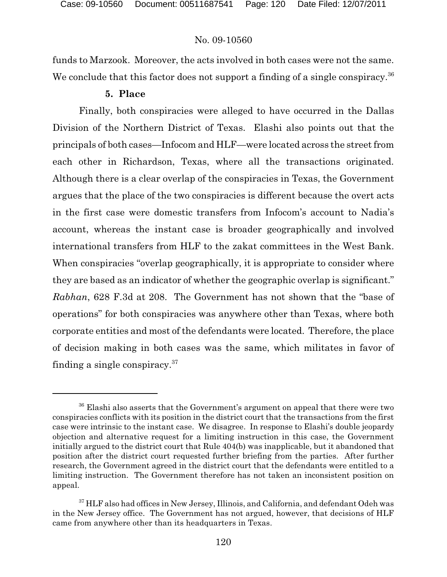funds to Marzook. Moreover, the acts involved in both cases were not the same. We conclude that this factor does not support a finding of a single conspiracy.<sup>36</sup>

### **5. Place**

Finally, both conspiracies were alleged to have occurred in the Dallas Division of the Northern District of Texas. Elashi also points out that the principals of both cases—Infocom and HLF—were located across the street from each other in Richardson, Texas, where all the transactions originated. Although there is a clear overlap of the conspiracies in Texas, the Government argues that the place of the two conspiracies is different because the overt acts in the first case were domestic transfers from Infocom's account to Nadia's account, whereas the instant case is broader geographically and involved international transfers from HLF to the zakat committees in the West Bank. When conspiracies "overlap geographically, it is appropriate to consider where they are based as an indicator of whether the geographic overlap is significant." *Rabhan*, 628 F.3d at 208. The Government has not shown that the "base of operations" for both conspiracies was anywhere other than Texas, where both corporate entities and most of the defendants were located. Therefore, the place of decision making in both cases was the same, which militates in favor of finding a single conspiracy.  $37$ 

 $^{36}$  Elashi also asserts that the Government's argument on appeal that there were two conspiracies conflicts with its position in the district court that the transactions from the first case were intrinsic to the instant case. We disagree. In response to Elashi's double jeopardy objection and alternative request for a limiting instruction in this case, the Government initially argued to the district court that Rule 404(b) was inapplicable, but it abandoned that position after the district court requested further briefing from the parties. After further research, the Government agreed in the district court that the defendants were entitled to a limiting instruction. The Government therefore has not taken an inconsistent position on appeal.

<sup>&</sup>lt;sup>37</sup> HLF also had offices in New Jersey, Illinois, and California, and defendant Odeh was in the New Jersey office. The Government has not argued, however, that decisions of HLF came from anywhere other than its headquarters in Texas.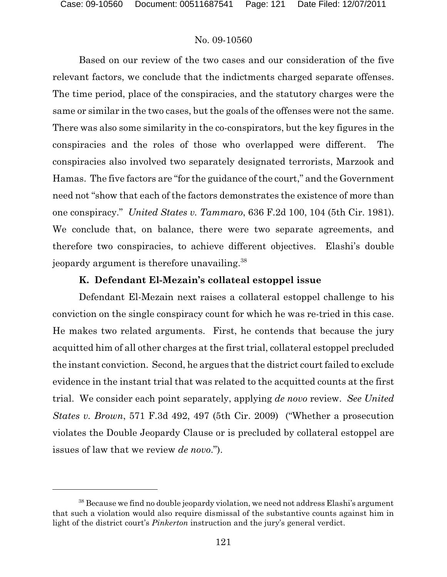Based on our review of the two cases and our consideration of the five relevant factors, we conclude that the indictments charged separate offenses. The time period, place of the conspiracies, and the statutory charges were the same or similar in the two cases, but the goals of the offenses were not the same. There was also some similarity in the co-conspirators, but the key figures in the conspiracies and the roles of those who overlapped were different. The conspiracies also involved two separately designated terrorists, Marzook and Hamas. The five factors are "for the guidance of the court," and the Government need not "show that each of the factors demonstrates the existence of more than one conspiracy." *United States v. Tammaro*, 636 F.2d 100, 104 (5th Cir. 1981). We conclude that, on balance, there were two separate agreements, and therefore two conspiracies, to achieve different objectives. Elashi's double jeopardy argument is therefore unavailing.<sup>38</sup>

# **K. Defendant El-Mezain's collateal estoppel issue**

Defendant El-Mezain next raises a collateral estoppel challenge to his conviction on the single conspiracy count for which he was re-tried in this case. He makes two related arguments. First, he contends that because the jury acquitted him of all other charges at the first trial, collateral estoppel precluded the instant conviction. Second, he argues that the district court failed to exclude evidence in the instant trial that was related to the acquitted counts at the first trial. We consider each point separately, applying *de novo* review. *See United States v. Brown*, 571 F.3d 492, 497 (5th Cir. 2009) ("Whether a prosecution violates the Double Jeopardy Clause or is precluded by collateral estoppel are issues of law that we review *de novo*.").

 $38$  Because we find no double jeopardy violation, we need not address Elashi's argument that such a violation would also require dismissal of the substantive counts against him in light of the district court's *Pinkerton* instruction and the jury's general verdict.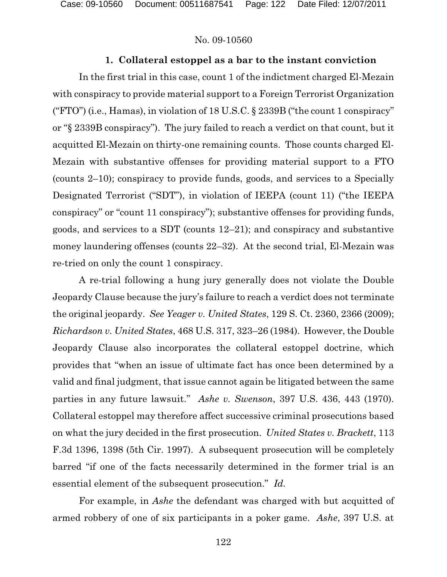Case: 09-10560 Document: 00511687541 Page: 122 Date Filed: 12/07/2011

#### No. 09-10560

### **1. Collateral estoppel as a bar to the instant conviction**

In the first trial in this case, count 1 of the indictment charged El-Mezain with conspiracy to provide material support to a Foreign Terrorist Organization ("FTO") (i.e., Hamas), in violation of  $18$  U.S.C. § 2339B ("the count 1 conspiracy" or "§ 2339B conspiracy"). The jury failed to reach a verdict on that count, but it acquitted El-Mezain on thirty-one remaining counts. Those counts charged El-Mezain with substantive offenses for providing material support to a FTO (counts 2–10); conspiracy to provide funds, goods, and services to a Specially Designated Terrorist ("SDT"), in violation of IEEPA (count 11) ("the IEEPA conspiracy" or "count 11 conspiracy"); substantive offenses for providing funds, goods, and services to a SDT (counts 12–21); and conspiracy and substantive money laundering offenses (counts 22–32). At the second trial, El-Mezain was re-tried on only the count 1 conspiracy.

A re-trial following a hung jury generally does not violate the Double Jeopardy Clause because the jury's failure to reach a verdict does not terminate the original jeopardy. *See Yeager v. United States*, 129 S. Ct. 2360, 2366 (2009); *Richardson v. United States*, 468 U.S. 317, 323–26 (1984). However, the Double Jeopardy Clause also incorporates the collateral estoppel doctrine, which provides that "when an issue of ultimate fact has once been determined by a valid and final judgment, that issue cannot again be litigated between the same parties in any future lawsuit." *Ashe v. Swenson*, 397 U.S. 436, 443 (1970). Collateral estoppel may therefore affect successive criminal prosecutions based on what the jury decided in the first prosecution. *United States v. Brackett*, 113 F.3d 1396, 1398 (5th Cir. 1997). A subsequent prosecution will be completely barred "if one of the facts necessarily determined in the former trial is an essential element of the subsequent prosecution." *Id.*

For example, in *Ashe* the defendant was charged with but acquitted of armed robbery of one of six participants in a poker game. *Ashe*, 397 U.S. at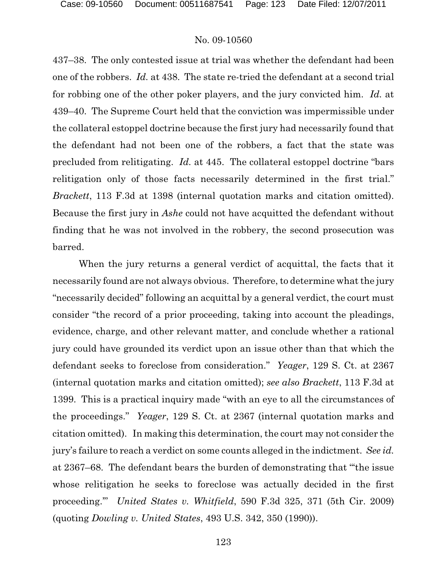437–38. The only contested issue at trial was whether the defendant had been one of the robbers. *Id.* at 438. The state re-tried the defendant at a second trial for robbing one of the other poker players, and the jury convicted him. *Id.* at 439–40. The Supreme Court held that the conviction was impermissible under the collateral estoppel doctrine because the first jury had necessarily found that the defendant had not been one of the robbers, a fact that the state was precluded from relitigating. *Id.* at 445. The collateral estoppel doctrine "bars relitigation only of those facts necessarily determined in the first trial." *Brackett*, 113 F.3d at 1398 (internal quotation marks and citation omitted). Because the first jury in *Ashe* could not have acquitted the defendant without finding that he was not involved in the robbery, the second prosecution was barred.

When the jury returns a general verdict of acquittal, the facts that it necessarily found are not always obvious. Therefore, to determine what the jury "necessarily decided" following an acquittal by a general verdict, the court must consider "the record of a prior proceeding, taking into account the pleadings, evidence, charge, and other relevant matter, and conclude whether a rational jury could have grounded its verdict upon an issue other than that which the defendant seeks to foreclose from consideration." *Yeager*, 129 S. Ct. at 2367 (internal quotation marks and citation omitted); *see also Brackett*, 113 F.3d at 1399. This is a practical inquiry made "with an eye to all the circumstances of the proceedings." *Yeager*, 129 S. Ct. at 2367 (internal quotation marks and citation omitted). In making this determination, the court may not consider the jury's failure to reach a verdict on some counts alleged in the indictment. *See id.* at 2367–68. The defendant bears the burden of demonstrating that "'the issue whose relitigation he seeks to foreclose was actually decided in the first proceeding.'" *United States v. Whitfield*, 590 F.3d 325, 371 (5th Cir. 2009) (quoting *Dowling v. United States*, 493 U.S. 342, 350 (1990)).

123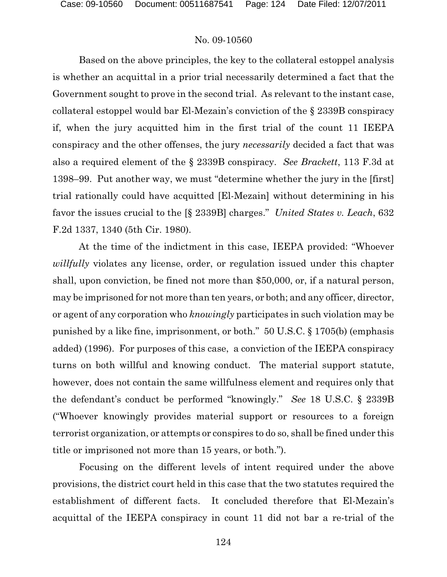Based on the above principles, the key to the collateral estoppel analysis is whether an acquittal in a prior trial necessarily determined a fact that the Government sought to prove in the second trial. As relevant to the instant case, collateral estoppel would bar El-Mezain's conviction of the § 2339B conspiracy if, when the jury acquitted him in the first trial of the count 11 IEEPA conspiracy and the other offenses, the jury *necessarily* decided a fact that was also a required element of the § 2339B conspiracy. *See Brackett*, 113 F.3d at 1398–99. Put another way, we must "determine whether the jury in the [first] trial rationally could have acquitted [El-Mezain] without determining in his favor the issues crucial to the [§ 2339B] charges." *United States v. Leach*, 632 F.2d 1337, 1340 (5th Cir. 1980).

At the time of the indictment in this case, IEEPA provided: "Whoever *willfully* violates any license, order, or regulation issued under this chapter shall, upon conviction, be fined not more than \$50,000, or, if a natural person, may be imprisoned for not more than ten years, or both; and any officer, director, or agent of any corporation who *knowingly* participates in such violation may be punished by a like fine, imprisonment, or both." 50 U.S.C. § 1705(b) (emphasis added) (1996). For purposes of this case, a conviction of the IEEPA conspiracy turns on both willful and knowing conduct. The material support statute, however, does not contain the same willfulness element and requires only that the defendant's conduct be performed "knowingly." *See* 18 U.S.C. § 2339B ("Whoever knowingly provides material support or resources to a foreign terrorist organization, or attempts or conspires to do so, shall be fined under this title or imprisoned not more than 15 years, or both.").

Focusing on the different levels of intent required under the above provisions, the district court held in this case that the two statutes required the establishment of different facts. It concluded therefore that El-Mezain's acquittal of the IEEPA conspiracy in count 11 did not bar a re-trial of the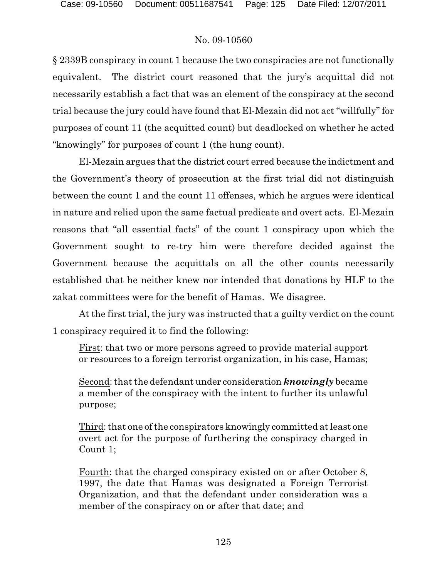§ 2339B conspiracy in count 1 because the two conspiracies are not functionally equivalent. The district court reasoned that the jury's acquittal did not necessarily establish a fact that was an element of the conspiracy at the second trial because the jury could have found that El-Mezain did not act "willfully" for purposes of count 11 (the acquitted count) but deadlocked on whether he acted "knowingly" for purposes of count 1 (the hung count).

El-Mezain argues that the district court erred because the indictment and the Government's theory of prosecution at the first trial did not distinguish between the count 1 and the count 11 offenses, which he argues were identical in nature and relied upon the same factual predicate and overt acts. El-Mezain reasons that "all essential facts" of the count 1 conspiracy upon which the Government sought to re-try him were therefore decided against the Government because the acquittals on all the other counts necessarily established that he neither knew nor intended that donations by HLF to the zakat committees were for the benefit of Hamas. We disagree.

At the first trial, the jury was instructed that a guilty verdict on the count 1 conspiracy required it to find the following:

First: that two or more persons agreed to provide material support or resources to a foreign terrorist organization, in his case, Hamas;

Second: that the defendant under consideration *knowingly* became a member of the conspiracy with the intent to further its unlawful purpose;

Third: that one of the conspirators knowingly committed at least one overt act for the purpose of furthering the conspiracy charged in Count 1;

Fourth: that the charged conspiracy existed on or after October 8, 1997, the date that Hamas was designated a Foreign Terrorist Organization, and that the defendant under consideration was a member of the conspiracy on or after that date; and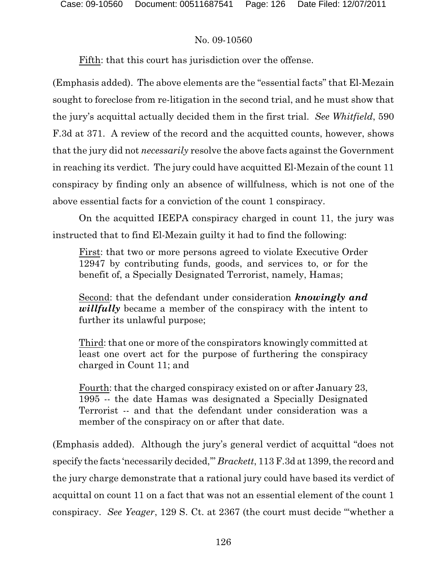Fifth: that this court has jurisdiction over the offense.

(Emphasis added). The above elements are the "essential facts" that El-Mezain sought to foreclose from re-litigation in the second trial, and he must show that the jury's acquittal actually decided them in the first trial. *See Whitfield*, 590 F.3d at 371. A review of the record and the acquitted counts, however, shows that the jury did not *necessarily* resolve the above facts against the Government in reaching its verdict. The jury could have acquitted El-Mezain of the count 11 conspiracy by finding only an absence of willfulness, which is not one of the above essential facts for a conviction of the count 1 conspiracy.

On the acquitted IEEPA conspiracy charged in count 11, the jury was instructed that to find El-Mezain guilty it had to find the following:

First: that two or more persons agreed to violate Executive Order 12947 by contributing funds, goods, and services to, or for the benefit of, a Specially Designated Terrorist, namely, Hamas;

Second: that the defendant under consideration *knowingly and willfully* became a member of the conspiracy with the intent to further its unlawful purpose;

Third: that one or more of the conspirators knowingly committed at least one overt act for the purpose of furthering the conspiracy charged in Count 11; and

Fourth: that the charged conspiracy existed on or after January 23, 1995 -- the date Hamas was designated a Specially Designated Terrorist -- and that the defendant under consideration was a member of the conspiracy on or after that date.

(Emphasis added). Although the jury's general verdict of acquittal "does not specify the facts 'necessarily decided,'" *Brackett*, 113 F.3d at 1399, the record and the jury charge demonstrate that a rational jury could have based its verdict of acquittal on count 11 on a fact that was not an essential element of the count 1 conspiracy. *See Yeager*, 129 S. Ct. at 2367 (the court must decide "'whether a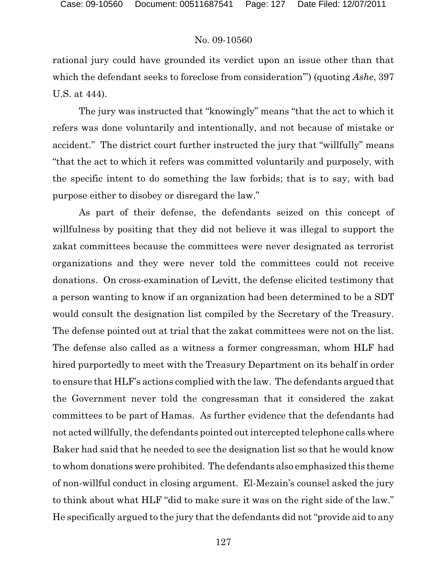rational jury could have grounded its verdict upon an issue other than that which the defendant seeks to foreclose from consideration'") (quoting *Ashe*, 397 U.S. at 444).

The jury was instructed that "knowingly" means "that the act to which it refers was done voluntarily and intentionally, and not because of mistake or accident." The district court further instructed the jury that "willfully" means "that the act to which it refers was committed voluntarily and purposely, with the specific intent to do something the law forbids; that is to say, with bad purpose either to disobey or disregard the law."

As part of their defense, the defendants seized on this concept of willfulness by positing that they did not believe it was illegal to support the zakat committees because the committees were never designated as terrorist organizations and they were never told the committees could not receive donations. On cross-examination of Levitt, the defense elicited testimony that a person wanting to know if an organization had been determined to be a SDT would consult the designation list compiled by the Secretary of the Treasury. The defense pointed out at trial that the zakat committees were not on the list. The defense also called as a witness a former congressman, whom HLF had hired purportedly to meet with the Treasury Department on its behalf in order to ensure that HLF's actions complied with the law. The defendants argued that the Government never told the congressman that it considered the zakat committees to be part of Hamas. As further evidence that the defendants had not acted willfully, the defendants pointed out intercepted telephone calls where Baker had said that he needed to see the designation list so that he would know to whom donations were prohibited. The defendants also emphasized this theme of non-willful conduct in closing argument. El-Mezain's counsel asked the jury to think about what HLF "did to make sure it was on the right side of the law." He specifically argued to the jury that the defendants did not "provide aid to any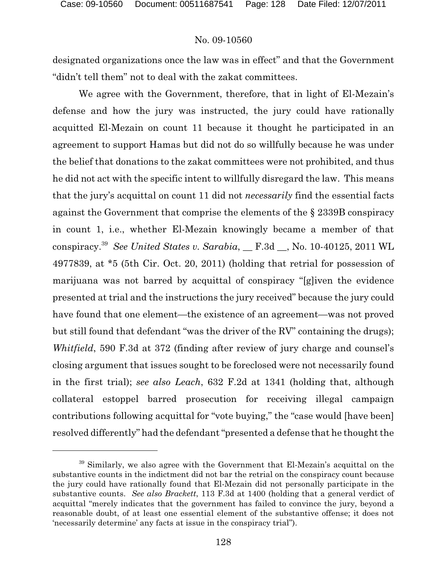designated organizations once the law was in effect" and that the Government "didn't tell them" not to deal with the zakat committees.

We agree with the Government, therefore, that in light of El-Mezain's defense and how the jury was instructed, the jury could have rationally acquitted El-Mezain on count 11 because it thought he participated in an agreement to support Hamas but did not do so willfully because he was under the belief that donations to the zakat committees were not prohibited, and thus he did not act with the specific intent to willfully disregard the law. This means that the jury's acquittal on count 11 did not *necessarily* find the essential facts against the Government that comprise the elements of the § 2339B conspiracy in count 1, i.e., whether El-Mezain knowingly became a member of that conspiracy.<sup>39</sup> See United States v. Sarabia, F.3d S. No. 10-40125, 2011 WL 4977839, at \*5 (5th Cir. Oct. 20, 2011) (holding that retrial for possession of marijuana was not barred by acquittal of conspiracy "[g]iven the evidence presented at trial and the instructions the jury received" because the jury could have found that one element—the existence of an agreement—was not proved but still found that defendant "was the driver of the RV" containing the drugs); *Whitfield*, 590 F.3d at 372 (finding after review of jury charge and counsel's closing argument that issues sought to be foreclosed were not necessarily found in the first trial); *see also Leach*, 632 F.2d at 1341 (holding that, although collateral estoppel barred prosecution for receiving illegal campaign contributions following acquittal for "vote buying," the "case would [have been] resolved differently" had the defendant "presented a defense that he thought the

 $39$  Similarly, we also agree with the Government that El-Mezain's acquittal on the substantive counts in the indictment did not bar the retrial on the conspiracy count because the jury could have rationally found that El-Mezain did not personally participate in the substantive counts. *See also Brackett*, 113 F.3d at 1400 (holding that a general verdict of acquittal "merely indicates that the government has failed to convince the jury, beyond a reasonable doubt, of at least one essential element of the substantive offense; it does not 'necessarily determine' any facts at issue in the conspiracy trial").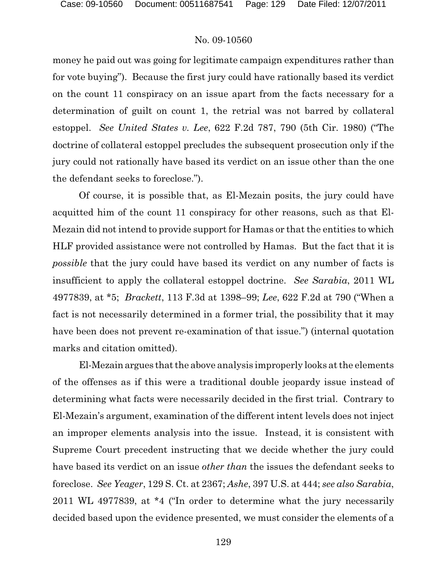money he paid out was going for legitimate campaign expenditures rather than for vote buying"). Because the first jury could have rationally based its verdict on the count 11 conspiracy on an issue apart from the facts necessary for a determination of guilt on count 1, the retrial was not barred by collateral estoppel. *See United States v. Lee*, 622 F.2d 787, 790 (5th Cir. 1980) ("The doctrine of collateral estoppel precludes the subsequent prosecution only if the jury could not rationally have based its verdict on an issue other than the one the defendant seeks to foreclose.").

Of course, it is possible that, as El-Mezain posits, the jury could have acquitted him of the count 11 conspiracy for other reasons, such as that El-Mezain did not intend to provide support for Hamas or that the entities to which HLF provided assistance were not controlled by Hamas. But the fact that it is *possible* that the jury could have based its verdict on any number of facts is insufficient to apply the collateral estoppel doctrine. *See Sarabia*, 2011 WL 4977839, at \*5; *Brackett*, 113 F.3d at 1398–99; *Lee*, 622 F.2d at 790 ("When a fact is not necessarily determined in a former trial, the possibility that it may have been does not prevent re-examination of that issue.") (internal quotation marks and citation omitted).

El-Mezain argues that the above analysis improperly looks at the elements of the offenses as if this were a traditional double jeopardy issue instead of determining what facts were necessarily decided in the first trial. Contrary to El-Mezain's argument, examination of the different intent levels does not inject an improper elements analysis into the issue. Instead, it is consistent with Supreme Court precedent instructing that we decide whether the jury could have based its verdict on an issue *other than* the issues the defendant seeks to foreclose. *See Yeager*, 129 S. Ct. at 2367; *Ashe*, 397 U.S. at 444; *see also Sarabia*, 2011 WL 4977839, at \*4 ("In order to determine what the jury necessarily decided based upon the evidence presented, we must consider the elements of a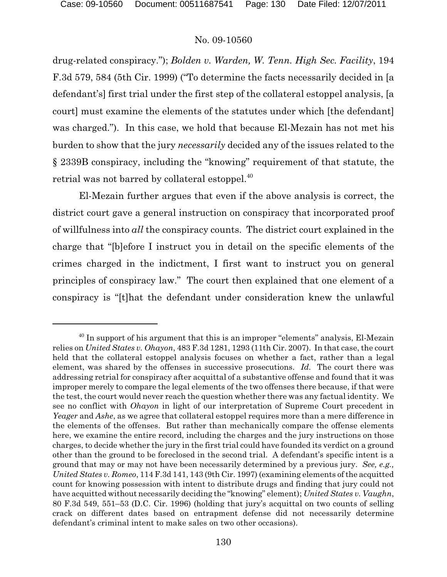drug-related conspiracy."); *Bolden v. Warden, W. Tenn. High Sec. Facility*, 194 F.3d 579, 584 (5th Cir. 1999) ("To determine the facts necessarily decided in [a defendant's] first trial under the first step of the collateral estoppel analysis, [a court] must examine the elements of the statutes under which [the defendant] was charged."). In this case, we hold that because El-Mezain has not met his burden to show that the jury *necessarily* decided any of the issues related to the § 2339B conspiracy, including the "knowing" requirement of that statute, the retrial was not barred by collateral estoppel.<sup>40</sup>

El-Mezain further argues that even if the above analysis is correct, the district court gave a general instruction on conspiracy that incorporated proof of willfulness into *all* the conspiracy counts. The district court explained in the charge that "[b]efore I instruct you in detail on the specific elements of the crimes charged in the indictment, I first want to instruct you on general principles of conspiracy law." The court then explained that one element of a conspiracy is "[t]hat the defendant under consideration knew the unlawful

 $40$  In support of his argument that this is an improper "elements" analysis, El-Mezain relies on *United States v. Ohayon*, 483 F.3d 1281, 1293 (11th Cir. 2007). In that case, the court held that the collateral estoppel analysis focuses on whether a fact, rather than a legal element, was shared by the offenses in successive prosecutions. *Id.* The court there was addressing retrial for conspiracy after acquittal of a substantive offense and found that it was improper merely to compare the legal elements of the two offenses there because, if that were the test, the court would never reach the question whether there was any factual identity. We see no conflict with *Ohayon* in light of our interpretation of Supreme Court precedent in *Yeager* and *Ashe*, as we agree that collateral estoppel requires more than a mere difference in the elements of the offenses. But rather than mechanically compare the offense elements here, we examine the entire record, including the charges and the jury instructions on those charges, to decide whether the jury in the first trial could have founded its verdict on a ground other than the ground to be foreclosed in the second trial. A defendant's specific intent is a ground that may or may not have been necessarily determined by a previous jury. *See, e.g., United States v. Romeo*, 114 F.3d 141, 143 (9th Cir. 1997) (examining elements of the acquitted count for knowing possession with intent to distribute drugs and finding that jury could not have acquitted without necessarily deciding the "knowing" element); *United States v. Vaughn*, 80 F.3d 549, 551–53 (D.C. Cir. 1996) (holding that jury's acquittal on two counts of selling crack on different dates based on entrapment defense did not necessarily determine defendant's criminal intent to make sales on two other occasions).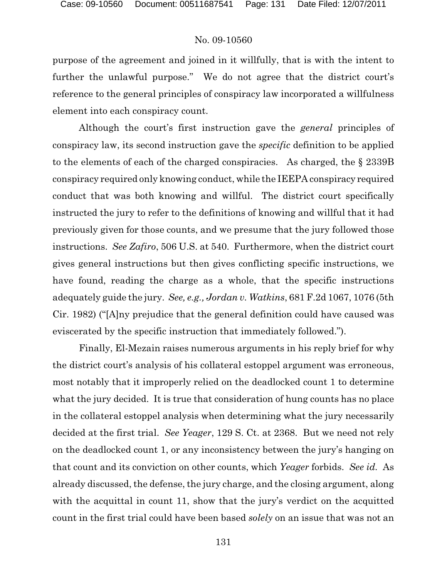purpose of the agreement and joined in it willfully, that is with the intent to further the unlawful purpose." We do not agree that the district court's reference to the general principles of conspiracy law incorporated a willfulness element into each conspiracy count.

Although the court's first instruction gave the *general* principles of conspiracy law, its second instruction gave the *specific* definition to be applied to the elements of each of the charged conspiracies. As charged, the § 2339B conspiracy required only knowing conduct, while the IEEPA conspiracy required conduct that was both knowing and willful. The district court specifically instructed the jury to refer to the definitions of knowing and willful that it had previously given for those counts, and we presume that the jury followed those instructions. *See Zafiro*, 506 U.S. at 540. Furthermore, when the district court gives general instructions but then gives conflicting specific instructions, we have found, reading the charge as a whole, that the specific instructions adequately guide the jury. *See, e.g., Jordan v. Watkins*, 681 F.2d 1067, 1076 (5th Cir. 1982) ("[A]ny prejudice that the general definition could have caused was eviscerated by the specific instruction that immediately followed.").

Finally, El-Mezain raises numerous arguments in his reply brief for why the district court's analysis of his collateral estoppel argument was erroneous, most notably that it improperly relied on the deadlocked count 1 to determine what the jury decided. It is true that consideration of hung counts has no place in the collateral estoppel analysis when determining what the jury necessarily decided at the first trial. *See Yeager*, 129 S. Ct. at 2368. But we need not rely on the deadlocked count 1, or any inconsistency between the jury's hanging on that count and its conviction on other counts, which *Yeager* forbids. *See id.* As already discussed, the defense, the jury charge, and the closing argument, along with the acquittal in count 11, show that the jury's verdict on the acquitted count in the first trial could have been based *solely* on an issue that was not an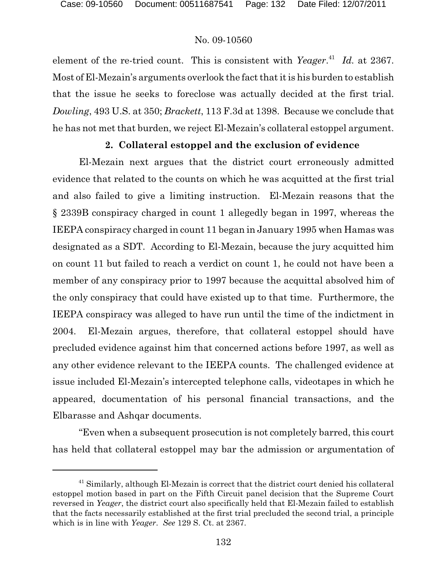element of the re-tried count. This is consistent with *Yeager*<sup>41</sup> Id. at 2367. Most of El-Mezain's arguments overlook the fact that it is his burden to establish that the issue he seeks to foreclose was actually decided at the first trial. *Dowling*, 493 U.S. at 350; *Brackett*, 113 F.3d at 1398. Because we conclude that he has not met that burden, we reject El-Mezain's collateral estoppel argument.

### **2. Collateral estoppel and the exclusion of evidence**

El-Mezain next argues that the district court erroneously admitted evidence that related to the counts on which he was acquitted at the first trial and also failed to give a limiting instruction. El-Mezain reasons that the § 2339B conspiracy charged in count 1 allegedly began in 1997, whereas the IEEPA conspiracy charged in count 11 began in January 1995 when Hamas was designated as a SDT. According to El-Mezain, because the jury acquitted him on count 11 but failed to reach a verdict on count 1, he could not have been a member of any conspiracy prior to 1997 because the acquittal absolved him of the only conspiracy that could have existed up to that time. Furthermore, the IEEPA conspiracy was alleged to have run until the time of the indictment in 2004. El-Mezain argues, therefore, that collateral estoppel should have precluded evidence against him that concerned actions before 1997, as well as any other evidence relevant to the IEEPA counts. The challenged evidence at issue included El-Mezain's intercepted telephone calls, videotapes in which he appeared, documentation of his personal financial transactions, and the Elbarasse and Ashqar documents.

"Even when a subsequent prosecution is not completely barred, this court has held that collateral estoppel may bar the admission or argumentation of

 $41$  Similarly, although El-Mezain is correct that the district court denied his collateral estoppel motion based in part on the Fifth Circuit panel decision that the Supreme Court reversed in *Yeager*, the district court also specifically held that El-Mezain failed to establish that the facts necessarily established at the first trial precluded the second trial, a principle which is in line with *Yeager*. *See* 129 S. Ct. at 2367.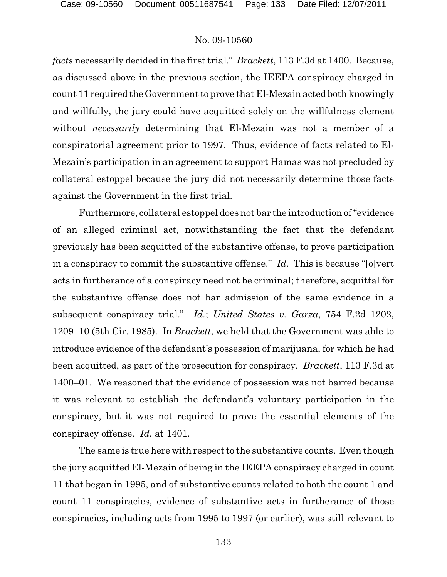*facts* necessarily decided in the first trial." *Brackett*, 113 F.3d at 1400. Because, as discussed above in the previous section, the IEEPA conspiracy charged in count 11 required theGovernment to prove that El-Mezain acted both knowingly and willfully, the jury could have acquitted solely on the willfulness element without *necessarily* determining that El-Mezain was not a member of a conspiratorial agreement prior to 1997. Thus, evidence of facts related to El-Mezain's participation in an agreement to support Hamas was not precluded by collateral estoppel because the jury did not necessarily determine those facts against the Government in the first trial.

Furthermore, collateral estoppel does not bar the introduction of "evidence of an alleged criminal act, notwithstanding the fact that the defendant previously has been acquitted of the substantive offense, to prove participation in a conspiracy to commit the substantive offense." *Id.* This is because "[o]vert acts in furtherance of a conspiracy need not be criminal; therefore, acquittal for the substantive offense does not bar admission of the same evidence in a subsequent conspiracy trial." *Id.*; *United States v. Garza*, 754 F.2d 1202, 1209–10 (5th Cir. 1985). In *Brackett*, we held that the Government was able to introduce evidence of the defendant's possession of marijuana, for which he had been acquitted, as part of the prosecution for conspiracy. *Brackett*, 113 F.3d at 1400–01. We reasoned that the evidence of possession was not barred because it was relevant to establish the defendant's voluntary participation in the conspiracy, but it was not required to prove the essential elements of the conspiracy offense. *Id.* at 1401.

The same is true here with respect to the substantive counts. Even though the jury acquitted El-Mezain of being in the IEEPA conspiracy charged in count 11 that began in 1995, and of substantive counts related to both the count 1 and count 11 conspiracies, evidence of substantive acts in furtherance of those conspiracies, including acts from 1995 to 1997 (or earlier), was still relevant to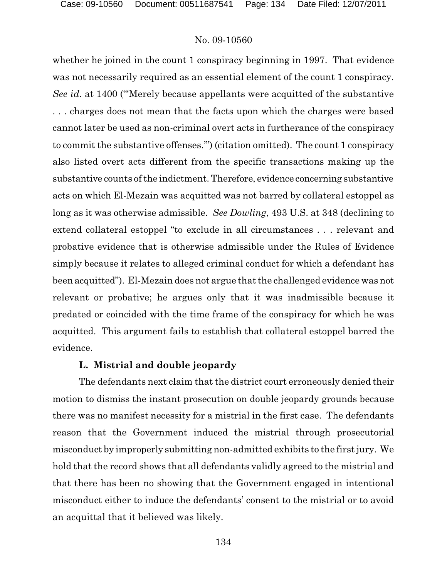whether he joined in the count 1 conspiracy beginning in 1997. That evidence was not necessarily required as an essential element of the count 1 conspiracy. *See id.* at 1400 ("'Merely because appellants were acquitted of the substantive . . . charges does not mean that the facts upon which the charges were based cannot later be used as non-criminal overt acts in furtherance of the conspiracy to commit the substantive offenses.'") (citation omitted). The count 1 conspiracy also listed overt acts different from the specific transactions making up the substantive counts of the indictment. Therefore, evidence concerning substantive acts on which El-Mezain was acquitted was not barred by collateral estoppel as long as it was otherwise admissible. *See Dowling*, 493 U.S. at 348 (declining to extend collateral estoppel "to exclude in all circumstances . . . relevant and probative evidence that is otherwise admissible under the Rules of Evidence simply because it relates to alleged criminal conduct for which a defendant has been acquitted"). El-Mezain does not argue that the challenged evidence was not relevant or probative; he argues only that it was inadmissible because it predated or coincided with the time frame of the conspiracy for which he was acquitted. This argument fails to establish that collateral estoppel barred the evidence.

#### **L. Mistrial and double jeopardy**

The defendants next claim that the district court erroneously denied their motion to dismiss the instant prosecution on double jeopardy grounds because there was no manifest necessity for a mistrial in the first case. The defendants reason that the Government induced the mistrial through prosecutorial misconduct by improperly submitting non-admitted exhibits to the first jury. We hold that the record shows that all defendants validly agreed to the mistrial and that there has been no showing that the Government engaged in intentional misconduct either to induce the defendants' consent to the mistrial or to avoid an acquittal that it believed was likely.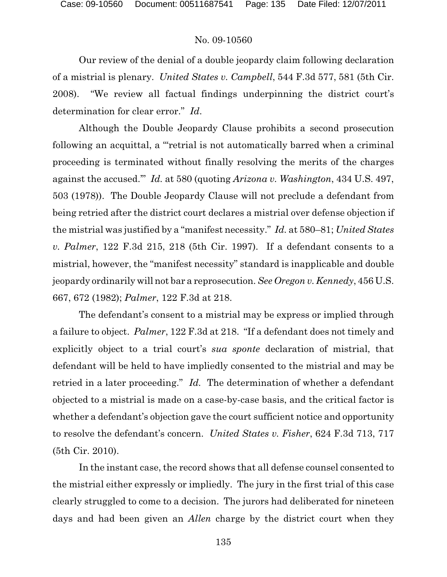Our review of the denial of a double jeopardy claim following declaration of a mistrial is plenary. *United States v. Campbell*, 544 F.3d 577, 581 (5th Cir. 2008). "We review all factual findings underpinning the district court's determination for clear error." *Id*.

Although the Double Jeopardy Clause prohibits a second prosecution following an acquittal, a "'retrial is not automatically barred when a criminal proceeding is terminated without finally resolving the merits of the charges against the accused.'" *Id.* at 580 (quoting *Arizona v. Washington*, 434 U.S. 497, 503 (1978)). The Double Jeopardy Clause will not preclude a defendant from being retried after the district court declares a mistrial over defense objection if the mistrial was justified by a "manifest necessity." *Id.* at 580–81; *United States v. Palmer*, 122 F.3d 215, 218 (5th Cir. 1997). If a defendant consents to a mistrial, however, the "manifest necessity" standard is inapplicable and double jeopardy ordinarily will not bar a reprosecution. *See Oregon v. Kennedy*, 456 U.S. 667, 672 (1982); *Palmer*, 122 F.3d at 218.

The defendant's consent to a mistrial may be express or implied through a failure to object. *Palmer*, 122 F.3d at 218. "If a defendant does not timely and explicitly object to a trial court's *sua sponte* declaration of mistrial, that defendant will be held to have impliedly consented to the mistrial and may be retried in a later proceeding." *Id.* The determination of whether a defendant objected to a mistrial is made on a case-by-case basis, and the critical factor is whether a defendant's objection gave the court sufficient notice and opportunity to resolve the defendant's concern. *United States v. Fisher*, 624 F.3d 713, 717 (5th Cir. 2010).

In the instant case, the record shows that all defense counsel consented to the mistrial either expressly or impliedly. The jury in the first trial of this case clearly struggled to come to a decision. The jurors had deliberated for nineteen days and had been given an *Allen* charge by the district court when they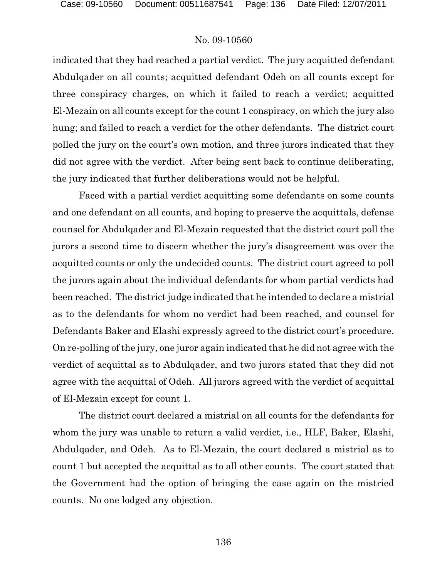indicated that they had reached a partial verdict. The jury acquitted defendant Abdulqader on all counts; acquitted defendant Odeh on all counts except for three conspiracy charges, on which it failed to reach a verdict; acquitted El-Mezain on all counts except for the count 1 conspiracy, on which the jury also hung; and failed to reach a verdict for the other defendants. The district court polled the jury on the court's own motion, and three jurors indicated that they did not agree with the verdict. After being sent back to continue deliberating, the jury indicated that further deliberations would not be helpful.

Faced with a partial verdict acquitting some defendants on some counts and one defendant on all counts, and hoping to preserve the acquittals, defense counsel for Abdulqader and El-Mezain requested that the district court poll the jurors a second time to discern whether the jury's disagreement was over the acquitted counts or only the undecided counts. The district court agreed to poll the jurors again about the individual defendants for whom partial verdicts had been reached. The district judge indicated that he intended to declare a mistrial as to the defendants for whom no verdict had been reached, and counsel for Defendants Baker and Elashi expressly agreed to the district court's procedure. On re-polling of the jury, one juror again indicated that he did not agree with the verdict of acquittal as to Abdulqader, and two jurors stated that they did not agree with the acquittal of Odeh. All jurors agreed with the verdict of acquittal of El-Mezain except for count 1.

The district court declared a mistrial on all counts for the defendants for whom the jury was unable to return a valid verdict, i.e., HLF, Baker, Elashi, Abdulqader, and Odeh. As to El-Mezain, the court declared a mistrial as to count 1 but accepted the acquittal as to all other counts. The court stated that the Government had the option of bringing the case again on the mistried counts. No one lodged any objection.

136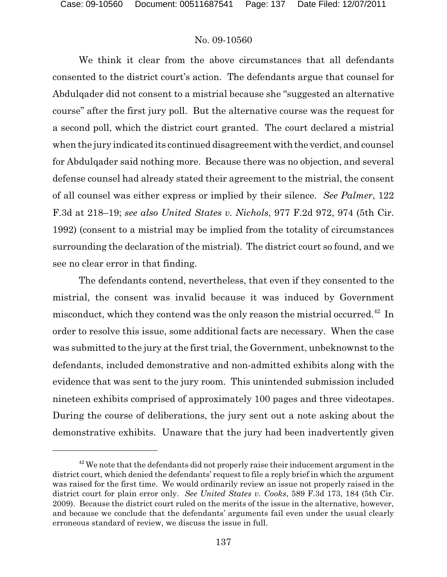We think it clear from the above circumstances that all defendants consented to the district court's action. The defendants argue that counsel for Abdulqader did not consent to a mistrial because she "suggested an alternative course" after the first jury poll. But the alternative course was the request for a second poll, which the district court granted. The court declared a mistrial when the jury indicated its continued disagreement with the verdict, and counsel for Abdulqader said nothing more. Because there was no objection, and several defense counsel had already stated their agreement to the mistrial, the consent of all counsel was either express or implied by their silence. *See Palmer*, 122 F.3d at 218–19; *see also United States v. Nichols*, 977 F.2d 972, 974 (5th Cir. 1992) (consent to a mistrial may be implied from the totality of circumstances surrounding the declaration of the mistrial). The district court so found, and we see no clear error in that finding.

The defendants contend, nevertheless, that even if they consented to the mistrial, the consent was invalid because it was induced by Government misconduct, which they contend was the only reason the mistrial occurred.<sup>42</sup> In order to resolve this issue, some additional facts are necessary. When the case was submitted to the jury at the first trial, the Government, unbeknownst to the defendants, included demonstrative and non-admitted exhibits along with the evidence that was sent to the jury room. This unintended submission included nineteen exhibits comprised of approximately 100 pages and three videotapes. During the course of deliberations, the jury sent out a note asking about the demonstrative exhibits. Unaware that the jury had been inadvertently given

 $42$  We note that the defendants did not properly raise their inducement argument in the district court, which denied the defendants' request to file a reply brief in which the argument was raised for the first time. We would ordinarily review an issue not properly raised in the district court for plain error only. *See United States v. Cooks*, 589 F.3d 173, 184 (5th Cir. 2009). Because the district court ruled on the merits of the issue in the alternative, however, and because we conclude that the defendants' arguments fail even under the usual clearly erroneous standard of review, we discuss the issue in full.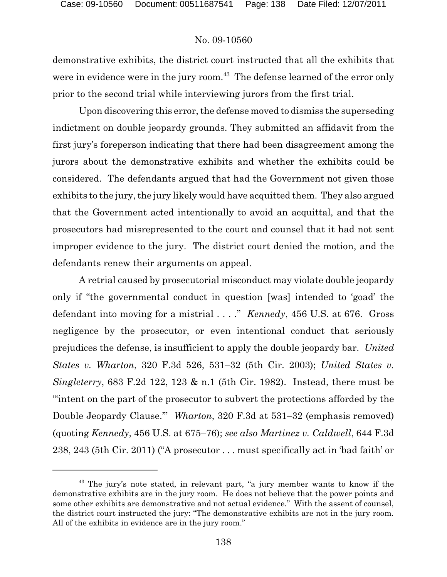demonstrative exhibits, the district court instructed that all the exhibits that were in evidence were in the jury room.<sup> $43$ </sup> The defense learned of the error only prior to the second trial while interviewing jurors from the first trial.

Upon discovering this error, the defense moved to dismiss the superseding indictment on double jeopardy grounds. They submitted an affidavit from the first jury's foreperson indicating that there had been disagreement among the jurors about the demonstrative exhibits and whether the exhibits could be considered. The defendants argued that had the Government not given those exhibits to the jury, the jury likely would have acquitted them. They also argued that the Government acted intentionally to avoid an acquittal, and that the prosecutors had misrepresented to the court and counsel that it had not sent improper evidence to the jury. The district court denied the motion, and the defendants renew their arguments on appeal.

A retrial caused by prosecutorial misconduct may violate double jeopardy only if "the governmental conduct in question [was] intended to 'goad' the defendant into moving for a mistrial . . . ." *Kennedy*, 456 U.S. at 676. Gross negligence by the prosecutor, or even intentional conduct that seriously prejudices the defense, is insufficient to apply the double jeopardy bar. *United States v. Wharton*, 320 F.3d 526, 531–32 (5th Cir. 2003); *United States v. Singleterry*, 683 F.2d 122, 123 & n.1 (5th Cir. 1982). Instead, there must be "'intent on the part of the prosecutor to subvert the protections afforded by the Double Jeopardy Clause.'" *Wharton*, 320 F.3d at 531–32 (emphasis removed) (quoting *Kennedy*, 456 U.S. at 675–76); *see also Martinez v. Caldwell*, 644 F.3d 238, 243 (5th Cir. 2011) ("A prosecutor . . . must specifically act in 'bad faith' or

 $43$  The jury's note stated, in relevant part, "a jury member wants to know if the demonstrative exhibits are in the jury room. He does not believe that the power points and some other exhibits are demonstrative and not actual evidence." With the assent of counsel, the district court instructed the jury: "The demonstrative exhibits are not in the jury room. All of the exhibits in evidence are in the jury room."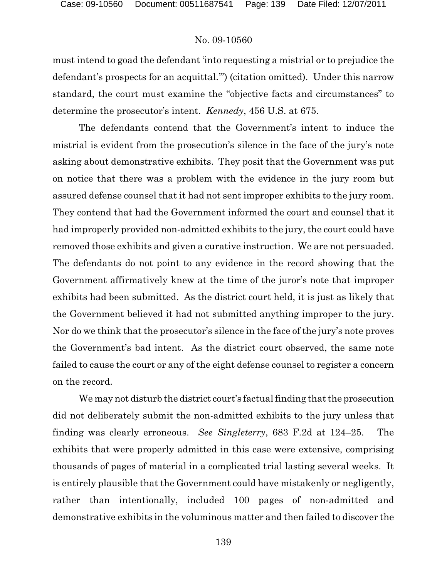must intend to goad the defendant 'into requesting a mistrial or to prejudice the defendant's prospects for an acquittal.'") (citation omitted). Under this narrow standard, the court must examine the "objective facts and circumstances" to determine the prosecutor's intent. *Kennedy*, 456 U.S. at 675.

The defendants contend that the Government's intent to induce the mistrial is evident from the prosecution's silence in the face of the jury's note asking about demonstrative exhibits. They posit that the Government was put on notice that there was a problem with the evidence in the jury room but assured defense counsel that it had not sent improper exhibits to the jury room. They contend that had the Government informed the court and counsel that it had improperly provided non-admitted exhibits to the jury, the court could have removed those exhibits and given a curative instruction. We are not persuaded. The defendants do not point to any evidence in the record showing that the Government affirmatively knew at the time of the juror's note that improper exhibits had been submitted. As the district court held, it is just as likely that the Government believed it had not submitted anything improper to the jury. Nor do we think that the prosecutor's silence in the face of the jury's note proves the Government's bad intent. As the district court observed, the same note failed to cause the court or any of the eight defense counsel to register a concern on the record.

We may not disturb the district court's factual finding that the prosecution did not deliberately submit the non-admitted exhibits to the jury unless that finding was clearly erroneous. *See Singleterry*, 683 F.2d at 124–25. The exhibits that were properly admitted in this case were extensive, comprising thousands of pages of material in a complicated trial lasting several weeks. It is entirely plausible that the Government could have mistakenly or negligently, rather than intentionally, included 100 pages of non-admitted and demonstrative exhibits in the voluminous matter and then failed to discover the

139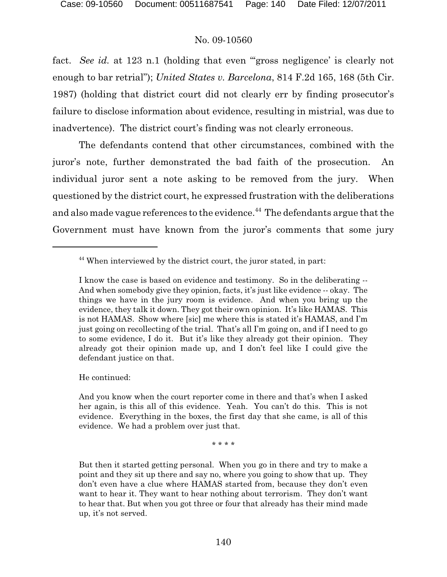fact. *See id.* at 123 n.1 (holding that even "gross negligence' is clearly not enough to bar retrial"); *United States v. Barcelona*, 814 F.2d 165, 168 (5th Cir. 1987) (holding that district court did not clearly err by finding prosecutor's failure to disclose information about evidence, resulting in mistrial, was due to inadvertence). The district court's finding was not clearly erroneous.

The defendants contend that other circumstances, combined with the juror's note, further demonstrated the bad faith of the prosecution. An individual juror sent a note asking to be removed from the jury. When questioned by the district court, he expressed frustration with the deliberations and also made vague references to the evidence.<sup>44</sup> The defendants argue that the Government must have known from the juror's comments that some jury

He continued:

And you know when the court reporter come in there and that's when I asked her again, is this all of this evidence. Yeah. You can't do this. This is not evidence. Everything in the boxes, the first day that she came, is all of this evidence. We had a problem over just that.

\* \* \* \*

But then it started getting personal. When you go in there and try to make a point and they sit up there and say no, where you going to show that up. They don't even have a clue where HAMAS started from, because they don't even want to hear it. They want to hear nothing about terrorism. They don't want to hear that. But when you got three or four that already has their mind made up, it's not served.

<sup>&</sup>lt;sup>44</sup> When interviewed by the district court, the juror stated, in part:

I know the case is based on evidence and testimony. So in the deliberating -- And when somebody give they opinion, facts, it's just like evidence -- okay. The things we have in the jury room is evidence. And when you bring up the evidence, they talk it down. They got their own opinion. It's like HAMAS. This is not HAMAS. Show where [sic] me where this is stated it's HAMAS, and I'm just going on recollecting of the trial. That's all I'm going on, and if I need to go to some evidence, I do it. But it's like they already got their opinion. They already got their opinion made up, and I don't feel like I could give the defendant justice on that.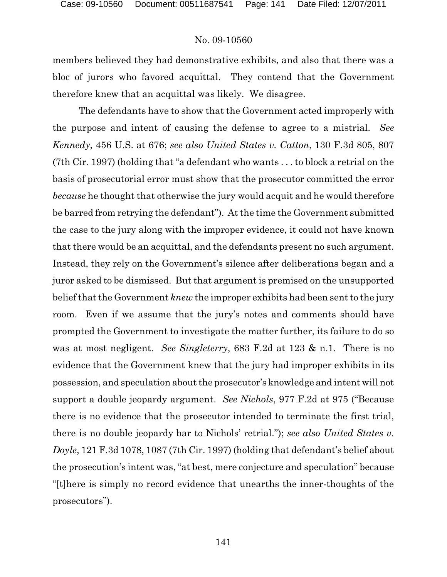members believed they had demonstrative exhibits, and also that there was a bloc of jurors who favored acquittal. They contend that the Government therefore knew that an acquittal was likely. We disagree.

The defendants have to show that the Government acted improperly with the purpose and intent of causing the defense to agree to a mistrial. *See Kennedy*, 456 U.S. at 676; *see also United States v. Catton*, 130 F.3d 805, 807 (7th Cir. 1997) (holding that "a defendant who wants . . . to block a retrial on the basis of prosecutorial error must show that the prosecutor committed the error *because* he thought that otherwise the jury would acquit and he would therefore be barred from retrying the defendant"). At the time the Government submitted the case to the jury along with the improper evidence, it could not have known that there would be an acquittal, and the defendants present no such argument. Instead, they rely on the Government's silence after deliberations began and a juror asked to be dismissed. But that argument is premised on the unsupported belief that the Government *knew* the improper exhibits had been sent to the jury room. Even if we assume that the jury's notes and comments should have prompted the Government to investigate the matter further, its failure to do so was at most negligent. *See Singleterry*, 683 F.2d at 123 & n.1. There is no evidence that the Government knew that the jury had improper exhibits in its possession, and speculation about the prosecutor's knowledge and intent will not support a double jeopardy argument. *See Nichols*, 977 F.2d at 975 ("Because there is no evidence that the prosecutor intended to terminate the first trial, there is no double jeopardy bar to Nichols' retrial."); *see also United States v. Doyle*, 121 F.3d 1078, 1087 (7th Cir. 1997) (holding that defendant's belief about the prosecution's intent was, "at best, mere conjecture and speculation" because "[t]here is simply no record evidence that unearths the inner-thoughts of the prosecutors").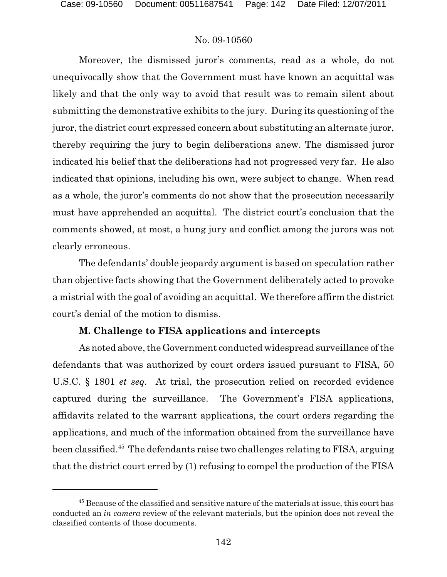Moreover, the dismissed juror's comments, read as a whole, do not unequivocally show that the Government must have known an acquittal was likely and that the only way to avoid that result was to remain silent about submitting the demonstrative exhibits to the jury. During its questioning of the juror, the district court expressed concern about substituting an alternate juror, thereby requiring the jury to begin deliberations anew. The dismissed juror indicated his belief that the deliberations had not progressed very far. He also indicated that opinions, including his own, were subject to change. When read as a whole, the juror's comments do not show that the prosecution necessarily must have apprehended an acquittal. The district court's conclusion that the comments showed, at most, a hung jury and conflict among the jurors was not clearly erroneous.

The defendants' double jeopardy argument is based on speculation rather than objective facts showing that the Government deliberately acted to provoke a mistrial with the goal of avoiding an acquittal. We therefore affirm the district court's denial of the motion to dismiss.

### **M. Challenge to FISA applications and intercepts**

As noted above, the Government conducted widespread surveillance of the defendants that was authorized by court orders issued pursuant to FISA, 50 U.S.C. § 1801 *et seq.* At trial, the prosecution relied on recorded evidence captured during the surveillance. The Government's FISA applications, affidavits related to the warrant applications, the court orders regarding the applications, and much of the information obtained from the surveillance have been classified.<sup>45</sup> The defendants raise two challenges relating to FISA, arguing that the district court erred by (1) refusing to compel the production of the FISA

 $45$  Because of the classified and sensitive nature of the materials at issue, this court has conducted an *in camera* review of the relevant materials, but the opinion does not reveal the classified contents of those documents.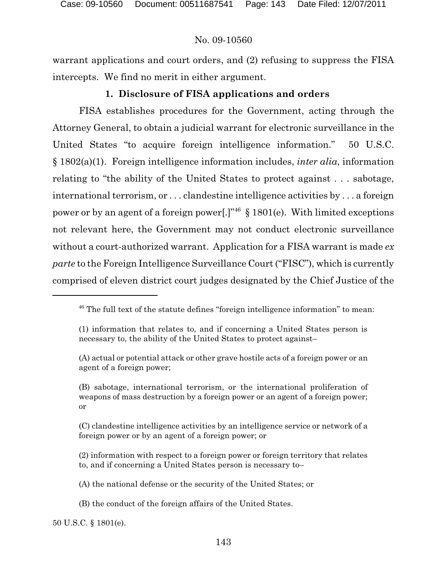warrant applications and court orders, and (2) refusing to suppress the FISA intercepts. We find no merit in either argument.

# **1. Disclosure of FISA applications and orders**

FISA establishes procedures for the Government, acting through the Attorney General, to obtain a judicial warrant for electronic surveillance in the United States "to acquire foreign intelligence information." 50 U.S.C. § 1802(a)(1). Foreign intelligence information includes, *inter alia*, information relating to "the ability of the United States to protect against . . . sabotage, international terrorism, or . . . clandestine intelligence activities by . . . a foreign power or by an agent of a foreign power.  $\mathbb{R}^{36}$  \ 1801(e). With limited exceptions not relevant here, the Government may not conduct electronic surveillance without a court-authorized warrant. Application for a FISA warrant is made *ex parte* to the Foreign Intelligence Surveillance Court ("FISC"), which is currently comprised of eleven district court judges designated by the Chief Justice of the

(B) sabotage, international terrorism, or the international proliferation of weapons of mass destruction by a foreign power or an agent of a foreign power; or

(C) clandestine intelligence activities by an intelligence service or network of a foreign power or by an agent of a foreign power; or

(2) information with respect to a foreign power or foreign territory that relates to, and if concerning a United States person is necessary to–

50 U.S.C. § 1801(e).

 $46$  The full text of the statute defines "foreign intelligence information" to mean:

<sup>(1)</sup> information that relates to, and if concerning a United States person is necessary to, the ability of the United States to protect against–

<sup>(</sup>A) actual or potential attack or other grave hostile acts of a foreign power or an agent of a foreign power;

<sup>(</sup>A) the national defense or the security of the United States; or

<sup>(</sup>B) the conduct of the foreign affairs of the United States.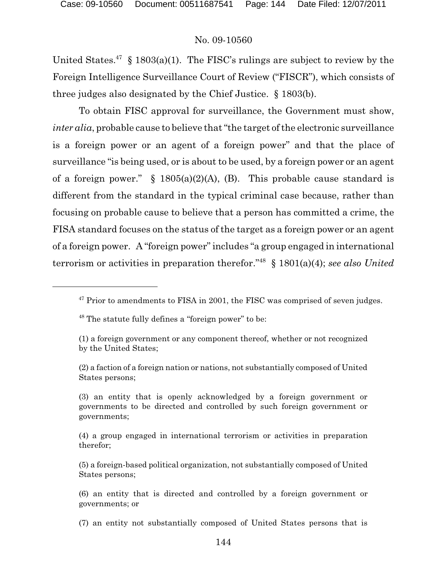United States.<sup>47</sup> § 1803(a)(1). The FISC's rulings are subject to review by the Foreign Intelligence Surveillance Court of Review ("FISCR"), which consists of three judges also designated by the Chief Justice. § 1803(b).

To obtain FISC approval for surveillance, the Government must show, *inter alia*, probable cause to believe that "the target of the electronic surveillance is a foreign power or an agent of a foreign power" and that the place of surveillance "is being used, or is about to be used, by a foreign power or an agent of a foreign power." §  $1805(a)(2)(A)$ , (B). This probable cause standard is different from the standard in the typical criminal case because, rather than focusing on probable cause to believe that a person has committed a crime, the FISA standard focuses on the status of the target as a foreign power or an agent of a foreign power. A "foreign power" includes "a group engaged in international terrorism or activities in preparation therefor.<sup>"48</sup>  $\S$  1801(a)(4); *see also United* 

 $47$  Prior to amendments to FISA in 2001, the FISC was comprised of seven judges.

 $48$  The statute fully defines a "foreign power" to be:

<sup>(1)</sup> a foreign government or any component thereof, whether or not recognized by the United States;

<sup>(2)</sup> a faction of a foreign nation or nations, not substantially composed of United States persons;

<sup>(3)</sup> an entity that is openly acknowledged by a foreign government or governments to be directed and controlled by such foreign government or governments;

<sup>(4)</sup> a group engaged in international terrorism or activities in preparation therefor;

<sup>(5)</sup> a foreign-based political organization, not substantially composed of United States persons;

<sup>(6)</sup> an entity that is directed and controlled by a foreign government or governments; or

<sup>(7)</sup> an entity not substantially composed of United States persons that is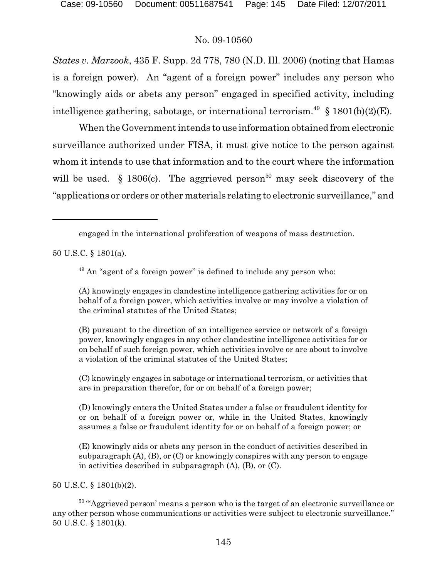*States v. Marzook*, 435 F. Supp. 2d 778, 780 (N.D. Ill. 2006) (noting that Hamas is a foreign power). An "agent of a foreign power" includes any person who "knowingly aids or abets any person" engaged in specified activity, including intelligence gathering, sabotage, or international terrorism.<sup>49</sup> § 1801(b)(2)(E).

When the Government intends to use information obtained from electronic surveillance authorized under FISA, it must give notice to the person against whom it intends to use that information and to the court where the information will be used. § 1806(c). The aggrieved person<sup>50</sup> may seek discovery of the "applications or orders or other materials relating to electronic surveillance," and

50 U.S.C. § 1801(a).

 $49$  An "agent of a foreign power" is defined to include any person who:

(A) knowingly engages in clandestine intelligence gathering activities for or on behalf of a foreign power, which activities involve or may involve a violation of the criminal statutes of the United States;

(B) pursuant to the direction of an intelligence service or network of a foreign power, knowingly engages in any other clandestine intelligence activities for or on behalf of such foreign power, which activities involve or are about to involve a violation of the criminal statutes of the United States;

(C) knowingly engages in sabotage or international terrorism, or activities that are in preparation therefor, for or on behalf of a foreign power;

(D) knowingly enters the United States under a false or fraudulent identity for or on behalf of a foreign power or, while in the United States, knowingly assumes a false or fraudulent identity for or on behalf of a foreign power; or

(E) knowingly aids or abets any person in the conduct of activities described in subparagraph  $(A)$ ,  $(B)$ , or  $(C)$  or knowingly conspires with any person to engage in activities described in subparagraph (A), (B), or (C).

50 U.S.C. § 1801(b)(2).

 $50$  "Aggrieved person' means a person who is the target of an electronic surveillance or any other person whose communications or activities were subject to electronic surveillance." 50 U.S.C. § 1801(k).

engaged in the international proliferation of weapons of mass destruction.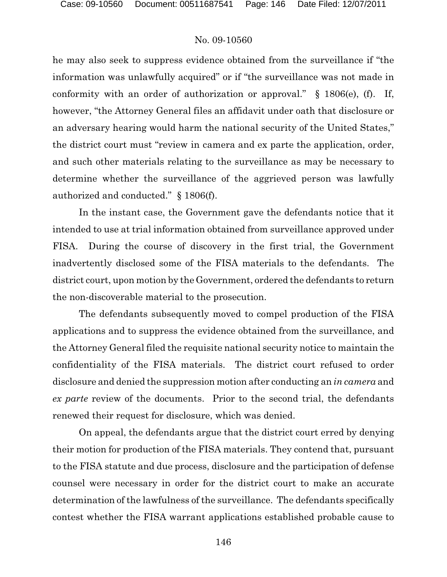he may also seek to suppress evidence obtained from the surveillance if "the information was unlawfully acquired" or if "the surveillance was not made in conformity with an order of authorization or approval." § 1806(e), (f). If, however, "the Attorney General files an affidavit under oath that disclosure or an adversary hearing would harm the national security of the United States," the district court must "review in camera and ex parte the application, order, and such other materials relating to the surveillance as may be necessary to determine whether the surveillance of the aggrieved person was lawfully authorized and conducted." § 1806(f).

In the instant case, the Government gave the defendants notice that it intended to use at trial information obtained from surveillance approved under FISA. During the course of discovery in the first trial, the Government inadvertently disclosed some of the FISA materials to the defendants. The district court, upon motion by the Government, ordered the defendants to return the non-discoverable material to the prosecution.

The defendants subsequently moved to compel production of the FISA applications and to suppress the evidence obtained from the surveillance, and the Attorney General filed the requisite national security notice to maintain the confidentiality of the FISA materials. The district court refused to order disclosure and denied the suppression motion after conducting an *in camera* and *ex parte* review of the documents. Prior to the second trial, the defendants renewed their request for disclosure, which was denied.

On appeal, the defendants argue that the district court erred by denying their motion for production of the FISA materials. They contend that, pursuant to the FISA statute and due process, disclosure and the participation of defense counsel were necessary in order for the district court to make an accurate determination of the lawfulness of the surveillance. The defendants specifically contest whether the FISA warrant applications established probable cause to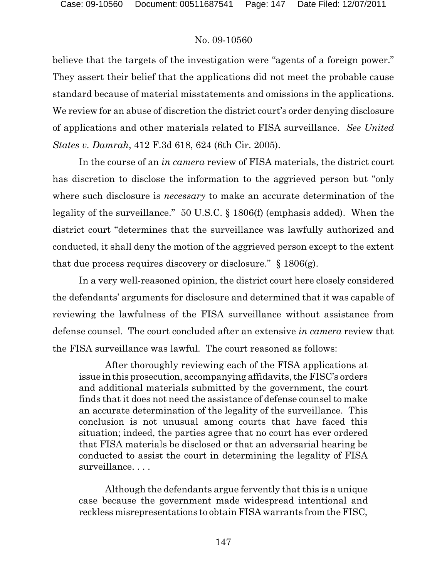believe that the targets of the investigation were "agents of a foreign power." They assert their belief that the applications did not meet the probable cause standard because of material misstatements and omissions in the applications. We review for an abuse of discretion the district court's order denying disclosure of applications and other materials related to FISA surveillance. *See United States v. Damrah*, 412 F.3d 618, 624 (6th Cir. 2005).

In the course of an *in camera* review of FISA materials, the district court has discretion to disclose the information to the aggrieved person but "only where such disclosure is *necessary* to make an accurate determination of the legality of the surveillance." 50 U.S.C. § 1806(f) (emphasis added). When the district court "determines that the surveillance was lawfully authorized and conducted, it shall deny the motion of the aggrieved person except to the extent that due process requires discovery or disclosure."  $\S$  1806(g).

In a very well-reasoned opinion, the district court here closely considered the defendants' arguments for disclosure and determined that it was capable of reviewing the lawfulness of the FISA surveillance without assistance from defense counsel. The court concluded after an extensive *in camera* review that the FISA surveillance was lawful. The court reasoned as follows:

After thoroughly reviewing each of the FISA applications at issue in this prosecution, accompanying affidavits, the FISC's orders and additional materials submitted by the government, the court finds that it does not need the assistance of defense counsel to make an accurate determination of the legality of the surveillance. This conclusion is not unusual among courts that have faced this situation; indeed, the parties agree that no court has ever ordered that FISA materials be disclosed or that an adversarial hearing be conducted to assist the court in determining the legality of FISA surveillance. . . .

Although the defendants argue fervently that this is a unique case because the government made widespread intentional and reckless misrepresentations to obtain FISA warrants from the FISC,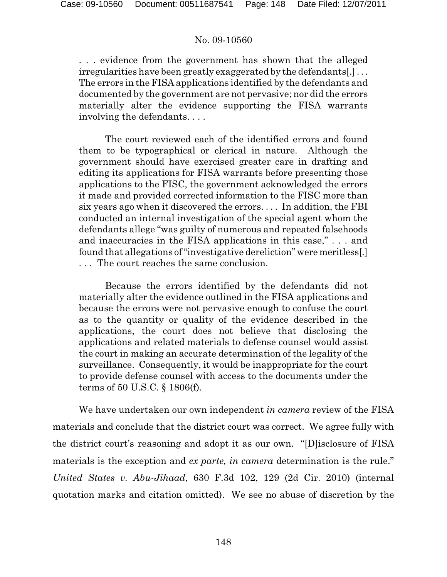. . . evidence from the government has shown that the alleged irregularities have been greatly exaggerated by the defendants[.] . . . The errors in the FISA applications identified by the defendants and documented by the government are not pervasive; nor did the errors materially alter the evidence supporting the FISA warrants involving the defendants. . . .

The court reviewed each of the identified errors and found them to be typographical or clerical in nature. Although the government should have exercised greater care in drafting and editing its applications for FISA warrants before presenting those applications to the FISC, the government acknowledged the errors it made and provided corrected information to the FISC more than six years ago when it discovered the errors. . . . In addition, the FBI conducted an internal investigation of the special agent whom the defendants allege "was guilty of numerous and repeated falsehoods and inaccuracies in the FISA applications in this case," . . . and found that allegations of "investigative dereliction" were meritless[.] . . . The court reaches the same conclusion.

Because the errors identified by the defendants did not materially alter the evidence outlined in the FISA applications and because the errors were not pervasive enough to confuse the court as to the quantity or quality of the evidence described in the applications, the court does not believe that disclosing the applications and related materials to defense counsel would assist the court in making an accurate determination of the legality of the surveillance. Consequently, it would be inappropriate for the court to provide defense counsel with access to the documents under the terms of 50 U.S.C. § 1806(f).

We have undertaken our own independent *in camera* review of the FISA materials and conclude that the district court was correct. We agree fully with the district court's reasoning and adopt it as our own. "[D]isclosure of FISA materials is the exception and *ex parte, in camera* determination is the rule." *United States v. Abu-Jihaad*, 630 F.3d 102, 129 (2d Cir. 2010) (internal quotation marks and citation omitted). We see no abuse of discretion by the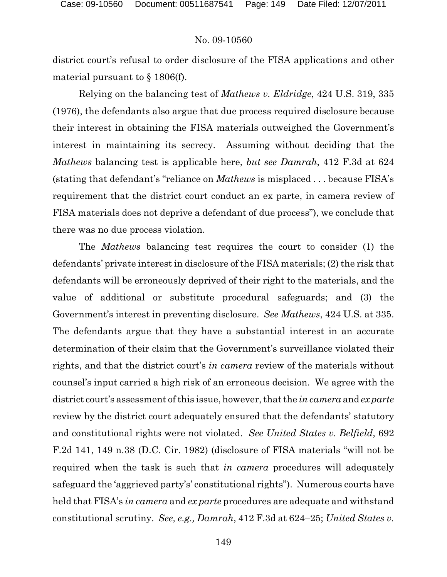district court's refusal to order disclosure of the FISA applications and other material pursuant to § 1806(f).

Relying on the balancing test of *Mathews v. Eldridge*, 424 U.S. 319, 335 (1976), the defendants also argue that due process required disclosure because their interest in obtaining the FISA materials outweighed the Government's interest in maintaining its secrecy. Assuming without deciding that the *Mathews* balancing test is applicable here, *but see Damrah*, 412 F.3d at 624 (stating that defendant's "reliance on *Mathews* is misplaced . . . because FISA's requirement that the district court conduct an ex parte, in camera review of FISA materials does not deprive a defendant of due process"), we conclude that there was no due process violation.

The *Mathews* balancing test requires the court to consider (1) the defendants' private interest in disclosure of the FISA materials; (2) the risk that defendants will be erroneously deprived of their right to the materials, and the value of additional or substitute procedural safeguards; and (3) the Government's interest in preventing disclosure. *See Mathews*, 424 U.S. at 335. The defendants argue that they have a substantial interest in an accurate determination of their claim that the Government's surveillance violated their rights, and that the district court's *in camera* review of the materials without counsel's input carried a high risk of an erroneous decision. We agree with the district court's assessment of this issue, however, that the *in camera* and *ex parte* review by the district court adequately ensured that the defendants' statutory and constitutional rights were not violated. *See United States v. Belfield*, 692 F.2d 141, 149 n.38 (D.C. Cir. 1982) (disclosure of FISA materials "will not be required when the task is such that *in camera* procedures will adequately safeguard the 'aggrieved party's' constitutional rights"). Numerous courts have held that FISA's *in camera* and *ex parte* procedures are adequate and withstand constitutional scrutiny. *See, e.g., Damrah*, 412 F.3d at 624–25; *United States v.*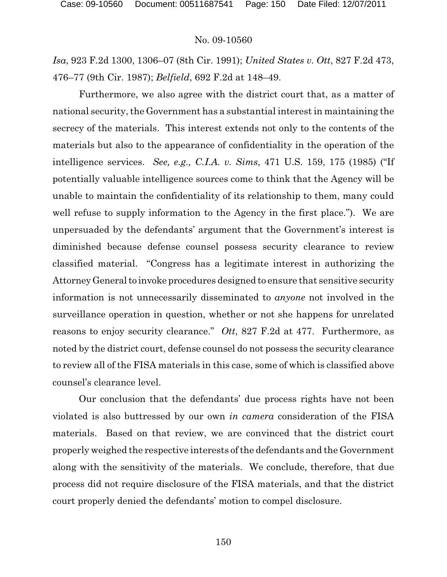*Isa*, 923 F.2d 1300, 1306–07 (8th Cir. 1991); *United States v. Ott*, 827 F.2d 473, 476–77 (9th Cir. 1987); *Belfield*, 692 F.2d at 148–49.

Furthermore, we also agree with the district court that, as a matter of national security, the Government has a substantial interest in maintaining the secrecy of the materials. This interest extends not only to the contents of the materials but also to the appearance of confidentiality in the operation of the intelligence services. *See, e.g., C.I.A. v. Sims*, 471 U.S. 159, 175 (1985) ("If potentially valuable intelligence sources come to think that the Agency will be unable to maintain the confidentiality of its relationship to them, many could well refuse to supply information to the Agency in the first place."). We are unpersuaded by the defendants' argument that the Government's interest is diminished because defense counsel possess security clearance to review classified material. "Congress has a legitimate interest in authorizing the Attorney General to invoke procedures designed to ensure that sensitive security information is not unnecessarily disseminated to *anyone* not involved in the surveillance operation in question, whether or not she happens for unrelated reasons to enjoy security clearance." *Ott*, 827 F.2d at 477. Furthermore, as noted by the district court, defense counsel do not possess the security clearance to review all of the FISA materials in this case, some of which is classified above counsel's clearance level.

Our conclusion that the defendants' due process rights have not been violated is also buttressed by our own *in camera* consideration of the FISA materials. Based on that review, we are convinced that the district court properly weighed the respective interests of the defendants and the Government along with the sensitivity of the materials. We conclude, therefore, that due process did not require disclosure of the FISA materials, and that the district court properly denied the defendants' motion to compel disclosure.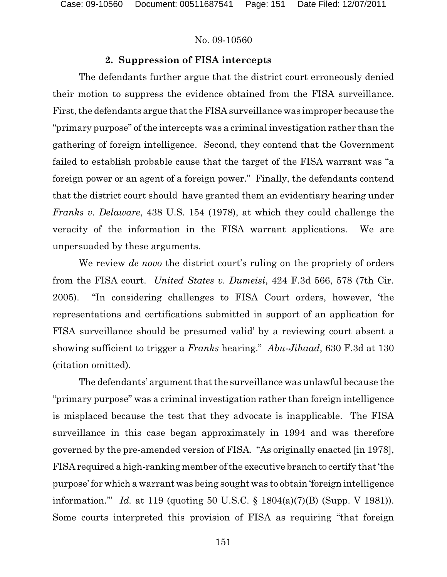# **2. Suppression of FISA intercepts**

The defendants further argue that the district court erroneously denied their motion to suppress the evidence obtained from the FISA surveillance. First, the defendants argue that the FISA surveillance was improper because the "primary purpose" of the intercepts was a criminal investigation rather than the gathering of foreign intelligence. Second, they contend that the Government failed to establish probable cause that the target of the FISA warrant was "a foreign power or an agent of a foreign power." Finally, the defendants contend that the district court should have granted them an evidentiary hearing under *Franks v. Delaware*, 438 U.S. 154 (1978), at which they could challenge the veracity of the information in the FISA warrant applications. We are unpersuaded by these arguments.

We review *de novo* the district court's ruling on the propriety of orders from the FISA court. *United States v. Dumeisi*, 424 F.3d 566, 578 (7th Cir. 2005). "In considering challenges to FISA Court orders, however, 'the representations and certifications submitted in support of an application for FISA surveillance should be presumed valid' by a reviewing court absent a showing sufficient to trigger a *Franks* hearing." *Abu-Jihaad*, 630 F.3d at 130 (citation omitted).

The defendants' argument that the surveillance was unlawful because the "primary purpose" was a criminal investigation rather than foreign intelligence is misplaced because the test that they advocate is inapplicable. The FISA surveillance in this case began approximately in 1994 and was therefore governed by the pre-amended version of FISA. "As originally enacted [in 1978], FISA required a high-ranking member of the executive branch to certify that 'the purpose' for which a warrant was being sought was to obtain 'foreign intelligence information.'" *Id.* at 119 (quoting 50 U.S.C. § 1804(a)(7)(B) (Supp. V 1981)). Some courts interpreted this provision of FISA as requiring "that foreign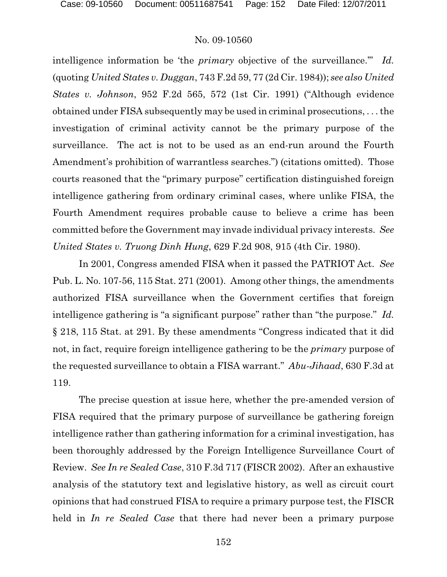intelligence information be 'the *primary* objective of the surveillance.'" *Id.* (quoting *United States v. Duggan*, 743 F.2d 59, 77 (2d Cir. 1984)); *see also United States v. Johnson*, 952 F.2d 565, 572 (1st Cir. 1991) ("Although evidence obtained under FISA subsequently may be used in criminal prosecutions, . . . the investigation of criminal activity cannot be the primary purpose of the surveillance. The act is not to be used as an end-run around the Fourth Amendment's prohibition of warrantless searches.") (citations omitted). Those courts reasoned that the "primary purpose" certification distinguished foreign intelligence gathering from ordinary criminal cases, where unlike FISA, the Fourth Amendment requires probable cause to believe a crime has been committed before the Government may invade individual privacy interests. *See United States v. Truong Dinh Hung*, 629 F.2d 908, 915 (4th Cir. 1980).

In 2001, Congress amended FISA when it passed the PATRIOT Act. *See* Pub. L. No. 107-56, 115 Stat. 271 (2001). Among other things, the amendments authorized FISA surveillance when the Government certifies that foreign intelligence gathering is "a significant purpose" rather than "the purpose." *Id.* § 218, 115 Stat. at 291. By these amendments "Congress indicated that it did not, in fact, require foreign intelligence gathering to be the *primary* purpose of the requested surveillance to obtain a FISA warrant." *Abu-Jihaad*, 630 F.3d at 119.

The precise question at issue here, whether the pre-amended version of FISA required that the primary purpose of surveillance be gathering foreign intelligence rather than gathering information for a criminal investigation, has been thoroughly addressed by the Foreign Intelligence Surveillance Court of Review. *See In re Sealed Case*, 310 F.3d 717 (FISCR 2002). After an exhaustive analysis of the statutory text and legislative history, as well as circuit court opinions that had construed FISA to require a primary purpose test, the FISCR held in *In re Sealed Case* that there had never been a primary purpose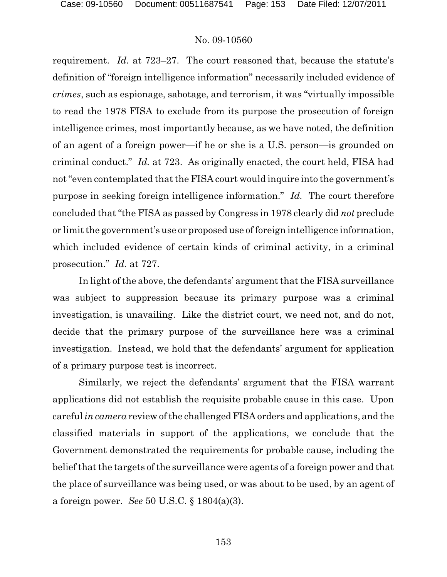requirement. *Id.* at 723–27. The court reasoned that, because the statute's definition of "foreign intelligence information" necessarily included evidence of *crimes*, such as espionage, sabotage, and terrorism, it was "virtually impossible to read the 1978 FISA to exclude from its purpose the prosecution of foreign intelligence crimes, most importantly because, as we have noted, the definition of an agent of a foreign power—if he or she is a U.S. person—is grounded on criminal conduct." *Id.* at 723. As originally enacted, the court held, FISA had not "even contemplated that the FISA court would inquire into the government's purpose in seeking foreign intelligence information." *Id.* The court therefore concluded that "the FISA as passed by Congress in 1978 clearly did *not* preclude or limit the government's use or proposed use of foreign intelligence information, which included evidence of certain kinds of criminal activity, in a criminal prosecution." *Id.* at 727.

In light of the above, the defendants' argument that the FISA surveillance was subject to suppression because its primary purpose was a criminal investigation, is unavailing. Like the district court, we need not, and do not, decide that the primary purpose of the surveillance here was a criminal investigation. Instead, we hold that the defendants' argument for application of a primary purpose test is incorrect.

Similarly, we reject the defendants' argument that the FISA warrant applications did not establish the requisite probable cause in this case. Upon careful *in camera* review of the challenged FISA orders and applications, and the classified materials in support of the applications, we conclude that the Government demonstrated the requirements for probable cause, including the belief that the targets of the surveillance were agents of a foreign power and that the place of surveillance was being used, or was about to be used, by an agent of a foreign power. *See* 50 U.S.C. § 1804(a)(3).

153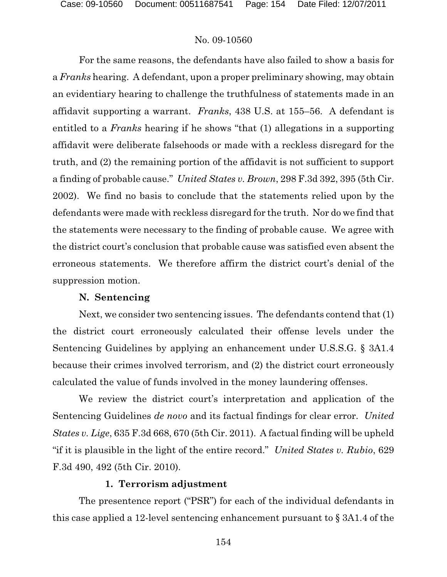For the same reasons, the defendants have also failed to show a basis for a *Franks* hearing. A defendant, upon a proper preliminary showing, may obtain an evidentiary hearing to challenge the truthfulness of statements made in an affidavit supporting a warrant. *Franks*, 438 U.S. at 155–56. A defendant is entitled to a *Franks* hearing if he shows "that (1) allegations in a supporting affidavit were deliberate falsehoods or made with a reckless disregard for the truth, and (2) the remaining portion of the affidavit is not sufficient to support a finding of probable cause." *United States v. Brown*, 298 F.3d 392, 395 (5th Cir. 2002). We find no basis to conclude that the statements relied upon by the defendants were made with reckless disregard for the truth. Nor do we find that the statements were necessary to the finding of probable cause. We agree with the district court's conclusion that probable cause was satisfied even absent the erroneous statements. We therefore affirm the district court's denial of the suppression motion.

# **N. Sentencing**

Next, we consider two sentencing issues. The defendants contend that (1) the district court erroneously calculated their offense levels under the Sentencing Guidelines by applying an enhancement under U.S.S.G. § 3A1.4 because their crimes involved terrorism, and (2) the district court erroneously calculated the value of funds involved in the money laundering offenses.

We review the district court's interpretation and application of the Sentencing Guidelines *de novo* and its factual findings for clear error. *United States v. Lige*, 635 F.3d 668, 670 (5th Cir. 2011). A factual finding will be upheld "if it is plausible in the light of the entire record." *United States v. Rubio*, 629 F.3d 490, 492 (5th Cir. 2010).

# **1. Terrorism adjustment**

The presentence report ("PSR") for each of the individual defendants in this case applied a 12-level sentencing enhancement pursuant to § 3A1.4 of the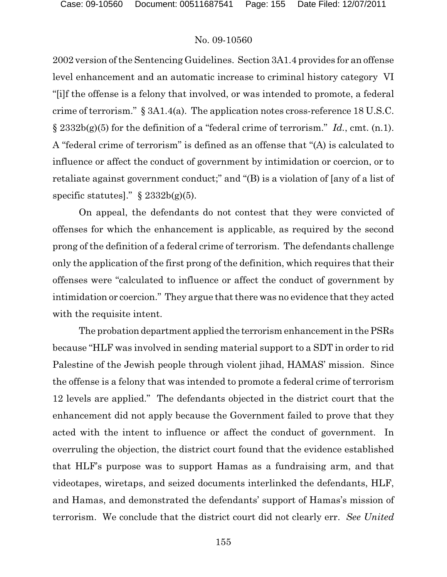2002 version of the Sentencing Guidelines. Section 3A1.4 provides for an offense level enhancement and an automatic increase to criminal history category VI "[i]f the offense is a felony that involved, or was intended to promote, a federal crime of terrorism." § 3A1.4(a). The application notes cross-reference 18 U.S.C. § 2332b(g)(5) for the definition of a "federal crime of terrorism." *Id.*, cmt. (n.1). A "federal crime of terrorism" is defined as an offense that "(A) is calculated to influence or affect the conduct of government by intimidation or coercion, or to retaliate against government conduct;" and "(B) is a violation of [any of a list of specific statutes]."  $\S$  2332b(g)(5).

On appeal, the defendants do not contest that they were convicted of offenses for which the enhancement is applicable, as required by the second prong of the definition of a federal crime of terrorism. The defendants challenge only the application of the first prong of the definition, which requires that their offenses were "calculated to influence or affect the conduct of government by intimidation or coercion." They argue that there was no evidence that they acted with the requisite intent.

The probation department applied the terrorism enhancement in the PSRs because "HLF was involved in sending material support to a SDT in order to rid Palestine of the Jewish people through violent jihad, HAMAS' mission. Since the offense is a felony that was intended to promote a federal crime of terrorism 12 levels are applied." The defendants objected in the district court that the enhancement did not apply because the Government failed to prove that they acted with the intent to influence or affect the conduct of government. In overruling the objection, the district court found that the evidence established that HLF's purpose was to support Hamas as a fundraising arm, and that videotapes, wiretaps, and seized documents interlinked the defendants, HLF, and Hamas, and demonstrated the defendants' support of Hamas's mission of terrorism. We conclude that the district court did not clearly err. *See United*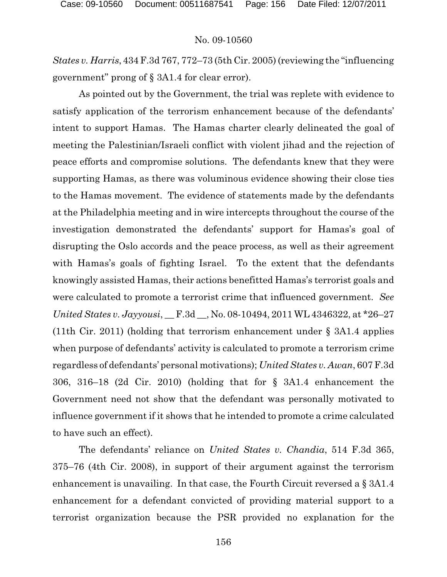*States v. Harris*, 434F.3d 767, 772–73 (5th Cir. 2005) (reviewing the "influencing government" prong of § 3A1.4 for clear error).

As pointed out by the Government, the trial was replete with evidence to satisfy application of the terrorism enhancement because of the defendants' intent to support Hamas. The Hamas charter clearly delineated the goal of meeting the Palestinian/Israeli conflict with violent jihad and the rejection of peace efforts and compromise solutions. The defendants knew that they were supporting Hamas, as there was voluminous evidence showing their close ties to the Hamas movement. The evidence of statements made by the defendants at the Philadelphia meeting and in wire intercepts throughout the course of the investigation demonstrated the defendants' support for Hamas's goal of disrupting the Oslo accords and the peace process, as well as their agreement with Hamas's goals of fighting Israel. To the extent that the defendants knowingly assisted Hamas, their actions benefitted Hamas's terrorist goals and were calculated to promote a terrorist crime that influenced government. *See United States v. Jayyousi*, \_\_ F.3d \_\_, No. 08-10494, 2011 WL 4346322, at \*26–27 (11th Cir. 2011) (holding that terrorism enhancement under § 3A1.4 applies when purpose of defendants' activity is calculated to promote a terrorism crime regardless of defendants' personal motivations); *United States v. Awan*, 607 F.3d 306, 316–18 (2d Cir. 2010) (holding that for § 3A1.4 enhancement the Government need not show that the defendant was personally motivated to influence government if it shows that he intended to promote a crime calculated to have such an effect).

The defendants' reliance on *United States v. Chandia*, 514 F.3d 365, 375–76 (4th Cir. 2008), in support of their argument against the terrorism enhancement is unavailing. In that case, the Fourth Circuit reversed a § 3A1.4 enhancement for a defendant convicted of providing material support to a terrorist organization because the PSR provided no explanation for the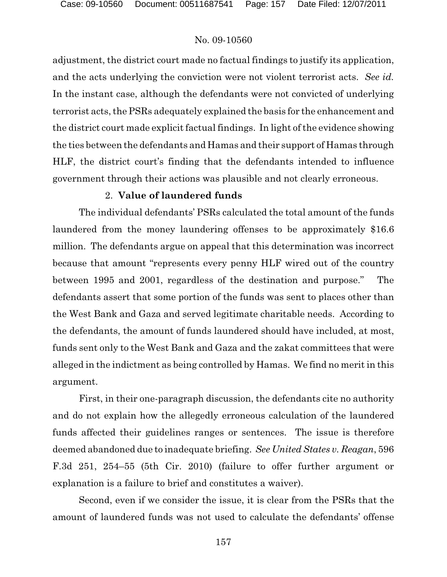adjustment, the district court made no factual findings to justify its application, and the acts underlying the conviction were not violent terrorist acts. *See id.* In the instant case, although the defendants were not convicted of underlying terrorist acts, the PSRs adequately explained the basis for the enhancement and the district court made explicit factual findings. In light of the evidence showing the ties between the defendants and Hamas and their support of Hamas through HLF, the district court's finding that the defendants intended to influence government through their actions was plausible and not clearly erroneous.

## 2. **Value of laundered funds**

The individual defendants' PSRs calculated the total amount of the funds laundered from the money laundering offenses to be approximately \$16.6 million. The defendants argue on appeal that this determination was incorrect because that amount "represents every penny HLF wired out of the country between 1995 and 2001, regardless of the destination and purpose." The defendants assert that some portion of the funds was sent to places other than the West Bank and Gaza and served legitimate charitable needs. According to the defendants, the amount of funds laundered should have included, at most, funds sent only to the West Bank and Gaza and the zakat committees that were alleged in the indictment as being controlled by Hamas. We find no merit in this argument.

First, in their one-paragraph discussion, the defendants cite no authority and do not explain how the allegedly erroneous calculation of the laundered funds affected their guidelines ranges or sentences. The issue is therefore deemed abandoned due to inadequate briefing. *See United States v. Reagan*, 596 F.3d 251, 254–55 (5th Cir. 2010) (failure to offer further argument or explanation is a failure to brief and constitutes a waiver).

Second, even if we consider the issue, it is clear from the PSRs that the amount of laundered funds was not used to calculate the defendants' offense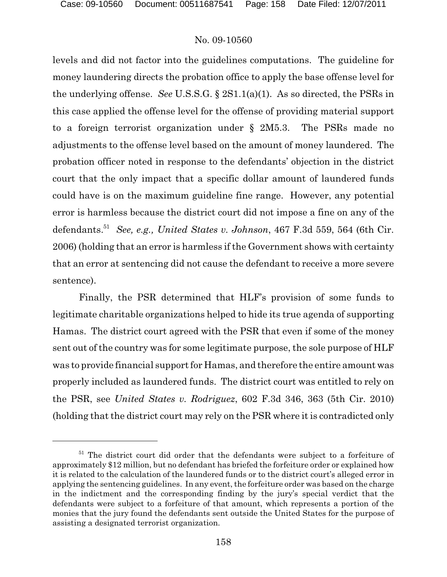levels and did not factor into the guidelines computations. The guideline for money laundering directs the probation office to apply the base offense level for the underlying offense. *See* U.S.S.G. § 2S1.1(a)(1). As so directed, the PSRs in this case applied the offense level for the offense of providing material support to a foreign terrorist organization under § 2M5.3. The PSRs made no adjustments to the offense level based on the amount of money laundered. The probation officer noted in response to the defendants' objection in the district court that the only impact that a specific dollar amount of laundered funds could have is on the maximum guideline fine range. However, any potential error is harmless because the district court did not impose a fine on any of the defendants.<sup>51</sup> See, e.g., *United States v. Johnson*, 467 F.3d 559, 564 (6th Cir. 2006) (holding that an error is harmless if the Government shows with certainty that an error at sentencing did not cause the defendant to receive a more severe sentence).

Finally, the PSR determined that HLF's provision of some funds to legitimate charitable organizations helped to hide its true agenda of supporting Hamas. The district court agreed with the PSR that even if some of the money sent out of the country was for some legitimate purpose, the sole purpose of HLF was to provide financial support for Hamas, and therefore the entire amount was properly included as laundered funds. The district court was entitled to rely on the PSR, see *United States v. Rodriguez*, 602 F.3d 346, 363 (5th Cir. 2010) (holding that the district court may rely on the PSR where it is contradicted only

 $51$  The district court did order that the defendants were subject to a forfeiture of approximately \$12 million, but no defendant has briefed the forfeiture order or explained how it is related to the calculation of the laundered funds or to the district court's alleged error in applying the sentencing guidelines. In any event, the forfeiture order was based on the charge in the indictment and the corresponding finding by the jury's special verdict that the defendants were subject to a forfeiture of that amount, which represents a portion of the monies that the jury found the defendants sent outside the United States for the purpose of assisting a designated terrorist organization.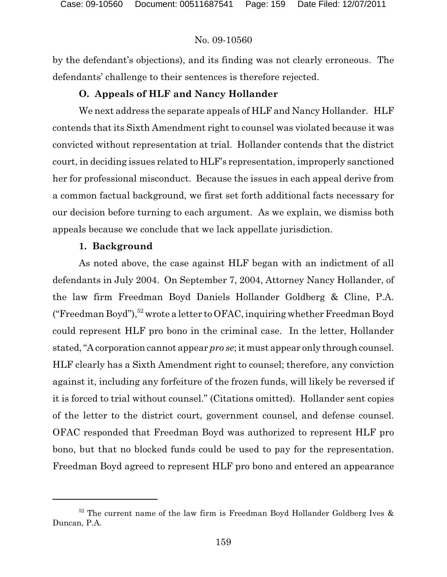by the defendant's objections), and its finding was not clearly erroneous. The defendants' challenge to their sentences is therefore rejected.

# **O. Appeals of HLF and Nancy Hollander**

We next address the separate appeals of HLF and Nancy Hollander. HLF contends that its Sixth Amendment right to counsel was violated because it was convicted without representation at trial. Hollander contends that the district court, in deciding issues related to HLF's representation, improperly sanctioned her for professional misconduct. Because the issues in each appeal derive from a common factual background, we first set forth additional facts necessary for our decision before turning to each argument. As we explain, we dismiss both appeals because we conclude that we lack appellate jurisdiction.

#### **1. Background**

As noted above, the case against HLF began with an indictment of all defendants in July 2004. On September 7, 2004, Attorney Nancy Hollander, of the law firm Freedman Boyd Daniels Hollander Goldberg & Cline, P.A. ("Freedman Boyd"),  $52$  wrote a letter to OFAC, inquiring whether Freedman Boyd could represent HLF pro bono in the criminal case. In the letter, Hollander stated,"A corporation cannot appear *pro se*; it must appear only through counsel. HLF clearly has a Sixth Amendment right to counsel; therefore, any conviction against it, including any forfeiture of the frozen funds, will likely be reversed if it is forced to trial without counsel." (Citations omitted). Hollander sent copies of the letter to the district court, government counsel, and defense counsel. OFAC responded that Freedman Boyd was authorized to represent HLF pro bono, but that no blocked funds could be used to pay for the representation. Freedman Boyd agreed to represent HLF pro bono and entered an appearance

 $52$  The current name of the law firm is Freedman Boyd Hollander Goldberg Ives & Duncan, P.A.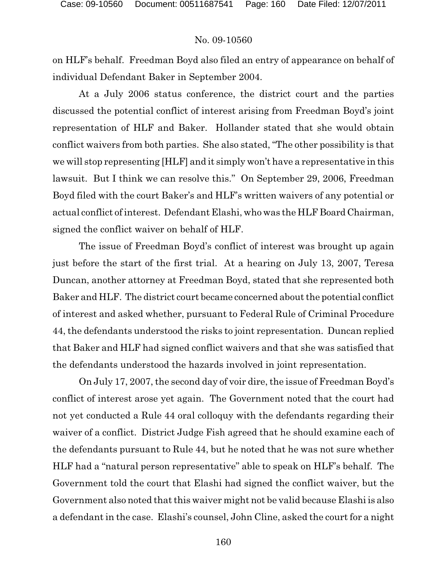on HLF's behalf. Freedman Boyd also filed an entry of appearance on behalf of individual Defendant Baker in September 2004.

At a July 2006 status conference, the district court and the parties discussed the potential conflict of interest arising from Freedman Boyd's joint representation of HLF and Baker. Hollander stated that she would obtain conflict waivers from both parties. She also stated, "The other possibility is that we will stop representing [HLF] and it simply won't have a representative in this lawsuit. But I think we can resolve this." On September 29, 2006, Freedman Boyd filed with the court Baker's and HLF's written waivers of any potential or actual conflict of interest. Defendant Elashi, who was the HLF Board Chairman, signed the conflict waiver on behalf of HLF.

The issue of Freedman Boyd's conflict of interest was brought up again just before the start of the first trial. At a hearing on July 13, 2007, Teresa Duncan, another attorney at Freedman Boyd, stated that she represented both Baker and HLF. The district court became concerned about the potential conflict of interest and asked whether, pursuant to Federal Rule of Criminal Procedure 44, the defendants understood the risks to joint representation. Duncan replied that Baker and HLF had signed conflict waivers and that she was satisfied that the defendants understood the hazards involved in joint representation.

On July 17, 2007, the second day of voir dire, the issue of Freedman Boyd's conflict of interest arose yet again. The Government noted that the court had not yet conducted a Rule 44 oral colloquy with the defendants regarding their waiver of a conflict. District Judge Fish agreed that he should examine each of the defendants pursuant to Rule 44, but he noted that he was not sure whether HLF had a "natural person representative" able to speak on HLF's behalf. The Government told the court that Elashi had signed the conflict waiver, but the Government also noted that this waiver might not be valid because Elashi is also a defendant in the case. Elashi's counsel, John Cline, asked the court for a night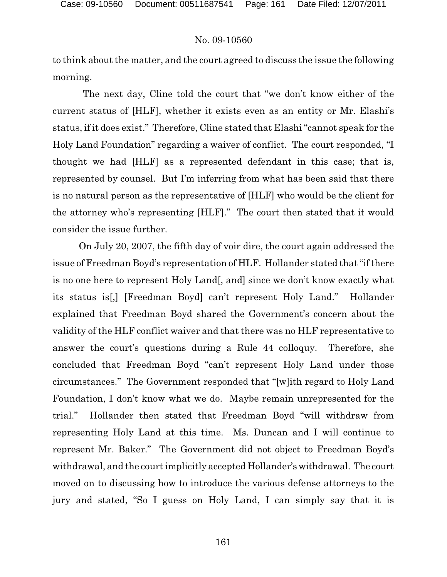to think about the matter, and the court agreed to discuss the issue the following morning.

The next day, Cline told the court that "we don't know either of the current status of [HLF], whether it exists even as an entity or Mr. Elashi's status, if it does exist." Therefore, Cline stated that Elashi "cannot speak for the Holy Land Foundation" regarding a waiver of conflict. The court responded, "I thought we had [HLF] as a represented defendant in this case; that is, represented by counsel. But I'm inferring from what has been said that there is no natural person as the representative of [HLF] who would be the client for the attorney who's representing [HLF]." The court then stated that it would consider the issue further.

On July 20, 2007, the fifth day of voir dire, the court again addressed the issue of Freedman Boyd's representation of HLF. Hollander stated that "if there is no one here to represent Holy Land[, and] since we don't know exactly what its status is[,] [Freedman Boyd] can't represent Holy Land." Hollander explained that Freedman Boyd shared the Government's concern about the validity of the HLF conflict waiver and that there was no HLF representative to answer the court's questions during a Rule 44 colloquy. Therefore, she concluded that Freedman Boyd "can't represent Holy Land under those circumstances." The Government responded that "[w]ith regard to Holy Land Foundation, I don't know what we do. Maybe remain unrepresented for the trial." Hollander then stated that Freedman Boyd "will withdraw from representing Holy Land at this time. Ms. Duncan and I will continue to represent Mr. Baker." The Government did not object to Freedman Boyd's withdrawal, and the court implicitly accepted Hollander's withdrawal. The court moved on to discussing how to introduce the various defense attorneys to the jury and stated, "So I guess on Holy Land, I can simply say that it is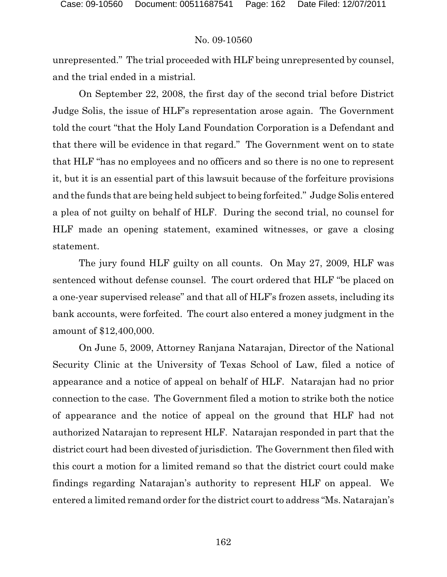unrepresented." The trial proceeded with HLF being unrepresented by counsel, and the trial ended in a mistrial.

On September 22, 2008, the first day of the second trial before District Judge Solis, the issue of HLF's representation arose again. The Government told the court "that the Holy Land Foundation Corporation is a Defendant and that there will be evidence in that regard." The Government went on to state that HLF "has no employees and no officers and so there is no one to represent it, but it is an essential part of this lawsuit because of the forfeiture provisions and the funds that are being held subject to being forfeited." Judge Solis entered a plea of not guilty on behalf of HLF. During the second trial, no counsel for HLF made an opening statement, examined witnesses, or gave a closing statement.

The jury found HLF guilty on all counts. On May 27, 2009, HLF was sentenced without defense counsel. The court ordered that HLF "be placed on a one-year supervised release" and that all of HLF's frozen assets, including its bank accounts, were forfeited. The court also entered a money judgment in the amount of \$12,400,000.

On June 5, 2009, Attorney Ranjana Natarajan, Director of the National Security Clinic at the University of Texas School of Law, filed a notice of appearance and a notice of appeal on behalf of HLF. Natarajan had no prior connection to the case. The Government filed a motion to strike both the notice of appearance and the notice of appeal on the ground that HLF had not authorized Natarajan to represent HLF. Natarajan responded in part that the district court had been divested of jurisdiction. The Government then filed with this court a motion for a limited remand so that the district court could make findings regarding Natarajan's authority to represent HLF on appeal. We entered a limited remand order for the district court to address "Ms. Natarajan's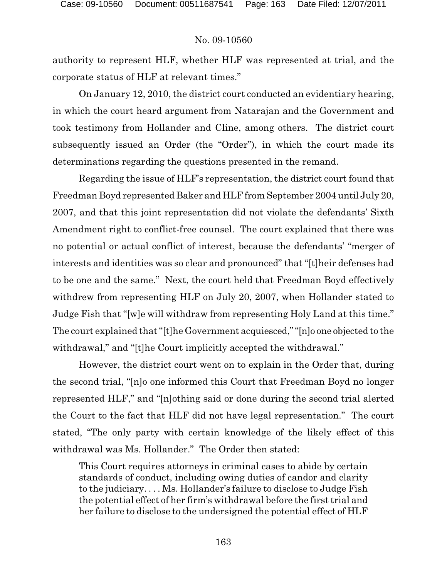authority to represent HLF, whether HLF was represented at trial, and the corporate status of HLF at relevant times."

On January 12, 2010, the district court conducted an evidentiary hearing, in which the court heard argument from Natarajan and the Government and took testimony from Hollander and Cline, among others. The district court subsequently issued an Order (the "Order"), in which the court made its determinations regarding the questions presented in the remand.

Regarding the issue of HLF's representation, the district court found that Freedman Boyd represented Baker and HLF from September 2004 until July 20, 2007, and that this joint representation did not violate the defendants' Sixth Amendment right to conflict-free counsel. The court explained that there was no potential or actual conflict of interest, because the defendants' "merger of interests and identities was so clear and pronounced" that "[t]heir defenses had to be one and the same." Next, the court held that Freedman Boyd effectively withdrew from representing HLF on July 20, 2007, when Hollander stated to Judge Fish that "[w]e will withdraw from representing Holy Land at this time." The court explained that "[t]he Government acquiesced,""[n]o one objected to the withdrawal," and "[t]he Court implicitly accepted the withdrawal."

However, the district court went on to explain in the Order that, during the second trial, "[n]o one informed this Court that Freedman Boyd no longer represented HLF," and "[n]othing said or done during the second trial alerted the Court to the fact that HLF did not have legal representation." The court stated, "The only party with certain knowledge of the likely effect of this withdrawal was Ms. Hollander." The Order then stated:

This Court requires attorneys in criminal cases to abide by certain standards of conduct, including owing duties of candor and clarity to the judiciary. . . . Ms. Hollander's failure to disclose to Judge Fish the potential effect of her firm's withdrawal before the first trial and her failure to disclose to the undersigned the potential effect of HLF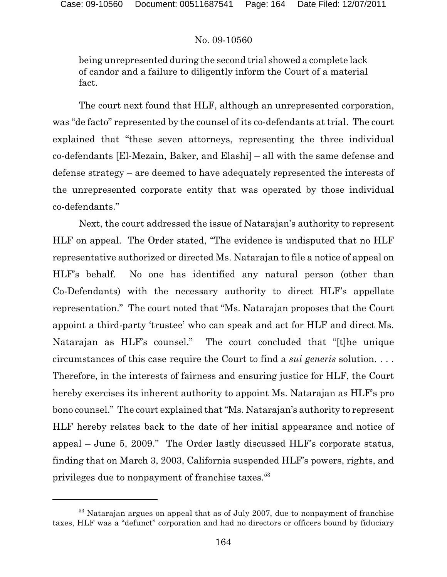being unrepresented during the second trial showed a complete lack of candor and a failure to diligently inform the Court of a material fact.

The court next found that HLF, although an unrepresented corporation, was "de facto" represented by the counsel of its co-defendants at trial. The court explained that "these seven attorneys, representing the three individual co-defendants [El-Mezain, Baker, and Elashi] – all with the same defense and defense strategy – are deemed to have adequately represented the interests of the unrepresented corporate entity that was operated by those individual co-defendants."

Next, the court addressed the issue of Natarajan's authority to represent HLF on appeal. The Order stated, "The evidence is undisputed that no HLF representative authorized or directed Ms. Natarajan to file a notice of appeal on HLF's behalf. No one has identified any natural person (other than Co-Defendants) with the necessary authority to direct HLF's appellate representation." The court noted that "Ms. Natarajan proposes that the Court appoint a third-party 'trustee' who can speak and act for HLF and direct Ms. Natarajan as HLF's counsel." The court concluded that "[t]he unique circumstances of this case require the Court to find a *sui generis* solution. . . . Therefore, in the interests of fairness and ensuring justice for HLF, the Court hereby exercises its inherent authority to appoint Ms. Natarajan as HLF's pro bono counsel." The court explained that "Ms. Natarajan's authority to represent HLF hereby relates back to the date of her initial appearance and notice of appeal – June 5, 2009." The Order lastly discussed HLF's corporate status, finding that on March 3, 2003, California suspended HLF's powers, rights, and privileges due to nonpayment of franchise taxes.<sup>53</sup>

 $53$  Natarajan argues on appeal that as of July 2007, due to nonpayment of franchise taxes, HLF was a "defunct" corporation and had no directors or officers bound by fiduciary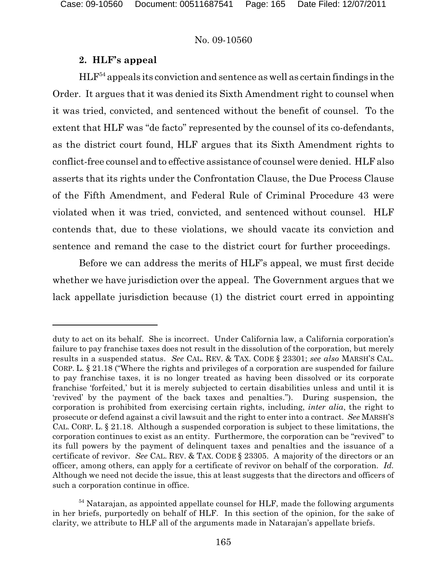# **2. HLF's appeal**

 $HLF<sup>54</sup>$  appeals its conviction and sentence as well as certain findings in the Order. It argues that it was denied its Sixth Amendment right to counsel when it was tried, convicted, and sentenced without the benefit of counsel. To the extent that HLF was "de facto" represented by the counsel of its co-defendants, as the district court found, HLF argues that its Sixth Amendment rights to conflict-free counsel and to effective assistance of counsel were denied. HLF also asserts that its rights under the Confrontation Clause, the Due Process Clause of the Fifth Amendment, and Federal Rule of Criminal Procedure 43 were violated when it was tried, convicted, and sentenced without counsel. HLF contends that, due to these violations, we should vacate its conviction and sentence and remand the case to the district court for further proceedings.

Before we can address the merits of HLF's appeal, we must first decide whether we have jurisdiction over the appeal. The Government argues that we lack appellate jurisdiction because (1) the district court erred in appointing

duty to act on its behalf. She is incorrect. Under California law, a California corporation's failure to pay franchise taxes does not result in the dissolution of the corporation, but merely results in a suspended status. *See* CAL. REV. & TAX. CODE § 23301; *see also* MARSH'S CAL. CORP. L. § 21.18 ("Where the rights and privileges of a corporation are suspended for failure to pay franchise taxes, it is no longer treated as having been dissolved or its corporate franchise 'forfeited,' but it is merely subjected to certain disabilities unless and until it is 'revived' by the payment of the back taxes and penalties."). During suspension, the corporation is prohibited from exercising certain rights, including, *inter alia*, the right to prosecute or defend against a civil lawsuit and the right to enter into a contract. *See* MARSH'S CAL. CORP. L. § 21.18. Although a suspended corporation is subject to these limitations, the corporation continues to exist as an entity. Furthermore, the corporation can be "revived" to its full powers by the payment of delinquent taxes and penalties and the issuance of a certificate of revivor. *See* CAL. REV. & TAX. CODE § 23305. A majority of the directors or an officer, among others, can apply for a certificate of revivor on behalf of the corporation. *Id.*  Although we need not decide the issue, this at least suggests that the directors and officers of such a corporation continue in office.

<sup>&</sup>lt;sup>54</sup> Natarajan, as appointed appellate counsel for HLF, made the following arguments in her briefs, purportedly on behalf of HLF. In this section of the opinion, for the sake of clarity, we attribute to HLF all of the arguments made in Natarajan's appellate briefs.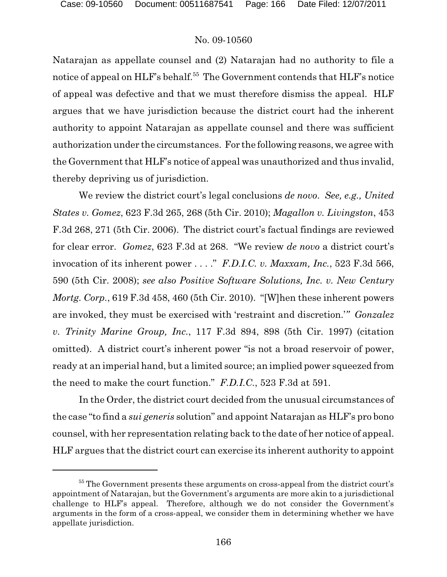Natarajan as appellate counsel and (2) Natarajan had no authority to file a notice of appeal on HLF's behalf.<sup>55</sup> The Government contends that HLF's notice of appeal was defective and that we must therefore dismiss the appeal. HLF argues that we have jurisdiction because the district court had the inherent authority to appoint Natarajan as appellate counsel and there was sufficient authorization under the circumstances. For the following reasons, we agree with the Government that HLF's notice of appeal was unauthorized and thus invalid, thereby depriving us of jurisdiction.

We review the district court's legal conclusions *de novo*. *See, e.g., United States v. Gomez*, 623 F.3d 265, 268 (5th Cir. 2010); *Magallon v. Livingston*, 453 F.3d 268, 271 (5th Cir. 2006). The district court's factual findings are reviewed for clear error. *Gomez*, 623 F.3d at 268. "We review *de novo* a district court's invocation of its inherent power . . . ." *F.D.I.C. v. Maxxam, Inc.*, 523 F.3d 566, 590 (5th Cir. 2008); *see also Positive Software Solutions, Inc. v. New Century Mortg. Corp.*, 619 F.3d 458, 460 (5th Cir. 2010). "[W]hen these inherent powers are invoked, they must be exercised with 'restraint and discretion.'*" Gonzalez v. Trinity Marine Group, Inc.*, 117 F.3d 894, 898 (5th Cir. 1997) (citation omitted). A district court's inherent power "is not a broad reservoir of power, ready at an imperial hand, but a limited source; an implied power squeezed from the need to make the court function." *F.D.I.C.*, 523 F.3d at 591.

In the Order, the district court decided from the unusual circumstances of the case "to find a *sui generis* solution" and appoint Natarajan as HLF's pro bono counsel, with her representation relating back to the date of her notice of appeal. HLF argues that the district court can exercise its inherent authority to appoint

<sup>&</sup>lt;sup>55</sup> The Government presents these arguments on cross-appeal from the district court's appointment of Natarajan, but the Government's arguments are more akin to a jurisdictional challenge to HLF's appeal. Therefore, although we do not consider the Government's arguments in the form of a cross-appeal, we consider them in determining whether we have appellate jurisdiction.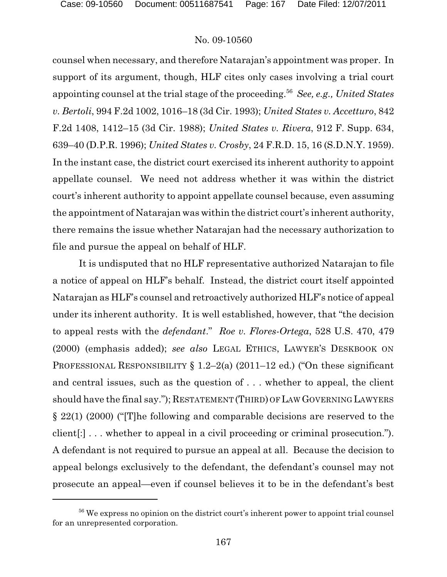counsel when necessary, and therefore Natarajan's appointment was proper. In support of its argument, though, HLF cites only cases involving a trial court appointing counsel at the trial stage of the proceeding.<sup>56</sup> See, e.g., United States *v. Bertoli*, 994 F.2d 1002, 1016–18 (3d Cir. 1993); *United States v. Accetturo*, 842 F.2d 1408, 1412–15 (3d Cir. 1988); *United States v. Rivera*, 912 F. Supp. 634, 639–40 (D.P.R. 1996); *United States v. Crosby*, 24 F.R.D. 15, 16 (S.D.N.Y. 1959). In the instant case, the district court exercised its inherent authority to appoint appellate counsel. We need not address whether it was within the district court's inherent authority to appoint appellate counsel because, even assuming the appointment of Natarajan was within the district court's inherent authority, there remains the issue whether Natarajan had the necessary authorization to file and pursue the appeal on behalf of HLF.

It is undisputed that no HLF representative authorized Natarajan to file a notice of appeal on HLF's behalf. Instead, the district court itself appointed Natarajan as HLF's counsel and retroactively authorized HLF's notice of appeal under its inherent authority. It is well established, however, that "the decision to appeal rests with the *defendant*." *Roe v. Flores-Ortega*, 528 U.S. 470, 479 (2000) (emphasis added); *see also* LEGAL ETHICS, LAWYER'S DESKBOOK ON PROFESSIONAL RESPONSIBILITY § 1.2–2(a) (2011–12 ed.) ("On these significant and central issues, such as the question of . . . whether to appeal, the client should have the final say."); RESTATEMENT (THIRD) OF LAW GOVERNING LAWYERS § 22(1) (2000) ("[T]he following and comparable decisions are reserved to the client[:] . . . whether to appeal in a civil proceeding or criminal prosecution."). A defendant is not required to pursue an appeal at all. Because the decision to appeal belongs exclusively to the defendant, the defendant's counsel may not prosecute an appeal—even if counsel believes it to be in the defendant's best

<sup>&</sup>lt;sup>56</sup> We express no opinion on the district court's inherent power to appoint trial counsel for an unrepresented corporation.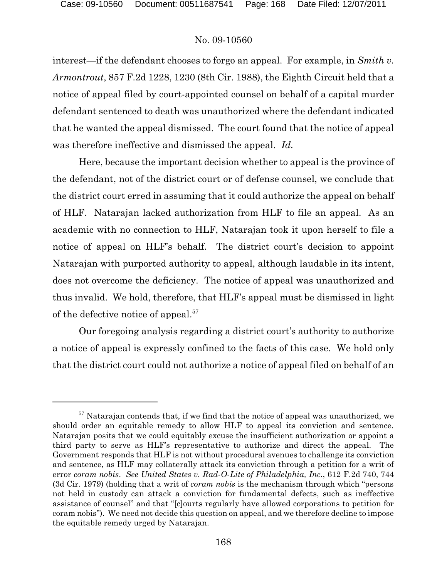interest—if the defendant chooses to forgo an appeal. For example, in *Smith v. Armontrout*, 857 F.2d 1228, 1230 (8th Cir. 1988), the Eighth Circuit held that a notice of appeal filed by court-appointed counsel on behalf of a capital murder defendant sentenced to death was unauthorized where the defendant indicated that he wanted the appeal dismissed. The court found that the notice of appeal was therefore ineffective and dismissed the appeal. *Id.*

Here, because the important decision whether to appeal is the province of the defendant, not of the district court or of defense counsel, we conclude that the district court erred in assuming that it could authorize the appeal on behalf of HLF. Natarajan lacked authorization from HLF to file an appeal. As an academic with no connection to HLF, Natarajan took it upon herself to file a notice of appeal on HLF's behalf. The district court's decision to appoint Natarajan with purported authority to appeal, although laudable in its intent, does not overcome the deficiency. The notice of appeal was unauthorized and thus invalid. We hold, therefore, that HLF's appeal must be dismissed in light of the defective notice of appeal.<sup>57</sup>

Our foregoing analysis regarding a district court's authority to authorize a notice of appeal is expressly confined to the facts of this case. We hold only that the district court could not authorize a notice of appeal filed on behalf of an

 $57$  Natarajan contends that, if we find that the notice of appeal was unauthorized, we should order an equitable remedy to allow HLF to appeal its conviction and sentence. Natarajan posits that we could equitably excuse the insufficient authorization or appoint a third party to serve as HLF's representative to authorize and direct the appeal. The Government responds that HLF is not without procedural avenues to challenge its conviction and sentence, as HLF may collaterally attack its conviction through a petition for a writ of error *coram nobis*. *See United States v. Rad-O-Lite of Philadelphia, Inc.*, 612 F.2d 740, 744 (3d Cir. 1979) (holding that a writ of *coram nobis* is the mechanism through which "persons not held in custody can attack a conviction for fundamental defects, such as ineffective assistance of counsel" and that "[c]ourts regularly have allowed corporations to petition for coram nobis"). We need not decide this question on appeal, and we therefore decline to impose the equitable remedy urged by Natarajan.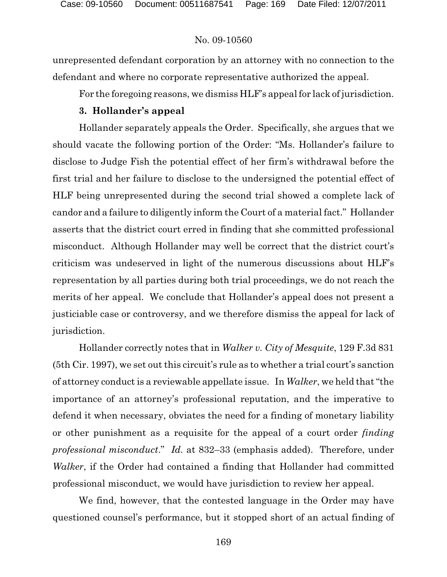unrepresented defendant corporation by an attorney with no connection to the defendant and where no corporate representative authorized the appeal.

For the foregoing reasons, we dismiss HLF's appeal for lack of jurisdiction.

# **3. Hollander's appeal**

Hollander separately appeals the Order. Specifically, she argues that we should vacate the following portion of the Order: "Ms. Hollander's failure to disclose to Judge Fish the potential effect of her firm's withdrawal before the first trial and her failure to disclose to the undersigned the potential effect of HLF being unrepresented during the second trial showed a complete lack of candor and a failure to diligently inform the Court of a material fact." Hollander asserts that the district court erred in finding that she committed professional misconduct. Although Hollander may well be correct that the district court's criticism was undeserved in light of the numerous discussions about HLF's representation by all parties during both trial proceedings, we do not reach the merits of her appeal. We conclude that Hollander's appeal does not present a justiciable case or controversy, and we therefore dismiss the appeal for lack of jurisdiction.

Hollander correctly notes that in *Walker v. City of Mesquite*, 129 F.3d 831 (5th Cir. 1997), we set out this circuit's rule as to whether a trial court's sanction of attorney conduct is a reviewable appellate issue. In *Walker*, we held that "the importance of an attorney's professional reputation, and the imperative to defend it when necessary, obviates the need for a finding of monetary liability or other punishment as a requisite for the appeal of a court order *finding professional misconduct*." *Id.* at 832–33 (emphasis added). Therefore, under *Walker*, if the Order had contained a finding that Hollander had committed professional misconduct, we would have jurisdiction to review her appeal.

We find, however, that the contested language in the Order may have questioned counsel's performance, but it stopped short of an actual finding of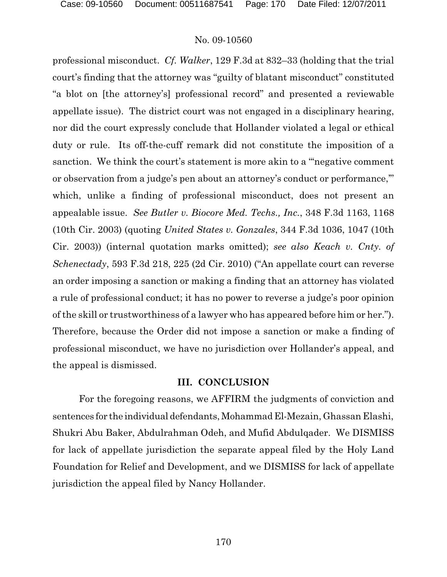professional misconduct. *Cf. Walker*, 129 F.3d at 832–33 (holding that the trial court's finding that the attorney was "guilty of blatant misconduct" constituted "a blot on [the attorney's] professional record" and presented a reviewable appellate issue). The district court was not engaged in a disciplinary hearing, nor did the court expressly conclude that Hollander violated a legal or ethical duty or rule. Its off-the-cuff remark did not constitute the imposition of a sanction. We think the court's statement is more akin to a "'negative comment or observation from a judge's pen about an attorney's conduct or performance,'" which, unlike a finding of professional misconduct, does not present an appealable issue. *See Butler v. Biocore Med. Techs., Inc.*, 348 F.3d 1163, 1168 (10th Cir. 2003) (quoting *United States v. Gonzales*, 344 F.3d 1036, 1047 (10th Cir. 2003)) (internal quotation marks omitted); *see also Keach v. Cnty. of Schenectady*, 593 F.3d 218, 225 (2d Cir. 2010) ("An appellate court can reverse an order imposing a sanction or making a finding that an attorney has violated a rule of professional conduct; it has no power to reverse a judge's poor opinion of the skill or trustworthiness of a lawyer who has appeared before him or her."). Therefore, because the Order did not impose a sanction or make a finding of professional misconduct, we have no jurisdiction over Hollander's appeal, and the appeal is dismissed.

# **III. CONCLUSION**

For the foregoing reasons, we AFFIRM the judgments of conviction and sentences for the individual defendants, Mohammad El-Mezain, Ghassan Elashi, Shukri Abu Baker, Abdulrahman Odeh, and Mufid Abdulqader. We DISMISS for lack of appellate jurisdiction the separate appeal filed by the Holy Land Foundation for Relief and Development, and we DISMISS for lack of appellate jurisdiction the appeal filed by Nancy Hollander.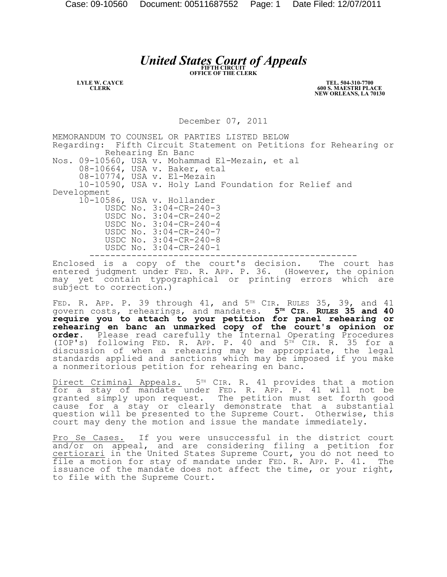# *United States Court of Appeals*

**LYLE W. CAYCE CLERK**

**TEL. 504-310-7700 600 S. MAESTRI PLACE NEW ORLEANS, LA 70130**

December 07, 2011

MEMORANDUM TO COUNSEL OR PARTIES LISTED BELOW Regarding: Fifth Circuit Statement on Petitions for Rehearing or Rehearing En Banc Nos. 09-10560, USA v. Mohammad El-Mezain, et al 08-10664, USA v. Baker, etal 08-10774, USA v. El-Mezain 10-10590, USA v. Holy Land Foundation for Relief and Development 10-10586, USA v. Hollander USDC No. 3:04-CR-240-3 USDC No. 3:04-CR-240-2 USDC No. 3:04-CR-240-4 USDC No. 3:04-CR-240-7 USDC No. 3:04-CR-240-8 USDC No. 3:04-CR-240-1 ---------------------------------------------------

Enclosed is a copy of the court's decision. The court has entered judgment under FED. R. APP. P. 36. (However, the opinion may yet contain typographical or printing errors which are subject to correction.)

FED. R. APP. P. 39 through  $41$ , and  $5<sup>TH</sup>$  CIR. RULES 35, 39, and  $41$ govern costs, rehearings, and mandates. **5TH CIR. RULES 35 and 40 require you to attach to your petition for panel rehearing or rehearing en banc an unmarked copy of the court's opinion or order.** Please read carefully the Internal Operating Procedures (IOP's) following FED. R. APP. P. 40 and  $5<sup>TH</sup>$  CIR. R. 35 for a discussion of when a rehearing may be appropriate, the legal standards applied and sanctions which may be imposed if you make a nonmeritorious petition for rehearing en banc.

Direct Criminal Appeals. 5TH CIR. R. 41 provides that a motion for a stay of mandate under FED. R. APP. P. 41 will not be granted simply upon request. The petition must set forth good cause for a stay or clearly demonstrate that a substantial question will be presented to the Supreme Court. Otherwise, this court may deny the motion and issue the mandate immediately.

Pro Se Cases. If you were unsuccessful in the district court and/or on appeal, and are considering filing a petition for certiorari in the United States Supreme Court, you do not need to file a motion for stay of mandate under FED. R. APP. P. 41. The issuance of the mandate does not affect the time, or your right, to file with the Supreme Court.